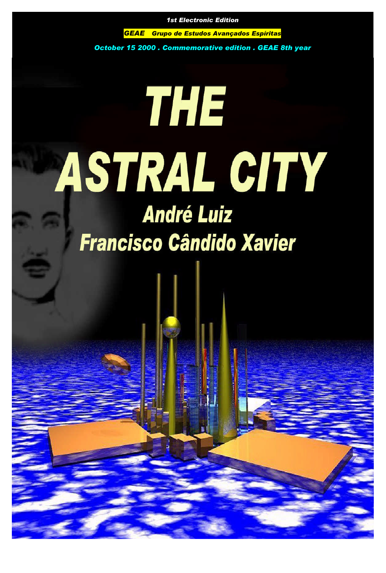*André Luiz - Astral City* 1 *GEAE Grupo de Estudos Avançados Espíritas*

*October 15 2000 . Commemorative edition . GEAE 8th year*

# THE ASTRAL CITY **André Luiz Francisco Cândido Xavier**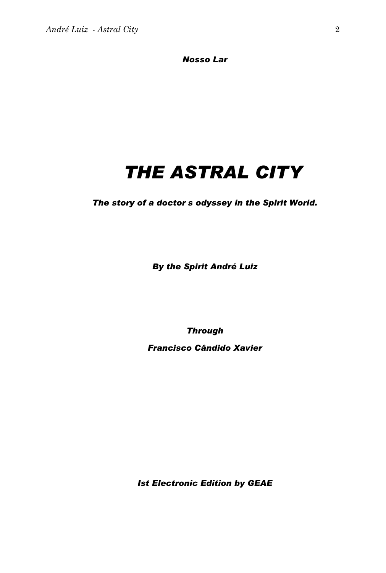*"Nosso Lar"*

## *THE ASTRAL CITY*

The story of a doctor **s** odyssey in the Spirit World.

*By the Spirit André Luiz*

*Through*

*Francisco Cândido Xavier*

*Ist Electronic Edition by GEAE*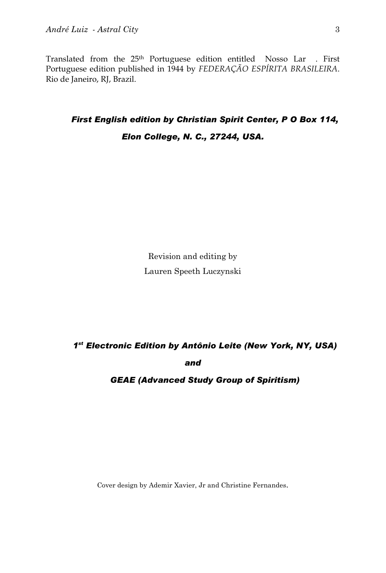Translated from the 25<sup>th</sup> Portuguese edition entitled Nosso Lar . First Portuguese edition published in 1944 by *FEDERAÇÃO ESPÍRITA BRASILEIRA*. Rio de Janeiro, RJ, Brazil.

### *First English edition by Christian Spirit Center, P O Box 114, Elon College, N. C., 27244, USA.*

Revision and editing by Lauren Speeth Luczynski

#### *1 st Electronic Edition by Antônio Leite (New York, NY, USA)*

*and*

*GEAE (Advanced Study Group of Spiritism)*

Cover design by Ademir Xavier, Jr and Christine Fernandes.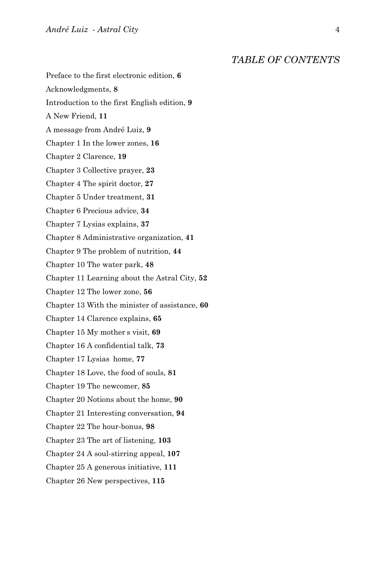#### *TABLE OF CONTENTS*

- Preface to the first electronic edition, **6**
- Acknowledgments, **8**
- Introduction to the first English edition, **9**
- A New Friend, **11**
- A message from André Luiz, **9**
- Chapter 1 In the lower zones, **16**
- Chapter 2 Clarence, **19**
- Chapter 3 Collective prayer, **23**
- Chapter 4 The spirit doctor, **27**
- Chapter 5 Under treatment, **31**
- Chapter 6 Precious advice, **34**
- Chapter 7 Lysias explains, **37**
- Chapter 8 Administrative organization, **41**
- Chapter 9 The problem of nutrition, **44**
- Chapter 10 The water park, **48**
- Chapter 11 Learning about the Astral City, **52**
- Chapter 12 The lower zone, **56**
- Chapter 13 With the minister of assistance, **60**
- Chapter 14 Clarence explains, **65**
- Chapter 15 My mother's visit, 69
- Chapter 16 A confidential talk, **73**
- Chapter 17 Lysias' home, **77**
- Chapter 18 Love, the food of souls, **81**
- Chapter 19 The newcomer, **85**
- Chapter 20 Notions about the home, **90**
- Chapter 21 Interesting conversation, **94**
- Chapter 22 The hour-bonus, **98**
- Chapter 23 The art of listening, **103**
- Chapter 24 A soul-stirring appeal, **107**
- Chapter 25 A generous initiative, **111**
- Chapter 26 New perspectives, **115**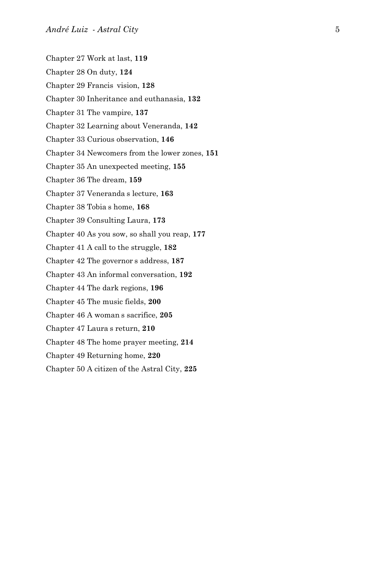Chapter 27 Work at last, **119**

- Chapter 28 On duty, **124**
- Chapter 29 Francis' vision, **128**
- Chapter 30 Inheritance and euthanasia, **132**
- Chapter 31 The vampire, **137**
- Chapter 32 Learning about Veneranda, **142**
- Chapter 33 Curious observation, **146**
- Chapter 34 Newcomers from the lower zones, **151**
- Chapter 35 An unexpected meeting, **155**
- Chapter 36 The dream, **159**
- Chapter 37 Veneranda's lecture, **163**
- Chapter 38 Tobia's home, 168
- Chapter 39 Consulting Laura, **173**
- Chapter 40 As you sow, so shall you reap, **177**
- Chapter 41 A call to the struggle, **182**
- Chapter 42 The governor's address, 187
- Chapter 43 An informal conversation, **192**
- Chapter 44 The dark regions, **196**
- Chapter 45 The music fields, **200**
- Chapter 46 A woman's sacrifice, 205
- Chapter 47 Laura's return, 210
- Chapter 48 The home prayer meeting, **214**
- Chapter 49 Returning home, **220**
- Chapter 50 A citizen of the Astral City, **225**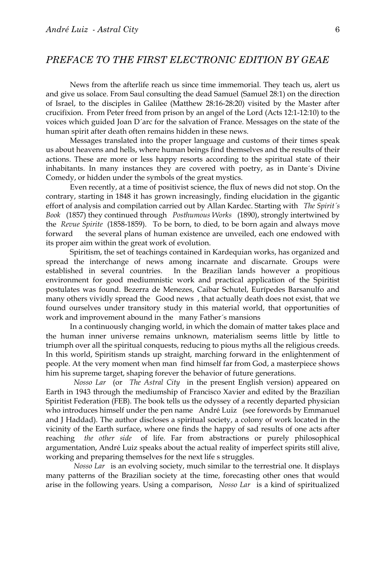#### *PREFACE TO THE FIRST ELECTRONIC EDITION BY GEAE*

News from the afterlife reach us since time immemorial. They teach us, alert us and give us solace. From Saul consulting the dead Samuel (Samuel 28:1) on the direction of Israel, to the disciples in Galilee (Matthew 28:16-28:20) visited by the Master after crucifixion. From Peter freed from prison by an angel of the Lord (Acts 12:1-12:10) to the voices which guided Joan D´arc for the salvation of France. Messages on the state of the human spirit after death often remains hidden in these news.

Messages translated into the proper language and customs of their times speak us about heavens and hells, where human beings find themselves and the results of their actions. These are more or less happy resorts according to the spiritual state of their inhabitants. In many instances they are covered with poetry, as in Dante´s Divine Comedy, or hidden under the symbols of the great mystics.

Even recently, at a time of positivist science, the flux of news did not stop. On the contrary, starting in 1848 it has grown increasingly, finding elucidation in the gigantic effort of analysis and compilation carried out by Allan Kardec. Starting with "*The Spirit´s Book*" (1857) they continued through "*Posthumous Works*" (1890), strongly intertwined by the '*Revue Spirite*' (1858-1859). "To be born, to died, to be born again and always move forward" the several plans of human existence are unveiled, each one endowed with its proper aim within the great work of evolution.

Spiritism, the set of teachings contained in Kardequian works, has organized and spread the interchange of news among incarnate and discarnate. Groups were established in several countries. In the Brazilian lands however a propitious environment for good mediumnistic work and practical application of the Spiritist postulates was found. Bezerra de Menezes, Caibar Schutel, Eurípedes Barsanulfo and many others vividly spread the Good news, that actually death does not exist, that we found ourselves under transitory study in this material world, that opportunities of work and improvement abound in the many Father's mansions

In a continuously changing world, in which the domain of matter takes place and the human inner universe remains unknown, materialism seems little by little to triumph over all the spiritual conquests, reducing to pious myths all the religious creeds. In this world, Spiritism stands up straight, marching forward in the enlightenment of people. At the very moment when man find himself far from God, a masterpiece shows him his supreme target, shaping forever the behavior of future generations.

*Nosso Lar*" (or "*The Astral City*" in the present English version) appeared on Earth in 1943 through the mediumship of Francisco Xavier and edited by the Brazilian Spiritist Federation (FEB). The book tells us the odyssey of a recently departed physician who introduces himself under the pen name André Luiz (see forewords by Emmanuel and J Haddad). The author discloses a spiritual society, a colony of work located in the vicinity of the Earth surface, where one finds the happy of sad results of one acts after reaching "*the other side*" of life. Far from abstractions or purely philosophical argumentation, André Luiz speaks about the actual reality of imperfect spirits still alive, working and preparing themselves for the next life s struggles.

*Nosso Lar* is an evolving society, much similar to the terrestrial one. It displays many patterns of the Brazilian society at the time, forecasting other ones that would arise in the following years. Using a comparison, "*Nosso Lar*" is a kind of spiritualized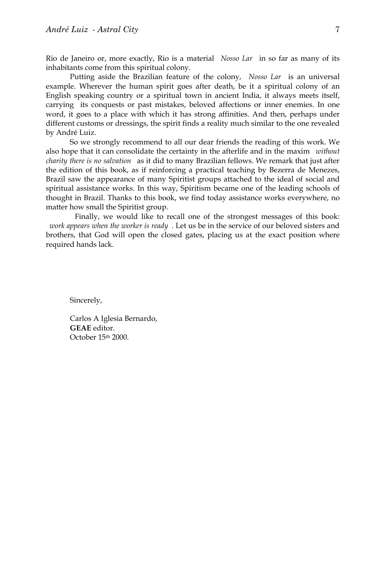Rio de Janeiro or, more exactly, Rio is a material "*Nosso Lar*" in so far as many of its inhabitants come from this spiritual colony.

Putting aside the Brazilian feature of the colony, *Nosso Lar* is an universal example. Wherever the human spirit goes after death, be it a spiritual colony of an English speaking country or a spiritual town in ancient India, it always meets itself, carrying its conquests or past mistakes, beloved affections or inner enemies. In one word, it goes to a place with which it has strong affinities. And then, perhaps under different customs or dressings, the spirit finds a reality much similar to the one revealed by André Luiz.

So we strongly recommend to all our dear friends the reading of this work. We also hope that it can consolidate the certainty in the afterlife and in the maxim "*without charity there is no salvation*" as it did to many Brazilian fellows. We remark that just after the edition of this book, as if reinforcing a practical teaching by Bezerra de Menezes, Brazil saw the appearance of many Spiritist groups attached to the ideal of social and spiritual assistance works. In this way, Spiritism became one of the leading schools of thought in Brazil. Thanks to this book, we find today assistance works everywhere, no matter how small the Spiritist group.

Finally, we would like to recall one of the strongest messages of this book: *work appears when the worker is ready*". Let us be in the service of our beloved sisters and brothers, that God will open the closed gates, placing us at the exact position where required hands lack.

Sincerely,

Carlos A Iglesia Bernardo, **GEAE** editor. October 15th 2000.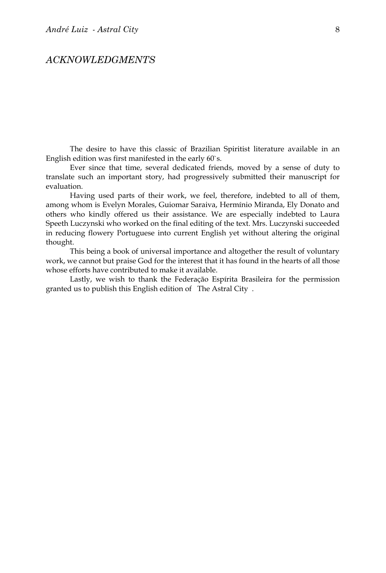#### *ACKNOWLEDGMENTS*

The desire to have this classic of Brazilian Spiritist literature available in an English edition was first manifested in the early 60`s.

Ever since that time, several dedicated friends, moved by a sense of duty to translate such an important story, had progressively submitted their manuscript for evaluation.

Having used parts of their work, we feel, therefore, indebted to all of them, among whom is Evelyn Morales, Guiomar Saraiva, Hermínio Miranda, Ely Donato and others who kindly offered us their assistance. We are especially indebted to Laura Speeth Luczynski who worked on the final editing of the text. Mrs. Luczynski succeeded in reducing flowery Portuguese into current English yet without altering the original thought.

This being a book of universal importance and altogether the result of voluntary work, we cannot but praise God for the interest that it has found in the hearts of all those whose efforts have contributed to make it available.

Lastly, we wish to thank the Federação Espírita Brasileira for the permission granted us to publish this English edition of The Astral City.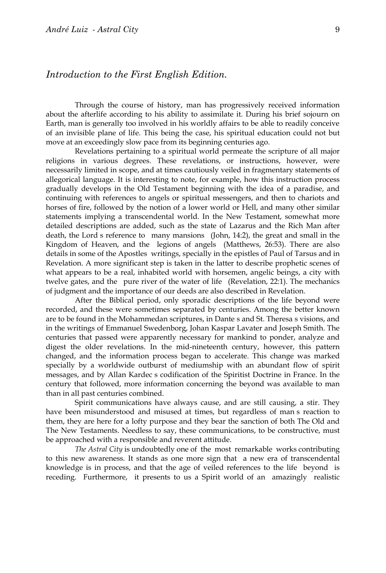#### *Introduction to the First English Edition.*

Through the course of history, man has progressively received information about the afterlife according to his ability to assimilate it. During his brief sojourn on Earth, man is generally too involved in his worldly affairs to be able to readily conceive of an invisible plane of life. This being the case, his spiritual education could not but move at an exceedingly slow pace from its beginning centuries ago.

Revelations pertaining to a spiritual world permeate the scripture of all major religions in various degrees. These revelations, or instructions, however, were necessarily limited in scope, and at times cautiously veiled in fragmentary statements of allegorical language. It is interesting to note, for example, how this instruction process gradually develops in the Old Testament beginning with the idea of a paradise, and continuing with references to angels or spiritual messengers, and then to chariots and horses of fire, followed by the notion of a lower world or Hell, and many other similar statements implying a transcendental world. In the New Testament, somewhat more detailed descriptions are added, such as the state of Lazarus and the Rich Man after death, the Lord's reference to many mansions (John, 14:2), the great and small in the Kingdom of Heaven, and the legions of angels (Matthews, 26:53). There are also details in some of the Apostles' writings, specially in the epistles of Paul of Tarsus and in Revelation. A more significant step is taken in the latter to describe prophetic scenes of what appears to be a real, inhabited world with horsemen, angelic beings, a city with twelve gates, and the pure river of the water of life (Revelation, 22:1). The mechanics of judgment and the importance of our deeds are also described in Revelation.

After the Biblical period, only sporadic descriptions of the life beyond were recorded, and these were sometimes separated by centuries. Among the better known are to be found in the Mohammedan scriptures, in Dante s and St. Theresa's visions, and in the writings of Emmanuel Swedenborg, Johan Kaspar Lavater and Joseph Smith. The centuries that passed were apparently necessary for mankind to ponder, analyze and digest the older revelations. In the mid-nineteenth century, however, this pattern changed, and the information process began to accelerate. This change was marked specially by a worldwide outburst of mediumship with an abundant flow of spirit messages, and by Allan Kardec's codification of the Spiritist Doctrine in France. In the century that followed, more information concerning the beyond was available to man than in all past centuries combined.

Spirit communications have always cause, and are still causing, a stir. They have been misunderstood and misused at times, but regardless of man's reaction to them, they are here for a lofty purpose and they bear the sanction of both The Old and The New Testaments. Needless to say, these communications, to be constructive, must be approached with a responsible and reverent attitude.

*The Astral City* is undoubtedly one of the most remarkable works contributing to this new awareness. It stands as one more sign that a new era of transcendental knowledge is in process, and that the age of veiled references to the life beyond is receding. Furthermore, it presents to us a Spirit world of an amazingly realistic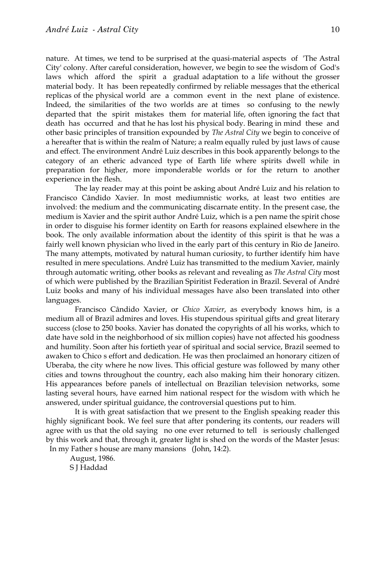nature. At times, we tend to be surprised at the quasi-material aspects of 'The Astral City' colony. After careful consideration, however, we begin to see the wisdom of God's laws which afford the spirit a gradual adaptation to a life without the grosser material body. It has been repeatedly confirmed by reliable messages that the etherical replicas of the physical world are a common event in the next plane of existence. Indeed, the similarities of the two worlds are at times so confusing to the newly departed that the spirit mistakes them for material life, often ignoring the fact that death has occurred and that he has lost his physical body. Bearing in mind these and other basic principles of transition expounded by *The Astral City* we begin to conceive of a hereafter that is within the realm of Nature; a realm equally ruled by just laws of cause and effect. The environment André Luiz describes in this book apparently belongs to the category of an etheric advanced type of Earth life where spirits dwell while in preparation for higher, more imponderable worlds or for the return to another experience in the flesh.

The lay reader may at this point be asking about André Luiz and his relation to Francisco Cândido Xavier. In most mediumnistic works, at least two entities are involved: the medium and the communicating discarnate entity. In the present case, the medium is Xavier and the spirit author André Luiz, which is a pen name the spirit chose in order to disguise his former identity on Earth for reasons explained elsewhere in the book. The only available information about the identity of this spirit is that he was a fairly well known physician who lived in the early part of this century in Rio de Janeiro. The many attempts, motivated by natural human curiosity, to further identify him have resulted in mere speculations. André Luiz has transmitted to the medium Xavier, mainly through automatic writing, other books as relevant and revealing as *The Astral City* most of which were published by the Brazilian Spiritist Federation in Brazil. Several of André Luiz books and many of his individual messages have also been translated into other languages.

Francisco Cândido Xavier, or *Chico Xavier*, as everybody knows him, is a medium all of Brazil admires and loves. His stupendous spiritual gifts and great literary success (close to 250 books. Xavier has donated the copyrights of all his works, which to date have sold in the neighborhood of six million copies) have not affected his goodness and humility. Soon after his fortieth year of spiritual and social service, Brazil seemed to awaken to Chico s effort and dedication. He was then proclaimed an honorary citizen of Uberaba, the city where he now lives. This official gesture was followed by many other cities and towns throughout the country, each also making him their honorary citizen. His appearances before panels of intellectual on Brazilian television networks, some lasting several hours, have earned him national respect for the wisdom with which he answered, under spiritual guidance, the controversial questions put to him.

It is with great satisfaction that we present to the English speaking reader this highly significant book. We feel sure that after pondering its contents, our readers will agree with us that the old saying no one ever returned to tell is seriously challenged by this work and that, through it, greater light is shed on the words of the Master Jesus: In my Father's house are many mansions (John, 14:2).

August, 1986. S J Haddad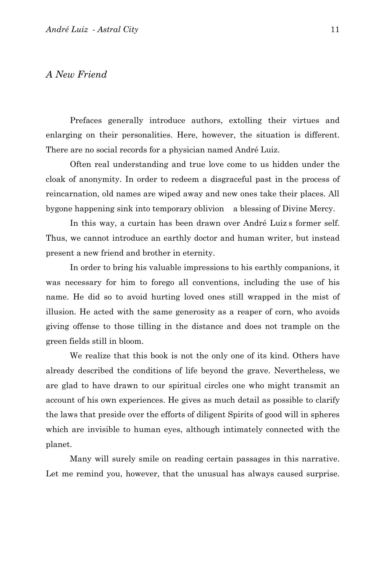#### *A New Friend*

Prefaces generally introduce authors, extolling their virtues and enlarging on their personalities. Here, however, the situation is different. There are no social records for a physician named André Luiz.

Often real understanding and true love come to us hidden under the cloak of anonymity. In order to redeem a disgraceful past in the process of reincarnation, old names are wiped away and new ones take their places. All bygone happening sink into temporary oblivion a blessing of Divine Mercy.

In this way, a curtain has been drawn over André Luiz's former self. Thus, we cannot introduce an earthly doctor and human writer, but instead present a new friend and brother in eternity.

In order to bring his valuable impressions to his earthly companions, it was necessary for him to forego all conventions, including the use of his name. He did so to avoid hurting loved ones still wrapped in the mist of illusion. He acted with the same generosity as a reaper of corn, who avoids giving offense to those tilling in the distance and does not trample on the green fields still in bloom.

We realize that this book is not the only one of its kind. Others have already described the conditions of life beyond the grave. Nevertheless, we are glad to have drawn to our spiritual circles one who might transmit an account of his own experiences. He gives as much detail as possible to clarify the laws that preside over the efforts of diligent Spirits of good will in spheres which are invisible to human eyes, although intimately connected with the planet.

Many will surely smile on reading certain passages in this narrative. Let me remind you, however, that the unusual has always caused surprise.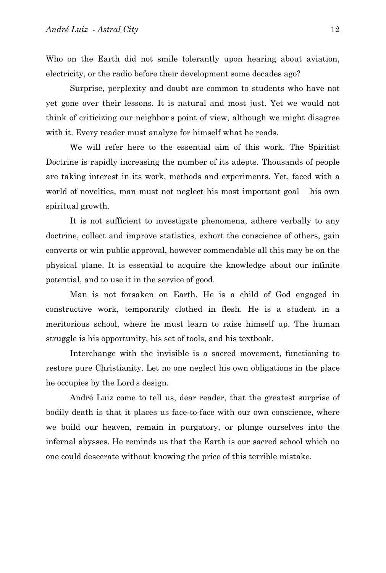Who on the Earth did not smile tolerantly upon hearing about aviation, electricity, or the radio before their development some decades ago?

Surprise, perplexity and doubt are common to students who have not yet gone over their lessons. It is natural and most just. Yet we would not think of criticizing our neighbor's point of view, although we might disagree with it. Every reader must analyze for himself what he reads.

We will refer here to the essential aim of this work. The Spiritist Doctrine is rapidly increasing the number of its adepts. Thousands of people are taking interest in its work, methods and experiments. Yet, faced with a world of novelties, man must not neglect his most important goal his own spiritual growth.

It is not sufficient to investigate phenomena, adhere verbally to any doctrine, collect and improve statistics, exhort the conscience of others, gain converts or win public approval, however commendable all this may be on the physical plane. It is essential to acquire the knowledge about our infinite potential, and to use it in the service of good.

Man is not forsaken on Earth. He is a child of God engaged in constructive work, temporarily clothed in flesh. He is a student in a meritorious school, where he must learn to raise himself up. The human struggle is his opportunity, his set of tools, and his textbook.

Interchange with the invisible is a sacred movement, functioning to restore pure Christianity. Let no one neglect his own obligations in the place he occupies by the Lord's design.

André Luiz come to tell us, dear reader, that the greatest surprise of bodily death is that it places us face-to-face with our own conscience, where we build our heaven, remain in purgatory, or plunge ourselves into the infernal abysses. He reminds us that the Earth is our sacred school which no one could desecrate without knowing the price of this terrible mistake.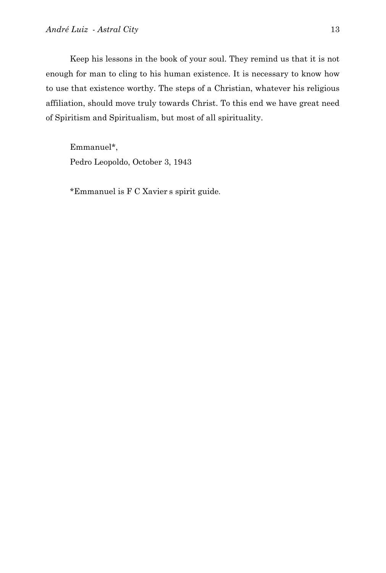Keep his lessons in the book of your soul. They remind us that it is not enough for man to cling to his human existence. It is necessary to know how to use that existence worthy. The steps of a Christian, whatever his religious affiliation, should move truly towards Christ. To this end we have great need of Spiritism and Spiritualism, but most of all spirituality.

Emmanuel\*, Pedro Leopoldo, October 3, 1943

\*Emmanuel is F C Xavier's spirit guide.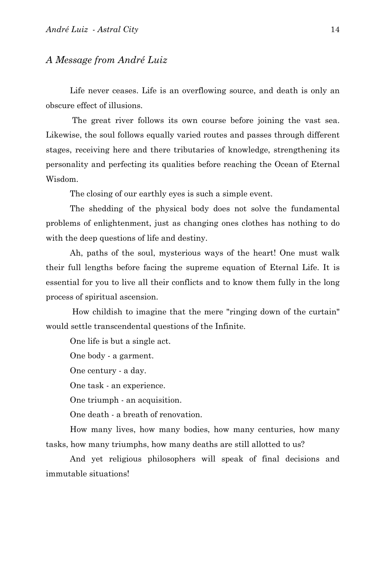#### *A Message from André Luiz*

Life never ceases. Life is an overflowing source, and death is only an obscure effect of illusions.

 The great river follows its own course before joining the vast sea. Likewise, the soul follows equally varied routes and passes through different stages, receiving here and there tributaries of knowledge, strengthening its personality and perfecting its qualities before reaching the Ocean of Eternal Wisdom.

The closing of our earthly eyes is such a simple event.

The shedding of the physical body does not solve the fundamental problems of enlightenment, just as changing ones clothes has nothing to do with the deep questions of life and destiny.

Ah, paths of the soul, mysterious ways of the heart! One must walk their full lengths before facing the supreme equation of Eternal Life. It is essential for you to live all their conflicts and to know them fully in the long process of spiritual ascension.

 How childish to imagine that the mere "ringing down of the curtain" would settle transcendental questions of the Infinite.

One life is but a single act.

One body - a garment.

One century - a day.

One task - an experience.

One triumph - an acquisition.

One death - a breath of renovation.

How many lives, how many bodies, how many centuries, how many tasks, how many triumphs, how many deaths are still allotted to us?

And yet religious philosophers will speak of final decisions and immutable situations!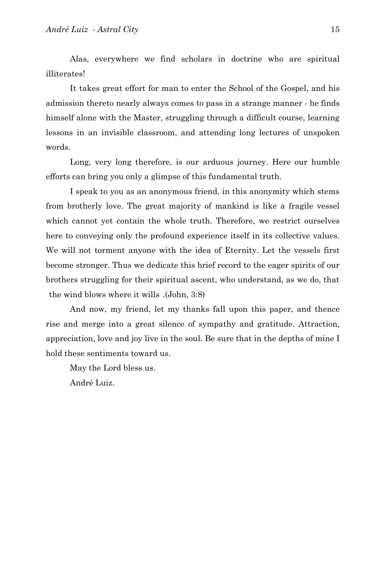Alas, everywhere we find scholars in doctrine who are spiritual illiterates!

It takes great effort for man to enter the School of the Gospel, and his admission thereto nearly always comes to pass in a strange manner - he finds himself alone with the Master, struggling through a difficult course, learning lessons in an invisible classroom, and attending long lectures of unspoken words.

Long, very long therefore, is our arduous journey. Here our humble efforts can bring you only a glimpse of this fundamental truth.

I speak to you as an anonymous friend, in this anonymity which stems from brotherly love. The great majority of mankind is like a fragile vessel which cannot yet contain the whole truth. Therefore, we restrict ourselves here to conveying only the profound experience itself in its collective values. We will not torment anyone with the idea of Eternity. Let the vessels first become stronger. Thus we dedicate this brief record to the eager spirits of our brothers struggling for their spiritual ascent, who understand, as we do, that the wind blows where it wills .(John, 3:8)

And now, my friend, let my thanks fall upon this paper, and thence rise and merge into a great silence of sympathy and gratitude. Attraction, appreciation, love and joy live in the soul. Be sure that in the depths of mine I hold these sentiments toward us.

May the Lord bless us.

André Luiz.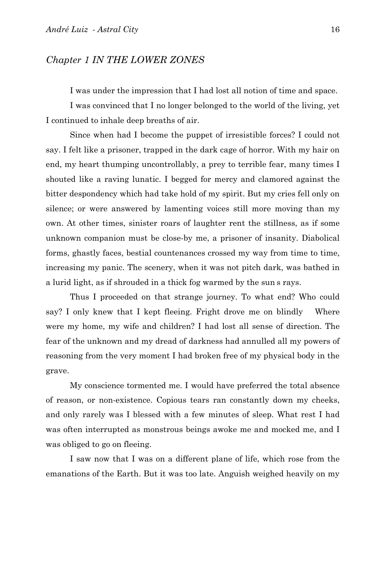#### *Chapter 1 IN THE LOWER ZONES*

I was under the impression that I had lost all notion of time and space.

I was convinced that I no longer belonged to the world of the living, yet I continued to inhale deep breaths of air.

Since when had I become the puppet of irresistible forces? I could not say. I felt like a prisoner, trapped in the dark cage of horror. With my hair on end, my heart thumping uncontrollably, a prey to terrible fear, many times I shouted like a raving lunatic. I begged for mercy and clamored against the bitter despondency which had take hold of my spirit. But my cries fell only on silence; or were answered by lamenting voices still more moving than my own. At other times, sinister roars of laughter rent the stillness, as if some unknown companion must be close-by me, a prisoner of insanity. Diabolical forms, ghastly faces, bestial countenances crossed my way from time to time, increasing my panic. The scenery, when it was not pitch dark, was bathed in a lurid light, as if shrouded in a thick fog warmed by the suns rays.

Thus I proceeded on that strange journey. To what end? Who could say? I only knew that I kept fleeing. Fright drove me on blindly Where were my home, my wife and children? I had lost all sense of direction. The fear of the unknown and my dread of darkness had annulled all my powers of reasoning from the very moment I had broken free of my physical body in the grave.

My conscience tormented me. I would have preferred the total absence of reason, or non-existence. Copious tears ran constantly down my cheeks, and only rarely was I blessed with a few minutes of sleep. What rest I had was often interrupted as monstrous beings awoke me and mocked me, and I was obliged to go on fleeing.

I saw now that I was on a different plane of life, which rose from the emanations of the Earth. But it was too late. Anguish weighed heavily on my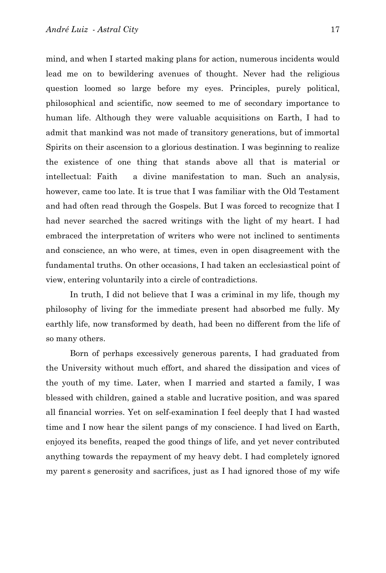mind, and when I started making plans for action, numerous incidents would lead me on to bewildering avenues of thought. Never had the religious question loomed so large before my eyes. Principles, purely political, philosophical and scientific, now seemed to me of secondary importance to human life. Although they were valuable acquisitions on Earth, I had to admit that mankind was not made of transitory generations, but of immortal Spirits on their ascension to a glorious destination. I was beginning to realize the existence of one thing that stands above all that is material or intellectual: Faith a divine manifestation to man. Such an analysis, however, came too late. It is true that I was familiar with the Old Testament and had often read through the Gospels. But I was forced to recognize that I had never searched the sacred writings with the light of my heart. I had embraced the interpretation of writers who were not inclined to sentiments and conscience, an who were, at times, even in open disagreement with the fundamental truths. On other occasions, I had taken an ecclesiastical point of view, entering voluntarily into a circle of contradictions.

In truth, I did not believe that I was a criminal in my life, though my philosophy of living for the immediate present had absorbed me fully. My earthly life, now transformed by death, had been no different from the life of so many others.

Born of perhaps excessively generous parents, I had graduated from the University without much effort, and shared the dissipation and vices of the youth of my time. Later, when I married and started a family, I was blessed with children, gained a stable and lucrative position, and was spared all financial worries. Yet on self-examination I feel deeply that I had wasted time and I now hear the silent pangs of my conscience. I had lived on Earth, enjoyed its benefits, reaped the good things of life, and yet never contributed anything towards the repayment of my heavy debt. I had completely ignored my parent's generosity and sacrifices, just as I had ignored those of my wife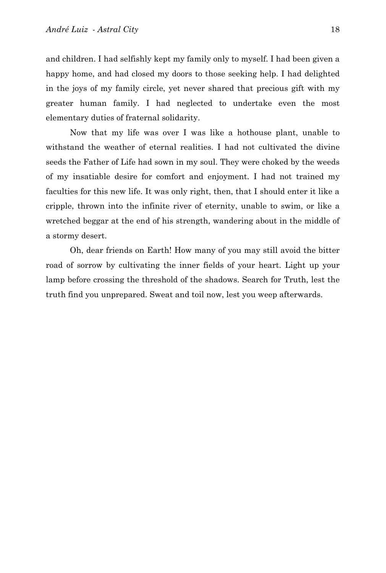and children. I had selfishly kept my family only to myself. I had been given a happy home, and had closed my doors to those seeking help. I had delighted in the joys of my family circle, yet never shared that precious gift with my greater human family. I had neglected to undertake even the most elementary duties of fraternal solidarity.

Now that my life was over I was like a hothouse plant, unable to withstand the weather of eternal realities. I had not cultivated the divine seeds the Father of Life had sown in my soul. They were choked by the weeds of my insatiable desire for comfort and enjoyment. I had not trained my faculties for this new life. It was only right, then, that I should enter it like a cripple, thrown into the infinite river of eternity, unable to swim, or like a wretched beggar at the end of his strength, wandering about in the middle of a stormy desert.

Oh, dear friends on Earth! How many of you may still avoid the bitter road of sorrow by cultivating the inner fields of your heart. Light up your lamp before crossing the threshold of the shadows. Search for Truth, lest the truth find you unprepared. Sweat and toil now, lest you weep afterwards.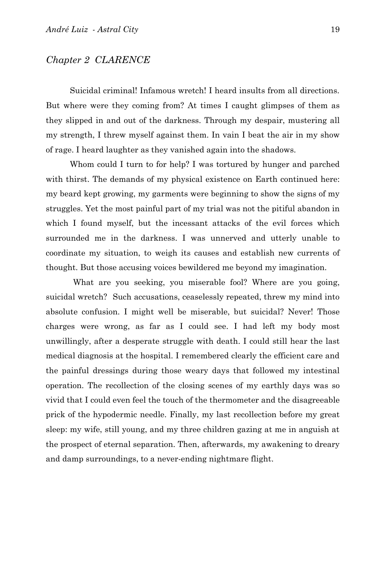#### *Chapter 2 CLARENCE*

Suicidal criminal! Infamous wretch! I heard insults from all directions. But where were they coming from? At times I caught glimpses of them as they slipped in and out of the darkness. Through my despair, mustering all my strength, I threw myself against them. In vain I beat the air in my show of rage. I heard laughter as they vanished again into the shadows.

Whom could I turn to for help? I was tortured by hunger and parched with thirst. The demands of my physical existence on Earth continued here: my beard kept growing, my garments were beginning to show the signs of my struggles. Yet the most painful part of my trial was not the pitiful abandon in which I found myself, but the incessant attacks of the evil forces which surrounded me in the darkness. I was unnerved and utterly unable to coordinate my situation, to weigh its causes and establish new currents of thought. But those accusing voices bewildered me beyond my imagination.

What are you seeking, you miserable fool? Where are you going, suicidal wretch?" Such accusations, ceaselessly repeated, threw my mind into absolute confusion. I might well be miserable, but suicidal? Never! Those charges were wrong, as far as I could see. I had left my body most unwillingly, after a desperate struggle with death. I could still hear the last medical diagnosis at the hospital. I remembered clearly the efficient care and the painful dressings during those weary days that followed my intestinal operation. The recollection of the closing scenes of my earthly days was so vivid that I could even feel the touch of the thermometer and the disagreeable prick of the hypodermic needle. Finally, my last recollection before my great sleep: my wife, still young, and my three children gazing at me in anguish at the prospect of eternal separation. Then, afterwards, my awakening to dreary and damp surroundings, to a never-ending nightmare flight.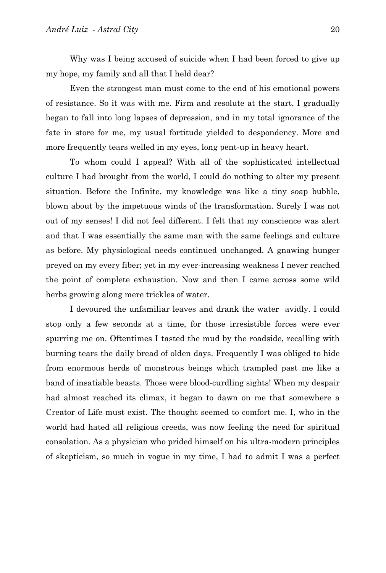Why was I being accused of suicide when I had been forced to give up my hope, my family and all that I held dear?

Even the strongest man must come to the end of his emotional powers of resistance. So it was with me. Firm and resolute at the start, I gradually began to fall into long lapses of depression, and in my total ignorance of the fate in store for me, my usual fortitude yielded to despondency. More and more frequently tears welled in my eyes, long pent-up in heavy heart.

To whom could I appeal? With all of the sophisticated intellectual culture I had brought from the world, I could do nothing to alter my present situation. Before the Infinite, my knowledge was like a tiny soap bubble, blown about by the impetuous winds of the transformation. Surely I was not out of my senses! I did not feel different. I felt that my conscience was alert and that I was essentially the same man with the same feelings and culture as before. My physiological needs continued unchanged. A gnawing hunger preyed on my every fiber; yet in my ever-increasing weakness I never reached the point of complete exhaustion. Now and then I came across some wild herbs growing along mere trickles of water.

I devoured the unfamiliar leaves and drank the water avidly. I could stop only a few seconds at a time, for those irresistible forces were ever spurring me on. Oftentimes I tasted the mud by the roadside, recalling with burning tears the daily bread of olden days. Frequently I was obliged to hide from enormous herds of monstrous beings which trampled past me like a band of insatiable beasts. Those were blood-curdling sights! When my despair had almost reached its climax, it began to dawn on me that somewhere a Creator of Life must exist. The thought seemed to comfort me. I, who in the world had hated all religious creeds, was now feeling the need for spiritual consolation. As a physician who prided himself on his ultra-modern principles of skepticism, so much in vogue in my time, I had to admit I was a perfect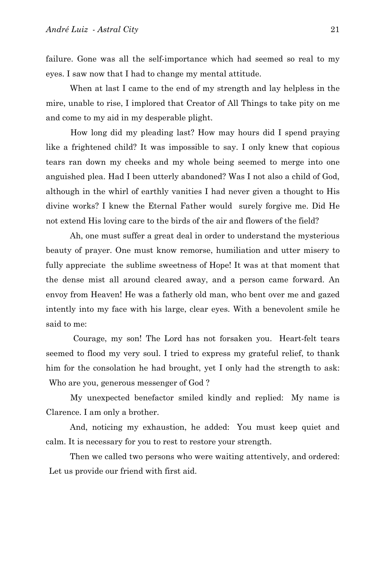failure. Gone was all the self-importance which had seemed so real to my eyes. I saw now that I had to change my mental attitude.

When at last I came to the end of my strength and lay helpless in the mire, unable to rise, I implored that Creator of All Things to take pity on me and come to my aid in my desperable plight.

How long did my pleading last? How may hours did I spend praying like a frightened child? It was impossible to say. I only knew that copious tears ran down my cheeks and my whole being seemed to merge into one anguished plea. Had I been utterly abandoned? Was I not also a child of God, although in the whirl of earthly vanities I had never given a thought to His divine works? I knew the Eternal Father would surely forgive me. Did He not extend His loving care to the birds of the air and flowers of the field?

Ah, one must suffer a great deal in order to understand the mysterious beauty of prayer. One must know remorse, humiliation and utter misery to fully appreciate the sublime sweetness of Hope! It was at that moment that the dense mist all around cleared away, and a person came forward. An envoy from Heaven! He was a fatherly old man, who bent over me and gazed intently into my face with his large, clear eyes. With a benevolent smile he said to me:

Courage, my son! The Lord has not forsaken you. Heart-felt tears seemed to flood my very soul. I tried to express my grateful relief, to thank him for the consolation he had brought, yet I only had the strength to ask: Who are you, generous messenger of God?

My unexpected benefactor smiled kindly and replied: My name is Clarence. I am only a brother.

And, noticing my exhaustion, he added: "You must keep quiet and calm. It is necessary for you to rest to restore your strength.

Then we called two persons who were waiting attentively, and ordered: Let us provide our friend with first aid.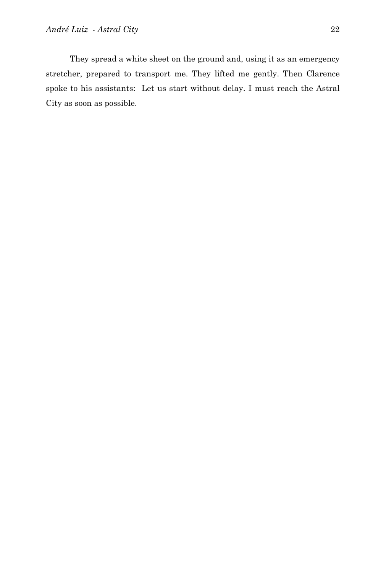They spread a white sheet on the ground and, using it as an emergency stretcher, prepared to transport me. They lifted me gently. Then Clarence spoke to his assistants: Let us start without delay. I must reach the Astral City as soon as possible.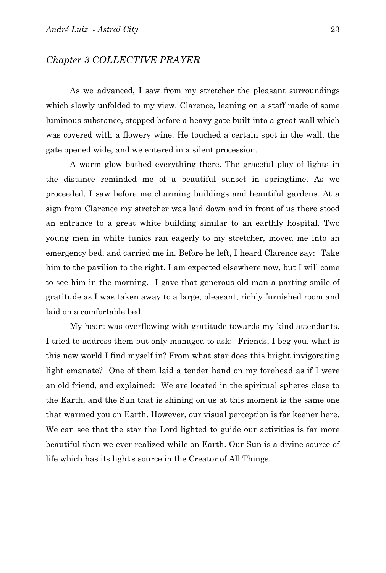#### *Chapter 3 COLLECTIVE PRAYER*

As we advanced, I saw from my stretcher the pleasant surroundings which slowly unfolded to my view. Clarence, leaning on a staff made of some luminous substance, stopped before a heavy gate built into a great wall which was covered with a flowery wine. He touched a certain spot in the wall, the gate opened wide, and we entered in a silent procession.

A warm glow bathed everything there. The graceful play of lights in the distance reminded me of a beautiful sunset in springtime. As we proceeded, I saw before me charming buildings and beautiful gardens. At a sign from Clarence my stretcher was laid down and in front of us there stood an entrance to a great white building similar to an earthly hospital. Two young men in white tunics ran eagerly to my stretcher, moved me into an emergency bed, and carried me in. Before he left, I heard Clarence say: Take him to the pavilion to the right. I am expected elsewhere now, but I will come to see him in the morning." I gave that generous old man a parting smile of gratitude as I was taken away to a large, pleasant, richly furnished room and laid on a comfortable bed.

My heart was overflowing with gratitude towards my kind attendants. I tried to address them but only managed to ask: Friends, I beg you, what is this new world I find myself in? From what star does this bright invigorating light emanate? One of them laid a tender hand on my forehead as if I were an old friend, and explained: "We are located in the spiritual spheres close to the Earth, and the Sun that is shining on us at this moment is the same one that warmed you on Earth. However, our visual perception is far keener here. We can see that the star the Lord lighted to guide our activities is far more beautiful than we ever realized while on Earth. Our Sun is a divine source of life which has its light s source in the Creator of All Things.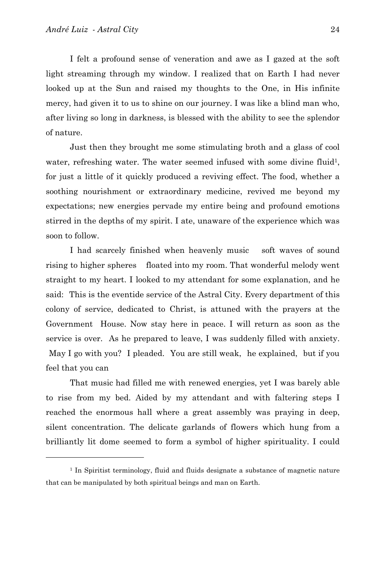$\overline{a}$ 

I felt a profound sense of veneration and awe as I gazed at the soft light streaming through my window. I realized that on Earth I had never looked up at the Sun and raised my thoughts to the One, in His infinite mercy, had given it to us to shine on our journey. I was like a blind man who, after living so long in darkness, is blessed with the ability to see the splendor of nature.

Just then they brought me some stimulating broth and a glass of cool water, refreshing water. The water seemed infused with some divine fluid<sup>1</sup>, for just a little of it quickly produced a reviving effect. The food, whether a soothing nourishment or extraordinary medicine, revived me beyond my expectations; new energies pervade my entire being and profound emotions stirred in the depths of my spirit. I ate, unaware of the experience which was soon to follow.

I had scarcely finished when heavenly music soft waves of sound rising to higher spheres floated into my room. That wonderful melody went straight to my heart. I looked to my attendant for some explanation, and he said: This is the eventide service of the Astral City. Every department of this colony of service, dedicated to Christ, is attuned with the prayers at the Government House. Now stay here in peace. I will return as soon as the service is over. As he prepared to leave, I was suddenly filled with anxiety. May I go with you? I pleaded. You are still weak, he explained, but if you feel that you can

That music had filled me with renewed energies, yet I was barely able to rise from my bed. Aided by my attendant and with faltering steps I reached the enormous hall where a great assembly was praying in deep, silent concentration. The delicate garlands of flowers which hung from a brilliantly lit dome seemed to form a symbol of higher spirituality. I could

 $1$  In Spiritist terminology, fluid and fluids designate a substance of magnetic nature that can be manipulated by both spiritual beings and man on Earth.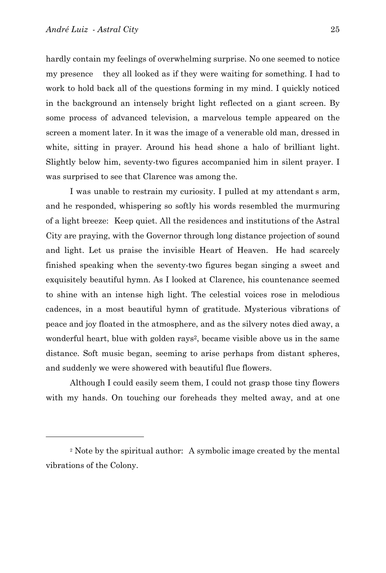$\overline{a}$ 

hardly contain my feelings of overwhelming surprise. No one seemed to notice my presence they all looked as if they were waiting for something. I had to work to hold back all of the questions forming in my mind. I quickly noticed in the background an intensely bright light reflected on a giant screen. By some process of advanced television, a marvelous temple appeared on the screen a moment later. In it was the image of a venerable old man, dressed in white, sitting in prayer. Around his head shone a halo of brilliant light. Slightly below him, seventy-two figures accompanied him in silent prayer. I was surprised to see that Clarence was among the.

I was unable to restrain my curiosity. I pulled at my attendant s arm, and he responded, whispering so softly his words resembled the murmuring of a light breeze: "Keep quiet. All the residences and institutions of the Astral City are praying, with the Governor through long distance projection of sound and light. Let us praise the invisible Heart of Heaven." He had scarcely finished speaking when the seventy-two figures began singing a sweet and exquisitely beautiful hymn. As I looked at Clarence, his countenance seemed to shine with an intense high light. The celestial voices rose in melodious cadences, in a most beautiful hymn of gratitude. Mysterious vibrations of peace and joy floated in the atmosphere, and as the silvery notes died away, a wonderful heart, blue with golden rays<sup>2</sup>, became visible above us in the same distance. Soft music began, seeming to arise perhaps from distant spheres, and suddenly we were showered with beautiful flue flowers.

Although I could easily seem them, I could not grasp those tiny flowers with my hands. On touching our foreheads they melted away, and at one

<sup>&</sup>lt;sup>2</sup> Note by the spiritual author: A symbolic image created by the mental vibrations of the Colony.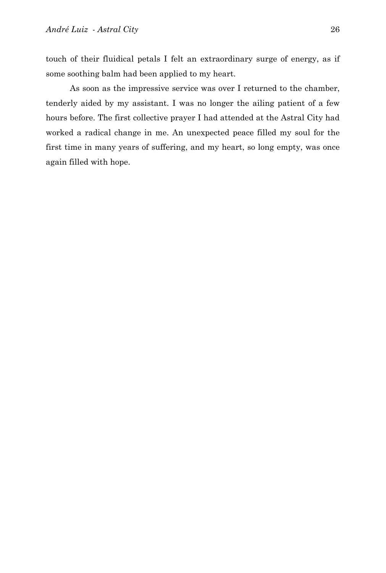touch of their fluidical petals I felt an extraordinary surge of energy, as if some soothing balm had been applied to my heart.

As soon as the impressive service was over I returned to the chamber, tenderly aided by my assistant. I was no longer the ailing patient of a few hours before. The first collective prayer I had attended at the Astral City had worked a radical change in me. An unexpected peace filled my soul for the first time in many years of suffering, and my heart, so long empty, was once again filled with hope.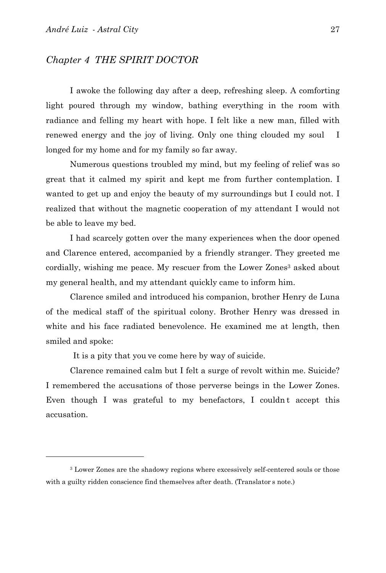1

#### *Chapter 4 THE SPIRIT DOCTOR*

I awoke the following day after a deep, refreshing sleep. A comforting light poured through my window, bathing everything in the room with radiance and felling my heart with hope. I felt like a new man, filled with renewed energy and the joy of living. Only one thing clouded my soul I longed for my home and for my family so far away.

Numerous questions troubled my mind, but my feeling of relief was so great that it calmed my spirit and kept me from further contemplation. I wanted to get up and enjoy the beauty of my surroundings but I could not. I realized that without the magnetic cooperation of my attendant I would not be able to leave my bed.

I had scarcely gotten over the many experiences when the door opened and Clarence entered, accompanied by a friendly stranger. They greeted me cordially, wishing me peace. My rescuer from the Lower Zones<sup>3</sup> asked about my general health, and my attendant quickly came to inform him.

Clarence smiled and introduced his companion, brother Henry de Luna of the medical staff of the spiritual colony. Brother Henry was dressed in white and his face radiated benevolence. He examined me at length, then smiled and spoke:

It is a pity that you ve come here by way of suicide.

Clarence remained calm but I felt a surge of revolt within me. Suicide? I remembered the accusations of those perverse beings in the Lower Zones. Even though I was grateful to my benefactors, I couldn't accept this accusation.

<sup>3</sup> Lower Zones are the shadowy regions where excessively self-centered souls or those with a guilty ridden conscience find themselves after death. (Translator's note.)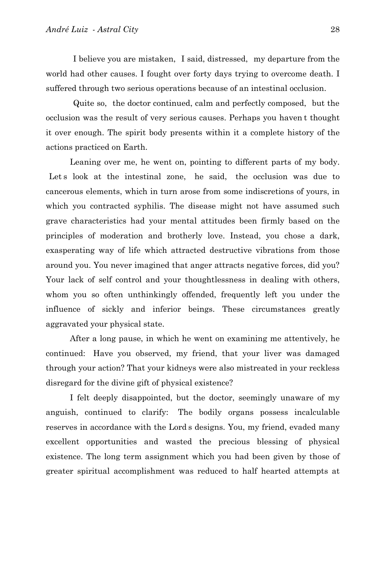I believe you are mistaken, I said, distressed, my departure from the world had other causes. I fought over forty days trying to overcome death. I suffered through two serious operations because of an intestinal occlusion.

Quite so, the doctor continued, calm and perfectly composed, but the occlusion was the result of very serious causes. Perhaps you haven't thought it over enough. The spirit body presents within it a complete history of the actions practiced on Earth."

Leaning over me, he went on, pointing to different parts of my body. Let's look at the intestinal zone, he said, the occlusion was due to cancerous elements, which in turn arose from some indiscretions of yours, in which you contracted syphilis. The disease might not have assumed such grave characteristics had your mental attitudes been firmly based on the principles of moderation and brotherly love. Instead, you chose a dark, exasperating way of life which attracted destructive vibrations from those around you. You never imagined that anger attracts negative forces, did you? Your lack of self control and your thoughtlessness in dealing with others, whom you so often unthinkingly offended, frequently left you under the influence of sickly and inferior beings. These circumstances greatly aggravated your physical state."

After a long pause, in which he went on examining me attentively, he continued: Have you observed, my friend, that your liver was damaged through your action? That your kidneys were also mistreated in your reckless disregard for the divine gift of physical existence?

I felt deeply disappointed, but the doctor, seemingly unaware of my anguish, continued to clarify: "The bodily organs possess incalculable reserves in accordance with the Lord's designs. You, my friend, evaded many excellent opportunities and wasted the precious blessing of physical existence. The long term assignment which you had been given by those of greater spiritual accomplishment was reduced to half hearted attempts at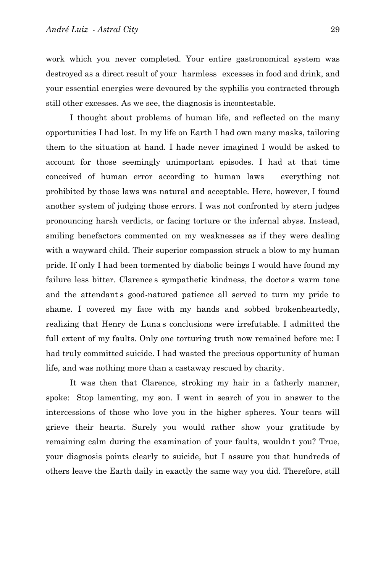work which you never completed. Your entire gastronomical system was destroyed as a direct result of your harmless excesses in food and drink, and your essential energies were devoured by the syphilis you contracted through still other excesses. As we see, the diagnosis is incontestable."

I thought about problems of human life, and reflected on the many opportunities I had lost. In my life on Earth I had own many masks, tailoring them to the situation at hand. I hade never imagined I would be asked to account for those seemingly unimportant episodes. I had at that time conceived of human error according to human laws everything not prohibited by those laws was natural and acceptable. Here, however, I found another system of judging those errors. I was not confronted by stern judges pronouncing harsh verdicts, or facing torture or the infernal abyss. Instead, smiling benefactors commented on my weaknesses as if they were dealing with a wayward child. Their superior compassion struck a blow to my human pride. If only I had been tormented by diabolic beings I would have found my failure less bitter. Clarence's sympathetic kindness, the doctor's warm tone and the attendants good-natured patience all served to turn my pride to shame. I covered my face with my hands and sobbed brokenheartedly, realizing that Henry de Luna's conclusions were irrefutable. I admitted the full extent of my faults. Only one torturing truth now remained before me: I had truly committed suicide. I had wasted the precious opportunity of human life, and was nothing more than a castaway rescued by charity.

It was then that Clarence, stroking my hair in a fatherly manner, spoke: Stop lamenting, my son. I went in search of you in answer to the intercessions of those who love you in the higher spheres. Your tears will grieve their hearts. Surely you would rather show your gratitude by remaining calm during the examination of your faults, wouldn't you? True, your diagnosis points clearly to suicide, but I assure you that hundreds of others leave the Earth daily in exactly the same way you did. Therefore, still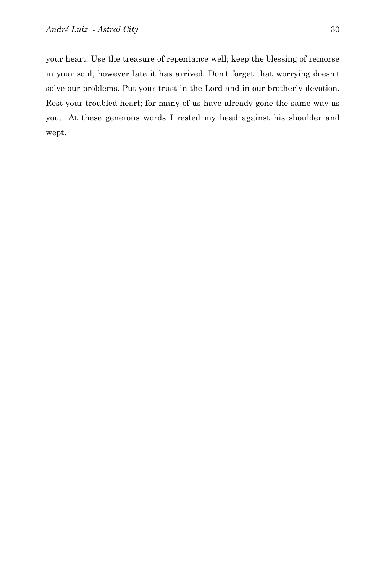your heart. Use the treasure of repentance well; keep the blessing of remorse in your soul, however late it has arrived. Don't forget that worrying doesn't solve our problems. Put your trust in the Lord and in our brotherly devotion. Rest your troubled heart; for many of us have already gone the same way as you." At these generous words I rested my head against his shoulder and wept.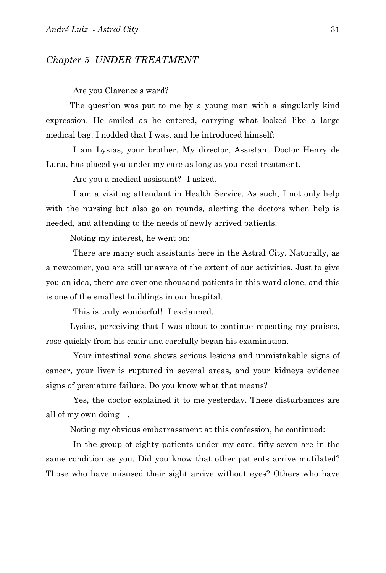#### *Chapter 5 UNDER TREATMENT*

Are you Clarence's ward?

The question was put to me by a young man with a singularly kind expression. He smiled as he entered, carrying what looked like a large medical bag. I nodded that I was, and he introduced himself:

I am Lysias, your brother. My director, Assistant Doctor Henry de Luna, has placed you under my care as long as you need treatment.

Are you a medical assistant? I asked.

I am a visiting attendant in Health Service. As such, I not only help with the nursing but also go on rounds, alerting the doctors when help is needed, and attending to the needs of newly arrived patients.

Noting my interest, he went on:

There are many such assistants here in the Astral City. Naturally, as a newcomer, you are still unaware of the extent of our activities. Just to give you an idea, there are over one thousand patients in this ward alone, and this is one of the smallest buildings in our hospital.

This is truly wonderful! I exclaimed.

Lysias, perceiving that I was about to continue repeating my praises, rose quickly from his chair and carefully began his examination.

Your intestinal zone shows serious lesions and unmistakable signs of cancer, your liver is ruptured in several areas, and your kidneys evidence signs of premature failure. Do you know what that means?

Yes, the doctor explained it to me yesterday. These disturbances are all of my own doing.

Noting my obvious embarrassment at this confession, he continued:

In the group of eighty patients under my care, fifty-seven are in the same condition as you. Did you know that other patients arrive mutilated? Those who have misused their sight arrive without eyes? Others who have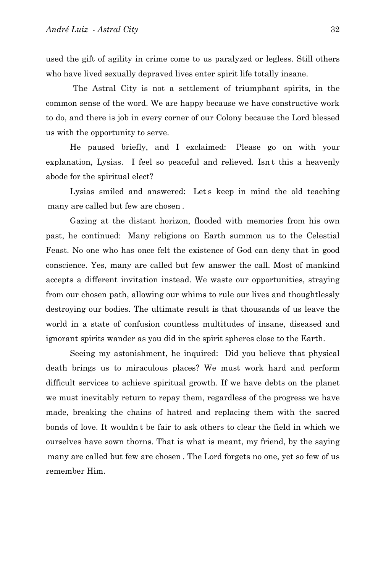used the gift of agility in crime come to us paralyzed or legless. Still others who have lived sexually depraved lives enter spirit life totally insane.

The Astral City is not a settlement of triumphant spirits, in the common sense of the word. We are happy because we have constructive work to do, and there is job in every corner of our Colony because the Lord blessed us with the opportunity to serve."

He paused briefly, and I exclaimed: Please go on with your explanation, Lysias. I feel so peaceful and relieved. Isn't this a heavenly abode for the spiritual elect?

Lysias smiled and answered: Let s keep in mind the old teaching many are called but few are chosen.

Gazing at the distant horizon, flooded with memories from his own past, he continued: Many religions on Earth summon us to the Celestial Feast. No one who has once felt the existence of God can deny that in good conscience. Yes, many are called but few answer the call. Most of mankind accepts a different invitation instead. We waste our opportunities, straying from our chosen path, allowing our whims to rule our lives and thoughtlessly destroying our bodies. The ultimate result is that thousands of us leave the world in a state of confusion countless multitudes of insane, diseased and ignorant spirits wander as you did in the spirit spheres close to the Earth.

Seeing my astonishment, he inquired: Did you believe that physical death brings us to miraculous places? We must work hard and perform difficult services to achieve spiritual growth. If we have debts on the planet we must inevitably return to repay them, regardless of the progress we have made, breaking the chains of hatred and replacing them with the sacred bonds of love. It wouldn't be fair to ask others to clear the field in which we ourselves have sown thorns. That is what is meant, my friend, by the saying many are called but few are chosen. The Lord forgets no one, yet so few of us remember Him."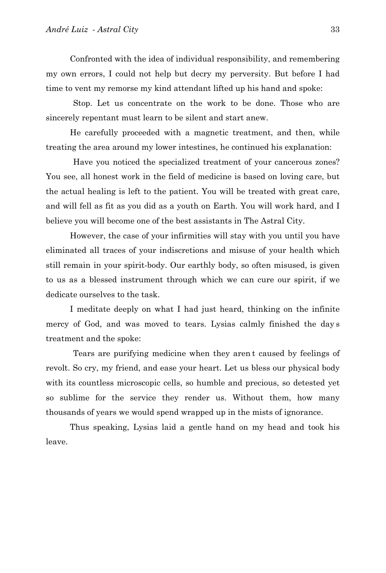Confronted with the idea of individual responsibility, and remembering my own errors, I could not help but decry my perversity. But before I had time to vent my remorse my kind attendant lifted up his hand and spoke:

Stop. Let us concentrate on the work to be done. Those who are sincerely repentant must learn to be silent and start anew.

He carefully proceeded with a magnetic treatment, and then, while treating the area around my lower intestines, he continued his explanation:

Have you noticed the specialized treatment of your cancerous zones? You see, all honest work in the field of medicine is based on loving care, but the actual healing is left to the patient. You will be treated with great care, and will fell as fit as you did as a youth on Earth. You will work hard, and I believe you will become one of the best assistants in The Astral City.

However, the case of your infirmities will stay with you until you have eliminated all traces of your indiscretions and misuse of your health which still remain in your spirit-body. Our earthly body, so often misused, is given to us as a blessed instrument through which we can cure our spirit, if we dedicate ourselves to the task.

I meditate deeply on what I had just heard, thinking on the infinite mercy of God, and was moved to tears. Lysias calmly finished the day's treatment and the spoke:

Tears are purifying medicine when they aren't caused by feelings of revolt. So cry, my friend, and ease your heart. Let us bless our physical body with its countless microscopic cells, so humble and precious, so detested yet so sublime for the service they render us. Without them, how many thousands of years we would spend wrapped up in the mists of ignorance."

Thus speaking, Lysias laid a gentle hand on my head and took his leave.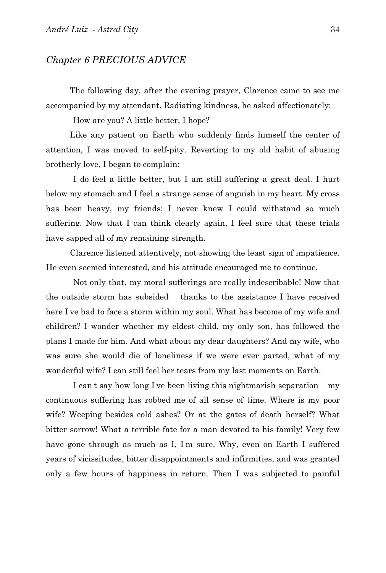#### *Chapter 6 PRECIOUS ADVICE*

The following day, after the evening prayer, Clarence came to see me accompanied by my attendant. Radiating kindness, he asked affectionately:

How are you? A little better, I hope?

Like any patient on Earth who suddenly finds himself the center of attention, I was moved to self-pity. Reverting to my old habit of abusing brotherly love, I began to complain:

I do feel a little better, but I am still suffering a great deal. I hurt below my stomach and I feel a strange sense of anguish in my heart. My cross has been heavy, my friends; I never knew I could withstand so much suffering. Now that I can think clearly again, I feel sure that these trials have sapped all of my remaining strength.

Clarence listened attentively, not showing the least sign of impatience. He even seemed interested, and his attitude encouraged me to continue.

"Not only that, my moral sufferings are really indescribable! Now that the outside storm has subsided thanks to the assistance I have received here I ve had to face a storm within my soul. What has become of my wife and children? I wonder whether my eldest child, my only son, has followed the plans I made for him. And what about my dear daughters? And my wife, who was sure she would die of loneliness if we were ever parted, what of my wonderful wife? I can still feel her tears from my last moments on Earth."

I can't say how long I ve been living this nightmarish separation my continuous suffering has robbed me of all sense of time. Where is my poor wife? Weeping besides cold ashes? Or at the gates of death herself? What bitter sorrow! What a terrible fate for a man devoted to his family! Very few have gone through as much as I, I'm sure. Why, even on Earth I suffered years of vicissitudes, bitter disappointments and infirmities, and was granted only a few hours of happiness in return. Then I was subjected to painful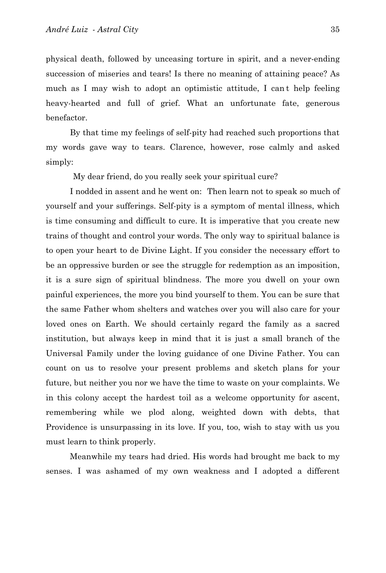physical death, followed by unceasing torture in spirit, and a never-ending succession of miseries and tears! Is there no meaning of attaining peace? As much as I may wish to adopt an optimistic attitude, I can't help feeling heavy-hearted and full of grief. What an unfortunate fate, generous benefactor.

By that time my feelings of self-pity had reached such proportions that my words gave way to tears. Clarence, however, rose calmly and asked simply:

My dear friend, do you really seek your spiritual cure?

I nodded in assent and he went on: "Then learn not to speak so much of yourself and your sufferings. Self-pity is a symptom of mental illness, which is time consuming and difficult to cure. It is imperative that you create new trains of thought and control your words. The only way to spiritual balance is to open your heart to de Divine Light. If you consider the necessary effort to be an oppressive burden or see the struggle for redemption as an imposition, it is a sure sign of spiritual blindness. The more you dwell on your own painful experiences, the more you bind yourself to them. You can be sure that the same Father whom shelters and watches over you will also care for your loved ones on Earth. We should certainly regard the family as a sacred institution, but always keep in mind that it is just a small branch of the Universal Family under the loving guidance of one Divine Father. You can count on us to resolve your present problems and sketch plans for your future, but neither you nor we have the time to waste on your complaints. We in this colony accept the hardest toil as a welcome opportunity for ascent, remembering while we plod along, weighted down with debts, that Providence is unsurpassing in its love. If you, too, wish to stay with us you must learn to think properly.

Meanwhile my tears had dried. His words had brought me back to my senses. I was ashamed of my own weakness and I adopted a different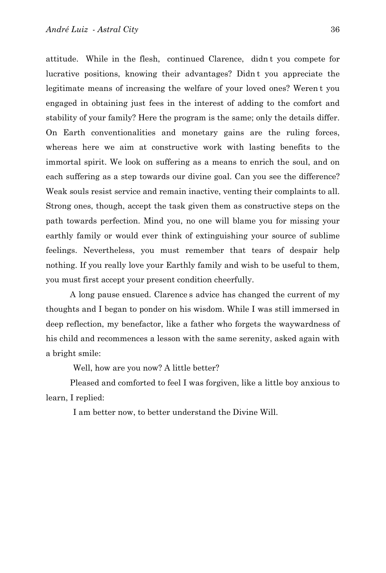attitude. While in the flesh, continued Clarence, didn't you compete for lucrative positions, knowing their advantages? Didn't you appreciate the legitimate means of increasing the welfare of your loved ones? Weren't you engaged in obtaining just fees in the interest of adding to the comfort and stability of your family? Here the program is the same; only the details differ. On Earth conventionalities and monetary gains are the ruling forces, whereas here we aim at constructive work with lasting benefits to the immortal spirit. We look on suffering as a means to enrich the soul, and on each suffering as a step towards our divine goal. Can you see the difference? Weak souls resist service and remain inactive, venting their complaints to all. Strong ones, though, accept the task given them as constructive steps on the path towards perfection. Mind you, no one will blame you for missing your earthly family or would ever think of extinguishing your source of sublime feelings. Nevertheless, you must remember that tears of despair help nothing. If you really love your Earthly family and wish to be useful to them, you must first accept your present condition cheerfully.

A long pause ensued. Clarence's advice has changed the current of my thoughts and I began to ponder on his wisdom. While I was still immersed in deep reflection, my benefactor, like a father who forgets the waywardness of his child and recommences a lesson with the same serenity, asked again with a bright smile:

Well, how are you now? A little better?

Pleased and comforted to feel I was forgiven, like a little boy anxious to learn, I replied:

I am better now, to better understand the Divine Will.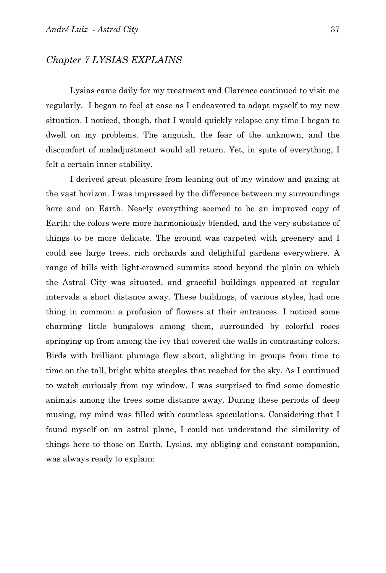# *Chapter 7 LYSIAS EXPLAINS*

Lysias came daily for my treatment and Clarence continued to visit me regularly. I began to feel at ease as I endeavored to adapt myself to my new situation. I noticed, though, that I would quickly relapse any time I began to dwell on my problems. The anguish, the fear of the unknown, and the discomfort of maladjustment would all return. Yet, in spite of everything, I felt a certain inner stability.

I derived great pleasure from leaning out of my window and gazing at the vast horizon. I was impressed by the difference between my surroundings here and on Earth. Nearly everything seemed to be an improved copy of Earth: the colors were more harmoniously blended, and the very substance of things to be more delicate. The ground was carpeted with greenery and I could see large trees, rich orchards and delightful gardens everywhere. A range of hills with light-crowned summits stood beyond the plain on which the Astral City was situated, and graceful buildings appeared at regular intervals a short distance away. These buildings, of various styles, had one thing in common: a profusion of flowers at their entrances. I noticed some charming little bungalows among them, surrounded by colorful roses springing up from among the ivy that covered the walls in contrasting colors. Birds with brilliant plumage flew about, alighting in groups from time to time on the tall, bright white steeples that reached for the sky. As I continued to watch curiously from my window, I was surprised to find some domestic animals among the trees some distance away. During these periods of deep musing, my mind was filled with countless speculations. Considering that I found myself on an astral plane, I could not understand the similarity of things here to those on Earth. Lysias, my obliging and constant companion, was always ready to explain: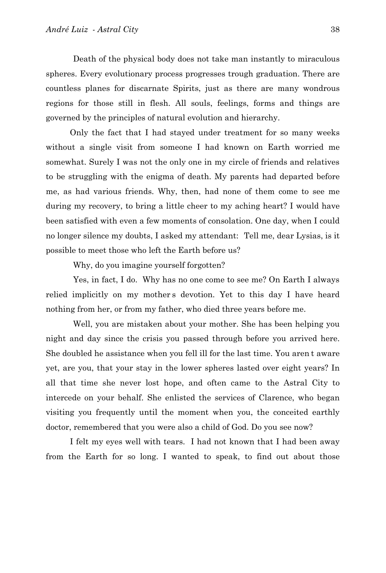Death of the physical body does not take man instantly to miraculous spheres. Every evolutionary process progresses trough graduation. There are countless planes for discarnate Spirits, just as there are many wondrous regions for those still in flesh. All souls, feelings, forms and things are governed by the principles of natural evolution and hierarchy.

Only the fact that I had stayed under treatment for so many weeks without a single visit from someone I had known on Earth worried me somewhat. Surely I was not the only one in my circle of friends and relatives to be struggling with the enigma of death. My parents had departed before me, as had various friends. Why, then, had none of them come to see me during my recovery, to bring a little cheer to my aching heart? I would have been satisfied with even a few moments of consolation. One day, when I could no longer silence my doubts, I asked my attendant: "Tell me, dear Lysias, is it possible to meet those who left the Earth before us?

Why, do you imagine yourself forgotten?

Yes, in fact, I do. Why has no one come to see me? On Earth I always relied implicitly on my mother's devotion. Yet to this day I have heard nothing from her, or from my father, who died three years before me.

Well, you are mistaken about your mother. She has been helping you night and day since the crisis you passed through before you arrived here. She doubled he assistance when you fell ill for the last time. You aren't aware yet, are you, that your stay in the lower spheres lasted over eight years? In all that time she never lost hope, and often came to the Astral City to intercede on your behalf. She enlisted the services of Clarence, who began visiting you frequently until the moment when you, the conceited earthly doctor, remembered that you were also a child of God. Do you see now?

I felt my eyes well with tears. I had not known that I had been away from the Earth for so long. I wanted to speak, to find out about those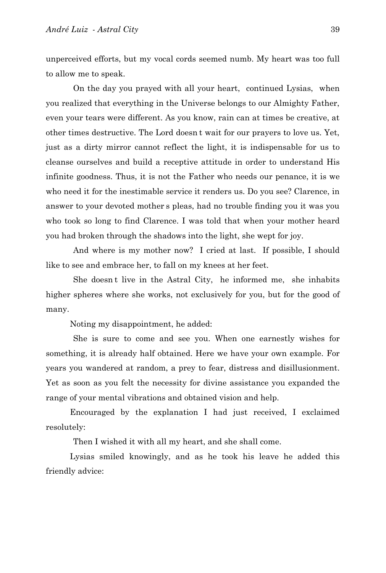unperceived efforts, but my vocal cords seemed numb. My heart was too full to allow me to speak.

On the day you prayed with all your heart, continued Lysias, when you realized that everything in the Universe belongs to our Almighty Father, even your tears were different. As you know, rain can at times be creative, at other times destructive. The Lord doesn't wait for our prayers to love us. Yet, just as a dirty mirror cannot reflect the light, it is indispensable for us to cleanse ourselves and build a receptive attitude in order to understand His infinite goodness. Thus, it is not the Father who needs our penance, it is we who need it for the inestimable service it renders us. Do you see? Clarence, in answer to your devoted mother's pleas, had no trouble finding you it was you who took so long to find Clarence. I was told that when your mother heard you had broken through the shadows into the light, she wept for joy."

And where is my mother now? I cried at last. If possible, I should like to see and embrace her, to fall on my knees at her feet.

She doesn't live in the Astral City, he informed me, she inhabits higher spheres where she works, not exclusively for you, but for the good of many.

Noting my disappointment, he added:

She is sure to come and see you. When one earnestly wishes for something, it is already half obtained. Here we have your own example. For years you wandered at random, a prey to fear, distress and disillusionment. Yet as soon as you felt the necessity for divine assistance you expanded the range of your mental vibrations and obtained vision and help.

Encouraged by the explanation I had just received, I exclaimed resolutely:

Then I wished it with all my heart, and she shall come.

Lysias smiled knowingly, and as he took his leave he added this friendly advice: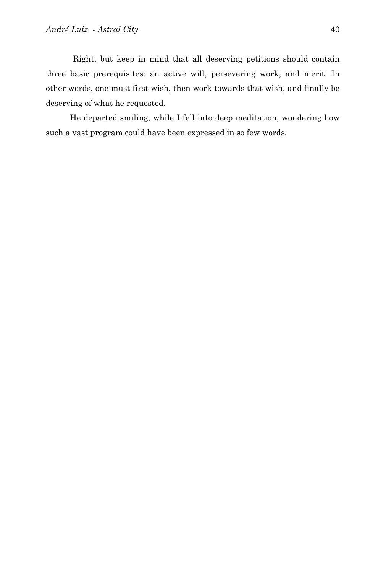Right, but keep in mind that all deserving petitions should contain three basic prerequisites: an active will, persevering work, and merit. In other words, one must first wish, then work towards that wish, and finally be deserving of what he requested.

He departed smiling, while I fell into deep meditation, wondering how such a vast program could have been expressed in so few words.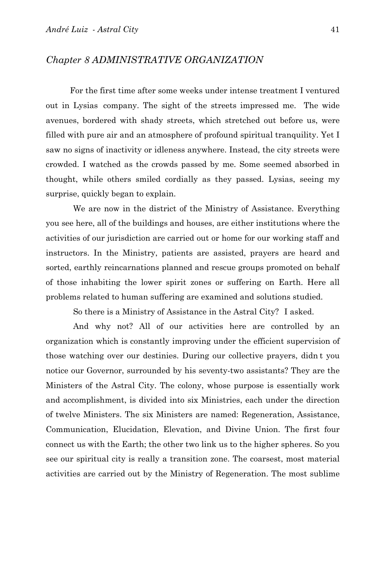# *Chapter 8 ADMINISTRATIVE ORGANIZATION*

For the first time after some weeks under intense treatment I ventured out in Lysias' company. The sight of the streets impressed me. The wide avenues, bordered with shady streets, which stretched out before us, were filled with pure air and an atmosphere of profound spiritual tranquility. Yet I saw no signs of inactivity or idleness anywhere. Instead, the city streets were crowded. I watched as the crowds passed by me. Some seemed absorbed in thought, while others smiled cordially as they passed. Lysias, seeing my surprise, quickly began to explain.

We are now in the district of the Ministry of Assistance. Everything you see here, all of the buildings and houses, are either institutions where the activities of our jurisdiction are carried out or home for our working staff and instructors. In the Ministry, patients are assisted, prayers are heard and sorted, earthly reincarnations planned and rescue groups promoted on behalf of those inhabiting the lower spirit zones or suffering on Earth. Here all problems related to human suffering are examined and solutions studied."

So there is a Ministry of Assistance in the Astral City? I asked.

And why not? All of our activities here are controlled by an organization which is constantly improving under the efficient supervision of those watching over our destinies. During our collective prayers, didn't you notice our Governor, surrounded by his seventy-two assistants? They are the Ministers of the Astral City. The colony, whose purpose is essentially work and accomplishment, is divided into six Ministries, each under the direction of twelve Ministers. The six Ministers are named: Regeneration, Assistance, Communication, Elucidation, Elevation, and Divine Union. The first four connect us with the Earth; the other two link us to the higher spheres. So you see our spiritual city is really a transition zone. The coarsest, most material activities are carried out by the Ministry of Regeneration. The most sublime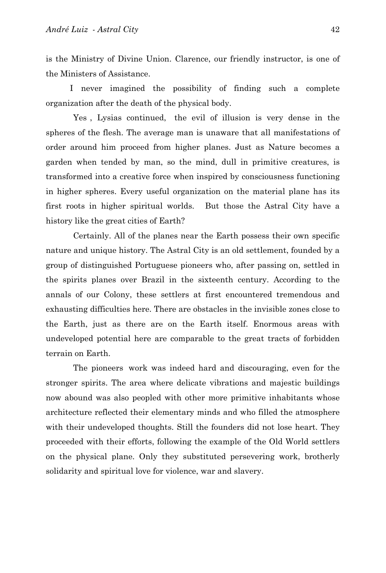is the Ministry of Divine Union. Clarence, our friendly instructor, is one of the Ministers of Assistance."

I never imagined the possibility of finding such a complete organization after the death of the physical body."

Yes, Lysias continued, the evil of illusion is very dense in the spheres of the flesh. The average man is unaware that all manifestations of order around him proceed from higher planes. Just as Nature becomes a garden when tended by man, so the mind, dull in primitive creatures, is transformed into a creative force when inspired by consciousness functioning in higher spheres. Every useful organization on the material plane has its first roots in higher spiritual worlds. But those the Astral City have a history like the great cities of Earth?

Certainly. All of the planes near the Earth possess their own specific nature and unique history. The Astral City is an old settlement, founded by a group of distinguished Portuguese pioneers who, after passing on, settled in the spirits planes over Brazil in the sixteenth century. According to the annals of our Colony, these settlers at first encountered tremendous and exhausting difficulties here. There are obstacles in the invisible zones close to the Earth, just as there are on the Earth itself. Enormous areas with undeveloped potential here are comparable to the great tracts of forbidden terrain on Earth."

The pioneers work was indeed hard and discouraging, even for the stronger spirits. The area where delicate vibrations and majestic buildings now abound was also peopled with other more primitive inhabitants whose architecture reflected their elementary minds and who filled the atmosphere with their undeveloped thoughts. Still the founders did not lose heart. They proceeded with their efforts, following the example of the Old World settlers on the physical plane. Only they substituted persevering work, brotherly solidarity and spiritual love for violence, war and slavery.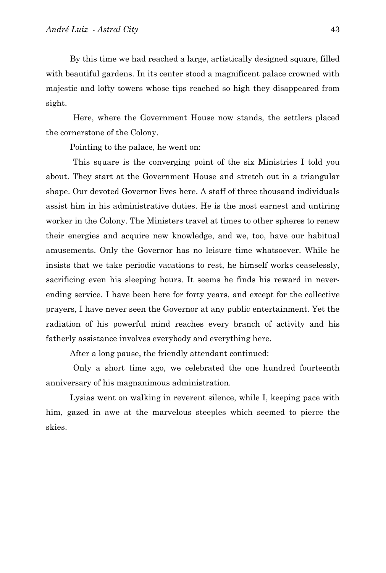By this time we had reached a large, artistically designed square, filled with beautiful gardens. In its center stood a magnificent palace crowned with majestic and lofty towers whose tips reached so high they disappeared from sight.

"Here, where the Government House now stands, the settlers placed the cornerstone of the Colony.

Pointing to the palace, he went on:

This square is the converging point of the six Ministries I told you about. They start at the Government House and stretch out in a triangular shape. Our devoted Governor lives here. A staff of three thousand individuals assist him in his administrative duties. He is the most earnest and untiring worker in the Colony. The Ministers travel at times to other spheres to renew their energies and acquire new knowledge, and we, too, have our habitual amusements. Only the Governor has no leisure time whatsoever. While he insists that we take periodic vacations to rest, he himself works ceaselessly, sacrificing even his sleeping hours. It seems he finds his reward in neverending service. I have been here for forty years, and except for the collective prayers, I have never seen the Governor at any public entertainment. Yet the radiation of his powerful mind reaches every branch of activity and his fatherly assistance involves everybody and everything here.

After a long pause, the friendly attendant continued:

"Only a short time ago, we celebrated the one hundred fourteenth anniversary of his magnanimous administration."

Lysias went on walking in reverent silence, while I, keeping pace with him, gazed in awe at the marvelous steeples which seemed to pierce the skies.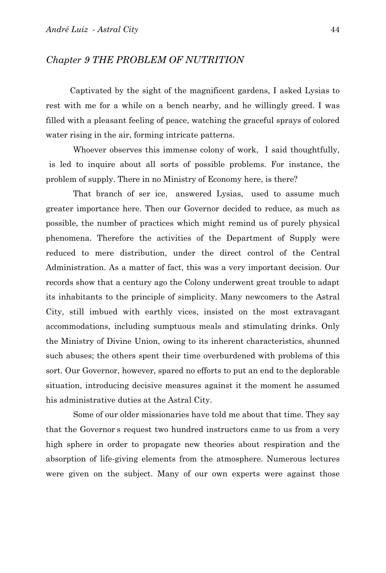# *Chapter 9 THE PROBLEM OF NUTRITION*

Captivated by the sight of the magnificent gardens, I asked Lysias to rest with me for a while on a bench nearby, and he willingly greed. I was filled with a pleasant feeling of peace, watching the graceful sprays of colored water rising in the air, forming intricate patterns.

Whoever observes this immense colony of work, I said thoughtfully, is led to inquire about all sorts of possible problems. For instance, the problem of supply. There in no Ministry of Economy here, is there?

That branch of ser ice, answered Lysias, used to assume much greater importance here. Then our Governor decided to reduce, as much as possible, the number of practices which might remind us of purely physical phenomena. Therefore the activities of the Department of Supply were reduced to mere distribution, under the direct control of the Central Administration. As a matter of fact, this was a very important decision. Our records show that a century ago the Colony underwent great trouble to adapt its inhabitants to the principle of simplicity. Many newcomers to the Astral City, still imbued with earthly vices, insisted on the most extravagant accommodations, including sumptuous meals and stimulating drinks. Only the Ministry of Divine Union, owing to its inherent characteristics, shunned such abuses; the others spent their time overburdened with problems of this sort. Our Governor, however, spared no efforts to put an end to the deplorable situation, introducing decisive measures against it the moment he assumed his administrative duties at the Astral City.

Some of our older missionaries have told me about that time. They say that the Governor's request two hundred instructors came to us from a very high sphere in order to propagate new theories about respiration and the absorption of life-giving elements from the atmosphere. Numerous lectures were given on the subject. Many of our own experts were against those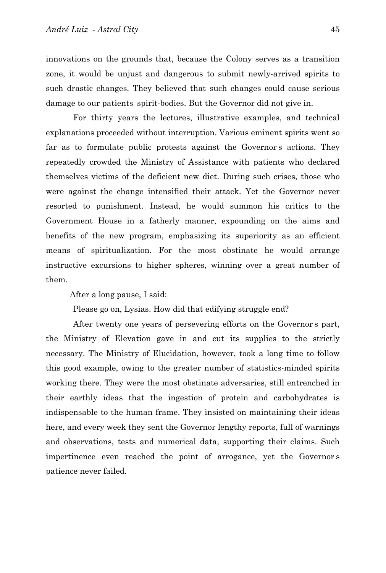innovations on the grounds that, because the Colony serves as a transition zone, it would be unjust and dangerous to submit newly-arrived spirits to such drastic changes. They believed that such changes could cause serious damage to our patients spirit-bodies. But the Governor did not give in.

"For thirty years the lectures, illustrative examples, and technical explanations proceeded without interruption. Various eminent spirits went so far as to formulate public protests against the Governor's actions. They repeatedly crowded the Ministry of Assistance with patients who declared themselves victims of the deficient new diet. During such crises, those who were against the change intensified their attack. Yet the Governor never resorted to punishment. Instead, he would summon his critics to the Government House in a fatherly manner, expounding on the aims and benefits of the new program, emphasizing its superiority as an efficient means of spiritualization. For the most obstinate he would arrange instructive excursions to higher spheres, winning over a great number of them.

After a long pause, I said:

Please go on, Lysias. How did that edifying struggle end?

After twenty one years of persevering efforts on the Governor's part, the Ministry of Elevation gave in and cut its supplies to the strictly necessary. The Ministry of Elucidation, however, took a long time to follow this good example, owing to the greater number of statistics-minded spirits working there. They were the most obstinate adversaries, still entrenched in their earthly ideas that the ingestion of protein and carbohydrates is indispensable to the human frame. They insisted on maintaining their ideas here, and every week they sent the Governor lengthy reports, full of warnings and observations, tests and numerical data, supporting their claims. Such impertinence even reached the point of arrogance, yet the Governor's patience never failed."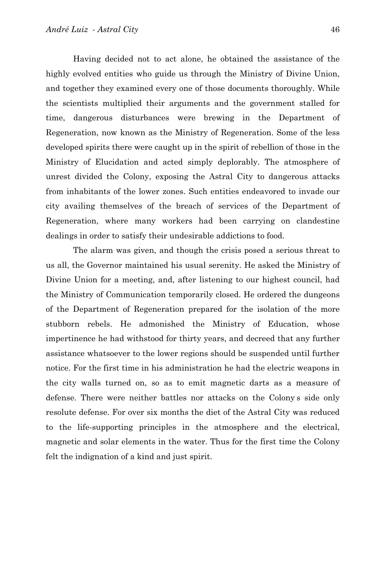"Having decided not to act alone, he obtained the assistance of the highly evolved entities who guide us through the Ministry of Divine Union, and together they examined every one of those documents thoroughly. While the scientists multiplied their arguments and the government stalled for time, dangerous disturbances were brewing in the Department of Regeneration, now known as the Ministry of Regeneration. Some of the less developed spirits there were caught up in the spirit of rebellion of those in the Ministry of Elucidation and acted simply deplorably. The atmosphere of unrest divided the Colony, exposing the Astral City to dangerous attacks from inhabitants of the lower zones. Such entities endeavored to invade our city availing themselves of the breach of services of the Department of Regeneration, where many workers had been carrying on clandestine dealings in order to satisfy their undesirable addictions to food.

The alarm was given, and though the crisis posed a serious threat to us all, the Governor maintained his usual serenity. He asked the Ministry of Divine Union for a meeting, and, after listening to our highest council, had the Ministry of Communication temporarily closed. He ordered the dungeons of the Department of Regeneration prepared for the isolation of the more stubborn rebels. He admonished the Ministry of Education, whose impertinence he had withstood for thirty years, and decreed that any further assistance whatsoever to the lower regions should be suspended until further notice. For the first time in his administration he had the electric weapons in the city walls turned on, so as to emit magnetic darts as a measure of defense. There were neither battles nor attacks on the Colony's side only resolute defense. For over six months the diet of the Astral City was reduced to the life-supporting principles in the atmosphere and the electrical, magnetic and solar elements in the water. Thus for the first time the Colony felt the indignation of a kind and just spirit.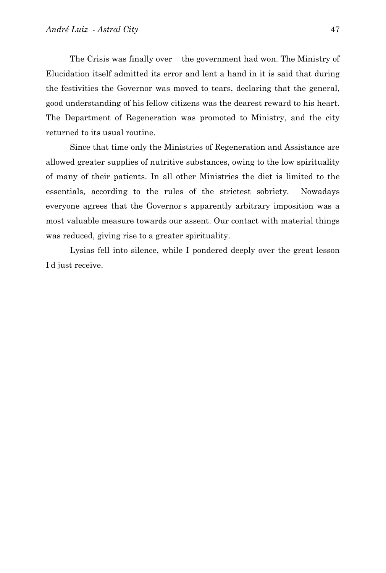The Crisis was finally over the government had won. The Ministry of Elucidation itself admitted its error and lent a hand in it is said that during the festivities the Governor was moved to tears, declaring that the general, good understanding of his fellow citizens was the dearest reward to his heart. The Department of Regeneration was promoted to Ministry, and the city returned to its usual routine.

Since that time only the Ministries of Regeneration and Assistance are allowed greater supplies of nutritive substances, owing to the low spirituality of many of their patients. In all other Ministries the diet is limited to the essentials, according to the rules of the strictest sobriety. Nowadays everyone agrees that the Governor's apparently arbitrary imposition was a most valuable measure towards our assent. Our contact with material things was reduced, giving rise to a greater spirituality.

Lysias fell into silence, while I pondered deeply over the great lesson I d just receive.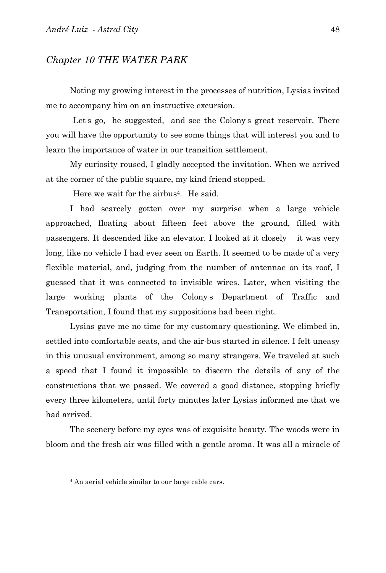# *Chapter 10 THE WATER PARK*

Noting my growing interest in the processes of nutrition, Lysias invited me to accompany him on an instructive excursion.

Let's go, he suggested, and see the Colony's great reservoir. There you will have the opportunity to see some things that will interest you and to learn the importance of water in our transition settlement.

My curiosity roused, I gladly accepted the invitation. When we arrived at the corner of the public square, my kind friend stopped.

Here we wait for the airbus<sup>4</sup>. He said.

I had scarcely gotten over my surprise when a large vehicle approached, floating about fifteen feet above the ground, filled with passengers. It descended like an elevator. I looked at it closely it was very long, like no vehicle I had ever seen on Earth. It seemed to be made of a very flexible material, and, judging from the number of antennae on its roof, I guessed that it was connected to invisible wires. Later, when visiting the large working plants of the Colony's Department of Traffic and Transportation, I found that my suppositions had been right.

Lysias gave me no time for my customary questioning. We climbed in, settled into comfortable seats, and the air-bus started in silence. I felt uneasy in this unusual environment, among so many strangers. We traveled at such a speed that I found it impossible to discern the details of any of the constructions that we passed. We covered a good distance, stopping briefly every three kilometers, until forty minutes later Lysias informed me that we had arrived.

The scenery before my eyes was of exquisite beauty. The woods were in bloom and the fresh air was filled with a gentle aroma. It was all a miracle of

1

<sup>4</sup> An aerial vehicle similar to our large cable cars.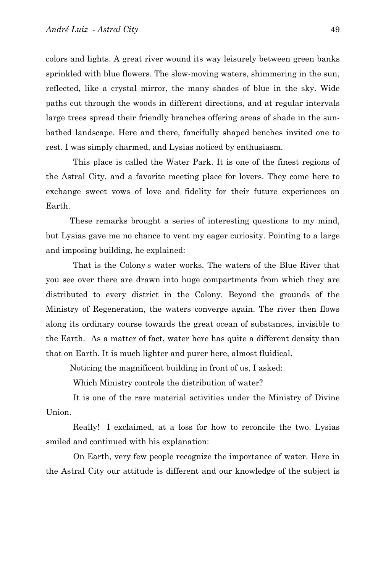colors and lights. A great river wound its way leisurely between green banks sprinkled with blue flowers. The slow-moving waters, shimmering in the sun, reflected, like a crystal mirror, the many shades of blue in the sky. Wide paths cut through the woods in different directions, and at regular intervals large trees spread their friendly branches offering areas of shade in the sunbathed landscape. Here and there, fancifully shaped benches invited one to rest. I was simply charmed, and Lysias noticed by enthusiasm.

This place is called the Water Park. It is one of the finest regions of the Astral City, and a favorite meeting place for lovers. They come here to exchange sweet vows of love and fidelity for their future experiences on Earth.

These remarks brought a series of interesting questions to my mind, but Lysias gave me no chance to vent my eager curiosity. Pointing to a large and imposing building, he explained:

That is the Colony's water works. The waters of the Blue River that you see over there are drawn into huge compartments from which they are distributed to every district in the Colony. Beyond the grounds of the Ministry of Regeneration, the waters converge again. The river then flows along its ordinary course towards the great ocean of substances, invisible to the Earth. As a matter of fact, water here has quite a different density than that on Earth. It is much lighter and purer here, almost fluidical."

Noticing the magnificent building in front of us, I asked:

Which Ministry controls the distribution of water?

It is one of the rare material activities under the Ministry of Divine Union.

Really! I exclaimed, at a loss for how to reconcile the two. Lysias smiled and continued with his explanation:

"On Earth, very few people recognize the importance of water. Here in the Astral City our attitude is different and our knowledge of the subject is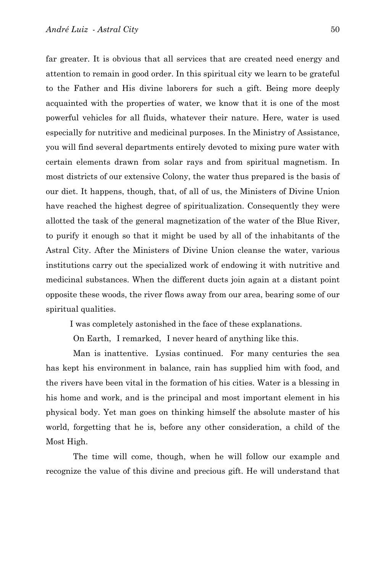far greater. It is obvious that all services that are created need energy and attention to remain in good order. In this spiritual city we learn to be grateful to the Father and His divine laborers for such a gift. Being more deeply acquainted with the properties of water, we know that it is one of the most powerful vehicles for all fluids, whatever their nature. Here, water is used especially for nutritive and medicinal purposes. In the Ministry of Assistance, you will find several departments entirely devoted to mixing pure water with certain elements drawn from solar rays and from spiritual magnetism. In most districts of our extensive Colony, the water thus prepared is the basis of our diet. It happens, though, that, of all of us, the Ministers of Divine Union have reached the highest degree of spiritualization. Consequently they were allotted the task of the general magnetization of the water of the Blue River, to purify it enough so that it might be used by all of the inhabitants of the Astral City. After the Ministers of Divine Union cleanse the water, various institutions carry out the specialized work of endowing it with nutritive and medicinal substances. When the different ducts join again at a distant point opposite these woods, the river flows away from our area, bearing some of our spiritual qualities.

I was completely astonished in the face of these explanations.

On Earth, I remarked, I never heard of anything like this.

Man is inattentive. Lysias continued. For many centuries the sea has kept his environment in balance, rain has supplied him with food, and the rivers have been vital in the formation of his cities. Water is a blessing in his home and work, and is the principal and most important element in his physical body. Yet man goes on thinking himself the absolute master of his world, forgetting that he is, before any other consideration, a child of the Most High.

The time will come, though, when he will follow our example and recognize the value of this divine and precious gift. He will understand that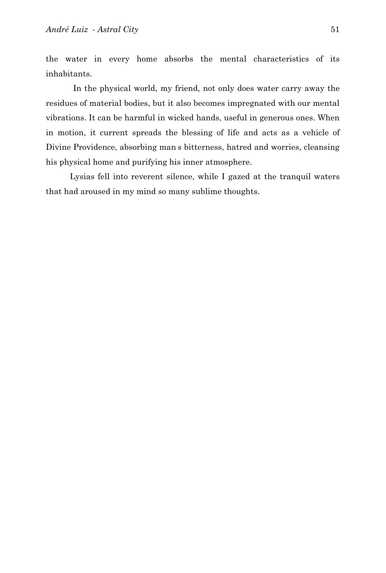the water in every home absorbs the mental characteristics of its inhabitants."

In the physical world, my friend, not only does water carry away the residues of material bodies, but it also becomes impregnated with our mental vibrations. It can be harmful in wicked hands, useful in generous ones. When in motion, it current spreads the blessing of life and acts as a vehicle of Divine Providence, absorbing man's bitterness, hatred and worries, cleansing his physical home and purifying his inner atmosphere.

Lysias fell into reverent silence, while I gazed at the tranquil waters that had aroused in my mind so many sublime thoughts.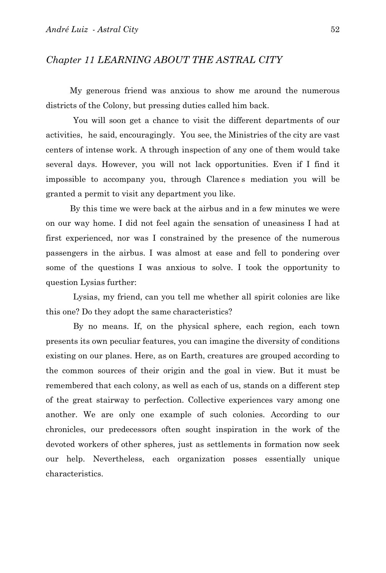#### *Chapter 11 LEARNING ABOUT THE ASTRAL CITY*

My generous friend was anxious to show me around the numerous districts of the Colony, but pressing duties called him back.

You will soon get a chance to visit the different departments of our activities," he said, encouragingly. "You see, the Ministries of the city are vast centers of intense work. A through inspection of any one of them would take several days. However, you will not lack opportunities. Even if I find it impossible to accompany you, through Clarence's mediation you will be granted a permit to visit any department you like."

By this time we were back at the airbus and in a few minutes we were on our way home. I did not feel again the sensation of uneasiness I had at first experienced, nor was I constrained by the presence of the numerous passengers in the airbus. I was almost at ease and fell to pondering over some of the questions I was anxious to solve. I took the opportunity to question Lysias further:

Lysias, my friend, can you tell me whether all spirit colonies are like this one? Do they adopt the same characteristics?"

By no means. If, on the physical sphere, each region, each town presents its own peculiar features, you can imagine the diversity of conditions existing on our planes. Here, as on Earth, creatures are grouped according to the common sources of their origin and the goal in view. But it must be remembered that each colony, as well as each of us, stands on a different step of the great stairway to perfection. Collective experiences vary among one another. We are only one example of such colonies. According to our chronicles, our predecessors often sought inspiration in the work of the devoted workers of other spheres, just as settlements in formation now seek our help. Nevertheless, each organization posses essentially unique characteristics."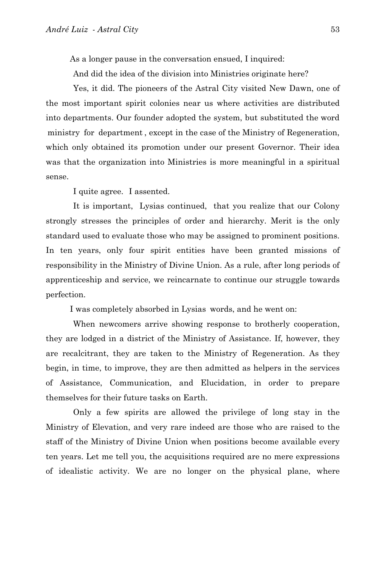As a longer pause in the conversation ensued, I inquired:

And did the idea of the division into Ministries originate here?

Yes, it did. The pioneers of the Astral City visited New Dawn, one of the most important spirit colonies near us where activities are distributed into departments. Our founder adopted the system, but substituted the word ministry for department, except in the case of the Ministry of Regeneration, which only obtained its promotion under our present Governor. Their idea was that the organization into Ministries is more meaningful in a spiritual sense.

I quite agree. I assented.

It is important, Lysias continued, that you realize that our Colony strongly stresses the principles of order and hierarchy. Merit is the only standard used to evaluate those who may be assigned to prominent positions. In ten years, only four spirit entities have been granted missions of responsibility in the Ministry of Divine Union. As a rule, after long periods of apprenticeship and service, we reincarnate to continue our struggle towards perfection.

I was completely absorbed in Lysias words, and he went on:

When newcomers arrive showing response to brotherly cooperation, they are lodged in a district of the Ministry of Assistance. If, however, they are recalcitrant, they are taken to the Ministry of Regeneration. As they begin, in time, to improve, they are then admitted as helpers in the services of Assistance, Communication, and Elucidation, in order to prepare themselves for their future tasks on Earth.

"Only a few spirits are allowed the privilege of long stay in the Ministry of Elevation, and very rare indeed are those who are raised to the staff of the Ministry of Divine Union when positions become available every ten years. Let me tell you, the acquisitions required are no mere expressions of idealistic activity. We are no longer on the physical plane, where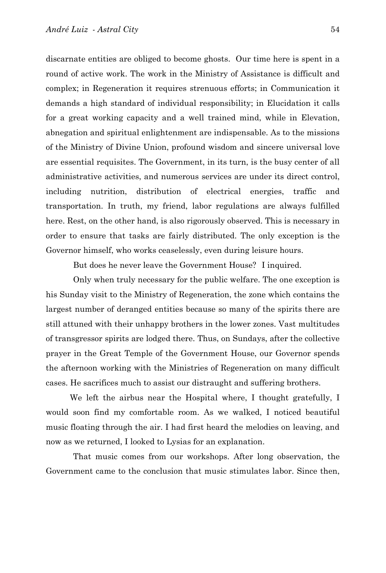discarnate entities are obliged to become ghosts. Our time here is spent in a round of active work. The work in the Ministry of Assistance is difficult and complex; in Regeneration it requires strenuous efforts; in Communication it demands a high standard of individual responsibility; in Elucidation it calls for a great working capacity and a well trained mind, while in Elevation, abnegation and spiritual enlightenment are indispensable. As to the missions of the Ministry of Divine Union, profound wisdom and sincere universal love are essential requisites. The Government, in its turn, is the busy center of all administrative activities, and numerous services are under its direct control, including nutrition, distribution of electrical energies, traffic and transportation. In truth, my friend, labor regulations are always fulfilled here. Rest, on the other hand, is also rigorously observed. This is necessary in order to ensure that tasks are fairly distributed. The only exception is the Governor himself, who works ceaselessly, even during leisure hours.

But does he never leave the Government House? I inquired.

"Only when truly necessary for the public welfare. The one exception is his Sunday visit to the Ministry of Regeneration, the zone which contains the largest number of deranged entities because so many of the spirits there are still attuned with their unhappy brothers in the lower zones. Vast multitudes of transgressor spirits are lodged there. Thus, on Sundays, after the collective prayer in the Great Temple of the Government House, our Governor spends the afternoon working with the Ministries of Regeneration on many difficult cases. He sacrifices much to assist our distraught and suffering brothers."

We left the airbus near the Hospital where, I thought gratefully, I would soon find my comfortable room. As we walked, I noticed beautiful music floating through the air. I had first heard the melodies on leaving, and now as we returned, I looked to Lysias for an explanation.

That music comes from our workshops. After long observation, the Government came to the conclusion that music stimulates labor. Since then,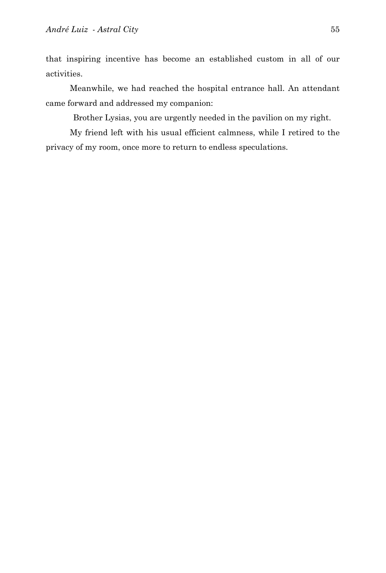that inspiring incentive has become an established custom in all of our activities.

Meanwhile, we had reached the hospital entrance hall. An attendant came forward and addressed my companion:

Brother Lysias, you are urgently needed in the pavilion on my right.

My friend left with his usual efficient calmness, while I retired to the privacy of my room, once more to return to endless speculations.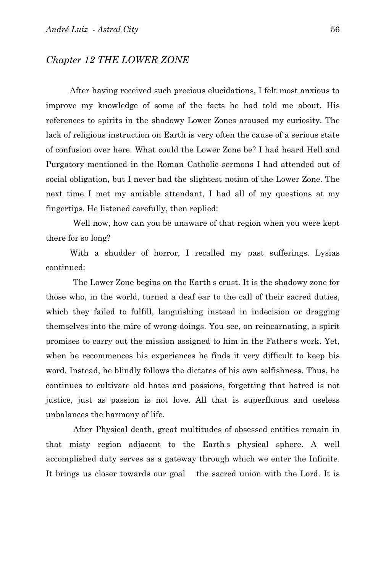# *Chapter 12 THE LOWER ZONE*

After having received such precious elucidations, I felt most anxious to improve my knowledge of some of the facts he had told me about. His references to spirits in the shadowy Lower Zones aroused my curiosity. The lack of religious instruction on Earth is very often the cause of a serious state of confusion over here. What could the Lower Zone be? I had heard Hell and Purgatory mentioned in the Roman Catholic sermons I had attended out of social obligation, but I never had the slightest notion of the Lower Zone. The next time I met my amiable attendant, I had all of my questions at my fingertips. He listened carefully, then replied:

Well now, how can you be unaware of that region when you were kept there for so long?

With a shudder of horror, I recalled my past sufferings. Lysias continued:

The Lower Zone begins on the Earth's crust. It is the shadowy zone for those who, in the world, turned a deaf ear to the call of their sacred duties, which they failed to fulfill, languishing instead in indecision or dragging themselves into the mire of wrong-doings. You see, on reincarnating, a spirit promises to carry out the mission assigned to him in the Father's work. Yet, when he recommences his experiences he finds it very difficult to keep his word. Instead, he blindly follows the dictates of his own selfishness. Thus, he continues to cultivate old hates and passions, forgetting that hatred is not justice, just as passion is not love. All that is superfluous and useless unbalances the harmony of life.

"After Physical death, great multitudes of obsessed entities remain in that misty region adjacent to the Earth's physical sphere. A well accomplished duty serves as a gateway through which we enter the Infinite. It brings us closer towards our goal the sacred union with the Lord. It is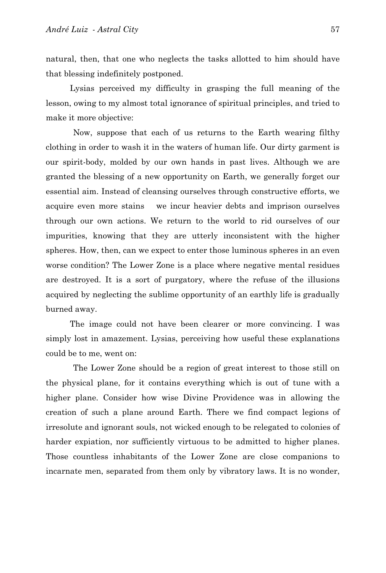natural, then, that one who neglects the tasks allotted to him should have that blessing indefinitely postponed.

Lysias perceived my difficulty in grasping the full meaning of the lesson, owing to my almost total ignorance of spiritual principles, and tried to make it more objective:

Now, suppose that each of us returns to the Earth wearing filthy clothing in order to wash it in the waters of human life. Our dirty garment is our spirit-body, molded by our own hands in past lives. Although we are granted the blessing of a new opportunity on Earth, we generally forget our essential aim. Instead of cleansing ourselves through constructive efforts, we acquire even more stains we incur heavier debts and imprison ourselves through our own actions. We return to the world to rid ourselves of our impurities, knowing that they are utterly inconsistent with the higher spheres. How, then, can we expect to enter those luminous spheres in an even worse condition? The Lower Zone is a place where negative mental residues are destroyed. It is a sort of purgatory, where the refuse of the illusions acquired by neglecting the sublime opportunity of an earthly life is gradually burned away.

The image could not have been clearer or more convincing. I was simply lost in amazement. Lysias, perceiving how useful these explanations could be to me, went on:

The Lower Zone should be a region of great interest to those still on the physical plane, for it contains everything which is out of tune with a higher plane. Consider how wise Divine Providence was in allowing the creation of such a plane around Earth. There we find compact legions of irresolute and ignorant souls, not wicked enough to be relegated to colonies of harder expiation, nor sufficiently virtuous to be admitted to higher planes. Those countless inhabitants of the Lower Zone are close companions to incarnate men, separated from them only by vibratory laws. It is no wonder,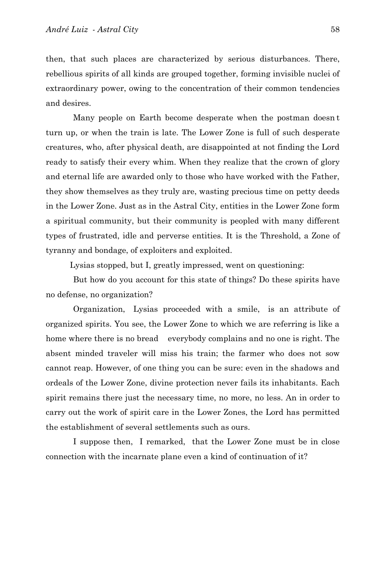then, that such places are characterized by serious disturbances. There, rebellious spirits of all kinds are grouped together, forming invisible nuclei of extraordinary power, owing to the concentration of their common tendencies and desires.

Many people on Earth become desperate when the postman doesn't turn up, or when the train is late. The Lower Zone is full of such desperate creatures, who, after physical death, are disappointed at not finding the Lord ready to satisfy their every whim. When they realize that the crown of glory and eternal life are awarded only to those who have worked with the Father, they show themselves as they truly are, wasting precious time on petty deeds in the Lower Zone. Just as in the Astral City, entities in the Lower Zone form a spiritual community, but their community is peopled with many different types of frustrated, idle and perverse entities. It is the Threshold, a Zone of tyranny and bondage, of exploiters and exploited."

Lysias stopped, but I, greatly impressed, went on questioning:

But how do you account for this state of things? Do these spirits have no defense, no organization?

Organization, Lysias proceeded with a smile, is an attribute of organized spirits. You see, the Lower Zone to which we are referring is like a home where there is no bread everybody complains and no one is right. The absent minded traveler will miss his train; the farmer who does not sow cannot reap. However, of one thing you can be sure: even in the shadows and ordeals of the Lower Zone, divine protection never fails its inhabitants. Each spirit remains there just the necessary time, no more, no less. An in order to carry out the work of spirit care in the Lower Zones, the Lord has permitted the establishment of several settlements such as ours."

I suppose then, I remarked, that the Lower Zone must be in close connection with the incarnate plane even a kind of continuation of it?"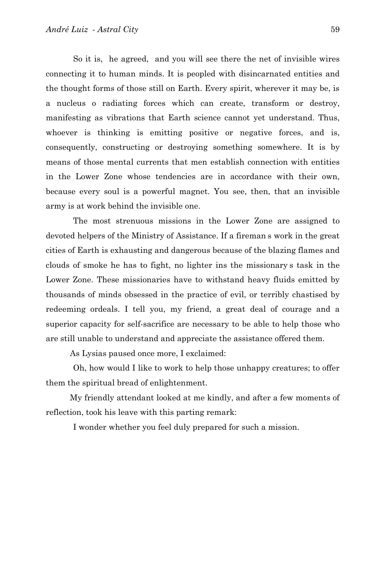So it is, he agreed, and you will see there the net of invisible wires connecting it to human minds. It is peopled with disincarnated entities and the thought forms of those still on Earth. Every spirit, wherever it may be, is a nucleus o radiating forces which can create, transform or destroy, manifesting as vibrations that Earth science cannot yet understand. Thus, whoever is thinking is emitting positive or negative forces, and is, consequently, constructing or destroying something somewhere. It is by means of those mental currents that men establish connection with entities in the Lower Zone whose tendencies are in accordance with their own, because every soul is a powerful magnet. You see, then, that an invisible army is at work behind the invisible one.

The most strenuous missions in the Lower Zone are assigned to devoted helpers of the Ministry of Assistance. If a fireman's work in the great cities of Earth is exhausting and dangerous because of the blazing flames and clouds of smoke he has to fight, no lighter ins the missionary's task in the Lower Zone. These missionaries have to withstand heavy fluids emitted by thousands of minds obsessed in the practice of evil, or terribly chastised by redeeming ordeals. I tell you, my friend, a great deal of courage and a superior capacity for self-sacrifice are necessary to be able to help those who are still unable to understand and appreciate the assistance offered them.

As Lysias paused once more, I exclaimed:

"Oh, how would I like to work to help those unhappy creatures; to offer them the spiritual bread of enlightenment.

My friendly attendant looked at me kindly, and after a few moments of reflection, took his leave with this parting remark:

I wonder whether you feel duly prepared for such a mission.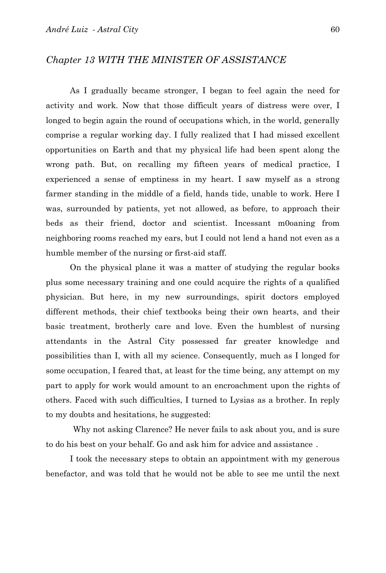# *Chapter 13 WITH THE MINISTER OF ASSISTANCE*

As I gradually became stronger, I began to feel again the need for activity and work. Now that those difficult years of distress were over, I longed to begin again the round of occupations which, in the world, generally comprise a regular working day. I fully realized that I had missed excellent opportunities on Earth and that my physical life had been spent along the wrong path. But, on recalling my fifteen years of medical practice, I experienced a sense of emptiness in my heart. I saw myself as a strong farmer standing in the middle of a field, hands tide, unable to work. Here I was, surrounded by patients, yet not allowed, as before, to approach their beds as their friend, doctor and scientist. Incessant m0oaning from neighboring rooms reached my ears, but I could not lend a hand not even as a humble member of the nursing or first-aid staff.

On the physical plane it was a matter of studying the regular books plus some necessary training and one could acquire the rights of a qualified physician. But here, in my new surroundings, spirit doctors employed different methods, their chief textbooks being their own hearts, and their basic treatment, brotherly care and love. Even the humblest of nursing attendants in the Astral City possessed far greater knowledge and possibilities than I, with all my science. Consequently, much as I longed for some occupation, I feared that, at least for the time being, any attempt on my part to apply for work would amount to an encroachment upon the rights of others. Faced with such difficulties, I turned to Lysias as a brother. In reply to my doubts and hesitations, he suggested:

Why not asking Clarence? He never fails to ask about you, and is sure to do his best on your behalf. Go and ask him for advice and assistance.

I took the necessary steps to obtain an appointment with my generous benefactor, and was told that he would not be able to see me until the next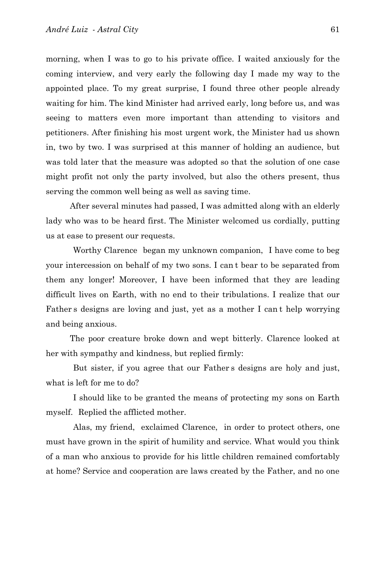morning, when I was to go to his private office. I waited anxiously for the coming interview, and very early the following day I made my way to the appointed place. To my great surprise, I found three other people already waiting for him. The kind Minister had arrived early, long before us, and was seeing to matters even more important than attending to visitors and petitioners. After finishing his most urgent work, the Minister had us shown in, two by two. I was surprised at this manner of holding an audience, but was told later that the measure was adopted so that the solution of one case might profit not only the party involved, but also the others present, thus serving the common well being as well as saving time.

After several minutes had passed, I was admitted along with an elderly lady who was to be heard first. The Minister welcomed us cordially, putting us at ease to present our requests.

Worthy Clarence began my unknown companion, I have come to beg your intercession on behalf of my two sons. I can't bear to be separated from them any longer! Moreover, I have been informed that they are leading difficult lives on Earth, with no end to their tribulations. I realize that our Father's designs are loving and just, yet as a mother I can't help worrying and being anxious."

The poor creature broke down and wept bitterly. Clarence looked at her with sympathy and kindness, but replied firmly:

But sister, if you agree that our Father's designs are holy and just, what is left for me to do?

I should like to be granted the means of protecting my sons on Earth myself. Replied the afflicted mother.

Alas, my friend, exclaimed Clarence, in order to protect others, one must have grown in the spirit of humility and service. What would you think of a man who anxious to provide for his little children remained comfortably at home? Service and cooperation are laws created by the Father, and no one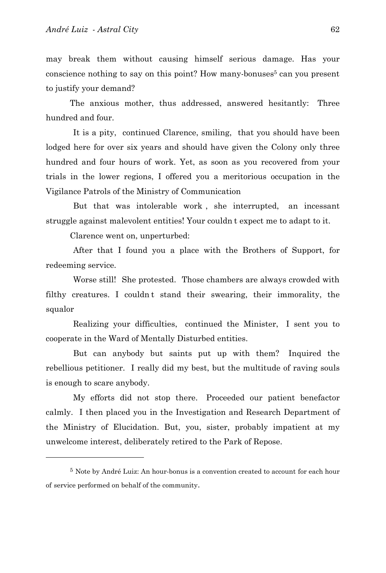may break them without causing himself serious damage. Has your conscience nothing to say on this point? How many-bonuses<sup>5</sup> can you present to justify your demand?"

The anxious mother, thus addressed, answered hesitantly: "Three hundred and four.

It is a pity, continued Clarence, smiling, that you should have been lodged here for over six years and should have given the Colony only three hundred and four hours of work. Yet, as soon as you recovered from your trials in the lower regions, I offered you a meritorious occupation in the Vigilance Patrols of the Ministry of Communication…"

But that was intolerable work, she interrupted, an incessant struggle against malevolent entities! Your couldn't expect me to adapt to it.

Clarence went on, unperturbed:

 $\overline{a}$ 

After that I found you a place with the Brothers of Support, for redeeming service."

Worse still! She protested. Those chambers are always crowded with filthy creatures. I couldn't stand their swearing, their immorality, the squalor

Realizing your difficulties, continued the Minister, I sent you to cooperate in the Ward of Mentally Disturbed entities."

But can anybody but saints put up with them? Inquired the rebellious petitioner. I really did my best, but the multitude of raving souls is enough to scare anybody.

My efforts did not stop there. Proceeded our patient benefactor calmly. I then placed you in the Investigation and Research Department of the Ministry of Elucidation. But, you, sister, probably impatient at my unwelcome interest, deliberately retired to the Park of Repose."

<sup>5</sup> Note by André Luiz: An hour-bonus is a convention created to account for each hour of service performed on behalf of the community.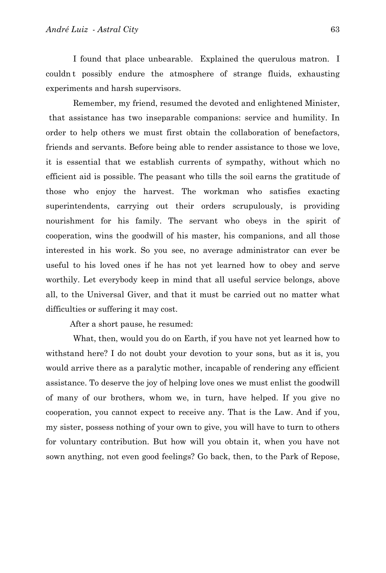I found that place unbearable. Explained the querulous matron. I couldn't possibly endure the atmosphere of strange fluids, exhausting experiments and harsh supervisors.

Remember, my friend, resumed the devoted and enlightened Minister, that assistance has two inseparable companions: service and humility. In order to help others we must first obtain the collaboration of benefactors, friends and servants. Before being able to render assistance to those we love, it is essential that we establish currents of sympathy, without which no efficient aid is possible. The peasant who tills the soil earns the gratitude of those who enjoy the harvest. The workman who satisfies exacting superintendents, carrying out their orders scrupulously, is providing nourishment for his family. The servant who obeys in the spirit of cooperation, wins the goodwill of his master, his companions, and all those interested in his work. So you see, no average administrator can ever be useful to his loved ones if he has not yet learned how to obey and serve worthily. Let everybody keep in mind that all useful service belongs, above all, to the Universal Giver, and that it must be carried out no matter what difficulties or suffering it may cost.

After a short pause, he resumed:

What, then, would you do on Earth, if you have not yet learned how to withstand here? I do not doubt your devotion to your sons, but as it is, you would arrive there as a paralytic mother, incapable of rendering any efficient assistance. To deserve the joy of helping love ones we must enlist the goodwill of many of our brothers, whom we, in turn, have helped. If you give no cooperation, you cannot expect to receive any. That is the Law. And if you, my sister, possess nothing of your own to give, you will have to turn to others for voluntary contribution. But how will you obtain it, when you have not sown anything, not even good feelings? Go back, then, to the Park of Repose,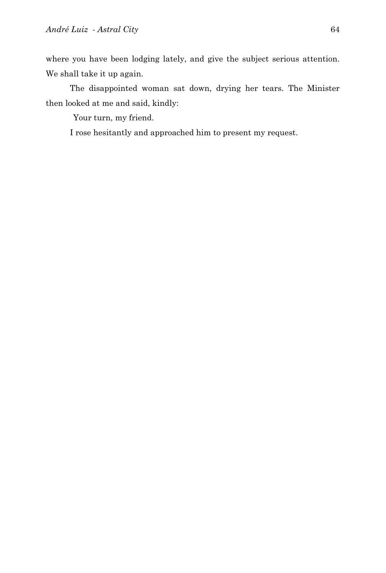where you have been lodging lately, and give the subject serious attention. We shall take it up again.

The disappointed woman sat down, drying her tears. The Minister then looked at me and said, kindly:

Your turn, my friend.

I rose hesitantly and approached him to present my request.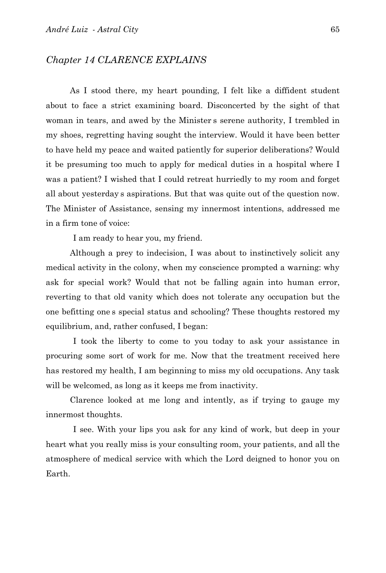# *Chapter 14 CLARENCE EXPLAINS*

As I stood there, my heart pounding, I felt like a diffident student about to face a strict examining board. Disconcerted by the sight of that woman in tears, and awed by the Minister's serene authority, I trembled in my shoes, regretting having sought the interview. Would it have been better to have held my peace and waited patiently for superior deliberations? Would it be presuming too much to apply for medical duties in a hospital where I was a patient? I wished that I could retreat hurriedly to my room and forget all about yesterday's aspirations. But that was quite out of the question now. The Minister of Assistance, sensing my innermost intentions, addressed me in a firm tone of voice:

I am ready to hear you, my friend.

Although a prey to indecision, I was about to instinctively solicit any medical activity in the colony, when my conscience prompted a warning: why ask for special work? Would that not be falling again into human error, reverting to that old vanity which does not tolerate any occupation but the one befitting one's special status and schooling? These thoughts restored my equilibrium, and, rather confused, I began:

I took the liberty to come to you today to ask your assistance in procuring some sort of work for me. Now that the treatment received here has restored my health, I am beginning to miss my old occupations. Any task will be welcomed, as long as it keeps me from inactivity.

Clarence looked at me long and intently, as if trying to gauge my innermost thoughts.

I see. With your lips you ask for any kind of work, but deep in your heart what you really miss is your consulting room, your patients, and all the atmosphere of medical service with which the Lord deigned to honor you on Earth.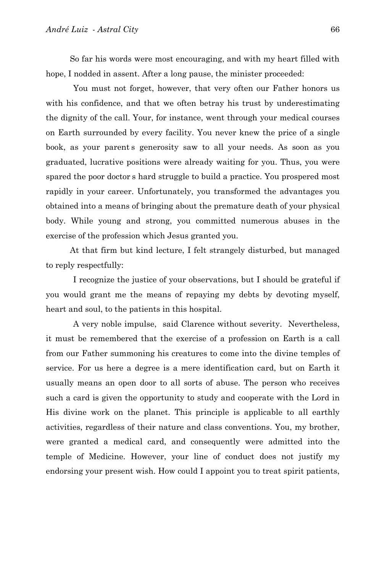So far his words were most encouraging, and with my heart filled with hope, I nodded in assent. After a long pause, the minister proceeded:

You must not forget, however, that very often our Father honors us with his confidence, and that we often betray his trust by underestimating the dignity of the call. Your, for instance, went through your medical courses on Earth surrounded by every facility. You never knew the price of a single book, as your parents generosity saw to all your needs. As soon as you graduated, lucrative positions were already waiting for you. Thus, you were spared the poor doctor's hard struggle to build a practice. You prospered most rapidly in your career. Unfortunately, you transformed the advantages you obtained into a means of bringing about the premature death of your physical body. While young and strong, you committed numerous abuses in the exercise of the profession which Jesus granted you.

At that firm but kind lecture, I felt strangely disturbed, but managed to reply respectfully:

I recognize the justice of your observations, but I should be grateful if you would grant me the means of repaying my debts by devoting myself, heart and soul, to the patients in this hospital.

A very noble impulse, said Clarence without severity. Nevertheless, it must be remembered that the exercise of a profession on Earth is a call from our Father summoning his creatures to come into the divine temples of service. For us here a degree is a mere identification card, but on Earth it usually means an open door to all sorts of abuse. The person who receives such a card is given the opportunity to study and cooperate with the Lord in His divine work on the planet. This principle is applicable to all earthly activities, regardless of their nature and class conventions. You, my brother, were granted a medical card, and consequently were admitted into the temple of Medicine. However, your line of conduct does not justify my endorsing your present wish. How could I appoint you to treat spirit patients,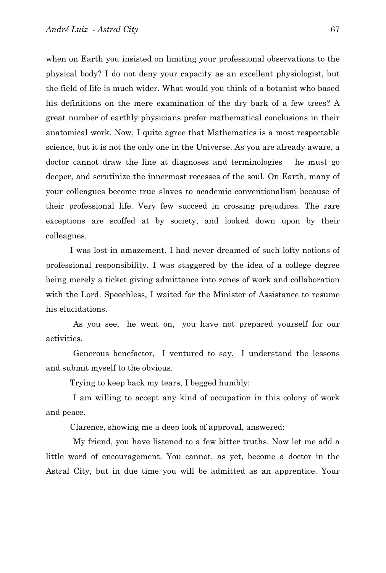when on Earth you insisted on limiting your professional observations to the physical body? I do not deny your capacity as an excellent physiologist, but the field of life is much wider. What would you think of a botanist who based his definitions on the mere examination of the dry bark of a few trees? A great number of earthly physicians prefer mathematical conclusions in their anatomical work. Now, I quite agree that Mathematics is a most respectable science, but it is not the only one in the Universe. As you are already aware, a doctor cannot draw the line at diagnoses and terminologies he must go deeper, and scrutinize the innermost recesses of the soul. On Earth, many of your colleagues become true slaves to academic conventionalism because of their professional life. Very few succeed in crossing prejudices. The rare exceptions are scoffed at by society, and looked down upon by their colleagues."

I was lost in amazement. I had never dreamed of such lofty notions of professional responsibility. I was staggered by the idea of a college degree being merely a ticket giving admittance into zones of work and collaboration with the Lord. Speechless, I waited for the Minister of Assistance to resume his elucidations.

As you see, he went on, you have not prepared yourself for our activities.

Generous benefactor, I ventured to say, I understand the lessons and submit myself to the obvious.

Trying to keep back my tears, I begged humbly:

I am willing to accept any kind of occupation in this colony of work and peace.

Clarence, showing me a deep look of approval, answered:

"My friend, you have listened to a few bitter truths. Now let me add a little word of encouragement. You cannot, as yet, become a doctor in the Astral City, but in due time you will be admitted as an apprentice. Your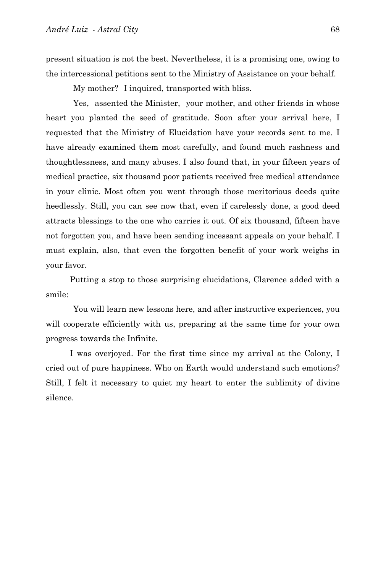present situation is not the best. Nevertheless, it is a promising one, owing to the intercessional petitions sent to the Ministry of Assistance on your behalf.

My mother? I inquired, transported with bliss.

Yes, assented the Minister, your mother, and other friends in whose heart you planted the seed of gratitude. Soon after your arrival here, I requested that the Ministry of Elucidation have your records sent to me. I have already examined them most carefully, and found much rashness and thoughtlessness, and many abuses. I also found that, in your fifteen years of medical practice, six thousand poor patients received free medical attendance in your clinic. Most often you went through those meritorious deeds quite heedlessly. Still, you can see now that, even if carelessly done, a good deed attracts blessings to the one who carries it out. Of six thousand, fifteen have not forgotten you, and have been sending incessant appeals on your behalf. I must explain, also, that even the forgotten benefit of your work weighs in your favor.

Putting a stop to those surprising elucidations, Clarence added with a smile:

"You will learn new lessons here, and after instructive experiences, you will cooperate efficiently with us, preparing at the same time for your own progress towards the Infinite."

I was overjoyed. For the first time since my arrival at the Colony, I cried out of pure happiness. Who on Earth would understand such emotions? Still, I felt it necessary to quiet my heart to enter the sublimity of divine silence.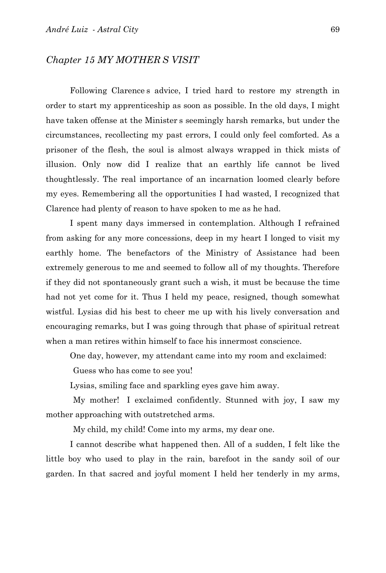# *Chapter 15 MY MOTHER'S VISIT*

Following Clarence's advice, I tried hard to restore my strength in order to start my apprenticeship as soon as possible. In the old days, I might have taken offense at the Minister's seemingly harsh remarks, but under the circumstances, recollecting my past errors, I could only feel comforted. As a prisoner of the flesh, the soul is almost always wrapped in thick mists of illusion. Only now did I realize that an earthly life cannot be lived thoughtlessly. The real importance of an incarnation loomed clearly before my eyes. Remembering all the opportunities I had wasted, I recognized that Clarence had plenty of reason to have spoken to me as he had.

I spent many days immersed in contemplation. Although I refrained from asking for any more concessions, deep in my heart I longed to visit my earthly home. The benefactors of the Ministry of Assistance had been extremely generous to me and seemed to follow all of my thoughts. Therefore if they did not spontaneously grant such a wish, it must be because the time had not yet come for it. Thus I held my peace, resigned, though somewhat wistful. Lysias did his best to cheer me up with his lively conversation and encouraging remarks, but I was going through that phase of spiritual retreat when a man retires within himself to face his innermost conscience.

One day, however, my attendant came into my room and exclaimed:

Guess who has come to see you!

Lysias, smiling face and sparkling eyes gave him away.

My mother! I exclaimed confidently. Stunned with joy, I saw my mother approaching with outstretched arms.

My child, my child! Come into my arms, my dear one.

I cannot describe what happened then. All of a sudden, I felt like the little boy who used to play in the rain, barefoot in the sandy soil of our garden. In that sacred and joyful moment I held her tenderly in my arms,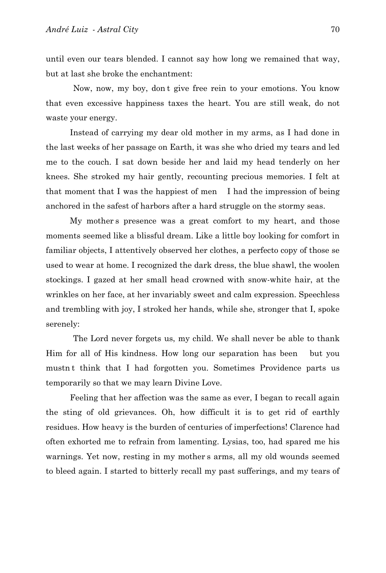until even our tears blended. I cannot say how long we remained that way, but at last she broke the enchantment:

"Now, now, my boy, don't give free rein to your emotions. You know that even excessive happiness taxes the heart. You are still weak, do not waste your energy.

Instead of carrying my dear old mother in my arms, as I had done in the last weeks of her passage on Earth, it was she who dried my tears and led me to the couch. I sat down beside her and laid my head tenderly on her knees. She stroked my hair gently, recounting precious memories. I felt at that moment that I was the happiest of men I had the impression of being anchored in the safest of harbors after a hard struggle on the stormy seas.

My mother's presence was a great comfort to my heart, and those moments seemed like a blissful dream. Like a little boy looking for comfort in familiar objects, I attentively observed her clothes, a perfecto copy of those se used to wear at home. I recognized the dark dress, the blue shawl, the woolen stockings. I gazed at her small head crowned with snow-white hair, at the wrinkles on her face, at her invariably sweet and calm expression. Speechless and trembling with joy, I stroked her hands, while she, stronger that I, spoke serenely:

The Lord never forgets us, my child. We shall never be able to thank Him for all of His kindness. How long our separation has been but you mustn't think that I had forgotten you. Sometimes Providence parts us temporarily so that we may learn Divine Love."

Feeling that her affection was the same as ever, I began to recall again the sting of old grievances. Oh, how difficult it is to get rid of earthly residues. How heavy is the burden of centuries of imperfections! Clarence had often exhorted me to refrain from lamenting. Lysias, too, had spared me his warnings. Yet now, resting in my mother's arms, all my old wounds seemed to bleed again. I started to bitterly recall my past sufferings, and my tears of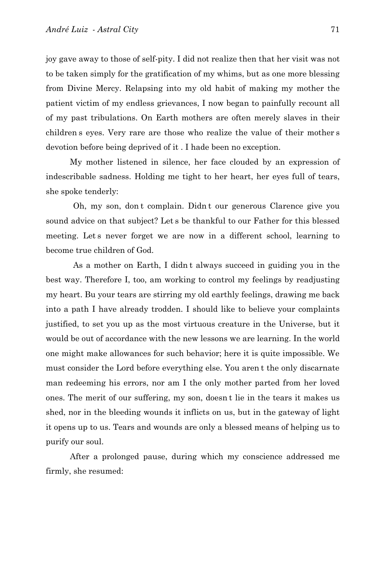joy gave away to those of self-pity. I did not realize then that her visit was not to be taken simply for the gratification of my whims, but as one more blessing from Divine Mercy. Relapsing into my old habit of making my mother the patient victim of my endless grievances, I now began to painfully recount all of my past tribulations. On Earth mothers are often merely slaves in their children's eyes. Very rare are those who realize the value of their mother's devotion before being deprived of it . I hade been no exception.

My mother listened in silence, her face clouded by an expression of indescribable sadness. Holding me tight to her heart, her eyes full of tears, she spoke tenderly:

"Oh, my son, don't complain. Didn't our generous Clarence give you sound advice on that subject? Let s be thankful to our Father for this blessed meeting. Let s never forget we are now in a different school, learning to become true children of God.

As a mother on Earth, I didn't always succeed in guiding you in the best way. Therefore I, too, am working to control my feelings by readjusting my heart. Bu your tears are stirring my old earthly feelings, drawing me back into a path I have already trodden. I should like to believe your complaints justified, to set you up as the most virtuous creature in the Universe, but it would be out of accordance with the new lessons we are learning. In the world one might make allowances for such behavior; here it is quite impossible. We must consider the Lord before everything else. You aren't the only discarnate man redeeming his errors, nor am I the only mother parted from her loved ones. The merit of our suffering, my son, doesn't lie in the tears it makes us shed, nor in the bleeding wounds it inflicts on us, but in the gateway of light it opens up to us. Tears and wounds are only a blessed means of helping us to purify our soul."

After a prolonged pause, during which my conscience addressed me firmly, she resumed: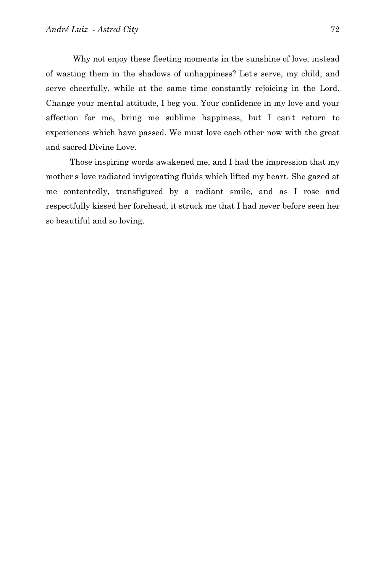Why not enjoy these fleeting moments in the sunshine of love, instead of wasting them in the shadows of unhappiness? Let s serve, my child, and serve cheerfully, while at the same time constantly rejoicing in the Lord. Change your mental attitude, I beg you. Your confidence in my love and your affection for me, bring me sublime happiness, but I can't return to experiences which have passed. We must love each other now with the great and sacred Divine Love."

Those inspiring words awakened me, and I had the impression that my mother's love radiated invigorating fluids which lifted my heart. She gazed at me contentedly, transfigured by a radiant smile, and as I rose and respectfully kissed her forehead, it struck me that I had never before seen her so beautiful and so loving.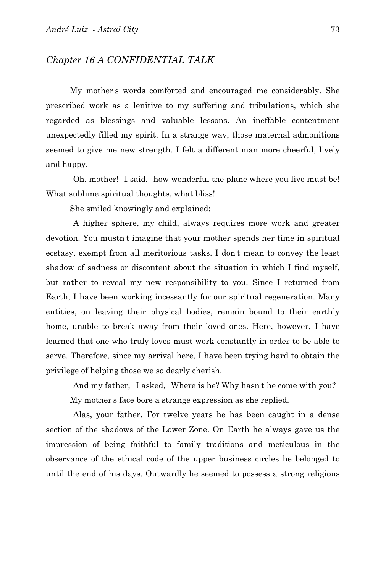### *Chapter 16 A CONFIDENTIAL TALK*

My mother's words comforted and encouraged me considerably. She prescribed work as a lenitive to my suffering and tribulations, which she regarded as blessings and valuable lessons. An ineffable contentment unexpectedly filled my spirit. In a strange way, those maternal admonitions seemed to give me new strength. I felt a different man more cheerful, lively and happy.

Oh, mother! I said, how wonderful the plane where you live must be! What sublime spiritual thoughts, what bliss!

She smiled knowingly and explained:

"A higher sphere, my child, always requires more work and greater devotion. You mustn't imagine that your mother spends her time in spiritual ecstasy, exempt from all meritorious tasks. I don't mean to convey the least shadow of sadness or discontent about the situation in which I find myself, but rather to reveal my new responsibility to you. Since I returned from Earth, I have been working incessantly for our spiritual regeneration. Many entities, on leaving their physical bodies, remain bound to their earthly home, unable to break away from their loved ones. Here, however, I have learned that one who truly loves must work constantly in order to be able to serve. Therefore, since my arrival here, I have been trying hard to obtain the privilege of helping those we so dearly cherish."

And my father, I asked, Where is he? Why hasn't he come with you? My mother's face bore a strange expression as she replied.

Alas, your father. For twelve years he has been caught in a dense section of the shadows of the Lower Zone. On Earth he always gave us the impression of being faithful to family traditions and meticulous in the observance of the ethical code of the upper business circles he belonged to until the end of his days. Outwardly he seemed to possess a strong religious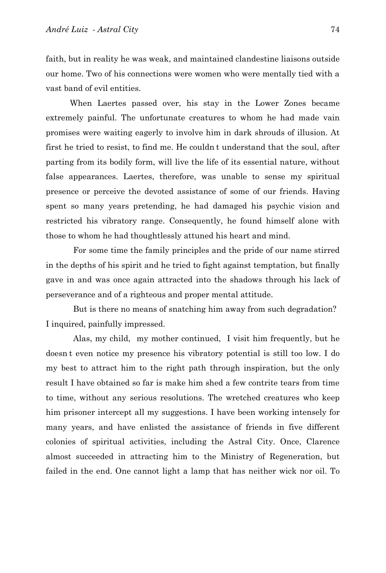faith, but in reality he was weak, and maintained clandestine liaisons outside our home. Two of his connections were women who were mentally tied with a vast band of evil entities.

When Laertes passed over, his stay in the Lower Zones became extremely painful. The unfortunate creatures to whom he had made vain promises were waiting eagerly to involve him in dark shrouds of illusion. At first he tried to resist, to find me. He couldn't understand that the soul, after parting from its bodily form, will live the life of its essential nature, without false appearances. Laertes, therefore, was unable to sense my spiritual presence or perceive the devoted assistance of some of our friends. Having spent so many years pretending, he had damaged his psychic vision and restricted his vibratory range. Consequently, he found himself alone with those to whom he had thoughtlessly attuned his heart and mind.

For some time the family principles and the pride of our name stirred in the depths of his spirit and he tried to fight against temptation, but finally gave in and was once again attracted into the shadows through his lack of perseverance and of a righteous and proper mental attitude."

But is there no means of snatching him away from such degradation? I inquired, painfully impressed.

Alas, my child, my mother continued, I visit him frequently, but he doesn't even notice my presence his vibratory potential is still too low. I do my best to attract him to the right path through inspiration, but the only result I have obtained so far is make him shed a few contrite tears from time to time, without any serious resolutions. The wretched creatures who keep him prisoner intercept all my suggestions. I have been working intensely for many years, and have enlisted the assistance of friends in five different colonies of spiritual activities, including the Astral City. Once, Clarence almost succeeded in attracting him to the Ministry of Regeneration, but failed in the end. One cannot light a lamp that has neither wick nor oil. To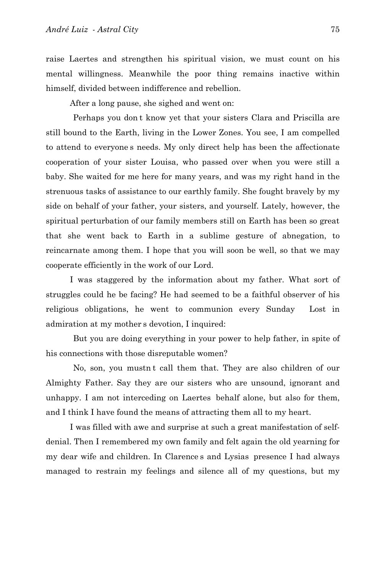raise Laertes and strengthen his spiritual vision, we must count on his mental willingness. Meanwhile the poor thing remains inactive within himself, divided between indifference and rebellion.

After a long pause, she sighed and went on:

Perhaps you don't know yet that your sisters Clara and Priscilla are still bound to the Earth, living in the Lower Zones. You see, I am compelled to attend to everyone's needs. My only direct help has been the affectionate cooperation of your sister Louisa, who passed over when you were still a baby. She waited for me here for many years, and was my right hand in the strenuous tasks of assistance to our earthly family. She fought bravely by my side on behalf of your father, your sisters, and yourself. Lately, however, the spiritual perturbation of our family members still on Earth has been so great that she went back to Earth in a sublime gesture of abnegation, to reincarnate among them. I hope that you will soon be well, so that we may cooperate efficiently in the work of our Lord."

I was staggered by the information about my father. What sort of struggles could he be facing? He had seemed to be a faithful observer of his religious obligations, he went to communion every Sunday… Lost in admiration at my mother's devotion, I inquired:

But you are doing everything in your power to help father, in spite of his connections with those disreputable women?

No, son, you mustn't call them that. They are also children of our Almighty Father. Say they are our sisters who are unsound, ignorant and unhappy. I am not interceding on Laertes' behalf alone, but also for them, and I think I have found the means of attracting them all to my heart.

I was filled with awe and surprise at such a great manifestation of selfdenial. Then I remembered my own family and felt again the old yearning for my dear wife and children. In Clarence's and Lysias' presence I had always managed to restrain my feelings and silence all of my questions, but my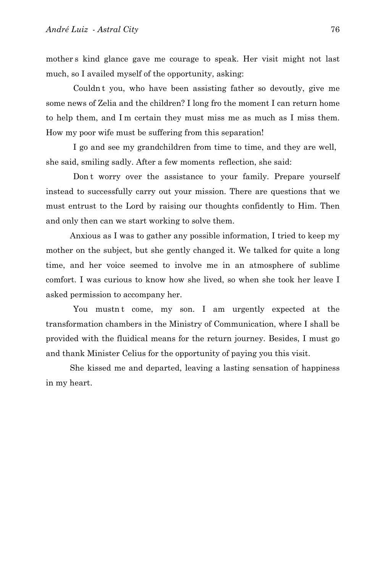mother's kind glance gave me courage to speak. Her visit might not last much, so I availed myself of the opportunity, asking:

Couldn't you, who have been assisting father so devoutly, give me some news of Zelia and the children? I long fro the moment I can return home to help them, and I'm certain they must miss me as much as I miss them. How my poor wife must be suffering from this separation!

I go and see my grandchildren from time to time, and they are well, she said, smiling sadly. After a few moments reflection, she said:

Don't worry over the assistance to your family. Prepare yourself instead to successfully carry out your mission. There are questions that we must entrust to the Lord by raising our thoughts confidently to Him. Then and only then can we start working to solve them.

Anxious as I was to gather any possible information, I tried to keep my mother on the subject, but she gently changed it. We talked for quite a long time, and her voice seemed to involve me in an atmosphere of sublime comfort. I was curious to know how she lived, so when she took her leave I asked permission to accompany her.

You mustn't come, my son. I am urgently expected at the transformation chambers in the Ministry of Communication, where I shall be provided with the fluidical means for the return journey. Besides, I must go and thank Minister Celius for the opportunity of paying you this visit.

She kissed me and departed, leaving a lasting sensation of happiness in my heart.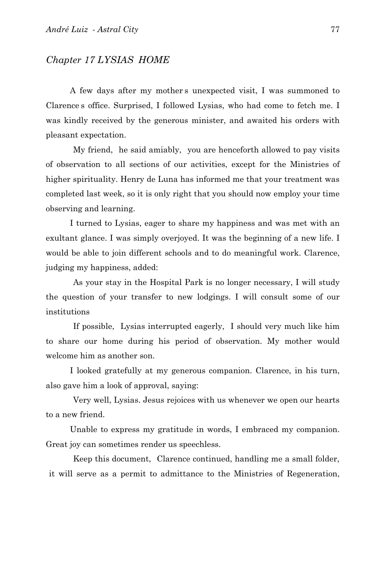# *Chapter 17 LYSIAS' HOME*

A few days after my mother's unexpected visit, I was summoned to Clarence's office. Surprised, I followed Lysias, who had come to fetch me. I was kindly received by the generous minister, and awaited his orders with pleasant expectation.

My friend, he said amiably, you are henceforth allowed to pay visits of observation to all sections of our activities, except for the Ministries of higher spirituality. Henry de Luna has informed me that your treatment was completed last week, so it is only right that you should now employ your time observing and learning.

I turned to Lysias, eager to share my happiness and was met with an exultant glance. I was simply overjoyed. It was the beginning of a new life. I would be able to join different schools and to do meaningful work. Clarence, judging my happiness, added:

As your stay in the Hospital Park is no longer necessary, I will study the question of your transfer to new lodgings. I will consult some of our institutions…"

If possible, Lysias interrupted eagerly, I should very much like him to share our home during his period of observation. My mother would welcome him as another son.

I looked gratefully at my generous companion. Clarence, in his turn, also gave him a look of approval, saying:

"Very well, Lysias. Jesus rejoices with us whenever we open our hearts to a new friend."

Unable to express my gratitude in words, I embraced my companion. Great joy can sometimes render us speechless.

Keep this document, Clarence continued, handling me a small folder, it will serve as a permit to admittance to the Ministries of Regeneration,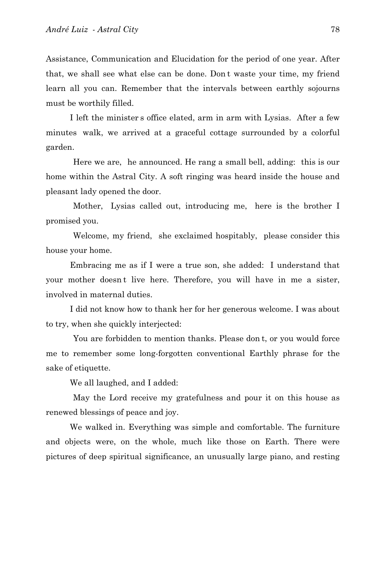Assistance, Communication and Elucidation for the period of one year. After that, we shall see what else can be done. Don't waste your time, my friend learn all you can. Remember that the intervals between earthly sojourns must be worthily filled.

I left the minister's office elated, arm in arm with Lysias. After a few minutes walk, we arrived at a graceful cottage surrounded by a colorful garden.

Here we are, he announced. He rang a small bell, adding: this is our home within the Astral City. A soft ringing was heard inside the house and pleasant lady opened the door.

Mother, Lysias called out, introducing me, here is the brother I promised you.

Welcome, my friend, she exclaimed hospitably, please consider this house your home.

Embracing me as if I were a true son, she added: I understand that your mother doesn't live here. Therefore, you will have in me a sister, involved in maternal duties.

I did not know how to thank her for her generous welcome. I was about to try, when she quickly interjected:

You are forbidden to mention thanks. Please don t, or you would force me to remember some long-forgotten conventional Earthly phrase for the sake of etiquette.

We all laughed, and I added:

May the Lord receive my gratefulness and pour it on this house as renewed blessings of peace and joy.

We walked in. Everything was simple and comfortable. The furniture and objects were, on the whole, much like those on Earth. There were pictures of deep spiritual significance, an unusually large piano, and resting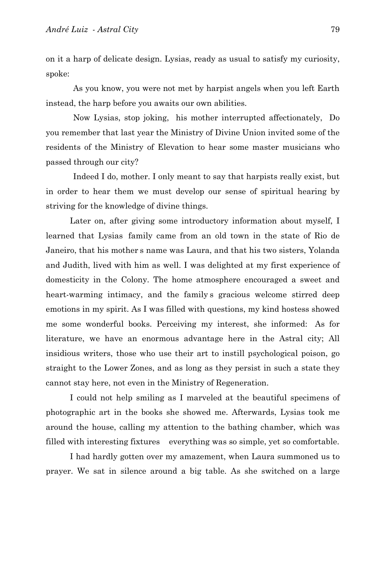on it a harp of delicate design. Lysias, ready as usual to satisfy my curiosity, spoke:

As you know, you were not met by harpist angels when you left Earth instead, the harp before you awaits our own abilities.

Now Lysias, stop joking, his mother interrupted affectionately, Do you remember that last year the Ministry of Divine Union invited some of the residents of the Ministry of Elevation to hear some master musicians who passed through our city?

Indeed I do, mother. I only meant to say that harpists really exist, but in order to hear them we must develop our sense of spiritual hearing by striving for the knowledge of divine things.

Later on, after giving some introductory information about myself, I learned that Lysias' family came from an old town in the state of Rio de Janeiro, that his mother's name was Laura, and that his two sisters, Yolanda and Judith, lived with him as well. I was delighted at my first experience of domesticity in the Colony. The home atmosphere encouraged a sweet and heart-warming intimacy, and the family's gracious welcome stirred deep emotions in my spirit. As I was filled with questions, my kind hostess showed me some wonderful books. Perceiving my interest, she informed: As for literature, we have an enormous advantage here in the Astral city; All insidious writers, those who use their art to instill psychological poison, go straight to the Lower Zones, and as long as they persist in such a state they cannot stay here, not even in the Ministry of Regeneration.

I could not help smiling as I marveled at the beautiful specimens of photographic art in the books she showed me. Afterwards, Lysias took me around the house, calling my attention to the bathing chamber, which was filled with interesting fixtures everything was so simple, yet so comfortable.

I had hardly gotten over my amazement, when Laura summoned us to prayer. We sat in silence around a big table. As she switched on a large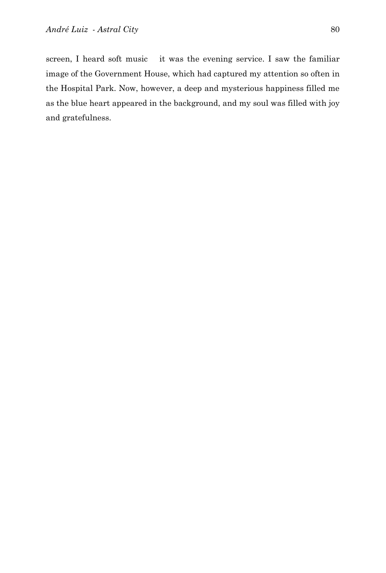screen, I heard soft music it was the evening service. I saw the familiar image of the Government House, which had captured my attention so often in the Hospital Park. Now, however, a deep and mysterious happiness filled me as the blue heart appeared in the background, and my soul was filled with joy and gratefulness.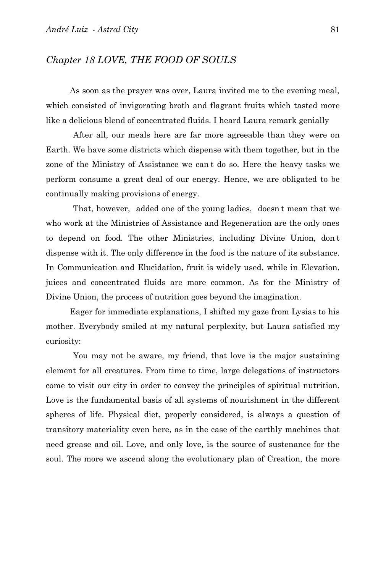# *Chapter 18 LOVE, THE FOOD OF SOULS*

As soon as the prayer was over, Laura invited me to the evening meal, which consisted of invigorating broth and flagrant fruits which tasted more like a delicious blend of concentrated fluids. I heard Laura remark genially"

After all, our meals here are far more agreeable than they were on Earth. We have some districts which dispense with them together, but in the zone of the Ministry of Assistance we can't do so. Here the heavy tasks we perform consume a great deal of our energy. Hence, we are obligated to be continually making provisions of energy.

That, however, added one of the young ladies, doesn't mean that we who work at the Ministries of Assistance and Regeneration are the only ones to depend on food. The other Ministries, including Divine Union, don't dispense with it. The only difference in the food is the nature of its substance. In Communication and Elucidation, fruit is widely used, while in Elevation, juices and concentrated fluids are more common. As for the Ministry of Divine Union, the process of nutrition goes beyond the imagination.

Eager for immediate explanations, I shifted my gaze from Lysias to his mother. Everybody smiled at my natural perplexity, but Laura satisfied my curiosity:

You may not be aware, my friend, that love is the major sustaining element for all creatures. From time to time, large delegations of instructors come to visit our city in order to convey the principles of spiritual nutrition. Love is the fundamental basis of all systems of nourishment in the different spheres of life. Physical diet, properly considered, is always a question of transitory materiality even here, as in the case of the earthly machines that need grease and oil. Love, and only love, is the source of sustenance for the soul. The more we ascend along the evolutionary plan of Creation, the more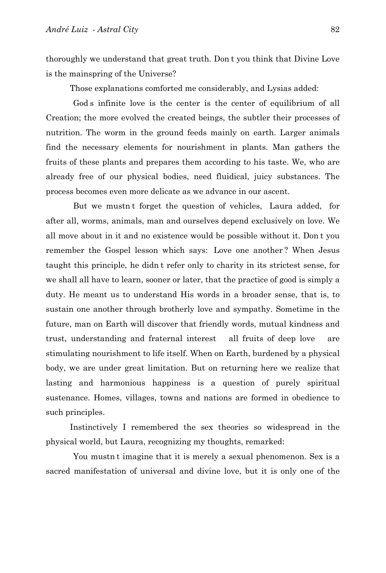thoroughly we understand that great truth. Don't you think that Divine Love is the mainspring of the Universe?

Those explanations comforted me considerably, and Lysias added:

God's infinite love is the center is the center of equilibrium of all Creation; the more evolved the created beings, the subtler their processes of nutrition. The worm in the ground feeds mainly on earth. Larger animals find the necessary elements for nourishment in plants. Man gathers the fruits of these plants and prepares them according to his taste. We, who are already free of our physical bodies, need fluidical, juicy substances. The process becomes even more delicate as we advance in our ascent."

But we mustn't forget the question of vehicles, Laura added, for after all, worms, animals, man and ourselves depend exclusively on love. We all move about in it and no existence would be possible without it. Don't you remember the Gospel lesson which says: Love one another? When Jesus taught this principle, he didn't refer only to charity in its strictest sense, for we shall all have to learn, sooner or later, that the practice of good is simply a duty. He meant us to understand His words in a broader sense, that is, to sustain one another through brotherly love and sympathy. Sometime in the future, man on Earth will discover that friendly words, mutual kindness and trust, understanding and fraternal interest all fruits of deep love are stimulating nourishment to life itself. When on Earth, burdened by a physical body, we are under great limitation. But on returning here we realize that lasting and harmonious happiness is a question of purely spiritual sustenance. Homes, villages, towns and nations are formed in obedience to such principles.

Instinctively I remembered the sex theories so widespread in the physical world, but Laura, recognizing my thoughts, remarked:

You mustn't imagine that it is merely a sexual phenomenon. Sex is a sacred manifestation of universal and divine love, but it is only one of the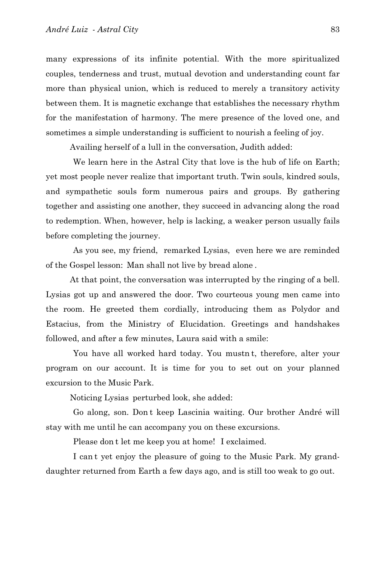many expressions of its infinite potential. With the more spiritualized couples, tenderness and trust, mutual devotion and understanding count far more than physical union, which is reduced to merely a transitory activity between them. It is magnetic exchange that establishes the necessary rhythm for the manifestation of harmony. The mere presence of the loved one, and sometimes a simple understanding is sufficient to nourish a feeling of joy.

Availing herself of a lull in the conversation, Judith added:

We learn here in the Astral City that love is the hub of life on Earth; yet most people never realize that important truth. Twin souls, kindred souls, and sympathetic souls form numerous pairs and groups. By gathering together and assisting one another, they succeed in advancing along the road to redemption. When, however, help is lacking, a weaker person usually fails before completing the journey.

As you see, my friend, remarked Lysias, even here we are reminded of the Gospel lesson: Man shall not live by bread alone.

At that point, the conversation was interrupted by the ringing of a bell. Lysias got up and answered the door. Two courteous young men came into the room. He greeted them cordially, introducing them as Polydor and Estacius, from the Ministry of Elucidation. Greetings and handshakes followed, and after a few minutes, Laura said with a smile:

You have all worked hard today. You mustn't, therefore, alter your program on our account. It is time for you to set out on your planned excursion to the Music Park."

Noticing Lysias perturbed look, she added:

"Go along, son. Don't keep Lascinia waiting. Our brother André will stay with me until he can accompany you on these excursions."

Please don't let me keep you at home! I exclaimed.

I can't yet enjoy the pleasure of going to the Music Park. My granddaughter returned from Earth a few days ago, and is still too weak to go out."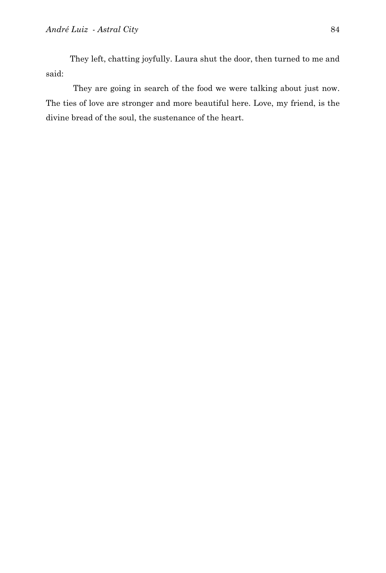They left, chatting joyfully. Laura shut the door, then turned to me and said:

They are going in search of the food we were talking about just now. The ties of love are stronger and more beautiful here. Love, my friend, is the divine bread of the soul, the sustenance of the heart.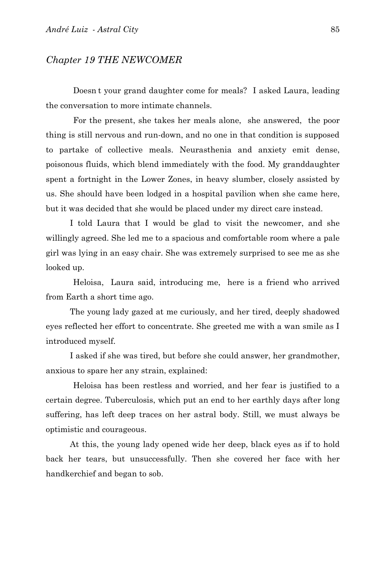#### *Chapter 19 THE NEWCOMER*

Doesn't your grand daughter come for meals? I asked Laura, leading the conversation to more intimate channels.

For the present, she takes her meals alone, she answered, the poor thing is still nervous and run-down, and no one in that condition is supposed to partake of collective meals. Neurasthenia and anxiety emit dense, poisonous fluids, which blend immediately with the food. My granddaughter spent a fortnight in the Lower Zones, in heavy slumber, closely assisted by us. She should have been lodged in a hospital pavilion when she came here, but it was decided that she would be placed under my direct care instead.

I told Laura that I would be glad to visit the newcomer, and she willingly agreed. She led me to a spacious and comfortable room where a pale girl was lying in an easy chair. She was extremely surprised to see me as she looked up.

Heloisa, Laura said, introducing me, here is a friend who arrived from Earth a short time ago."

The young lady gazed at me curiously, and her tired, deeply shadowed eyes reflected her effort to concentrate. She greeted me with a wan smile as I introduced myself.

I asked if she was tired, but before she could answer, her grandmother, anxious to spare her any strain, explained:

"Heloisa has been restless and worried, and her fear is justified to a certain degree. Tuberculosis, which put an end to her earthly days after long suffering, has left deep traces on her astral body. Still, we must always be optimistic and courageous."

At this, the young lady opened wide her deep, black eyes as if to hold back her tears, but unsuccessfully. Then she covered her face with her handkerchief and began to sob.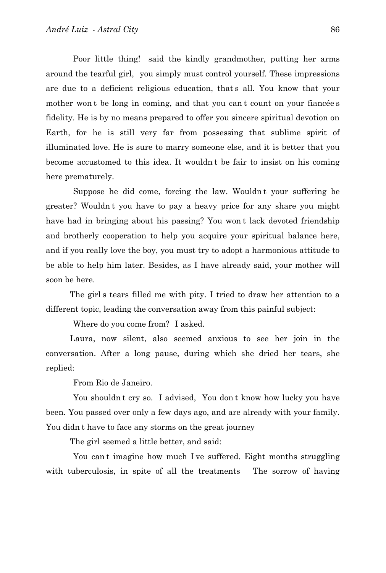"Poor little thing!" said the kindly grandmother, putting her arms around the tearful girl, you simply must control yourself. These impressions are due to a deficient religious education, that s all. You know that your mother won't be long in coming, and that you can't count on your fiancée's fidelity. He is by no means prepared to offer you sincere spiritual devotion on Earth, for he is still very far from possessing that sublime spirit of illuminated love. He is sure to marry someone else, and it is better that you become accustomed to this idea. It wouldn't be fair to insist on his coming here prematurely.

Suppose he did come, forcing the law. Wouldn't your suffering be greater? Wouldn't you have to pay a heavy price for any share you might have had in bringing about his passing? You wont lack devoted friendship and brotherly cooperation to help you acquire your spiritual balance here, and if you really love the boy, you must try to adopt a harmonious attitude to be able to help him later. Besides, as I have already said, your mother will soon be here.

The girls tears filled me with pity. I tried to draw her attention to a different topic, leading the conversation away from this painful subject:

Where do you come from? I asked.

Laura, now silent, also seemed anxious to see her join in the conversation. After a long pause, during which she dried her tears, she replied:

From Rio de Janeiro.

You shouldn't cry so. I advised, You don't know how lucky you have been. You passed over only a few days ago, and are already with your family. You didn't have to face any storms on the great journey

The girl seemed a little better, and said:

You can't imagine how much I ve suffered. Eight months struggling with tuberculosis, in spite of all the treatments — The sorrow of having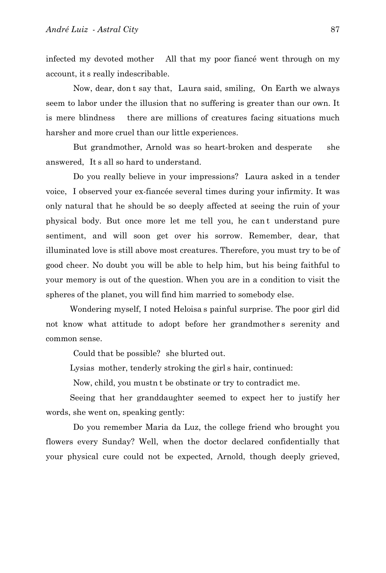infected my devoted mother… All that my poor fiancé went through on my account, it s really indescribable.

Now, dear, dont say that, Laura said, smiling, On Earth we always seem to labor under the illusion that no suffering is greater than our own. It is mere blindness there are millions of creatures facing situations much harsher and more cruel than our little experiences.

But grandmother, Arnold was so heart-broken and desperate she answered. It s all so hard to understand.

Do you really believe in your impressions? Laura asked in a tender voice, "I observed your ex-fiancée several times during your infirmity. It was only natural that he should be so deeply affected at seeing the ruin of your physical body. But once more let me tell you, he can't understand pure sentiment, and will soon get over his sorrow. Remember, dear, that illuminated love is still above most creatures. Therefore, you must try to be of good cheer. No doubt you will be able to help him, but his being faithful to your memory is out of the question. When you are in a condition to visit the spheres of the planet, you will find him married to somebody else.

Wondering myself, I noted Heloisa's painful surprise. The poor girl did not know what attitude to adopt before her grandmother's serenity and common sense.

Could that be possible? she blurted out.

Lysias mother, tenderly stroking the girl s hair, continued:

Now, child, you mustn't be obstinate or try to contradict me.

Seeing that her granddaughter seemed to expect her to justify her words, she went on, speaking gently:

"Do you remember Maria da Luz, the college friend who brought you flowers every Sunday? Well, when the doctor declared confidentially that your physical cure could not be expected, Arnold, though deeply grieved,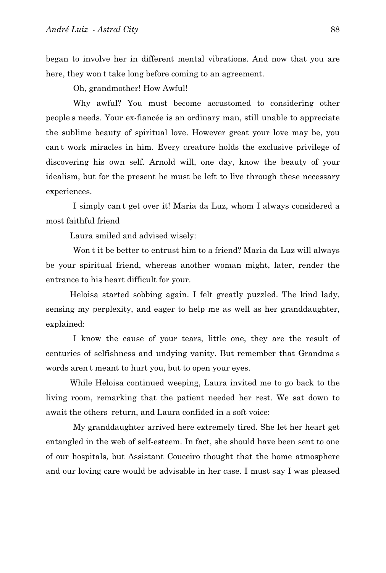began to involve her in different mental vibrations. And now that you are here, they won't take long before coming to an agreement.

Oh, grandmother! How Awful!

"Why awful? You must become accustomed to considering other people's needs. Your ex-fiancée is an ordinary man, still unable to appreciate the sublime beauty of spiritual love. However great your love may be, you can't work miracles in him. Every creature holds the exclusive privilege of discovering his own self. Arnold will, one day, know the beauty of your idealism, but for the present he must be left to live through these necessary experiences.

I simply can't get over it! Maria da Luz, whom I always considered a most faithful friend…"

Laura smiled and advised wisely:

Won't it be better to entrust him to a friend? Maria da Luz will always be your spiritual friend, whereas another woman might, later, render the entrance to his heart difficult for your.

Heloisa started sobbing again. I felt greatly puzzled. The kind lady, sensing my perplexity, and eager to help me as well as her granddaughter, explained:

I know the cause of your tears, little one, they are the result of centuries of selfishness and undying vanity. But remember that Grandma's words aren't meant to hurt you, but to open your eyes.

While Heloisa continued weeping, Laura invited me to go back to the living room, remarking that the patient needed her rest. We sat down to await the others return, and Laura confided in a soft voice:

"My granddaughter arrived here extremely tired. She let her heart get entangled in the web of self-esteem. In fact, she should have been sent to one of our hospitals, but Assistant Couceiro thought that the home atmosphere and our loving care would be advisable in her case. I must say I was pleased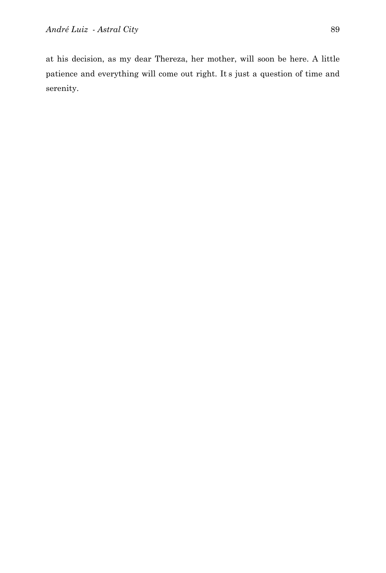at his decision, as my dear Thereza, her mother, will soon be here. A little patience and everything will come out right. It s just a question of time and serenity.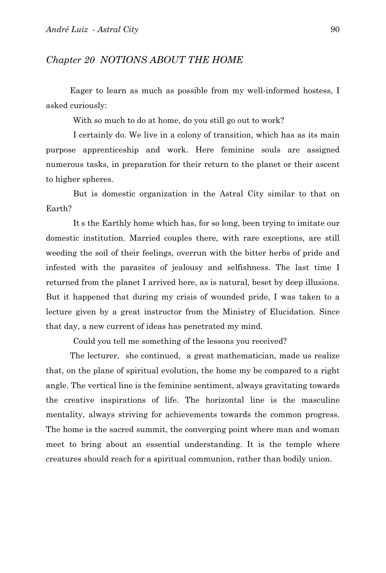### *Chapter 20 NOTIONS ABOUT THE HOME*

Eager to learn as much as possible from my well-informed hostess, I asked curiously:

With so much to do at home, do you still go out to work?

I certainly do. We live in a colony of transition, which has as its main purpose apprenticeship and work. Here feminine souls are assigned numerous tasks, in preparation for their return to the planet or their ascent to higher spheres."

But is domestic organization in the Astral City similar to that on Earth?

It's the Earthly home which has, for so long, been trying to imitate our domestic institution. Married couples there, with rare exceptions, are still weeding the soil of their feelings, overrun with the bitter herbs of pride and infested with the parasites of jealousy and selfishness. The last time I returned from the planet I arrived here, as is natural, beset by deep illusions. But it happened that during my crisis of wounded pride, I was taken to a lecture given by a great instructor from the Ministry of Elucidation. Since that day, a new current of ideas has penetrated my mind."

Could you tell me something of the lessons you received?

The lecturer, she continued, a great mathematician, made us realize that, on the plane of spiritual evolution, the home my be compared to a right angle. The vertical line is the feminine sentiment, always gravitating towards the creative inspirations of life. The horizontal line is the masculine mentality, always striving for achievements towards the common progress. The home is the sacred summit, the converging point where man and woman meet to bring about an essential understanding. It is the temple where creatures should reach for a spiritual communion, rather than bodily union.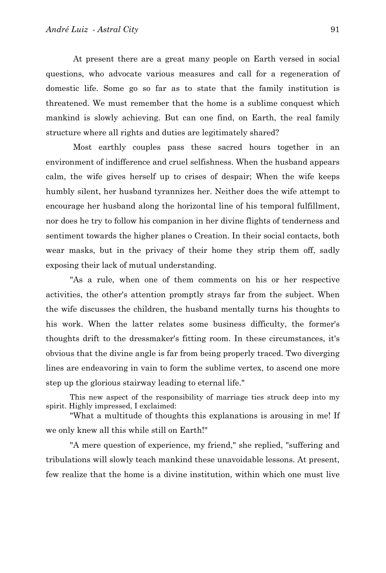At present there are a great many people on Earth versed in social questions, who advocate various measures and call for a regeneration of domestic life. Some go so far as to state that the family institution is threatened. We must remember that the home is a sublime conquest which mankind is slowly achieving. But can one find, on Earth, the real family structure where all rights and duties are legitimately shared?

"Most earthly couples pass these sacred hours together in an environment of indifference and cruel selfishness. When the husband appears calm, the wife gives herself up to crises of despair; When the wife keeps humbly silent, her husband tyrannizes her. Neither does the wife attempt to encourage her husband along the horizontal line of his temporal fulfillment, nor does he try to follow his companion in her divine flights of tenderness and sentiment towards the higher planes o Creation. In their social contacts, both wear masks, but in the privacy of their home they strip them off, sadly exposing their lack of mutual understanding.

"As a rule, when one of them comments on his or her respective activities, the other's attention promptly strays far from the subject. When the wife discusses the children, the husband mentally turns his thoughts to his work. When the latter relates some business difficulty, the former's thoughts drift to the dressmaker's fitting room. In these circumstances, it's obvious that the divine angle is far from being properly traced. Two diverging lines are endeavoring in vain to form the sublime vertex, to ascend one more step up the glorious stairway leading to eternal life."

This new aspect of the responsibility of marriage ties struck deep into my spirit. Highly impressed, I exclaimed:

"What a multitude of thoughts this explanations is arousing in me! If we only knew all this while still on Earth!"

"A mere question of experience, my friend," she replied, "suffering and tribulations will slowly teach mankind these unavoidable lessons. At present, few realize that the home is a divine institution, within which one must live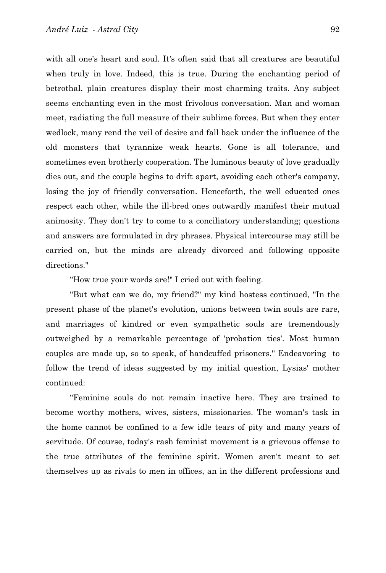with all one's heart and soul. It's often said that all creatures are beautiful when truly in love. Indeed, this is true. During the enchanting period of betrothal, plain creatures display their most charming traits. Any subject seems enchanting even in the most frivolous conversation. Man and woman meet, radiating the full measure of their sublime forces. But when they enter wedlock, many rend the veil of desire and fall back under the influence of the old monsters that tyrannize weak hearts. Gone is all tolerance, and sometimes even brotherly cooperation. The luminous beauty of love gradually dies out, and the couple begins to drift apart, avoiding each other's company, losing the joy of friendly conversation. Henceforth, the well educated ones respect each other, while the ill-bred ones outwardly manifest their mutual animosity. They don't try to come to a conciliatory understanding; questions and answers are formulated in dry phrases. Physical intercourse may still be carried on, but the minds are already divorced and following opposite directions."

"How true your words are!" I cried out with feeling.

"But what can we do, my friend?" my kind hostess continued, "In the present phase of the planet's evolution, unions between twin souls are rare, and marriages of kindred or even sympathetic souls are tremendously outweighed by a remarkable percentage of 'probation ties'. Most human couples are made up, so to speak, of handcuffed prisoners." Endeavoring to follow the trend of ideas suggested by my initial question, Lysias' mother continued:

"Feminine souls do not remain inactive here. They are trained to become worthy mothers, wives, sisters, missionaries. The woman's task in the home cannot be confined to a few idle tears of pity and many years of servitude. Of course, today's rash feminist movement is a grievous offense to the true attributes of the feminine spirit. Women aren't meant to set themselves up as rivals to men in offices, an in the different professions and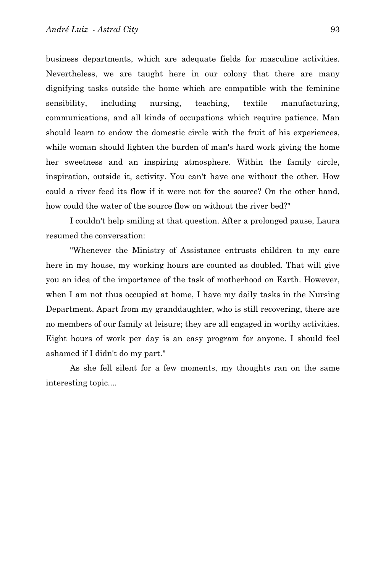business departments, which are adequate fields for masculine activities. Nevertheless, we are taught here in our colony that there are many dignifying tasks outside the home which are compatible with the feminine sensibility, including nursing, teaching, textile manufacturing, communications, and all kinds of occupations which require patience. Man should learn to endow the domestic circle with the fruit of his experiences, while woman should lighten the burden of man's hard work giving the home her sweetness and an inspiring atmosphere. Within the family circle, inspiration, outside it, activity. You can't have one without the other. How could a river feed its flow if it were not for the source? On the other hand, how could the water of the source flow on without the river bed?"

I couldn't help smiling at that question. After a prolonged pause, Laura resumed the conversation:

"Whenever the Ministry of Assistance entrusts children to my care here in my house, my working hours are counted as doubled. That will give you an idea of the importance of the task of motherhood on Earth. However, when I am not thus occupied at home, I have my daily tasks in the Nursing Department. Apart from my granddaughter, who is still recovering, there are no members of our family at leisure; they are all engaged in worthy activities. Eight hours of work per day is an easy program for anyone. I should feel ashamed if I didn't do my part."

As she fell silent for a few moments, my thoughts ran on the same interesting topic....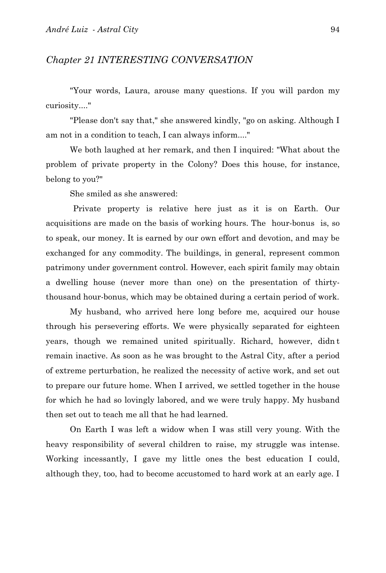#### *Chapter 21 INTERESTING CONVERSATION*

"Your words, Laura, arouse many questions. If you will pardon my curiosity...."

"Please don't say that," she answered kindly, "go on asking. Although I am not in a condition to teach, I can always inform...."

We both laughed at her remark, and then I inquired: "What about the problem of private property in the Colony? Does this house, for instance, belong to you?"

She smiled as she answered:

Private property is relative here just as it is on Earth. Our acquisitions are made on the basis of working hours. The "hour-bonus" is, so to speak, our money. It is earned by our own effort and devotion, and may be exchanged for any commodity. The buildings, in general, represent common patrimony under government control. However, each spirit family may obtain a dwelling house (never more than one) on the presentation of thirtythousand hour-bonus, which may be obtained during a certain period of work.

My husband, who arrived here long before me, acquired our house through his persevering efforts. We were physically separated for eighteen years, though we remained united spiritually. Richard, however, didn't remain inactive. As soon as he was brought to the Astral City, after a period of extreme perturbation, he realized the necessity of active work, and set out to prepare our future home. When I arrived, we settled together in the house for which he had so lovingly labored, and we were truly happy. My husband then set out to teach me all that he had learned.

On Earth I was left a widow when I was still very young. With the heavy responsibility of several children to raise, my struggle was intense. Working incessantly, I gave my little ones the best education I could, although they, too, had to become accustomed to hard work at an early age. I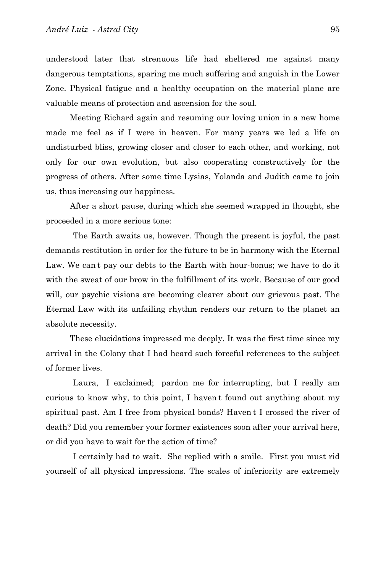understood later that strenuous life had sheltered me against many dangerous temptations, sparing me much suffering and anguish in the Lower Zone. Physical fatigue and a healthy occupation on the material plane are valuable means of protection and ascension for the soul.

Meeting Richard again and resuming our loving union in a new home made me feel as if I were in heaven. For many years we led a life on undisturbed bliss, growing closer and closer to each other, and working, not only for our own evolution, but also cooperating constructively for the progress of others. After some time Lysias, Yolanda and Judith came to join us, thus increasing our happiness."

After a short pause, during which she seemed wrapped in thought, she proceeded in a more serious tone:

The Earth awaits us, however. Though the present is joyful, the past demands restitution in order for the future to be in harmony with the Eternal Law. We can't pay our debts to the Earth with hour-bonus; we have to do it with the sweat of our brow in the fulfillment of its work. Because of our good will, our psychic visions are becoming clearer about our grievous past. The Eternal Law with its unfailing rhythm renders our return to the planet an absolute necessity.

These elucidations impressed me deeply. It was the first time since my arrival in the Colony that I had heard such forceful references to the subject of former lives.

Laura, I exclaimed; pardon me for interrupting, but I really am curious to know why, to this point, I haven't found out anything about my spiritual past. Am I free from physical bonds? Haven t I crossed the river of death? Did you remember your former existences soon after your arrival here, or did you have to wait for the action of time?

I certainly had to wait. She replied with a smile. First you must rid yourself of all physical impressions. The scales of inferiority are extremely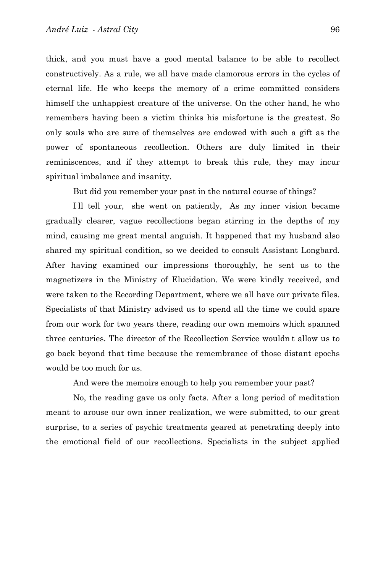thick, and you must have a good mental balance to be able to recollect constructively. As a rule, we all have made clamorous errors in the cycles of eternal life. He who keeps the memory of a crime committed considers himself the unhappiest creature of the universe. On the other hand, he who remembers having been a victim thinks his misfortune is the greatest. So only souls who are sure of themselves are endowed with such a gift as the power of spontaneous recollection. Others are duly limited in their reminiscences, and if they attempt to break this rule, they may incur spiritual imbalance and insanity.

But did you remember your past in the natural course of things?

I'll tell your, she went on patiently, As my inner vision became gradually clearer, vague recollections began stirring in the depths of my mind, causing me great mental anguish. It happened that my husband also shared my spiritual condition, so we decided to consult Assistant Longbard. After having examined our impressions thoroughly, he sent us to the magnetizers in the Ministry of Elucidation. We were kindly received, and were taken to the Recording Department, where we all have our private files. Specialists of that Ministry advised us to spend all the time we could spare from our work for two years there, reading our own memoirs which spanned three centuries. The director of the Recollection Service wouldn't allow us to go back beyond that time because the remembrance of those distant epochs would be too much for us.

And were the memoirs enough to help you remember your past?

"No, the reading gave us only facts. After a long period of meditation meant to arouse our own inner realization, we were submitted, to our great surprise, to a series of psychic treatments geared at penetrating deeply into the emotional field of our recollections. Specialists in the subject applied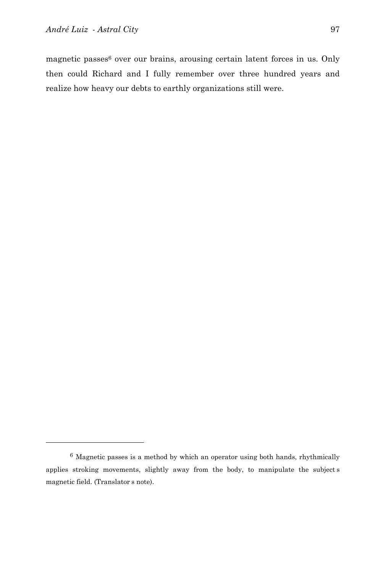1

magnetic passes<sup>6</sup> over our brains, arousing certain latent forces in us. Only then could Richard and I fully remember over three hundred years and realize how heavy our debts to earthly organizations still were.

<sup>6</sup> Magnetic passes is a method by which an operator using both hands, rhythmically applies stroking movements, slightly away from the body, to manipulate the subjects magnetic field. (Translator's note).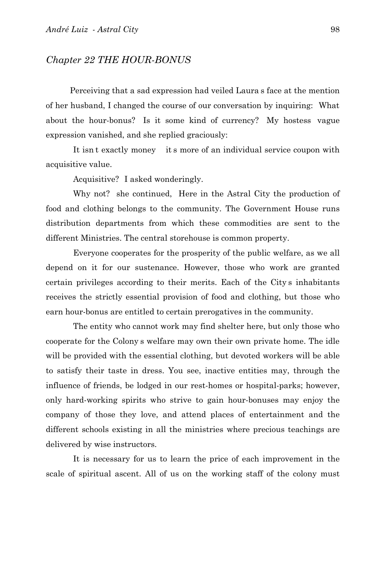#### *Chapter 22 THE HOUR-BONUS*

Perceiving that a sad expression had veiled Laura's face at the mention of her husband, I changed the course of our conversation by inquiring: "What about the hour-bonus? Is it some kind of currency? My hostess vague expression vanished, and she replied graciously:

It isn't exactly money it's more of an individual service coupon with acquisitive value.

Acquisitive? I asked wonderingly.

Why not? she continued, Here in the Astral City the production of food and clothing belongs to the community. The Government House runs distribution departments from which these commodities are sent to the different Ministries. The central storehouse is common property.

Everyone cooperates for the prosperity of the public welfare, as we all depend on it for our sustenance. However, those who work are granted certain privileges according to their merits. Each of the City's inhabitants receives the strictly essential provision of food and clothing, but those who earn hour-bonus are entitled to certain prerogatives in the community.

The entity who cannot work may find shelter here, but only those who cooperate for the Colony's welfare may own their own private home. The idle will be provided with the essential clothing, but devoted workers will be able to satisfy their taste in dress. You see, inactive entities may, through the influence of friends, be lodged in our rest-homes or hospital-parks; however, only hard-working spirits who strive to gain hour-bonuses may enjoy the company of those they love, and attend places of entertainment and the different schools existing in all the ministries where precious teachings are delivered by wise instructors.

It is necessary for us to learn the price of each improvement in the scale of spiritual ascent. All of us on the working staff of the colony must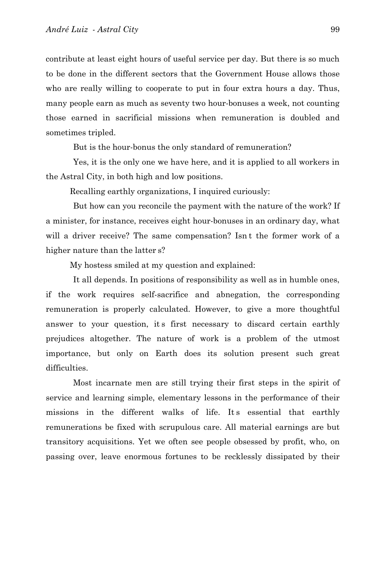contribute at least eight hours of useful service per day. But there is so much to be done in the different sectors that the Government House allows those who are really willing to cooperate to put in four extra hours a day. Thus, many people earn as much as seventy two hour-bonuses a week, not counting those earned in sacrificial missions when remuneration is doubled and sometimes tripled.

But is the hour-bonus the only standard of remuneration?

Yes, it is the only one we have here, and it is applied to all workers in the Astral City, in both high and low positions."

Recalling earthly organizations, I inquired curiously:

But how can you reconcile the payment with the nature of the work? If a minister, for instance, receives eight hour-bonuses in an ordinary day, what will a driver receive? The same compensation? Isn't the former work of a higher nature than the latter's?

My hostess smiled at my question and explained:

It all depends. In positions of responsibility as well as in humble ones, if the work requires self-sacrifice and abnegation, the corresponding remuneration is properly calculated. However, to give a more thoughtful answer to your question, it's first necessary to discard certain earthly prejudices altogether. The nature of work is a problem of the utmost importance, but only on Earth does its solution present such great difficulties.

"Most incarnate men are still trying their first steps in the spirit of service and learning simple, elementary lessons in the performance of their missions in the different walks of life. It is essential that earthly remunerations be fixed with scrupulous care. All material earnings are but transitory acquisitions. Yet we often see people obsessed by profit, who, on passing over, leave enormous fortunes to be recklessly dissipated by their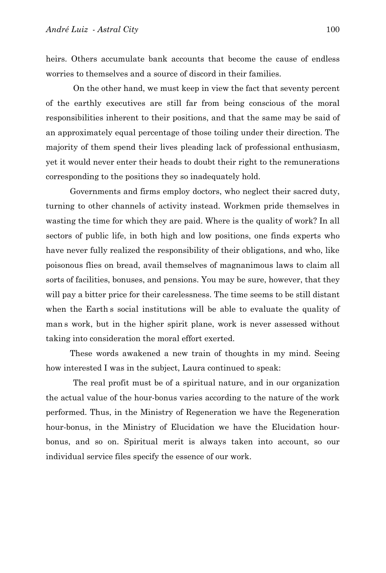heirs. Others accumulate bank accounts that become the cause of endless worries to themselves and a source of discord in their families.

"On the other hand, we must keep in view the fact that seventy percent of the earthly executives are still far from being conscious of the moral responsibilities inherent to their positions, and that the same may be said of an approximately equal percentage of those toiling under their direction. The majority of them spend their lives pleading lack of professional enthusiasm, yet it would never enter their heads to doubt their right to the remunerations corresponding to the positions they so inadequately hold."

Governments and firms employ doctors, who neglect their sacred duty, turning to other channels of activity instead. Workmen pride themselves in wasting the time for which they are paid. Where is the quality of work? In all sectors of public life, in both high and low positions, one finds experts who have never fully realized the responsibility of their obligations, and who, like poisonous flies on bread, avail themselves of magnanimous laws to claim all sorts of facilities, bonuses, and pensions. You may be sure, however, that they will pay a bitter price for their carelessness. The time seems to be still distant when the Earth's social institutions will be able to evaluate the quality of man's work, but in the higher spirit plane, work is never assessed without taking into consideration the moral effort exerted."

These words awakened a new train of thoughts in my mind. Seeing how interested I was in the subject, Laura continued to speak:

The real profit must be of a spiritual nature, and in our organization the actual value of the hour-bonus varies according to the nature of the work performed. Thus, in the Ministry of Regeneration we have the Regeneration hour-bonus, in the Ministry of Elucidation we have the Elucidation hourbonus, and so on. Spiritual merit is always taken into account, so our individual service files specify the essence of our work.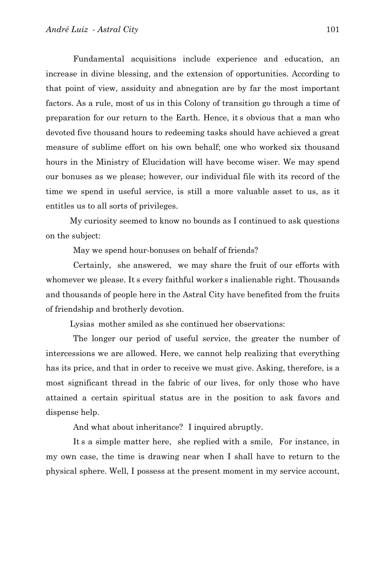Fundamental acquisitions include experience and education, an increase in divine blessing, and the extension of opportunities. According to that point of view, assiduity and abnegation are by far the most important factors. As a rule, most of us in this Colony of transition go through a time of preparation for our return to the Earth. Hence, it is obvious that a man who devoted five thousand hours to redeeming tasks should have achieved a great measure of sublime effort on his own behalf; one who worked six thousand hours in the Ministry of Elucidation will have become wiser. We may spend our bonuses as we please; however, our individual file with its record of the time we spend in useful service, is still a more valuable asset to us, as it entitles us to all sorts of privileges.

My curiosity seemed to know no bounds as I continued to ask questions on the subject:

May we spend hour-bonuses on behalf of friends?

Certainly, she answered, we may share the fruit of our efforts with whomever we please. It s every faithful worker s inalienable right. Thousands and thousands of people here in the Astral City have benefited from the fruits of friendship and brotherly devotion.

Lysias mother smiled as she continued her observations:

The longer our period of useful service, the greater the number of intercessions we are allowed. Here, we cannot help realizing that everything has its price, and that in order to receive we must give. Asking, therefore, is a most significant thread in the fabric of our lives, for only those who have attained a certain spiritual status are in the position to ask favors and dispense help.

And what about inheritance? I inquired abruptly.

It's a simple matter here, she replied with a smile, For instance, in my own case, the time is drawing near when I shall have to return to the physical sphere. Well, I possess at the present moment in my service account,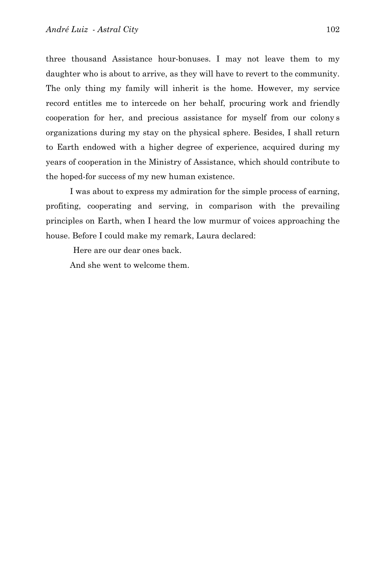three thousand Assistance hour-bonuses. I may not leave them to my daughter who is about to arrive, as they will have to revert to the community. The only thing my family will inherit is the home. However, my service record entitles me to intercede on her behalf, procuring work and friendly cooperation for her, and precious assistance for myself from our colony's organizations during my stay on the physical sphere. Besides, I shall return to Earth endowed with a higher degree of experience, acquired during my years of cooperation in the Ministry of Assistance, which should contribute to the hoped-for success of my new human existence.

I was about to express my admiration for the simple process of earning, profiting, cooperating and serving, in comparison with the prevailing principles on Earth, when I heard the low murmur of voices approaching the house. Before I could make my remark, Laura declared:

Here are our dear ones back.

And she went to welcome them.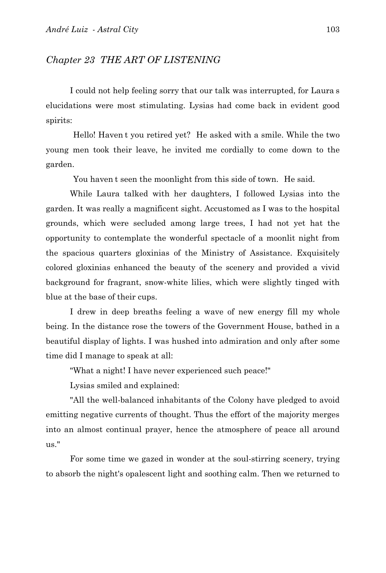# *Chapter 23 THE ART OF LISTENING*

I could not help feeling sorry that our talk was interrupted, for Laura's elucidations were most stimulating. Lysias had come back in evident good spirits:

Hello! Haven t you retired yet? He asked with a smile. While the two young men took their leave, he invited me cordially to come down to the garden.

You haven t seen the moonlight from this side of town. He said.

While Laura talked with her daughters, I followed Lysias into the garden. It was really a magnificent sight. Accustomed as I was to the hospital grounds, which were secluded among large trees, I had not yet hat the opportunity to contemplate the wonderful spectacle of a moonlit night from the spacious quarters gloxinias of the Ministry of Assistance. Exquisitely colored gloxinias enhanced the beauty of the scenery and provided a vivid background for fragrant, snow-white lilies, which were slightly tinged with blue at the base of their cups.

I drew in deep breaths feeling a wave of new energy fill my whole being. In the distance rose the towers of the Government House, bathed in a beautiful display of lights. I was hushed into admiration and only after some time did I manage to speak at all:

"What a night! I have never experienced such peace!"

Lysias smiled and explained:

"All the well-balanced inhabitants of the Colony have pledged to avoid emitting negative currents of thought. Thus the effort of the majority merges into an almost continual prayer, hence the atmosphere of peace all around us."

For some time we gazed in wonder at the soul-stirring scenery, trying to absorb the night's opalescent light and soothing calm. Then we returned to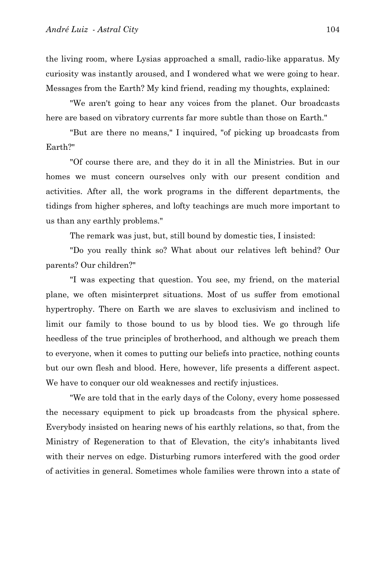the living room, where Lysias approached a small, radio-like apparatus. My curiosity was instantly aroused, and I wondered what we were going to hear. Messages from the Earth? My kind friend, reading my thoughts, explained:

"We aren't going to hear any voices from the planet. Our broadcasts here are based on vibratory currents far more subtle than those on Earth."

"But are there no means," I inquired, "of picking up broadcasts from Earth?"

"Of course there are, and they do it in all the Ministries. But in our homes we must concern ourselves only with our present condition and activities. After all, the work programs in the different departments, the tidings from higher spheres, and lofty teachings are much more important to us than any earthly problems."

The remark was just, but, still bound by domestic ties, I insisted:

"Do you really think so? What about our relatives left behind? Our parents? Our children?"

"I was expecting that question. You see, my friend, on the material plane, we often misinterpret situations. Most of us suffer from emotional hypertrophy. There on Earth we are slaves to exclusivism and inclined to limit our family to those bound to us by blood ties. We go through life heedless of the true principles of brotherhood, and although we preach them to everyone, when it comes to putting our beliefs into practice, nothing counts but our own flesh and blood. Here, however, life presents a different aspect. We have to conquer our old weaknesses and rectify injustices.

"We are told that in the early days of the Colony, every home possessed the necessary equipment to pick up broadcasts from the physical sphere. Everybody insisted on hearing news of his earthly relations, so that, from the Ministry of Regeneration to that of Elevation, the city's inhabitants lived with their nerves on edge. Disturbing rumors interfered with the good order of activities in general. Sometimes whole families were thrown into a state of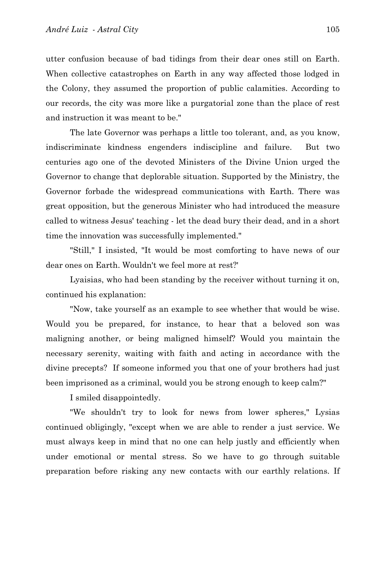utter confusion because of bad tidings from their dear ones still on Earth. When collective catastrophes on Earth in any way affected those lodged in the Colony, they assumed the proportion of public calamities. According to our records, the city was more like a purgatorial zone than the place of rest and instruction it was meant to be."

The late Governor was perhaps a little too tolerant, and, as you know, indiscriminate kindness engenders indiscipline and failure. But two centuries ago one of the devoted Ministers of the Divine Union urged the Governor to change that deplorable situation. Supported by the Ministry, the Governor forbade the widespread communications with Earth. There was great opposition, but the generous Minister who had introduced the measure called to witness Jesus' teaching - let the dead bury their dead, and in a short time the innovation was successfully implemented."

"Still," I insisted, "It would be most comforting to have news of our dear ones on Earth. Wouldn't we feel more at rest?'

Lyaisias, who had been standing by the receiver without turning it on, continued his explanation:

"Now, take yourself as an example to see whether that would be wise. Would you be prepared, for instance, to hear that a beloved son was maligning another, or being maligned himself? Would you maintain the necessary serenity, waiting with faith and acting in accordance with the divine precepts? If someone informed you that one of your brothers had just been imprisoned as a criminal, would you be strong enough to keep calm?"

I smiled disappointedly.

"We shouldn't try to look for news from lower spheres," Lysias continued obligingly, "except when we are able to render a just service. We must always keep in mind that no one can help justly and efficiently when under emotional or mental stress. So we have to go through suitable preparation before risking any new contacts with our earthly relations. If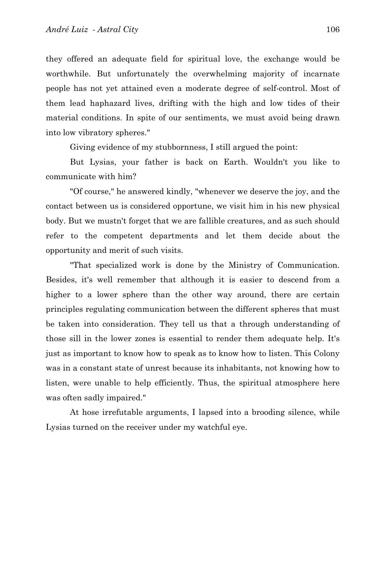they offered an adequate field for spiritual love, the exchange would be worthwhile. But unfortunately the overwhelming majority of incarnate people has not yet attained even a moderate degree of self-control. Most of them lead haphazard lives, drifting with the high and low tides of their material conditions. In spite of our sentiments, we must avoid being drawn into low vibratory spheres."

Giving evidence of my stubbornness, I still argued the point:

But Lysias, your father is back on Earth. Wouldn't you like to communicate with him?

"Of course," he answered kindly, "whenever we deserve the joy, and the contact between us is considered opportune, we visit him in his new physical body. But we mustn't forget that we are fallible creatures, and as such should refer to the competent departments and let them decide about the opportunity and merit of such visits.

"That specialized work is done by the Ministry of Communication. Besides, it's well remember that although it is easier to descend from a higher to a lower sphere than the other way around, there are certain principles regulating communication between the different spheres that must be taken into consideration. They tell us that a through understanding of those sill in the lower zones is essential to render them adequate help. It's just as important to know how to speak as to know how to listen. This Colony was in a constant state of unrest because its inhabitants, not knowing how to listen, were unable to help efficiently. Thus, the spiritual atmosphere here was often sadly impaired."

At hose irrefutable arguments, I lapsed into a brooding silence, while Lysias turned on the receiver under my watchful eye.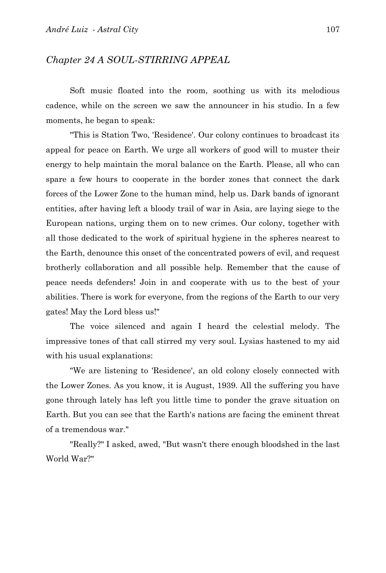### *Chapter 24 A SOUL-STIRRING APPEAL*

Soft music floated into the room, soothing us with its melodious cadence, while on the screen we saw the announcer in his studio. In a few moments, he began to speak:

"This is Station Two, 'Residence'. Our colony continues to broadcast its appeal for peace on Earth. We urge all workers of good will to muster their energy to help maintain the moral balance on the Earth. Please, all who can spare a few hours to cooperate in the border zones that connect the dark forces of the Lower Zone to the human mind, help us. Dark bands of ignorant entities, after having left a bloody trail of war in Asia, are laying siege to the European nations, urging them on to new crimes. Our colony, together with all those dedicated to the work of spiritual hygiene in the spheres nearest to the Earth, denounce this onset of the concentrated powers of evil, and request brotherly collaboration and all possible help. Remember that the cause of peace needs defenders! Join in and cooperate with us to the best of your abilities. There is work for everyone, from the regions of the Earth to our very gates! May the Lord bless us!"

The voice silenced and again I heard the celestial melody. The impressive tones of that call stirred my very soul. Lysias hastened to my aid with his usual explanations:

"We are listening to 'Residence', an old colony closely connected with the Lower Zones. As you know, it is August, 1939. All the suffering you have gone through lately has left you little time to ponder the grave situation on Earth. But you can see that the Earth's nations are facing the eminent threat of a tremendous war."

"Really?" I asked, awed, "But wasn't there enough bloodshed in the last World War?"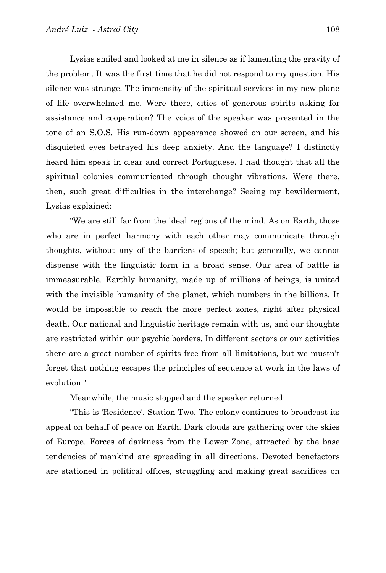Lysias smiled and looked at me in silence as if lamenting the gravity of the problem. It was the first time that he did not respond to my question. His silence was strange. The immensity of the spiritual services in my new plane of life overwhelmed me. Were there, cities of generous spirits asking for assistance and cooperation? The voice of the speaker was presented in the tone of an S.O.S. His run-down appearance showed on our screen, and his disquieted eyes betrayed his deep anxiety. And the language? I distinctly heard him speak in clear and correct Portuguese. I had thought that all the spiritual colonies communicated through thought vibrations. Were there, then, such great difficulties in the interchange? Seeing my bewilderment, Lysias explained:

"We are still far from the ideal regions of the mind. As on Earth, those who are in perfect harmony with each other may communicate through thoughts, without any of the barriers of speech; but generally, we cannot dispense with the linguistic form in a broad sense. Our area of battle is immeasurable. Earthly humanity, made up of millions of beings, is united with the invisible humanity of the planet, which numbers in the billions. It would be impossible to reach the more perfect zones, right after physical death. Our national and linguistic heritage remain with us, and our thoughts are restricted within our psychic borders. In different sectors or our activities there are a great number of spirits free from all limitations, but we mustn't forget that nothing escapes the principles of sequence at work in the laws of evolution."

Meanwhile, the music stopped and the speaker returned:

"This is 'Residence', Station Two. The colony continues to broadcast its appeal on behalf of peace on Earth. Dark clouds are gathering over the skies of Europe. Forces of darkness from the Lower Zone, attracted by the base tendencies of mankind are spreading in all directions. Devoted benefactors are stationed in political offices, struggling and making great sacrifices on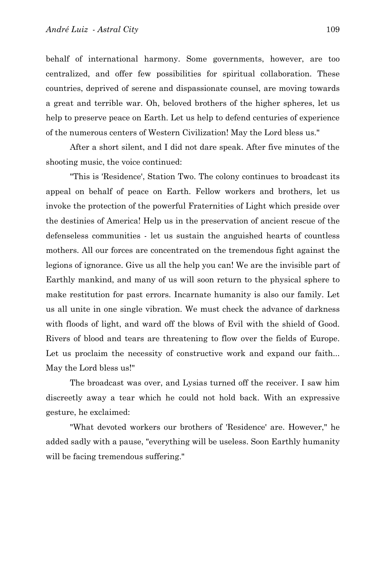behalf of international harmony. Some governments, however, are too centralized, and offer few possibilities for spiritual collaboration. These countries, deprived of serene and dispassionate counsel, are moving towards a great and terrible war. Oh, beloved brothers of the higher spheres, let us help to preserve peace on Earth. Let us help to defend centuries of experience of the numerous centers of Western Civilization! May the Lord bless us."

After a short silent, and I did not dare speak. After five minutes of the shooting music, the voice continued:

"This is 'Residence', Station Two. The colony continues to broadcast its appeal on behalf of peace on Earth. Fellow workers and brothers, let us invoke the protection of the powerful Fraternities of Light which preside over the destinies of America! Help us in the preservation of ancient rescue of the defenseless communities - let us sustain the anguished hearts of countless mothers. All our forces are concentrated on the tremendous fight against the legions of ignorance. Give us all the help you can! We are the invisible part of Earthly mankind, and many of us will soon return to the physical sphere to make restitution for past errors. Incarnate humanity is also our family. Let us all unite in one single vibration. We must check the advance of darkness with floods of light, and ward off the blows of Evil with the shield of Good. Rivers of blood and tears are threatening to flow over the fields of Europe. Let us proclaim the necessity of constructive work and expand our faith... May the Lord bless us!"

The broadcast was over, and Lysias turned off the receiver. I saw him discreetly away a tear which he could not hold back. With an expressive gesture, he exclaimed:

"What devoted workers our brothers of 'Residence' are. However," he added sadly with a pause, "everything will be useless. Soon Earthly humanity will be facing tremendous suffering."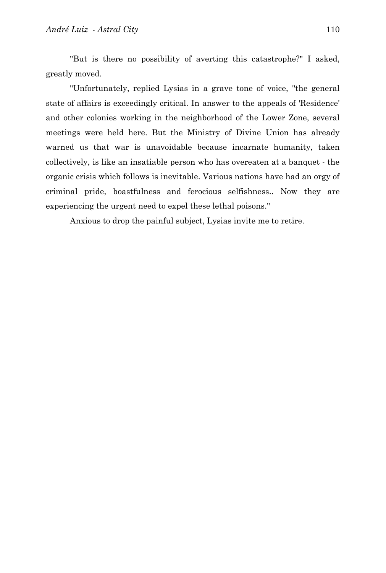"But is there no possibility of averting this catastrophe?" I asked, greatly moved.

"Unfortunately, replied Lysias in a grave tone of voice, "the general state of affairs is exceedingly critical. In answer to the appeals of 'Residence' and other colonies working in the neighborhood of the Lower Zone, several meetings were held here. But the Ministry of Divine Union has already warned us that war is unavoidable because incarnate humanity, taken collectively, is like an insatiable person who has overeaten at a banquet - the organic crisis which follows is inevitable. Various nations have had an orgy of criminal pride, boastfulness and ferocious selfishness.. Now they are experiencing the urgent need to expel these lethal poisons."

Anxious to drop the painful subject, Lysias invite me to retire.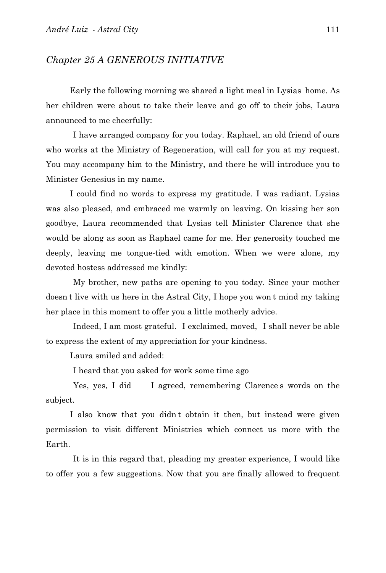# *Chapter 25 A GENEROUS INITIATIVE*

Early the following morning we shared a light meal in Lysias' home. As her children were about to take their leave and go off to their jobs, Laura announced to me cheerfully:

I have arranged company for you today. Raphael, an old friend of ours who works at the Ministry of Regeneration, will call for you at my request. You may accompany him to the Ministry, and there he will introduce you to Minister Genesius in my name."

I could find no words to express my gratitude. I was radiant. Lysias was also pleased, and embraced me warmly on leaving. On kissing her son goodbye, Laura recommended that Lysias tell Minister Clarence that she would be along as soon as Raphael came for me. Her generosity touched me deeply, leaving me tongue-tied with emotion. When we were alone, my devoted hostess addressed me kindly:

"My brother, new paths are opening to you today. Since your mother doesn't live with us here in the Astral City, I hope you won't mind my taking her place in this moment to offer you a little motherly advice.

Indeed, I am most grateful. I exclaimed, moved. I shall never be able to express the extent of my appreciation for your kindness."

Laura smiled and added:

I heard that you asked for work some time ago

Yes, yes, I did I agreed, remembering Clarence's words on the subject.

I also know that you didn't obtain it then, but instead were given permission to visit different Ministries which connect us more with the Earth.

It is in this regard that, pleading my greater experience, I would like to offer you a few suggestions. Now that you are finally allowed to frequent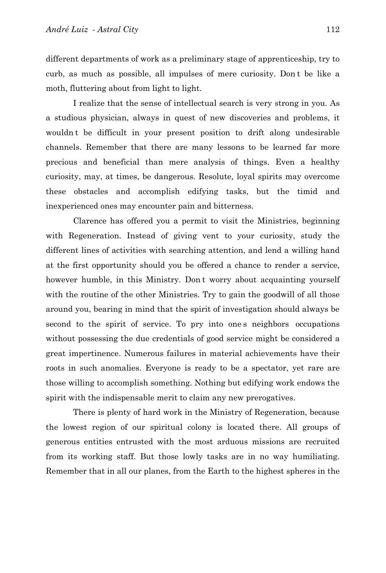different departments of work as a preliminary stage of apprenticeship, try to curb, as much as possible, all impulses of mere curiosity. Don't be like a moth, fluttering about from light to light.

I realize that the sense of intellectual search is very strong in you. As a studious physician, always in quest of new discoveries and problems, it wouldn't be difficult in your present position to drift along undesirable channels. Remember that there are many lessons to be learned far more precious and beneficial than mere analysis of things. Even a healthy curiosity, may, at times, be dangerous. Resolute, loyal spirits may overcome these obstacles and accomplish edifying tasks, but the timid and inexperienced ones may encounter pain and bitterness.

Clarence has offered you a permit to visit the Ministries, beginning with Regeneration. Instead of giving vent to your curiosity, study the different lines of activities with searching attention, and lend a willing hand at the first opportunity should you be offered a chance to render a service, however humble, in this Ministry. Don't worry about acquainting yourself with the routine of the other Ministries. Try to gain the goodwill of all those around you, bearing in mind that the spirit of investigation should always be second to the spirit of service. To pry into one's neighbors' occupations without possessing the due credentials of good service might be considered a great impertinence. Numerous failures in material achievements have their roots in such anomalies. Everyone is ready to be a spectator, yet rare are those willing to accomplish something. Nothing but edifying work endows the spirit with the indispensable merit to claim any new prerogatives.

There is plenty of hard work in the Ministry of Regeneration, because the lowest region of our spiritual colony is located there. All groups of generous entities entrusted with the most arduous missions are recruited from its working staff. But those lowly tasks are in no way humiliating. Remember that in all our planes, from the Earth to the highest spheres in the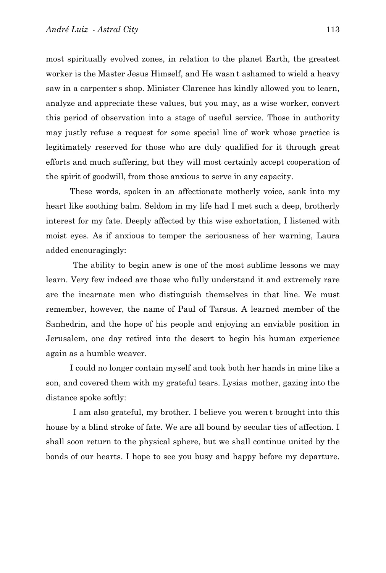most spiritually evolved zones, in relation to the planet Earth, the greatest worker is the Master Jesus Himself, and He wasn't ashamed to wield a heavy saw in a carpenter's shop. Minister Clarence has kindly allowed you to learn, analyze and appreciate these values, but you may, as a wise worker, convert this period of observation into a stage of useful service. Those in authority may justly refuse a request for some special line of work whose practice is legitimately reserved for those who are duly qualified for it through great efforts and much suffering, but they will most certainly accept cooperation of the spirit of goodwill, from those anxious to serve in any capacity."

These words, spoken in an affectionate motherly voice, sank into my heart like soothing balm. Seldom in my life had I met such a deep, brotherly interest for my fate. Deeply affected by this wise exhortation, I listened with moist eyes. As if anxious to temper the seriousness of her warning, Laura added encouragingly:

The ability to begin anew is one of the most sublime lessons we may learn. Very few indeed are those who fully understand it and extremely rare are the incarnate men who distinguish themselves in that line. We must remember, however, the name of Paul of Tarsus. A learned member of the Sanhedrin, and the hope of his people and enjoying an enviable position in Jerusalem, one day retired into the desert to begin his human experience again as a humble weaver.

I could no longer contain myself and took both her hands in mine like a son, and covered them with my grateful tears. Lysias' mother, gazing into the distance spoke softly:

I am also grateful, my brother. I believe you werent brought into this house by a blind stroke of fate. We are all bound by secular ties of affection. I shall soon return to the physical sphere, but we shall continue united by the bonds of our hearts. I hope to see you busy and happy before my departure.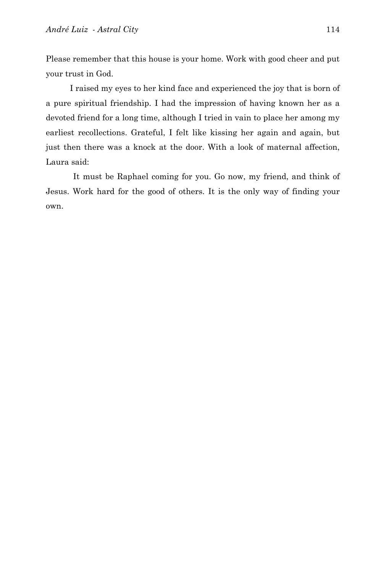Please remember that this house is your home. Work with good cheer and put your trust in God.

I raised my eyes to her kind face and experienced the joy that is born of a pure spiritual friendship. I had the impression of having known her as a devoted friend for a long time, although I tried in vain to place her among my earliest recollections. Grateful, I felt like kissing her again and again, but just then there was a knock at the door. With a look of maternal affection, Laura said:

It must be Raphael coming for you. Go now, my friend, and think of Jesus. Work hard for the good of others. It is the only way of finding your own.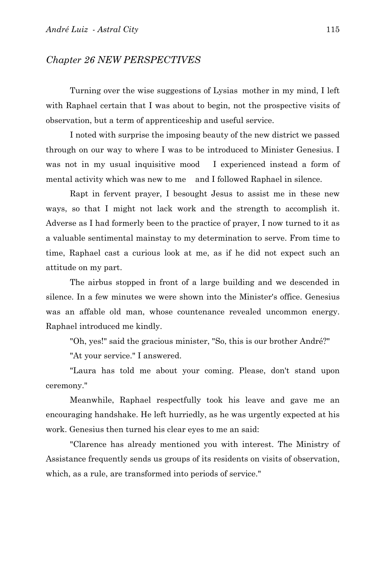## *Chapter 26 NEW PERSPECTIVES*

Turning over the wise suggestions of Lysias' mother in my mind, I left with Raphael certain that I was about to begin, not the prospective visits of observation, but a term of apprenticeship and useful service.

I noted with surprise the imposing beauty of the new district we passed through on our way to where I was to be introduced to Minister Genesius. I was not in my usual inquisitive mood I experienced instead a form of mental activity which was new to me and I followed Raphael in silence.

Rapt in fervent prayer, I besought Jesus to assist me in these new ways, so that I might not lack work and the strength to accomplish it. Adverse as I had formerly been to the practice of prayer, I now turned to it as a valuable sentimental mainstay to my determination to serve. From time to time, Raphael cast a curious look at me, as if he did not expect such an attitude on my part.

The airbus stopped in front of a large building and we descended in silence. In a few minutes we were shown into the Minister's office. Genesius was an affable old man, whose countenance revealed uncommon energy. Raphael introduced me kindly.

"Oh, yes!" said the gracious minister, "So, this is our brother André?"

"At your service." I answered.

"Laura has told me about your coming. Please, don't stand upon ceremony."

Meanwhile, Raphael respectfully took his leave and gave me an encouraging handshake. He left hurriedly, as he was urgently expected at his work. Genesius then turned his clear eyes to me an said:

"Clarence has already mentioned you with interest. The Ministry of Assistance frequently sends us groups of its residents on visits of observation, which, as a rule, are transformed into periods of service."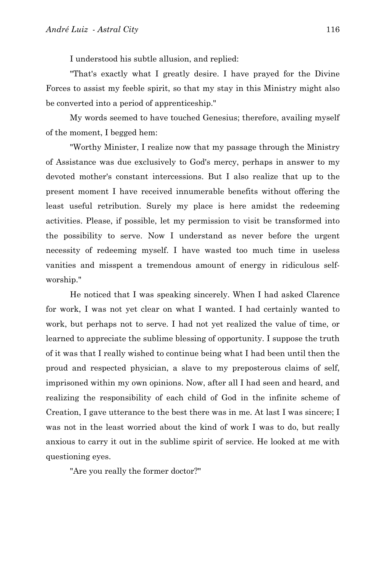I understood his subtle allusion, and replied:

"That's exactly what I greatly desire. I have prayed for the Divine Forces to assist my feeble spirit, so that my stay in this Ministry might also be converted into a period of apprenticeship."

My words seemed to have touched Genesius; therefore, availing myself of the moment, I begged hem:

"Worthy Minister, I realize now that my passage through the Ministry of Assistance was due exclusively to God's mercy, perhaps in answer to my devoted mother's constant intercessions. But I also realize that up to the present moment I have received innumerable benefits without offering the least useful retribution. Surely my place is here amidst the redeeming activities. Please, if possible, let my permission to visit be transformed into the possibility to serve. Now I understand as never before the urgent necessity of redeeming myself. I have wasted too much time in useless vanities and misspent a tremendous amount of energy in ridiculous selfworship."

He noticed that I was speaking sincerely. When I had asked Clarence for work, I was not yet clear on what I wanted. I had certainly wanted to work, but perhaps not to serve. I had not yet realized the value of time, or learned to appreciate the sublime blessing of opportunity. I suppose the truth of it was that I really wished to continue being what I had been until then the proud and respected physician, a slave to my preposterous claims of self, imprisoned within my own opinions. Now, after all I had seen and heard, and realizing the responsibility of each child of God in the infinite scheme of Creation, I gave utterance to the best there was in me. At last I was sincere; I was not in the least worried about the kind of work I was to do, but really anxious to carry it out in the sublime spirit of service. He looked at me with questioning eyes.

"Are you really the former doctor?"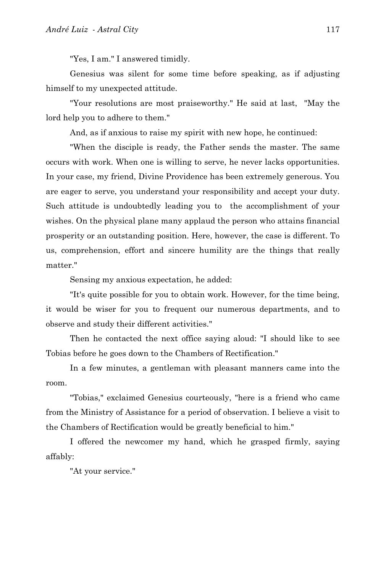"Yes, I am." I answered timidly.

Genesius was silent for some time before speaking, as if adjusting himself to my unexpected attitude.

"Your resolutions are most praiseworthy." He said at last, "May the lord help you to adhere to them."

And, as if anxious to raise my spirit with new hope, he continued:

"When the disciple is ready, the Father sends the master. The same occurs with work. When one is willing to serve, he never lacks opportunities. In your case, my friend, Divine Providence has been extremely generous. You are eager to serve, you understand your responsibility and accept your duty. Such attitude is undoubtedly leading you to the accomplishment of your wishes. On the physical plane many applaud the person who attains financial prosperity or an outstanding position. Here, however, the case is different. To us, comprehension, effort and sincere humility are the things that really matter."

Sensing my anxious expectation, he added:

"It's quite possible for you to obtain work. However, for the time being, it would be wiser for you to frequent our numerous departments, and to observe and study their different activities."

Then he contacted the next office saying aloud: "I should like to see Tobias before he goes down to the Chambers of Rectification."

In a few minutes, a gentleman with pleasant manners came into the room.

"Tobias," exclaimed Genesius courteously, "here is a friend who came from the Ministry of Assistance for a period of observation. I believe a visit to the Chambers of Rectification would be greatly beneficial to him."

I offered the newcomer my hand, which he grasped firmly, saying affably:

"At your service."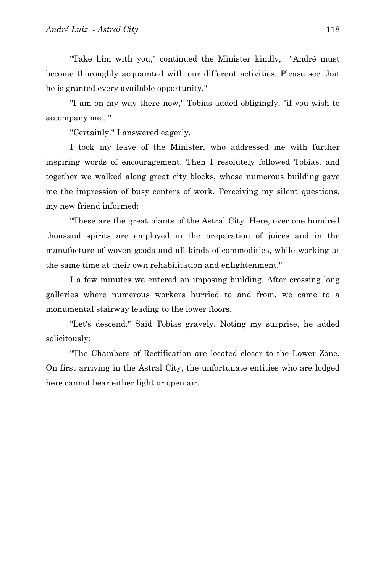"Take him with you," continued the Minister kindly, "André must become thoroughly acquainted with our different activities. Please see that he is granted every available opportunity."

"I am on my way there now," Tobias added obligingly, "if you wish to accompany me..."

"Certainly." I answered eagerly.

I took my leave of the Minister, who addressed me with further inspiring words of encouragement. Then I resolutely followed Tobias, and together we walked along great city blocks, whose numerous building gave me the impression of busy centers of work. Perceiving my silent questions, my new friend informed:

"These are the great plants of the Astral City. Here, over one hundred thousand spirits are employed in the preparation of juices and in the manufacture of woven goods and all kinds of commodities, while working at the same time at their own rehabilitation and enlightenment."

I a few minutes we entered an imposing building. After crossing long galleries where numerous workers hurried to and from, we came to a monumental stairway leading to the lower floors.

"Let's descend." Said Tobias gravely. Noting my surprise, he added solicitously:

"The Chambers of Rectification are located closer to the Lower Zone. On first arriving in the Astral City, the unfortunate entities who are lodged here cannot bear either light or open air.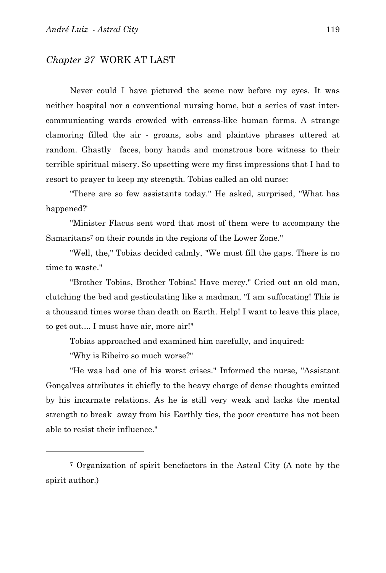## *Chapter 27* WORK AT LAST

Never could I have pictured the scene now before my eyes. It was neither hospital nor a conventional nursing home, but a series of vast intercommunicating wards crowded with carcass-like human forms. A strange clamoring filled the air - groans, sobs and plaintive phrases uttered at random. Ghastly faces, bony hands and monstrous bore witness to their terrible spiritual misery. So upsetting were my first impressions that I had to resort to prayer to keep my strength. Tobias called an old nurse:

"There are so few assistants today." He asked, surprised, "What has happened?'

"Minister Flacus sent word that most of them were to accompany the Samaritans<sup>7</sup> on their rounds in the regions of the Lower Zone."

"Well, the," Tobias decided calmly, "We must fill the gaps. There is no time to waste."

"Brother Tobias, Brother Tobias! Have mercy." Cried out an old man, clutching the bed and gesticulating like a madman, "I am suffocating! This is a thousand times worse than death on Earth. Help! I want to leave this place, to get out.... I must have air, more air!"

Tobias approached and examined him carefully, and inquired:

"Why is Ribeiro so much worse?"

1

"He was had one of his worst crises." Informed the nurse, "Assistant Gonçalves attributes it chiefly to the heavy charge of dense thoughts emitted by his incarnate relations. As he is still very weak and lacks the mental strength to break away from his Earthly ties, the poor creature has not been able to resist their influence."

<sup>7</sup> Organization of spirit benefactors in the Astral City (A note by the spirit author.)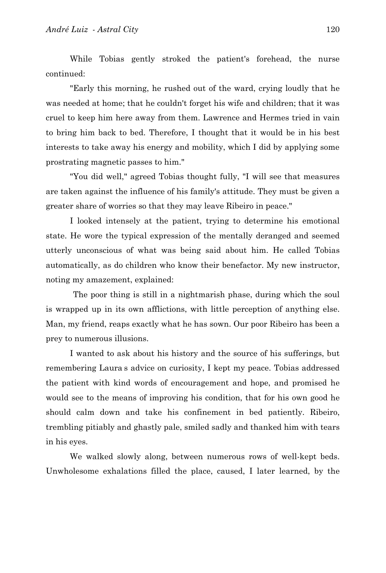While Tobias gently stroked the patient's forehead, the nurse continued:

"Early this morning, he rushed out of the ward, crying loudly that he was needed at home; that he couldn't forget his wife and children; that it was cruel to keep him here away from them. Lawrence and Hermes tried in vain to bring him back to bed. Therefore, I thought that it would be in his best interests to take away his energy and mobility, which I did by applying some prostrating magnetic passes to him."

"You did well," agreed Tobias thought fully, "I will see that measures are taken against the influence of his family's attitude. They must be given a greater share of worries so that they may leave Ribeiro in peace."

I looked intensely at the patient, trying to determine his emotional state. He wore the typical expression of the mentally deranged and seemed utterly unconscious of what was being said about him. He called Tobias automatically, as do children who know their benefactor. My new instructor, noting my amazement, explained:

The poor thing is still in a nightmarish phase, during which the soul is wrapped up in its own afflictions, with little perception of anything else. Man, my friend, reaps exactly what he has sown. Our poor Ribeiro has been a prey to numerous illusions."

I wanted to ask about his history and the source of his sufferings, but remembering Laura's advice on curiosity, I kept my peace. Tobias addressed the patient with kind words of encouragement and hope, and promised he would see to the means of improving his condition, that for his own good he should calm down and take his confinement in bed patiently. Ribeiro, trembling pitiably and ghastly pale, smiled sadly and thanked him with tears in his eyes.

We walked slowly along, between numerous rows of well-kept beds. Unwholesome exhalations filled the place, caused, I later learned, by the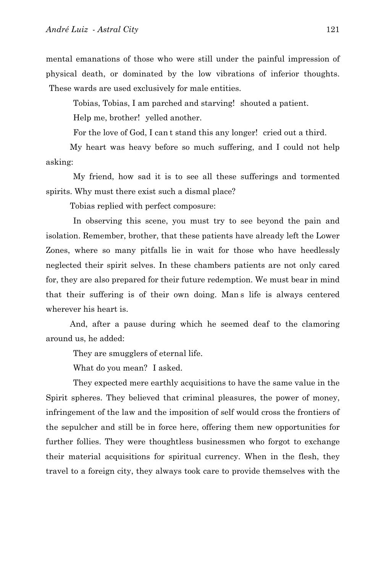mental emanations of those who were still under the painful impression of physical death, or dominated by the low vibrations of inferior thoughts. These wards are used exclusively for male entities.

Tobias, Tobias, I am parched and starving! shouted a patient.

Help me, brother! yelled another.

For the love of God, I can't stand this any longer! cried out a third.

My heart was heavy before so much suffering, and I could not help asking:

"My friend, how sad it is to see all these sufferings and tormented spirits. Why must there exist such a dismal place?

Tobias replied with perfect composure:

In observing this scene, you must try to see beyond the pain and isolation. Remember, brother, that these patients have already left the Lower Zones, where so many pitfalls lie in wait for those who have heedlessly neglected their spirit selves. In these chambers patients are not only cared for, they are also prepared for their future redemption. We must bear in mind that their suffering is of their own doing. Man's life is always centered wherever his heart is.

And, after a pause during which he seemed deaf to the clamoring around us, he added:

They are smugglers of eternal life.

What do you mean? I asked.

They expected mere earthly acquisitions to have the same value in the Spirit spheres. They believed that criminal pleasures, the power of money, infringement of the law and the imposition of self would cross the frontiers of the sepulcher and still be in force here, offering them new opportunities for further follies. They were thoughtless businessmen who forgot to exchange their material acquisitions for spiritual currency. When in the flesh, they travel to a foreign city, they always took care to provide themselves with the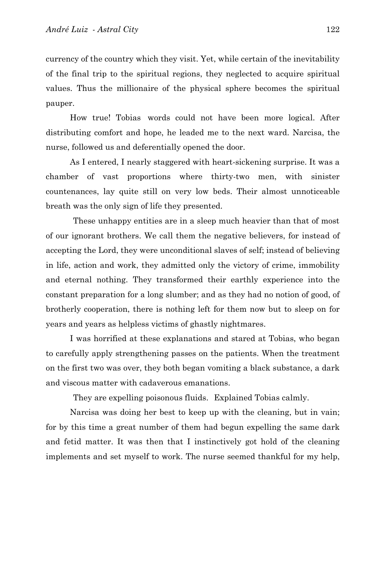currency of the country which they visit. Yet, while certain of the inevitability of the final trip to the spiritual regions, they neglected to acquire spiritual values. Thus the millionaire of the physical sphere becomes the spiritual pauper.

How true! Tobias' words could not have been more logical. After distributing comfort and hope, he leaded me to the next ward. Narcisa, the nurse, followed us and deferentially opened the door.

As I entered, I nearly staggered with heart-sickening surprise. It was a chamber of vast proportions where thirty-two men, with sinister countenances, lay quite still on very low beds. Their almost unnoticeable breath was the only sign of life they presented.

These unhappy entities are in a sleep much heavier than that of most of our ignorant brothers. We call them the negative believers, for instead of accepting the Lord, they were unconditional slaves of self; instead of believing in life, action and work, they admitted only the victory of crime, immobility and eternal nothing. They transformed their earthly experience into the constant preparation for a long slumber; and as they had no notion of good, of brotherly cooperation, there is nothing left for them now but to sleep on for years and years as helpless victims of ghastly nightmares."

I was horrified at these explanations and stared at Tobias, who began to carefully apply strengthening passes on the patients. When the treatment on the first two was over, they both began vomiting a black substance, a dark and viscous matter with cadaverous emanations.

They are expelling poisonous fluids. Explained Tobias calmly.

Narcisa was doing her best to keep up with the cleaning, but in vain; for by this time a great number of them had begun expelling the same dark and fetid matter. It was then that I instinctively got hold of the cleaning implements and set myself to work. The nurse seemed thankful for my help,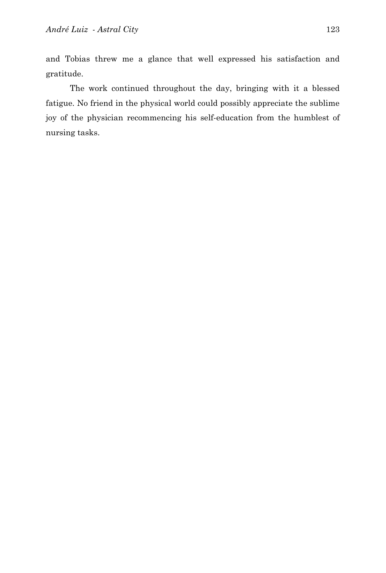and Tobias threw me a glance that well expressed his satisfaction and gratitude.

The work continued throughout the day, bringing with it a blessed fatigue. No friend in the physical world could possibly appreciate the sublime joy of the physician recommencing his self-education from the humblest of nursing tasks.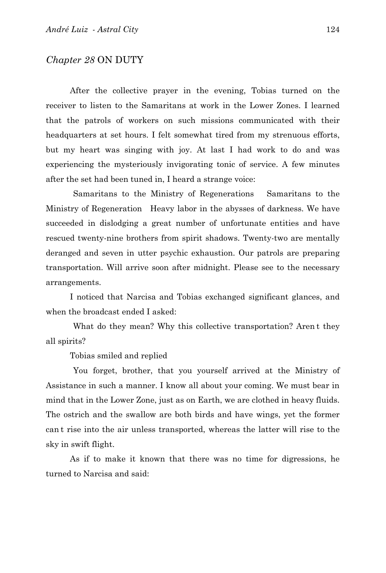#### *Chapter 28* ON DUTY

After the collective prayer in the evening, Tobias turned on the receiver to listen to the Samaritans at work in the Lower Zones. I learned that the patrols of workers on such missions communicated with their headquarters at set hours. I felt somewhat tired from my strenuous efforts, but my heart was singing with joy. At last I had work to do and was experiencing the mysteriously invigorating tonic of service. A few minutes after the set had been tuned in, I heard a strange voice:

Samaritans to the Ministry of Regenerations Samaritans to the Ministry of Regeneration—Heavy labor in the abysses of darkness. We have succeeded in dislodging a great number of unfortunate entities and have rescued twenty-nine brothers from spirit shadows. Twenty-two are mentally deranged and seven in utter psychic exhaustion. Our patrols are preparing transportation. Will arrive soon after midnight. Please see to the necessary arrangements."

I noticed that Narcisa and Tobias exchanged significant glances, and when the broadcast ended I asked:

What do they mean? Why this collective transportation? Aren't they all spirits?

Tobias smiled and replied"

You forget, brother, that you yourself arrived at the Ministry of Assistance in such a manner. I know all about your coming. We must bear in mind that in the Lower Zone, just as on Earth, we are clothed in heavy fluids. The ostrich and the swallow are both birds and have wings, yet the former can't rise into the air unless transported, whereas the latter will rise to the sky in swift flight.

As if to make it known that there was no time for digressions, he turned to Narcisa and said: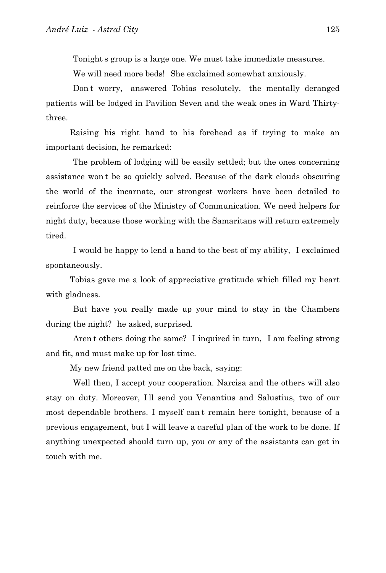Tonight's group is a large one. We must take immediate measures.

We will need more beds! She exclaimed somewhat anxiously.

Dont worry, answered Tobias resolutely, the mentally deranged patients will be lodged in Pavilion Seven and the weak ones in Ward Thirtythree.

Raising his right hand to his forehead as if trying to make an important decision, he remarked:

The problem of lodging will be easily settled; but the ones concerning assistance won't be so quickly solved. Because of the dark clouds obscuring the world of the incarnate, our strongest workers have been detailed to reinforce the services of the Ministry of Communication. We need helpers for night duty, because those working with the Samaritans will return extremely tired.

I would be happy to lend a hand to the best of my ability, I exclaimed spontaneously.

Tobias gave me a look of appreciative gratitude which filled my heart with gladness.

But have you really made up your mind to stay in the Chambers during the night? he asked, surprised.

Aren't others doing the same? I inquired in turn, I am feeling strong and fit, and must make up for lost time.

My new friend patted me on the back, saying:

Well then, I accept your cooperation. Narcisa and the others will also stay on duty. Moreover, I'll send you Venantius and Salustius, two of our most dependable brothers. I myself can't remain here tonight, because of a previous engagement, but I will leave a careful plan of the work to be done. If anything unexpected should turn up, you or any of the assistants can get in touch with me.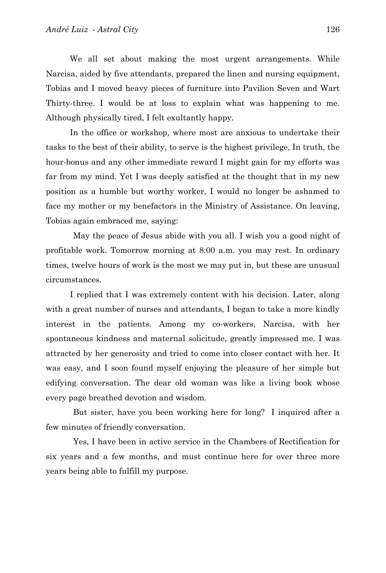We all set about making the most urgent arrangements. While Narcisa, aided by five attendants, prepared the linen and nursing equipment, Tobias and I moved heavy pieces of furniture into Pavilion Seven and Wart Thirty-three. I would be at loss to explain what was happening to me. Although physically tired, I felt exultantly happy.

In the office or workshop, where most are anxious to undertake their tasks to the best of their ability, to serve is the highest privilege, In truth, the hour-bonus and any other immediate reward I might gain for my efforts was far from my mind. Yet I was deeply satisfied at the thought that in my new position as a humble but worthy worker, I would no longer be ashamed to face my mother or my benefactors in the Ministry of Assistance. On leaving, Tobias again embraced me, saying:

May the peace of Jesus abide with you all. I wish you a good night of profitable work. Tomorrow morning at 8:00 a.m. you may rest. In ordinary times, twelve hours of work is the most we may put in, but these are unusual circumstances.

I replied that I was extremely content with his decision. Later, along with a great number of nurses and attendants, I began to take a more kindly interest in the patients. Among my co-workers, Narcisa, with her spontaneous kindness and maternal solicitude, greatly impressed me. I was attracted by her generosity and tried to come into closer contact with her. It was easy, and I soon found myself enjoying the pleasure of her simple but edifying conversation. The dear old woman was like a living book whose every page breathed devotion and wisdom.

But sister, have you been working here for long? I inquired after a few minutes of friendly conversation.

Yes, I have been in active service in the Chambers of Rectification for six years and a few months, and must continue here for over three more years being able to fulfill my purpose.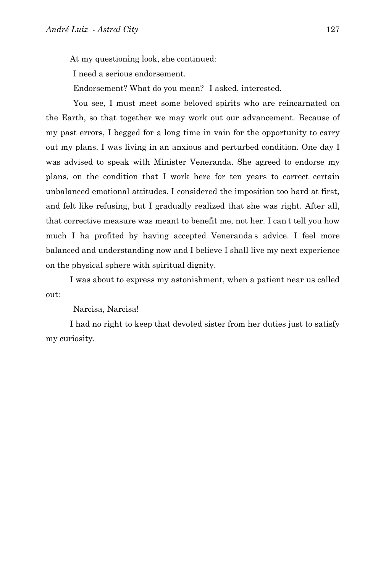At my questioning look, she continued:

I need a serious endorsement.

Endorsement? What do you mean? I asked, interested.

You see, I must meet some beloved spirits who are reincarnated on the Earth, so that together we may work out our advancement. Because of my past errors, I begged for a long time in vain for the opportunity to carry out my plans. I was living in an anxious and perturbed condition. One day I was advised to speak with Minister Veneranda. She agreed to endorse my plans, on the condition that I work here for ten years to correct certain unbalanced emotional attitudes. I considered the imposition too hard at first, and felt like refusing, but I gradually realized that she was right. After all, that corrective measure was meant to benefit me, not her. I can't tell you how much I ha profited by having accepted Veneranda's advice. I feel more balanced and understanding now and I believe I shall live my next experience on the physical sphere with spiritual dignity.

I was about to express my astonishment, when a patient near us called out:

Narcisa, Narcisa!

I had no right to keep that devoted sister from her duties just to satisfy my curiosity.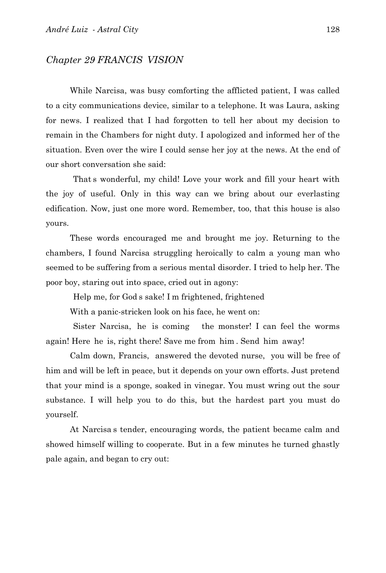### *Chapter 29 FRANCIS' VISION*

While Narcisa, was busy comforting the afflicted patient, I was called to a city communications device, similar to a telephone. It was Laura, asking for news. I realized that I had forgotten to tell her about my decision to remain in the Chambers for night duty. I apologized and informed her of the situation. Even over the wire I could sense her joy at the news. At the end of our short conversation she said:

That's wonderful, my child! Love your work and fill your heart with the joy of useful. Only in this way can we bring about our everlasting edification. Now, just one more word. Remember, too, that this house is also yours.

These words encouraged me and brought me joy. Returning to the chambers, I found Narcisa struggling heroically to calm a young man who seemed to be suffering from a serious mental disorder. I tried to help her. The poor boy, staring out into space, cried out in agony:

Help me, for God's sake! I'm frightened, frightened

With a panic-stricken look on his face, he went on:

Sister Narcisa, he is coming the monster! I can feel the worms again! Here he is, right there! Save me from him. Send him away!

Calm down, Francis, answered the devoted nurse, you will be free of him and will be left in peace, but it depends on your own efforts. Just pretend that your mind is a sponge, soaked in vinegar. You must wring out the sour substance. I will help you to do this, but the hardest part you must do yourself."

At Narcisa's tender, encouraging words, the patient became calm and showed himself willing to cooperate. But in a few minutes he turned ghastly pale again, and began to cry out: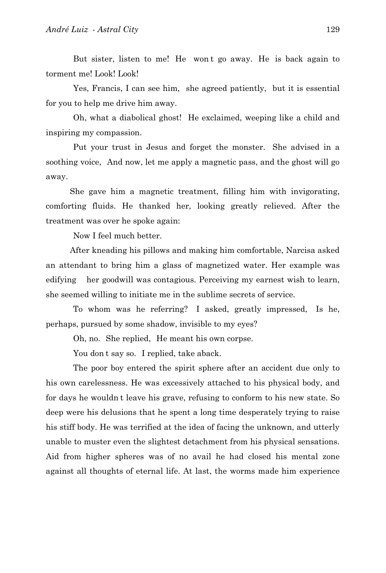But sister, listen to me! He wont go away. He is back again to torment me! Look! Look!

Yes, Francis, I can see him, she agreed patiently, but it is essential for you to help me drive him away.

"Oh, what a diabolical ghost!" He exclaimed, weeping like a child and inspiring my compassion.

Put your trust in Jesus and forget the monster. She advised in a soothing voice, And now, let me apply a magnetic pass, and the ghost will go away.

She gave him a magnetic treatment, filling him with invigorating, comforting fluids. He thanked her, looking greatly relieved. After the treatment was over he spoke again:

Now I feel much better.

After kneading his pillows and making him comfortable, Narcisa asked an attendant to bring him a glass of magnetized water. Her example was edifying her goodwill was contagious. Perceiving my earnest wish to learn, she seemed willing to initiate me in the sublime secrets of service.

To whom was he referring? I asked, greatly impressed, Is he, perhaps, pursued by some shadow, invisible to my eyes?

Oh, no. She replied, He meant his own corpse.

You don't say so. I replied, take aback.

The poor boy entered the spirit sphere after an accident due only to his own carelessness. He was excessively attached to his physical body, and for days he wouldn't leave his grave, refusing to conform to his new state. So deep were his delusions that he spent a long time desperately trying to raise his stiff body. He was terrified at the idea of facing the unknown, and utterly unable to muster even the slightest detachment from his physical sensations. Aid from higher spheres was of no avail he had closed his mental zone against all thoughts of eternal life. At last, the worms made him experience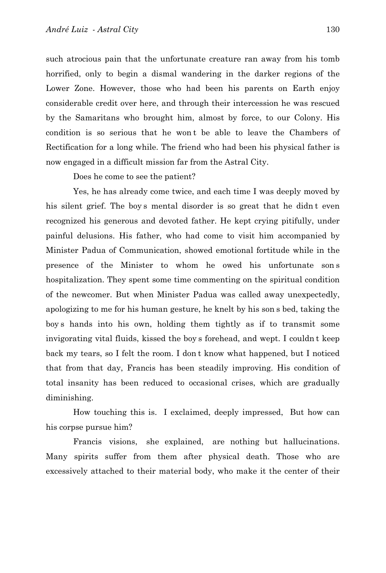such atrocious pain that the unfortunate creature ran away from his tomb horrified, only to begin a dismal wandering in the darker regions of the Lower Zone. However, those who had been his parents on Earth enjoy considerable credit over here, and through their intercession he was rescued by the Samaritans who brought him, almost by force, to our Colony. His condition is so serious that he won't be able to leave the Chambers of Rectification for a long while. The friend who had been his physical father is now engaged in a difficult mission far from the Astral City.

Does he come to see the patient?

Yes, he has already come twice, and each time I was deeply moved by his silent grief. The boy's mental disorder is so great that he didn't even recognized his generous and devoted father. He kept crying pitifully, under painful delusions. His father, who had come to visit him accompanied by Minister Padua of Communication, showed emotional fortitude while in the presence of the Minister to whom he owed his unfortunate son's hospitalization. They spent some time commenting on the spiritual condition of the newcomer. But when Minister Padua was called away unexpectedly, apologizing to me for his human gesture, he knelt by his son's bed, taking the boy's hands into his own, holding them tightly as if to transmit some invigorating vital fluids, kissed the boy's forehead, and wept. I couldn't keep back my tears, so I felt the room. I don't know what happened, but I noticed that from that day, Francis has been steadily improving. His condition of total insanity has been reduced to occasional crises, which are gradually diminishing.

How touching this is. I exclaimed, deeply impressed, But how can his corpse pursue him?

Francis visions, she explained, are nothing but hallucinations. Many spirits suffer from them after physical death. Those who are excessively attached to their material body, who make it the center of their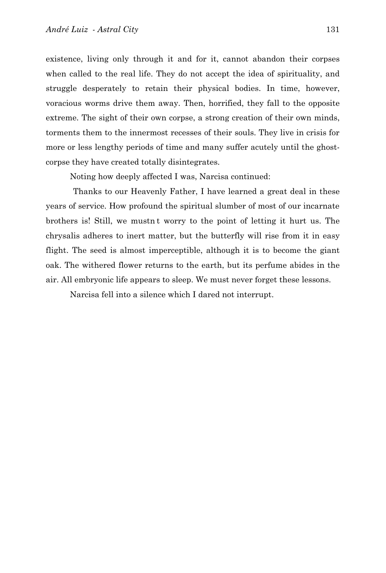existence, living only through it and for it, cannot abandon their corpses when called to the real life. They do not accept the idea of spirituality, and struggle desperately to retain their physical bodies. In time, however, voracious worms drive them away. Then, horrified, they fall to the opposite extreme. The sight of their own corpse, a strong creation of their own minds, torments them to the innermost recesses of their souls. They live in crisis for more or less lengthy periods of time and many suffer acutely until the ghostcorpse they have created totally disintegrates."

Noting how deeply affected I was, Narcisa continued:

Thanks to our Heavenly Father, I have learned a great deal in these years of service. How profound the spiritual slumber of most of our incarnate brothers is! Still, we mustn't worry to the point of letting it hurt us. The chrysalis adheres to inert matter, but the butterfly will rise from it in easy flight. The seed is almost imperceptible, although it is to become the giant oak. The withered flower returns to the earth, but its perfume abides in the air. All embryonic life appears to sleep. We must never forget these lessons.

Narcisa fell into a silence which I dared not interrupt.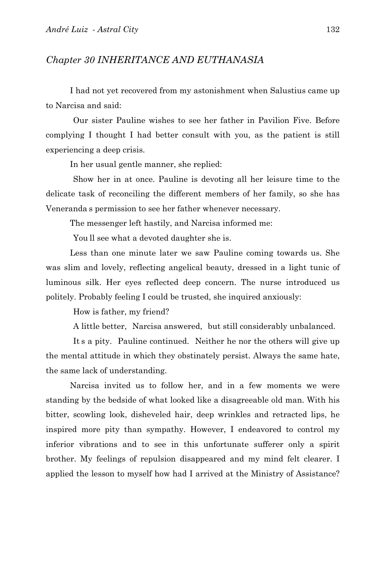# *Chapter 30 INHERITANCE AND EUTHANASIA*

I had not yet recovered from my astonishment when Salustius came up to Narcisa and said:

"Our sister Pauline wishes to see her father in Pavilion Five. Before complying I thought I had better consult with you, as the patient is still experiencing a deep crisis.

In her usual gentle manner, she replied:

Show her in at once. Pauline is devoting all her leisure time to the delicate task of reconciling the different members of her family, so she has Veneranda's permission to see her father whenever necessary.

The messenger left hastily, and Narcisa informed me:

You ll see what a devoted daughter she is.

Less than one minute later we saw Pauline coming towards us. She was slim and lovely, reflecting angelical beauty, dressed in a light tunic of luminous silk. Her eyes reflected deep concern. The nurse introduced us politely. Probably feeling I could be trusted, she inquired anxiously:

How is father, my friend?

A little better. Narcisa answered, but still considerably unbalanced.

It a pity. Pauline continued. Neither he nor the others will give up the mental attitude in which they obstinately persist. Always the same hate, the same lack of understanding.

Narcisa invited us to follow her, and in a few moments we were standing by the bedside of what looked like a disagreeable old man. With his bitter, scowling look, disheveled hair, deep wrinkles and retracted lips, he inspired more pity than sympathy. However, I endeavored to control my inferior vibrations and to see in this unfortunate sufferer only a spirit brother. My feelings of repulsion disappeared and my mind felt clearer. I applied the lesson to myself how had I arrived at the Ministry of Assistance?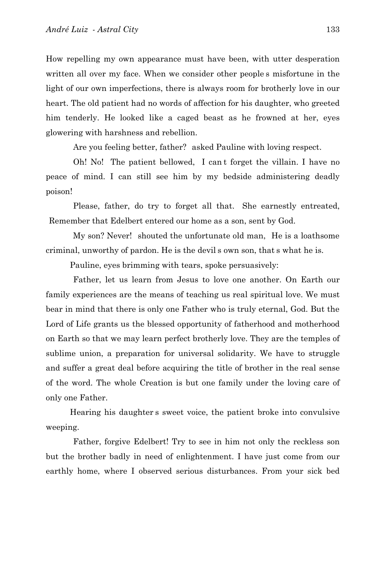How repelling my own appearance must have been, with utter desperation written all over my face. When we consider other people's misfortune in the light of our own imperfections, there is always room for brotherly love in our heart. The old patient had no words of affection for his daughter, who greeted him tenderly. He looked like a caged beast as he frowned at her, eyes glowering with harshness and rebellion.

Are you feeling better, father? asked Pauline with loving respect.

Oh! No! The patient bellowed, I can't forget the villain. I have no peace of mind. I can still see him by my bedside administering deadly poison!

Please, father, do try to forget all that. She earnestly entreated, Remember that Edelbert entered our home as a son, sent by God.

My son? Never! shouted the unfortunate old man, He is a loathsome criminal, unworthy of pardon. He is the devils own son, that s what he is.

Pauline, eyes brimming with tears, spoke persuasively:

Father, let us learn from Jesus to love one another. On Earth our family experiences are the means of teaching us real spiritual love. We must bear in mind that there is only one Father who is truly eternal, God. But the Lord of Life grants us the blessed opportunity of fatherhood and motherhood on Earth so that we may learn perfect brotherly love. They are the temples of sublime union, a preparation for universal solidarity. We have to struggle and suffer a great deal before acquiring the title of brother in the real sense of the word. The whole Creation is but one family under the loving care of only one Father.

Hearing his daughter's sweet voice, the patient broke into convulsive weeping.

Father, forgive Edelbert! Try to see in him not only the reckless son but the brother badly in need of enlightenment. I have just come from our earthly home, where I observed serious disturbances. From your sick bed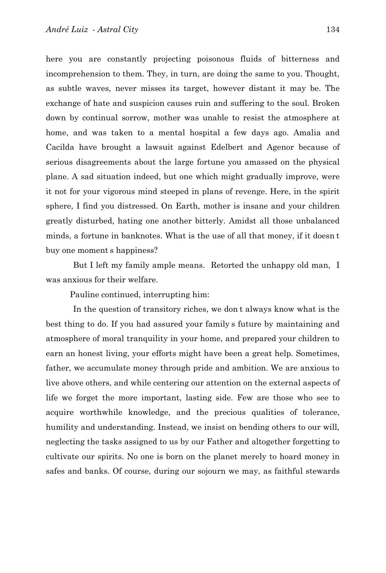here you are constantly projecting poisonous fluids of bitterness and incomprehension to them. They, in turn, are doing the same to you. Thought, as subtle waves, never misses its target, however distant it may be. The exchange of hate and suspicion causes ruin and suffering to the soul. Broken down by continual sorrow, mother was unable to resist the atmosphere at home, and was taken to a mental hospital a few days ago. Amalia and Cacilda have brought a lawsuit against Edelbert and Agenor because of serious disagreements about the large fortune you amassed on the physical plane. A sad situation indeed, but one which might gradually improve, were it not for your vigorous mind steeped in plans of revenge. Here, in the spirit sphere, I find you distressed. On Earth, mother is insane and your children greatly disturbed, hating one another bitterly. Amidst all those unbalanced minds, a fortune in banknotes. What is the use of all that money, if it doesn't buy one moment s happiness?

But I left my family ample means. Retorted the unhappy old man, I was anxious for their welfare.

Pauline continued, interrupting him:

In the question of transitory riches, we don't always know what is the best thing to do. If you had assured your family a future by maintaining and atmosphere of moral tranquility in your home, and prepared your children to earn an honest living, your efforts might have been a great help. Sometimes, father, we accumulate money through pride and ambition. We are anxious to live above others, and while centering our attention on the external aspects of life we forget the more important, lasting side. Few are those who see to acquire worthwhile knowledge, and the precious qualities of tolerance, humility and understanding. Instead, we insist on bending others to our will, neglecting the tasks assigned to us by our Father and altogether forgetting to cultivate our spirits. No one is born on the planet merely to hoard money in safes and banks. Of course, during our sojourn we may, as faithful stewards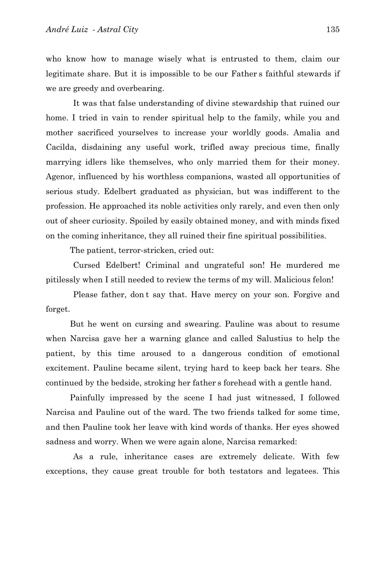who know how to manage wisely what is entrusted to them, claim our legitimate share. But it is impossible to be our Father's faithful stewards if we are greedy and overbearing.

It was that false understanding of divine stewardship that ruined our home. I tried in vain to render spiritual help to the family, while you and mother sacrificed yourselves to increase your worldly goods. Amalia and Cacilda, disdaining any useful work, trifled away precious time, finally marrying idlers like themselves, who only married them for their money. Agenor, influenced by his worthless companions, wasted all opportunities of serious study. Edelbert graduated as physician, but was indifferent to the profession. He approached its noble activities only rarely, and even then only out of sheer curiosity. Spoiled by easily obtained money, and with minds fixed on the coming inheritance, they all ruined their fine spiritual possibilities."

The patient, terror-stricken, cried out:

"Cursed Edelbert! Criminal and ungrateful son! He murdered me pitilessly when I still needed to review the terms of my will. Malicious felon!

Please father, don't say that. Have mercy on your son. Forgive and forget.

But he went on cursing and swearing. Pauline was about to resume when Narcisa gave her a warning glance and called Salustius to help the patient, by this time aroused to a dangerous condition of emotional excitement. Pauline became silent, trying hard to keep back her tears. She continued by the bedside, stroking her father's forehead with a gentle hand.

Painfully impressed by the scene I had just witnessed, I followed Narcisa and Pauline out of the ward. The two friends talked for some time, and then Pauline took her leave with kind words of thanks. Her eyes showed sadness and worry. When we were again alone, Narcisa remarked:

As a rule, inheritance cases are extremely delicate. With few exceptions, they cause great trouble for both testators and legatees. This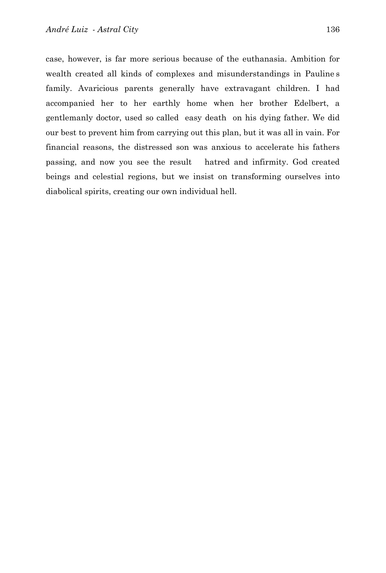case, however, is far more serious because of the euthanasia. Ambition for wealth created all kinds of complexes and misunderstandings in Pauline's family. Avaricious parents generally have extravagant children. I had accompanied her to her earthly home when her brother Edelbert, a gentlemanly doctor, used so called easy death on his dying father. We did our best to prevent him from carrying out this plan, but it was all in vain. For financial reasons, the distressed son was anxious to accelerate his fathers passing, and now you see the result hatred and infirmity. God created beings and celestial regions, but we insist on transforming ourselves into diabolical spirits, creating our own individual hell.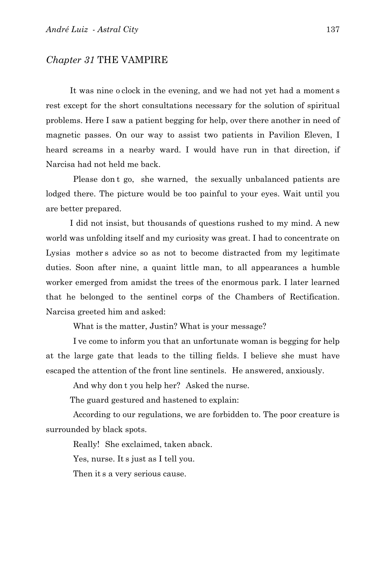## *Chapter 31* THE VAMPIRE

It was nine o clock in the evening, and we had not yet had a moment's rest except for the short consultations necessary for the solution of spiritual problems. Here I saw a patient begging for help, over there another in need of magnetic passes. On our way to assist two patients in Pavilion Eleven, I heard screams in a nearby ward. I would have run in that direction, if Narcisa had not held me back.

Please don't go, she warned, the sexually unbalanced patients are lodged there. The picture would be too painful to your eyes. Wait until you are better prepared."

I did not insist, but thousands of questions rushed to my mind. A new world was unfolding itself and my curiosity was great. I had to concentrate on Lysias mother's advice so as not to become distracted from my legitimate duties. Soon after nine, a quaint little man, to all appearances a humble worker emerged from amidst the trees of the enormous park. I later learned that he belonged to the sentinel corps of the Chambers of Rectification. Narcisa greeted him and asked:

What is the matter, Justin? What is your message?

I've come to inform you that an unfortunate woman is begging for help at the large gate that leads to the tilling fields. I believe she must have escaped the attention of the front line sentinels." He answered, anxiously.

And why don't you help her? Asked the nurse.

The guard gestured and hastened to explain:

According to our regulations, we are forbidden to. The poor creature is surrounded by black spots.

Really! She exclaimed, taken aback.

Yes, nurse. It s just as I tell you.

Then it s a very serious cause.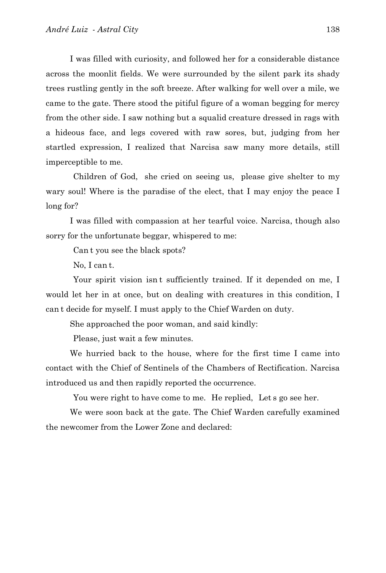I was filled with curiosity, and followed her for a considerable distance across the moonlit fields. We were surrounded by the silent park its shady trees rustling gently in the soft breeze. After walking for well over a mile, we came to the gate. There stood the pitiful figure of a woman begging for mercy from the other side. I saw nothing but a squalid creature dressed in rags with a hideous face, and legs covered with raw sores, but, judging from her startled expression, I realized that Narcisa saw many more details, still imperceptible to me.

Children of God, she cried on seeing us, please give shelter to my wary soul! Where is the paradise of the elect, that I may enjoy the peace I long for?

I was filled with compassion at her tearful voice. Narcisa, though also sorry for the unfortunate beggar, whispered to me:

Can't you see the black spots?

No, I can t.

Your spirit vision isn't sufficiently trained. If it depended on me, I would let her in at once, but on dealing with creatures in this condition, I can't decide for myself. I must apply to the Chief Warden on duty.

She approached the poor woman, and said kindly:

Please, just wait a few minutes.

We hurried back to the house, where for the first time I came into contact with the Chief of Sentinels of the Chambers of Rectification. Narcisa introduced us and then rapidly reported the occurrence.

You were right to have come to me. He replied, Let s go see her.

We were soon back at the gate. The Chief Warden carefully examined the newcomer from the Lower Zone and declared: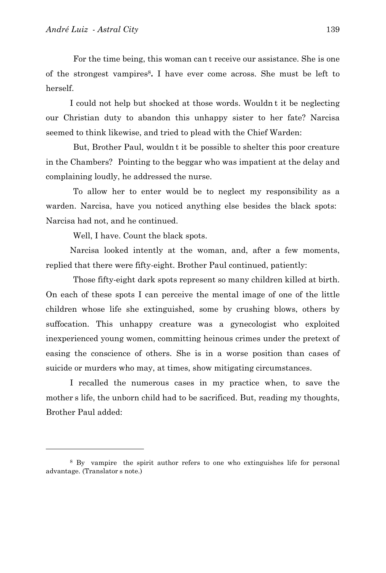$\overline{a}$ 

For the time being, this woman can't receive our assistance. She is one of the strongest vampires8**.** I have ever come across. She must be left to herself.

I could not help but shocked at those words. Wouldn't it be neglecting our Christian duty to abandon this unhappy sister to her fate? Narcisa seemed to think likewise, and tried to plead with the Chief Warden:

But, Brother Paul, wouldn't it be possible to shelter this poor creature in the Chambers?" Pointing to the beggar who was impatient at the delay and complaining loudly, he addressed the nurse.

"To allow her to enter would be to neglect my responsibility as a warden. Narcisa, have you noticed anything else besides the black spots: Narcisa had not, and he continued.

Well, I have. Count the black spots.

Narcisa looked intently at the woman, and, after a few moments, replied that there were fifty-eight. Brother Paul continued, patiently:

Those fifty-eight dark spots represent so many children killed at birth. On each of these spots I can perceive the mental image of one of the little children whose life she extinguished, some by crushing blows, others by suffocation. This unhappy creature was a gynecologist who exploited inexperienced young women, committing heinous crimes under the pretext of easing the conscience of others. She is in a worse position than cases of suicide or murders who may, at times, show mitigating circumstances.

I recalled the numerous cases in my practice when, to save the mother's life, the unborn child had to be sacrificed. But, reading my thoughts, Brother Paul added:

<sup>&</sup>lt;sup>8</sup> By vampire the spirit author refers to one who extinguishes life for personal advantage. (Translator s note.)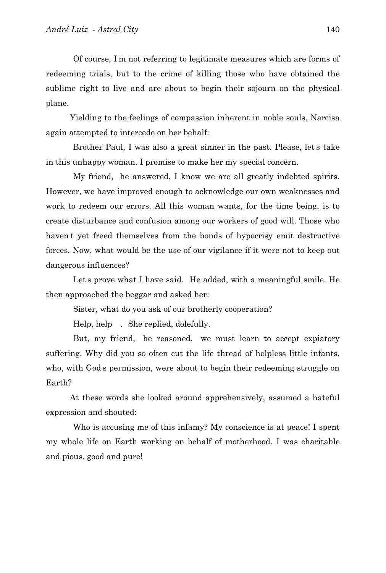Of course, I'm not referring to legitimate measures which are forms of redeeming trials, but to the crime of killing those who have obtained the sublime right to live and are about to begin their sojourn on the physical plane.

Yielding to the feelings of compassion inherent in noble souls, Narcisa again attempted to intercede on her behalf:

Brother Paul, I was also a great sinner in the past. Please, let a take in this unhappy woman. I promise to make her my special concern."

My friend, he answered, I know we are all greatly indebted spirits. However, we have improved enough to acknowledge our own weaknesses and work to redeem our errors. All this woman wants, for the time being, is to create disturbance and confusion among our workers of good will. Those who haven't yet freed themselves from the bonds of hypocrisy emit destructive forces. Now, what would be the use of our vigilance if it were not to keep out dangerous influences?

Let s prove what I have said. He added, with a meaningful smile. He then approached the beggar and asked her:

Sister, what do you ask of our brotherly cooperation?

Help, help... She replied, dolefully.

But, my friend, he reasoned, we must learn to accept expiatory suffering. Why did you so often cut the life thread of helpless little infants, who, with God's permission, were about to begin their redeeming struggle on Earth?

At these words she looked around apprehensively, assumed a hateful expression and shouted:

Who is accusing me of this infamy? My conscience is at peace! I spent my whole life on Earth working on behalf of motherhood. I was charitable and pious, good and pure!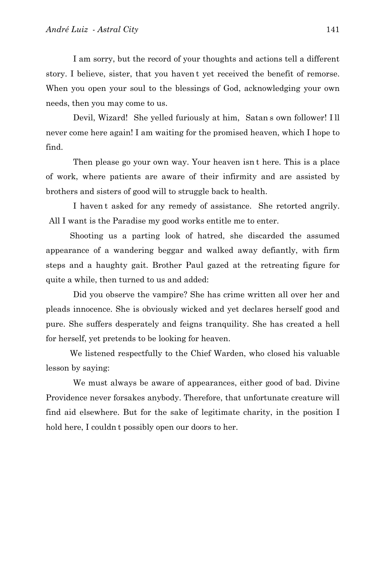I am sorry, but the record of your thoughts and actions tell a different story. I believe, sister, that you haven't yet received the benefit of remorse. When you open your soul to the blessings of God, acknowledging your own needs, then you may come to us.

Devil, Wizard! She yelled furiously at him, Satan's own follower! Ill never come here again! I am waiting for the promised heaven, which I hope to find.

Then please go your own way. Your heaven isn't here. This is a place of work, where patients are aware of their infirmity and are assisted by brothers and sisters of good will to struggle back to health."

I haven t asked for any remedy of assistance. She retorted angrily. All I want is the Paradise my good works entitle me to enter.

Shooting us a parting look of hatred, she discarded the assumed appearance of a wandering beggar and walked away defiantly, with firm steps and a haughty gait. Brother Paul gazed at the retreating figure for quite a while, then turned to us and added:

Did you observe the vampire? She has crime written all over her and pleads innocence. She is obviously wicked and yet declares herself good and pure. She suffers desperately and feigns tranquility. She has created a hell for herself, yet pretends to be looking for heaven.

We listened respectfully to the Chief Warden, who closed his valuable lesson by saying:

We must always be aware of appearances, either good of bad. Divine Providence never forsakes anybody. Therefore, that unfortunate creature will find aid elsewhere. But for the sake of legitimate charity, in the position I hold here, I couldn't possibly open our doors to her.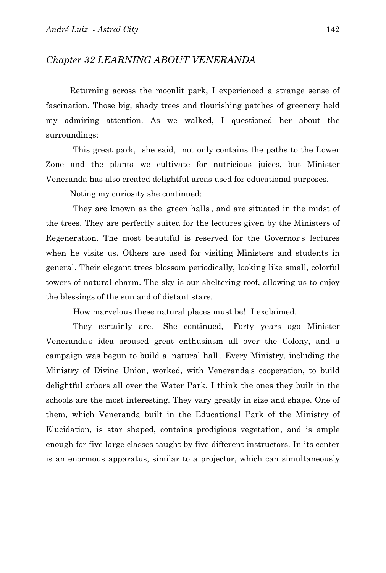## *Chapter 32 LEARNING ABOUT VENERANDA*

Returning across the moonlit park, I experienced a strange sense of fascination. Those big, shady trees and flourishing patches of greenery held my admiring attention. As we walked, I questioned her about the surroundings:

This great park, she said, not only contains the paths to the Lower Zone and the plants we cultivate for nutricious juices, but Minister Veneranda has also created delightful areas used for educational purposes."

Noting my curiosity she continued:

They are known as the green halls, and are situated in the midst of the trees. They are perfectly suited for the lectures given by the Ministers of Regeneration. The most beautiful is reserved for the Governor's lectures when he visits us. Others are used for visiting Ministers and students in general. Their elegant trees blossom periodically, looking like small, colorful towers of natural charm. The sky is our sheltering roof, allowing us to enjoy the blessings of the sun and of distant stars."

How marvelous these natural places must be! I exclaimed.

They certainly are. She continued, Forty years ago Minister Veneranda's idea aroused great enthusiasm all over the Colony, and a campaign was begun to build a natural hall. Every Ministry, including the Ministry of Divine Union, worked, with Veneranda's cooperation, to build delightful arbors all over the Water Park. I think the ones they built in the schools are the most interesting. They vary greatly in size and shape. One of them, which Veneranda built in the Educational Park of the Ministry of Elucidation, is star shaped, contains prodigious vegetation, and is ample enough for five large classes taught by five different instructors. In its center is an enormous apparatus, similar to a projector, which can simultaneously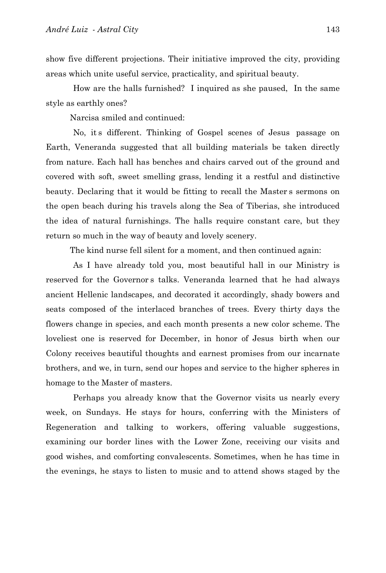show five different projections. Their initiative improved the city, providing areas which unite useful service, practicality, and spiritual beauty."

How are the halls furnished? I inquired as she paused, In the same style as earthly ones?

Narcisa smiled and continued:

No, it's different. Thinking of Gospel scenes of Jesus passage on Earth, Veneranda suggested that all building materials be taken directly from nature. Each hall has benches and chairs carved out of the ground and covered with soft, sweet smelling grass, lending it a restful and distinctive beauty. Declaring that it would be fitting to recall the Master's sermons on the open beach during his travels along the Sea of Tiberias, she introduced the idea of natural furnishings. The halls require constant care, but they return so much in the way of beauty and lovely scenery.

The kind nurse fell silent for a moment, and then continued again:

As I have already told you, most beautiful hall in our Ministry is reserved for the Governor's talks. Veneranda learned that he had always ancient Hellenic landscapes, and decorated it accordingly, shady bowers and seats composed of the interlaced branches of trees. Every thirty days the flowers change in species, and each month presents a new color scheme. The loveliest one is reserved for December, in honor of Jesus' birth when our Colony receives beautiful thoughts and earnest promises from our incarnate brothers, and we, in turn, send our hopes and service to the higher spheres in homage to the Master of masters.

Perhaps you already know that the Governor visits us nearly every week, on Sundays. He stays for hours, conferring with the Ministers of Regeneration and talking to workers, offering valuable suggestions, examining our border lines with the Lower Zone, receiving our visits and good wishes, and comforting convalescents. Sometimes, when he has time in the evenings, he stays to listen to music and to attend shows staged by the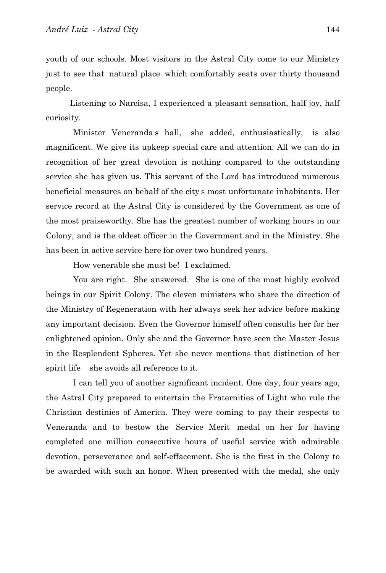youth of our schools. Most visitors in the Astral City come to our Ministry just to see that 'natural place' which comfortably seats over thirty thousand people.

Listening to Narcisa, I experienced a pleasant sensation, half joy, half curiosity.

Minister Veneranda's hall, she added, enthusiastically, is also magnificent. We give its upkeep special care and attention. All we can do in recognition of her great devotion is nothing compared to the outstanding service she has given us. This servant of the Lord has introduced numerous beneficial measures on behalf of the city's most unfortunate inhabitants. Her service record at the Astral City is considered by the Government as one of the most praiseworthy. She has the greatest number of working hours in our Colony, and is the oldest officer in the Government and in the Ministry. She has been in active service here for over two hundred years.

How venerable she must be! I exclaimed.

You are right. She answered. She is one of the most highly evolved beings in our Spirit Colony. The eleven ministers who share the direction of the Ministry of Regeneration with her always seek her advice before making any important decision. Even the Governor himself often consults her for her enlightened opinion. Only she and the Governor have seen the Master Jesus in the Resplendent Spheres. Yet she never mentions that distinction of her spirit life she avoids all reference to it.

I can tell you of another significant incident. One day, four years ago, the Astral City prepared to entertain the Fraternities of Light who rule the Christian destinies of America. They were coming to pay their respects to Veneranda and to bestow the Service Merit medal on her for having completed one million consecutive hours of useful service with admirable devotion, perseverance and self-effacement. She is the first in the Colony to be awarded with such an honor. When presented with the medal, she only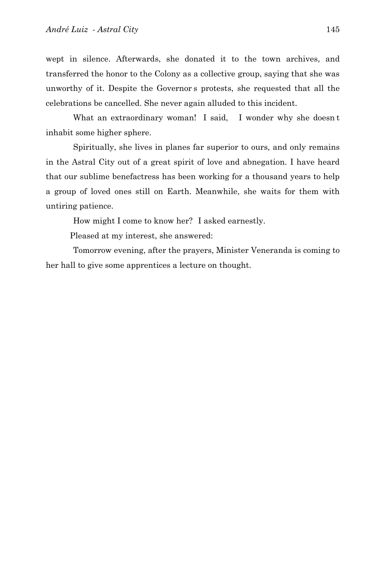wept in silence. Afterwards, she donated it to the town archives, and transferred the honor to the Colony as a collective group, saying that she was unworthy of it. Despite the Governor's protests, she requested that all the celebrations be cancelled. She never again alluded to this incident."

What an extraordinary woman! I said, I wonder why she doesn't inhabit some higher sphere.

Spiritually, she lives in planes far superior to ours, and only remains in the Astral City out of a great spirit of love and abnegation. I have heard that our sublime benefactress has been working for a thousand years to help a group of loved ones still on Earth. Meanwhile, she waits for them with untiring patience.

How might I come to know her? I asked earnestly.

Pleased at my interest, she answered:

Tomorrow evening, after the prayers, Minister Veneranda is coming to her hall to give some apprentices a lecture on thought.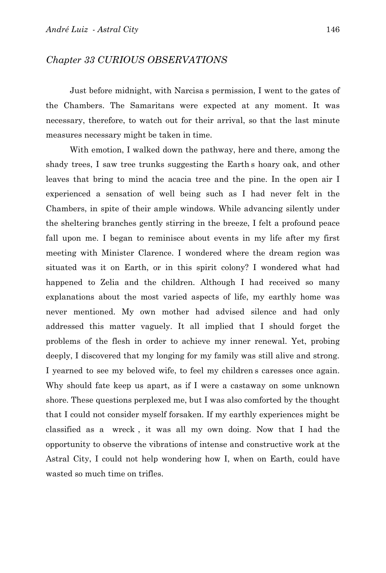#### *Chapter 33 CURIOUS OBSERVATIONS*

Just before midnight, with Narcisa's permission, I went to the gates of the Chambers. The Samaritans were expected at any moment. It was necessary, therefore, to watch out for their arrival, so that the last minute measures necessary might be taken in time.

With emotion, I walked down the pathway, here and there, among the shady trees, I saw tree trunks suggesting the Earth's hoary oak, and other leaves that bring to mind the acacia tree and the pine. In the open air I experienced a sensation of well being such as I had never felt in the Chambers, in spite of their ample windows. While advancing silently under the sheltering branches gently stirring in the breeze, I felt a profound peace fall upon me. I began to reminisce about events in my life after my first meeting with Minister Clarence. I wondered where the dream region was situated was it on Earth, or in this spirit colony? I wondered what had happened to Zelia and the children. Although I had received so many explanations about the most varied aspects of life, my earthly home was never mentioned. My own mother had advised silence and had only addressed this matter vaguely. It all implied that I should forget the problems of the flesh in order to achieve my inner renewal. Yet, probing deeply, I discovered that my longing for my family was still alive and strong. I yearned to see my beloved wife, to feel my children's caresses once again. Why should fate keep us apart, as if I were a castaway on some unknown shore. These questions perplexed me, but I was also comforted by the thought that I could not consider myself forsaken. If my earthly experiences might be classified as a wreck, it was all my own doing. Now that I had the opportunity to observe the vibrations of intense and constructive work at the Astral City, I could not help wondering how I, when on Earth, could have wasted so much time on trifles.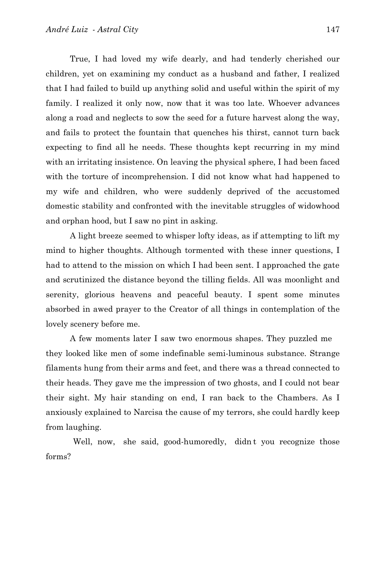True, I had loved my wife dearly, and had tenderly cherished our children, yet on examining my conduct as a husband and father, I realized that I had failed to build up anything solid and useful within the spirit of my family. I realized it only now, now that it was too late. Whoever advances along a road and neglects to sow the seed for a future harvest along the way, and fails to protect the fountain that quenches his thirst, cannot turn back expecting to find all he needs. These thoughts kept recurring in my mind with an irritating insistence. On leaving the physical sphere, I had been faced with the torture of incomprehension. I did not know what had happened to my wife and children, who were suddenly deprived of the accustomed domestic stability and confronted with the inevitable struggles of widowhood and orphan hood, but I saw no pint in asking.

A light breeze seemed to whisper lofty ideas, as if attempting to lift my mind to higher thoughts. Although tormented with these inner questions, I had to attend to the mission on which I had been sent. I approached the gate and scrutinized the distance beyond the tilling fields. All was moonlight and serenity, glorious heavens and peaceful beauty. I spent some minutes absorbed in awed prayer to the Creator of all things in contemplation of the lovely scenery before me.

A few moments later I saw two enormous shapes. They puzzled me they looked like men of some indefinable semi-luminous substance. Strange filaments hung from their arms and feet, and there was a thread connected to their heads. They gave me the impression of two ghosts, and I could not bear their sight. My hair standing on end, I ran back to the Chambers. As I anxiously explained to Narcisa the cause of my terrors, she could hardly keep from laughing.

Well, now, she said, good-humoredly, didn't you recognize those forms?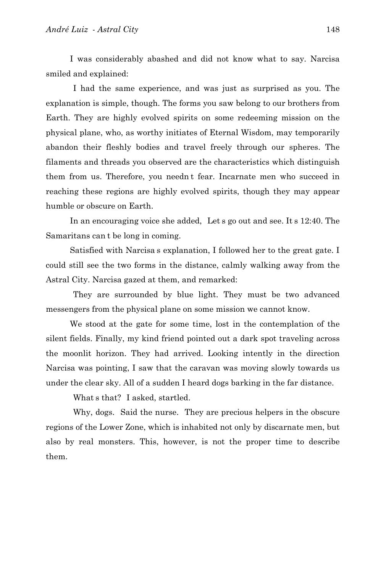I was considerably abashed and did not know what to say. Narcisa smiled and explained:

I had the same experience, and was just as surprised as you. The explanation is simple, though. The forms you saw belong to our brothers from Earth. They are highly evolved spirits on some redeeming mission on the physical plane, who, as worthy initiates of Eternal Wisdom, may temporarily abandon their fleshly bodies and travel freely through our spheres. The filaments and threads you observed are the characteristics which distinguish them from us. Therefore, you needn't fear. Incarnate men who succeed in reaching these regions are highly evolved spirits, though they may appear humble or obscure on Earth.

In an encouraging voice she added. Let s go out and see. It s  $12:40$ . The Samaritans can't be long in coming.

Satisfied with Narcisa's explanation, I followed her to the great gate. I could still see the two forms in the distance, calmly walking away from the Astral City. Narcisa gazed at them, and remarked:

They are surrounded by blue light. They must be two advanced messengers from the physical plane on some mission we cannot know.

We stood at the gate for some time, lost in the contemplation of the silent fields. Finally, my kind friend pointed out a dark spot traveling across the moonlit horizon. They had arrived. Looking intently in the direction Narcisa was pointing, I saw that the caravan was moving slowly towards us under the clear sky. All of a sudden I heard dogs barking in the far distance.

What's that? I asked, startled.

Why, dogs. Said the nurse. They are precious helpers in the obscure regions of the Lower Zone, which is inhabited not only by discarnate men, but also by real monsters. This, however, is not the proper time to describe them.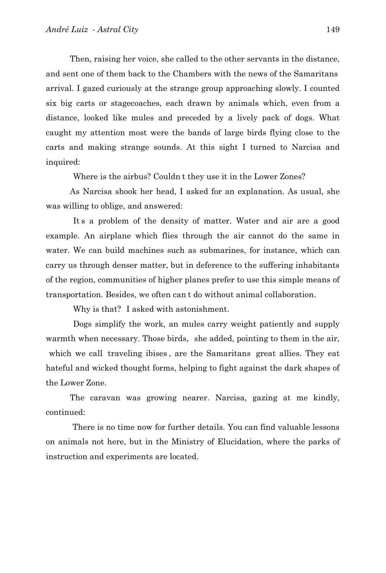Then, raising her voice, she called to the other servants in the distance, and sent one of them back to the Chambers with the news of the Samaritans' arrival. I gazed curiously at the strange group approaching slowly. I counted six big carts or stagecoaches, each drawn by animals which, even from a distance, looked like mules and preceded by a lively pack of dogs. What caught my attention most were the bands of large birds flying close to the carts and making strange sounds. At this sight I turned to Narcisa and inquired:

Where is the airbus? Couldn't they use it in the Lower Zones?

As Narcisa shook her head, I asked for an explanation. As usual, she was willing to oblige, and answered:

It's a problem of the density of matter. Water and air are a good example. An airplane which flies through the air cannot do the same in water. We can build machines such as submarines, for instance, which can carry us through denser matter, but in deference to the suffering inhabitants of the region, communities of higher planes prefer to use this simple means of transportation. Besides, we often can't do without animal collaboration.

Why is that? I asked with astonishment.

Dogs simplify the work, an mules carry weight patiently and supply warmth when necessary. Those birds, she added, pointing to them in the air, which we call traveling ibises, are the Samaritans' great allies. They eat hateful and wicked thought forms, helping to fight against the dark shapes of the Lower Zone.

The caravan was growing nearer. Narcisa, gazing at me kindly, continued:

There is no time now for further details. You can find valuable lessons on animals not here, but in the Ministry of Elucidation, where the parks of instruction and experiments are located.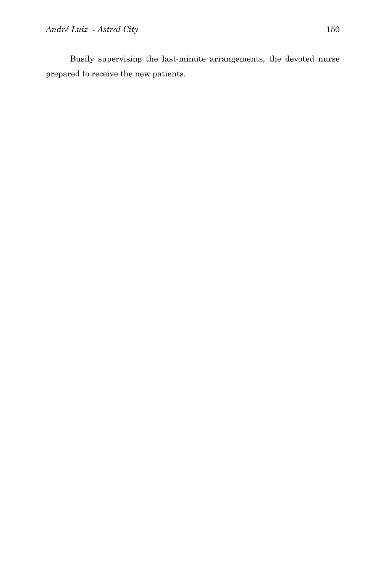Busily supervising the last-minute arrangements, the devoted nurse prepared to receive the new patients.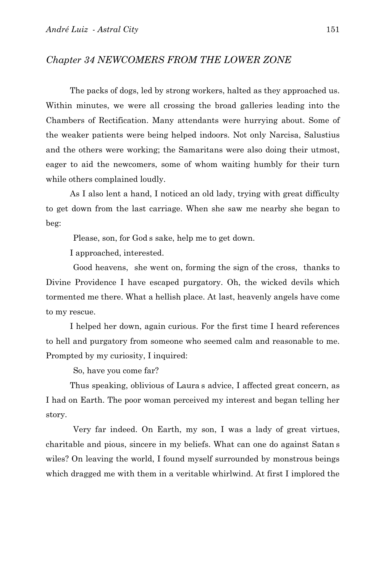# *Chapter 34 NEWCOMERS FROM THE LOWER ZONE*

The packs of dogs, led by strong workers, halted as they approached us. Within minutes, we were all crossing the broad galleries leading into the Chambers of Rectification. Many attendants were hurrying about. Some of the weaker patients were being helped indoors. Not only Narcisa, Salustius and the others were working; the Samaritans were also doing their utmost, eager to aid the newcomers, some of whom waiting humbly for their turn while others complained loudly.

As I also lent a hand, I noticed an old lady, trying with great difficulty to get down from the last carriage. When she saw me nearby she began to beg:

Please, son, for God's sake, help me to get down.

I approached, interested.

Good heavens, she went on, forming the sign of the cross, thanks to Divine Providence I have escaped purgatory. Oh, the wicked devils which tormented me there. What a hellish place. At last, heavenly angels have come to my rescue.

I helped her down, again curious. For the first time I heard references to hell and purgatory from someone who seemed calm and reasonable to me. Prompted by my curiosity, I inquired:

So, have you come far?

Thus speaking, oblivious of Laura's advice, I affected great concern, as I had on Earth. The poor woman perceived my interest and began telling her story.

Very far indeed. On Earth, my son, I was a lady of great virtues, charitable and pious, sincere in my beliefs. What can one do against Satan's wiles? On leaving the world, I found myself surrounded by monstrous beings which dragged me with them in a veritable whirlwind. At first I implored the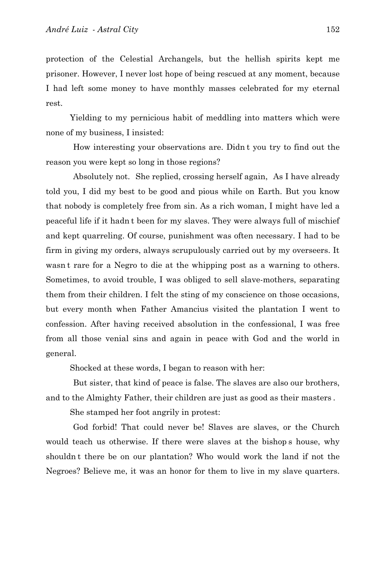protection of the Celestial Archangels, but the hellish spirits kept me prisoner. However, I never lost hope of being rescued at any moment, because I had left some money to have monthly masses celebrated for my eternal rest.

Yielding to my pernicious habit of meddling into matters which were none of my business, I insisted:

How interesting your observations are. Didn't you try to find out the reason you were kept so long in those regions?

Absolutely not. She replied, crossing herself again, As I have already told you, I did my best to be good and pious while on Earth. But you know that nobody is completely free from sin. As a rich woman, I might have led a peaceful life if it hadn't been for my slaves. They were always full of mischief and kept quarreling. Of course, punishment was often necessary. I had to be firm in giving my orders, always scrupulously carried out by my overseers. It wasn't rare for a Negro to die at the whipping post as a warning to others. Sometimes, to avoid trouble, I was obliged to sell slave-mothers, separating them from their children. I felt the sting of my conscience on those occasions, but every month when Father Amancius visited the plantation I went to confession. After having received absolution in the confessional, I was free from all those venial sins and again in peace with God and the world in general."

Shocked at these words, I began to reason with her:

But sister, that kind of peace is false. The slaves are also our brothers, and to the Almighty Father, their children are just as good as their masters.

She stamped her foot angrily in protest:

God forbid! That could never be! Slaves are slaves, or the Church would teach us otherwise. If there were slaves at the bishop's house, why shouldn't there be on our plantation? Who would work the land if not the Negroes? Believe me, it was an honor for them to live in my slave quarters.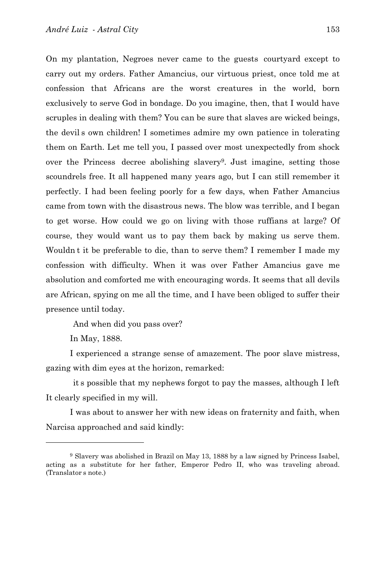On my plantation, Negroes never came to the guests' courtyard except to carry out my orders. Father Amancius, our virtuous priest, once told me at confession that Africans are the worst creatures in the world, born exclusively to serve God in bondage. Do you imagine, then, that I would have scruples in dealing with them? You can be sure that slaves are wicked beings, the devil's own children! I sometimes admire my own patience in tolerating them on Earth. Let me tell you, I passed over most unexpectedly from shock over the Princess decree abolishing slavery<sup>9</sup>. Just imagine, setting those scoundrels free. It all happened many years ago, but I can still remember it perfectly. I had been feeling poorly for a few days, when Father Amancius came from town with the disastrous news. The blow was terrible, and I began to get worse. How could we go on living with those ruffians at large? Of course, they would want us to pay them back by making us serve them. Wouldn't it be preferable to die, than to serve them? I remember I made my confession with difficulty. When it was over Father Amancius gave me absolution and comforted me with encouraging words. It seems that all devils are African, spying on me all the time, and I have been obliged to suffer their presence until today.

And when did you pass over?

In May, 1888."

1

I experienced a strange sense of amazement. The poor slave mistress, gazing with dim eyes at the horizon, remarked:

it's possible that my nephews forgot to pay the masses, although I left It clearly specified in my will.

I was about to answer her with new ideas on fraternity and faith, when Narcisa approached and said kindly:

<sup>9</sup> Slavery was abolished in Brazil on May 13, 1888 by a law signed by Princess Isabel, acting as a substitute for her father, Emperor Pedro II, who was traveling abroad. (Translator s note.)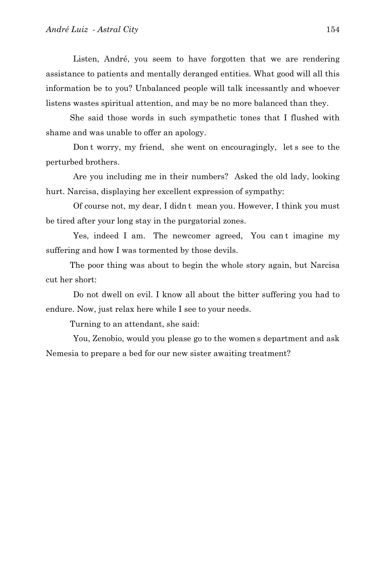Listen, André, you seem to have forgotten that we are rendering assistance to patients and mentally deranged entities. What good will all this information be to you? Unbalanced people will talk incessantly and whoever listens wastes spiritual attention, and may be no more balanced than they.

She said those words in such sympathetic tones that I flushed with shame and was unable to offer an apology.

Don't worry, my friend, she went on encouragingly, let s see to the perturbed brothers."

Are you including me in their numbers? Asked the old lady, looking hurt. Narcisa, displaying her excellent expression of sympathy:

Of course not, my dear, I didn't mean you. However, I think you must be tired after your long stay in the purgatorial zones.

Yes, indeed I am. The newcomer agreed, You can't imagine my suffering and how I was tormented by those devils.

The poor thing was about to begin the whole story again, but Narcisa cut her short:

"Do not dwell on evil. I know all about the bitter suffering you had to endure. Now, just relax here while I see to your needs.

Turning to an attendant, she said:

You, Zenobio, would you please go to the women's department and ask Nemesia to prepare a bed for our new sister awaiting treatment?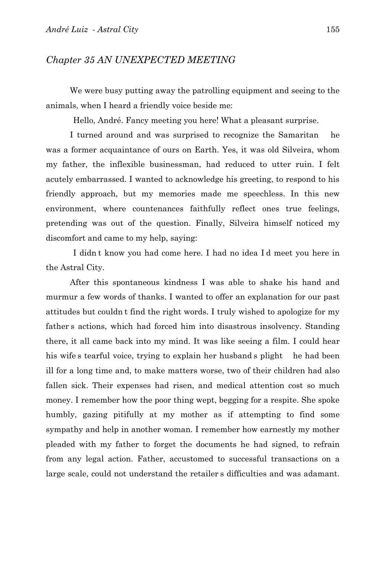### *Chapter 35 AN UNEXPECTED MEETING*

We were busy putting away the patrolling equipment and seeing to the animals, when I heard a friendly voice beside me:

Hello, André. Fancy meeting you here! What a pleasant surprise.

I turned around and was surprised to recognize the Samaritan he was a former acquaintance of ours on Earth. Yes, it was old Silveira, whom my father, the inflexible businessman, had reduced to utter ruin. I felt acutely embarrassed. I wanted to acknowledge his greeting, to respond to his friendly approach, but my memories made me speechless. In this new environment, where countenances faithfully reflect ones true feelings, pretending was out of the question. Finally, Silveira himself noticed my discomfort and came to my help, saying:

I didn't know you had come here. I had no idea I'd meet you here in the Astral City.

After this spontaneous kindness I was able to shake his hand and murmur a few words of thanks. I wanted to offer an explanation for our past attitudes but couldn't find the right words. I truly wished to apologize for my father's actions, which had forced him into disastrous insolvency. Standing there, it all came back into my mind. It was like seeing a film. I could hear his wife's tearful voice, trying to explain her husband's plight he had been ill for a long time and, to make matters worse, two of their children had also fallen sick. Their expenses had risen, and medical attention cost so much money. I remember how the poor thing wept, begging for a respite. She spoke humbly, gazing pitifully at my mother as if attempting to find some sympathy and help in another woman. I remember how earnestly my mother pleaded with my father to forget the documents he had signed, to refrain from any legal action. Father, accustomed to successful transactions on a large scale, could not understand the retailer's difficulties and was adamant.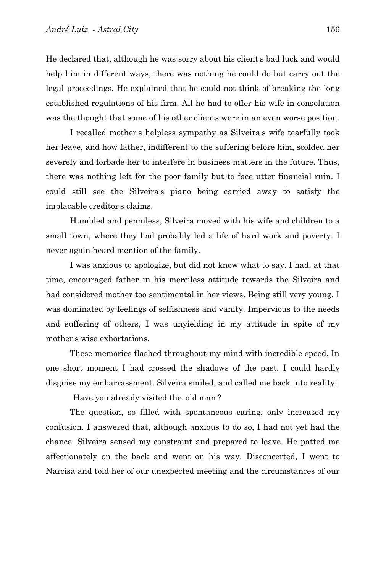He declared that, although he was sorry about his clients bad luck and would help him in different ways, there was nothing he could do but carry out the legal proceedings. He explained that he could not think of breaking the long established regulations of his firm. All he had to offer his wife in consolation was the thought that some of his other clients were in an even worse position.

I recalled mother's helpless sympathy as Silveira's wife tearfully took her leave, and how father, indifferent to the suffering before him, scolded her severely and forbade her to interfere in business matters in the future. Thus, there was nothing left for the poor family but to face utter financial ruin. I could still see the Silveira's piano being carried away to satisfy the implacable creditor's claims.

Humbled and penniless, Silveira moved with his wife and children to a small town, where they had probably led a life of hard work and poverty. I never again heard mention of the family.

I was anxious to apologize, but did not know what to say. I had, at that time, encouraged father in his merciless attitude towards the Silveira and had considered mother too sentimental in her views. Being still very young, I was dominated by feelings of selfishness and vanity. Impervious to the needs and suffering of others, I was unyielding in my attitude in spite of my mother s wise exhortations.

These memories flashed throughout my mind with incredible speed. In one short moment I had crossed the shadows of the past. I could hardly disguise my embarrassment. Silveira smiled, and called me back into reality:

Have you already visited the old man?

The question, so filled with spontaneous caring, only increased my confusion. I answered that, although anxious to do so, I had not yet had the chance. Silveira sensed my constraint and prepared to leave. He patted me affectionately on the back and went on his way. Disconcerted, I went to Narcisa and told her of our unexpected meeting and the circumstances of our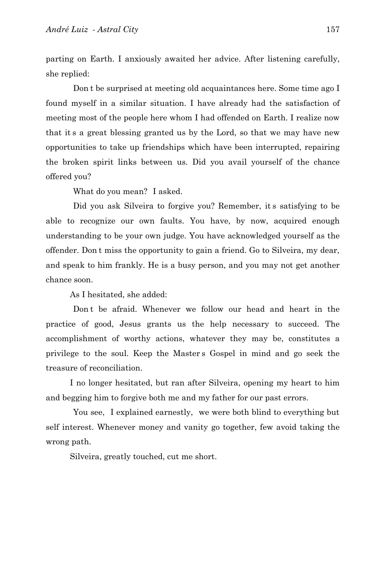parting on Earth. I anxiously awaited her advice. After listening carefully, she replied:

Don't be surprised at meeting old acquaintances here. Some time ago I found myself in a similar situation. I have already had the satisfaction of meeting most of the people here whom I had offended on Earth. I realize now that it a great blessing granted us by the Lord, so that we may have new opportunities to take up friendships which have been interrupted, repairing the broken spirit links between us. Did you avail yourself of the chance offered you?

What do you mean? I asked.

Did you ask Silveira to forgive you? Remember, it a satisfying to be able to recognize our own faults. You have, by now, acquired enough understanding to be your own judge. You have acknowledged yourself as the offender. Don't miss the opportunity to gain a friend. Go to Silveira, my dear, and speak to him frankly. He is a busy person, and you may not get another chance soon.

As I hesitated, she added:

Dont be afraid. Whenever we follow our head and heart in the practice of good, Jesus grants us the help necessary to succeed. The accomplishment of worthy actions, whatever they may be, constitutes a privilege to the soul. Keep the Master's Gospel in mind and go seek the treasure of reconciliation.

I no longer hesitated, but ran after Silveira, opening my heart to him and begging him to forgive both me and my father for our past errors.

You see, I explained earnestly, we were both blind to everything but self interest. Whenever money and vanity go together, few avoid taking the wrong path.

Silveira, greatly touched, cut me short.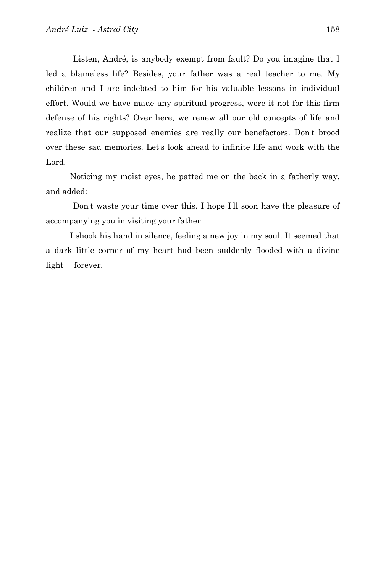Listen, André, is anybody exempt from fault? Do you imagine that I led a blameless life? Besides, your father was a real teacher to me. My children and I are indebted to him for his valuable lessons in individual effort. Would we have made any spiritual progress, were it not for this firm defense of his rights? Over here, we renew all our old concepts of life and realize that our supposed enemies are really our benefactors. Don't brood over these sad memories. Let s look ahead to infinite life and work with the Lord.

Noticing my moist eyes, he patted me on the back in a fatherly way, and added:

Don't waste your time over this. I hope I'll soon have the pleasure of accompanying you in visiting your father.

I shook his hand in silence, feeling a new joy in my soul. It seemed that a dark little corner of my heart had been suddenly flooded with a divine light… forever.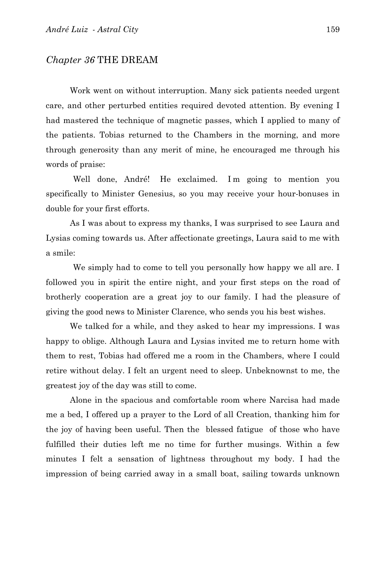### *Chapter 36* THE DREAM

Work went on without interruption. Many sick patients needed urgent care, and other perturbed entities required devoted attention. By evening I had mastered the technique of magnetic passes, which I applied to many of the patients. Tobias returned to the Chambers in the morning, and more through generosity than any merit of mine, he encouraged me through his words of praise:

Well done, André! He exclaimed. Im going to mention you specifically to Minister Genesius, so you may receive your hour-bonuses in double for your first efforts.

As I was about to express my thanks, I was surprised to see Laura and Lysias coming towards us. After affectionate greetings, Laura said to me with a smile:

We simply had to come to tell you personally how happy we all are. I followed you in spirit the entire night, and your first steps on the road of brotherly cooperation are a great joy to our family. I had the pleasure of giving the good news to Minister Clarence, who sends you his best wishes."

We talked for a while, and they asked to hear my impressions. I was happy to oblige. Although Laura and Lysias invited me to return home with them to rest, Tobias had offered me a room in the Chambers, where I could retire without delay. I felt an urgent need to sleep. Unbeknownst to me, the greatest joy of the day was still to come.

Alone in the spacious and comfortable room where Narcisa had made me a bed, I offered up a prayer to the Lord of all Creation, thanking him for the joy of having been useful. Then the blessed fatigue of those who have fulfilled their duties left me no time for further musings. Within a few minutes I felt a sensation of lightness throughout my body. I had the impression of being carried away in a small boat, sailing towards unknown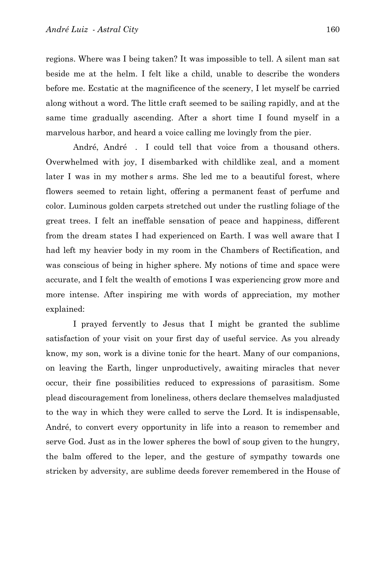regions. Where was I being taken? It was impossible to tell. A silent man sat beside me at the helm. I felt like a child, unable to describe the wonders before me. Ecstatic at the magnificence of the scenery, I let myself be carried along without a word. The little craft seemed to be sailing rapidly, and at the same time gradually ascending. After a short time I found myself in a marvelous harbor, and heard a voice calling me lovingly from the pier.

André, André. I could tell that voice from a thousand others. Overwhelmed with joy, I disembarked with childlike zeal, and a moment later I was in my mother's arms. She led me to a beautiful forest, where flowers seemed to retain light, offering a permanent feast of perfume and color. Luminous golden carpets stretched out under the rustling foliage of the great trees. I felt an ineffable sensation of peace and happiness, different from the dream states I had experienced on Earth. I was well aware that I had left my heavier body in my room in the Chambers of Rectification, and was conscious of being in higher sphere. My notions of time and space were accurate, and I felt the wealth of emotions I was experiencing grow more and more intense. After inspiring me with words of appreciation, my mother explained:

I prayed fervently to Jesus that I might be granted the sublime satisfaction of your visit on your first day of useful service. As you already know, my son, work is a divine tonic for the heart. Many of our companions, on leaving the Earth, linger unproductively, awaiting miracles that never occur, their fine possibilities reduced to expressions of parasitism. Some plead discouragement from loneliness, others declare themselves maladjusted to the way in which they were called to serve the Lord. It is indispensable, André, to convert every opportunity in life into a reason to remember and serve God. Just as in the lower spheres the bowl of soup given to the hungry, the balm offered to the leper, and the gesture of sympathy towards one stricken by adversity, are sublime deeds forever remembered in the House of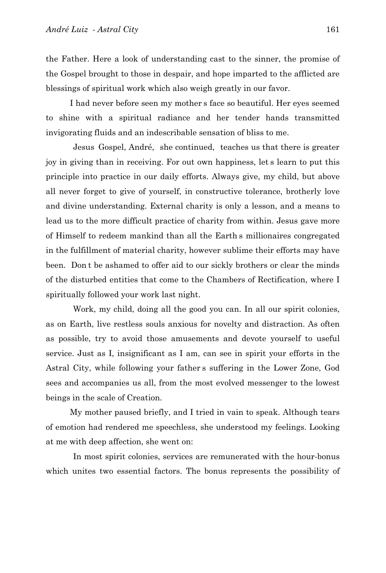the Father. Here a look of understanding cast to the sinner, the promise of the Gospel brought to those in despair, and hope imparted to the afflicted are blessings of spiritual work which also weigh greatly in our favor.

I had never before seen my mother's face so beautiful. Her eyes seemed to shine with a spiritual radiance and her tender hands transmitted invigorating fluids and an indescribable sensation of bliss to me.

Jesus Gospel, André, she continued, teaches us that there is greater joy in giving than in receiving. For out own happiness, let a learn to put this principle into practice in our daily efforts. Always give, my child, but above all never forget to give of yourself, in constructive tolerance, brotherly love and divine understanding. External charity is only a lesson, and a means to lead us to the more difficult practice of charity from within. Jesus gave more of Himself to redeem mankind than all the Earth's millionaires congregated in the fulfillment of material charity, however sublime their efforts may have been. Don't be ashamed to offer aid to our sickly brothers or clear the minds of the disturbed entities that come to the Chambers of Rectification, where I spiritually followed your work last night.

Work, my child, doing all the good you can. In all our spirit colonies, as on Earth, live restless souls anxious for novelty and distraction. As often as possible, try to avoid those amusements and devote yourself to useful service. Just as I, insignificant as I am, can see in spirit your efforts in the Astral City, while following your father's suffering in the Lower Zone, God sees and accompanies us all, from the most evolved messenger to the lowest beings in the scale of Creation.

My mother paused briefly, and I tried in vain to speak. Although tears of emotion had rendered me speechless, she understood my feelings. Looking at me with deep affection, she went on:

In most spirit colonies, services are remunerated with the hour-bonus which unites two essential factors. The bonus represents the possibility of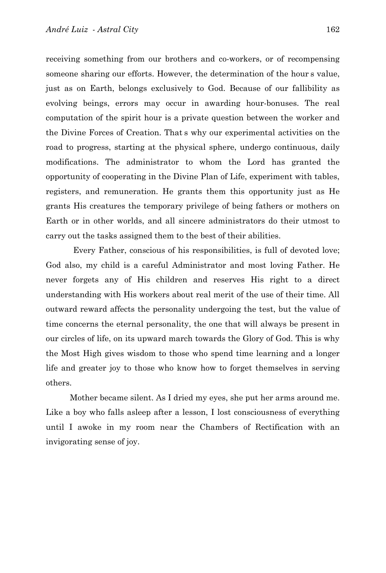receiving something from our brothers and co-workers, or of recompensing someone sharing our efforts. However, the determination of the hour's value, just as on Earth, belongs exclusively to God. Because of our fallibility as evolving beings, errors may occur in awarding hour-bonuses. The real computation of the spirit hour is a private question between the worker and the Divine Forces of Creation. That s why our experimental activities on the road to progress, starting at the physical sphere, undergo continuous, daily modifications. The administrator to whom the Lord has granted the opportunity of cooperating in the Divine Plan of Life, experiment with tables, registers, and remuneration. He grants them this opportunity just as He grants His creatures the temporary privilege of being fathers or mothers on Earth or in other worlds, and all sincere administrators do their utmost to carry out the tasks assigned them to the best of their abilities.

Every Father, conscious of his responsibilities, is full of devoted love; God also, my child is a careful Administrator and most loving Father. He never forgets any of His children and reserves His right to a direct understanding with His workers about real merit of the use of their time. All outward reward affects the personality undergoing the test, but the value of time concerns the eternal personality, the one that will always be present in our circles of life, on its upward march towards the Glory of God. This is why the Most High gives wisdom to those who spend time learning and a longer life and greater joy to those who know how to forget themselves in serving others.

Mother became silent. As I dried my eyes, she put her arms around me. Like a boy who falls asleep after a lesson, I lost consciousness of everything until I awoke in my room near the Chambers of Rectification with an invigorating sense of joy.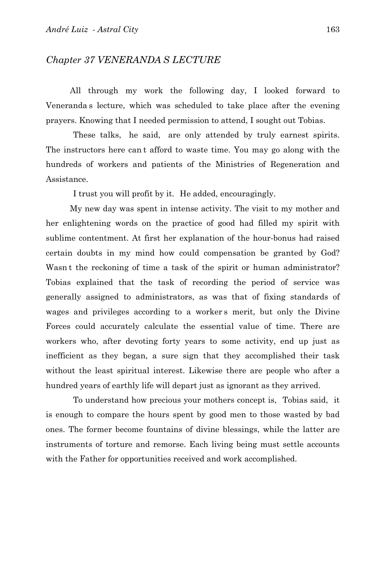# *Chapter 37 VENERANDA'S LECTURE*

All through my work the following day, I looked forward to Veneranda's lecture, which was scheduled to take place after the evening prayers. Knowing that I needed permission to attend, I sought out Tobias.

These talks, he said, are only attended by truly earnest spirits. The instructors here can't afford to waste time. You may go along with the hundreds of workers and patients of the Ministries of Regeneration and Assistance.

I trust you will profit by it." He added, encouragingly.

My new day was spent in intense activity. The visit to my mother and her enlightening words on the practice of good had filled my spirit with sublime contentment. At first her explanation of the hour-bonus had raised certain doubts in my mind how could compensation be granted by God? Wasn't the reckoning of time a task of the spirit or human administrator? Tobias explained that the task of recording the period of service was generally assigned to administrators, as was that of fixing standards of wages and privileges according to a worker's merit, but only the Divine Forces could accurately calculate the essential value of time. There are workers who, after devoting forty years to some activity, end up just as inefficient as they began, a sure sign that they accomplished their task without the least spiritual interest. Likewise there are people who after a hundred years of earthly life will depart just as ignorant as they arrived.

To understand how precious your mothers concept is, Tobias said, it is enough to compare the hours spent by good men to those wasted by bad ones. The former become fountains of divine blessings, while the latter are instruments of torture and remorse. Each living being must settle accounts with the Father for opportunities received and work accomplished.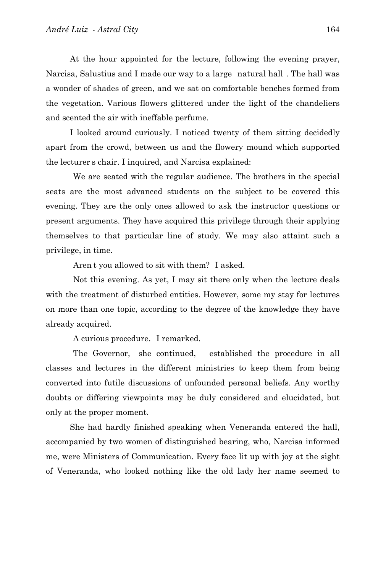At the hour appointed for the lecture, following the evening prayer, Narcisa, Salustius and I made our way to a large natural hall. The hall was a wonder of shades of green, and we sat on comfortable benches formed from the vegetation. Various flowers glittered under the light of the chandeliers and scented the air with ineffable perfume.

I looked around curiously. I noticed twenty of them sitting decidedly apart from the crowd, between us and the flowery mound which supported the lecturer's chair. I inquired, and Narcisa explained:

We are seated with the regular audience. The brothers in the special seats are the most advanced students on the subject to be covered this evening. They are the only ones allowed to ask the instructor questions or present arguments. They have acquired this privilege through their applying themselves to that particular line of study. We may also attaint such a privilege, in time."

Arent you allowed to sit with them? I asked.

Not this evening. As yet, I may sit there only when the lecture deals with the treatment of disturbed entities. However, some my stay for lectures on more than one topic, according to the degree of the knowledge they have already acquired.

A curious procedure. I remarked.

The Governor, she continued, established the procedure in all classes and lectures in the different ministries to keep them from being converted into futile discussions of unfounded personal beliefs. Any worthy doubts or differing viewpoints may be duly considered and elucidated, but only at the proper moment.

She had hardly finished speaking when Veneranda entered the hall, accompanied by two women of distinguished bearing, who, Narcisa informed me, were Ministers of Communication. Every face lit up with joy at the sight of Veneranda, who looked nothing like the old lady her name seemed to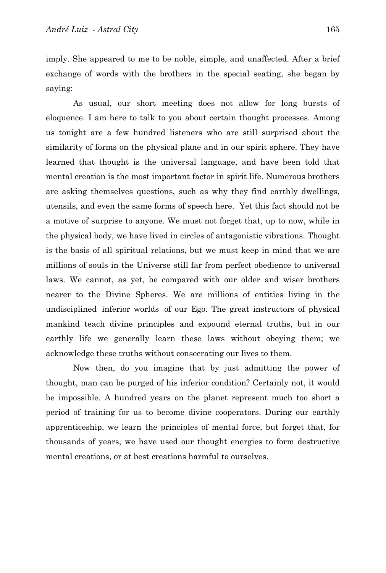imply. She appeared to me to be noble, simple, and unaffected. After a brief exchange of words with the brothers in the special seating, she began by saying:

As usual, our short meeting does not allow for long bursts of eloquence. I am here to talk to you about certain thought processes. Among us tonight are a few hundred listeners who are still surprised about the similarity of forms on the physical plane and in our spirit sphere. They have learned that thought is the universal language, and have been told that mental creation is the most important factor in spirit life. Numerous brothers are asking themselves questions, such as why they find earthly dwellings, utensils, and even the same forms of speech here. Yet this fact should not be a motive of surprise to anyone. We must not forget that, up to now, while in the physical body, we have lived in circles of antagonistic vibrations. Thought is the basis of all spiritual relations, but we must keep in mind that we are millions of souls in the Universe still far from perfect obedience to universal laws. We cannot, as yet, be compared with our older and wiser brothers nearer to the Divine Spheres. We are millions of entities living in the undisciplined inferior worlds of our Ego. The great instructors of physical mankind teach divine principles and expound eternal truths, but in our earthly life we generally learn these laws without obeying them; we acknowledge these truths without consecrating our lives to them.

Now then, do you imagine that by just admitting the power of thought, man can be purged of his inferior condition? Certainly not, it would be impossible. A hundred years on the planet represent much too short a period of training for us to become divine cooperators. During our earthly apprenticeship, we learn the principles of mental force, but forget that, for thousands of years, we have used our thought energies to form destructive mental creations, or at best creations harmful to ourselves.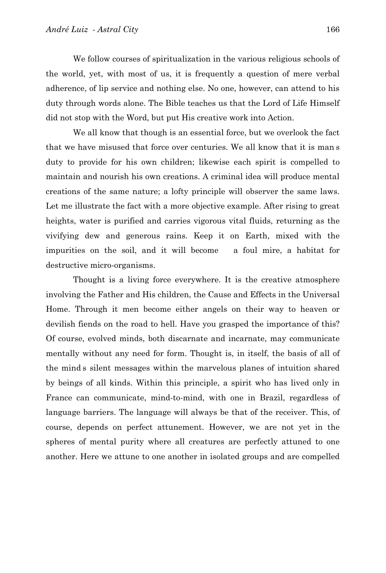We follow courses of spiritualization in the various religious schools of the world, yet, with most of us, it is frequently a question of mere verbal adherence, of lip service and nothing else. No one, however, can attend to his duty through words alone. The Bible teaches us that the Lord of Life Himself did not stop with the Word, but put His creative work into Action.

We all know that though is an essential force, but we overlook the fact that we have misused that force over centuries. We all know that it is man's duty to provide for his own children; likewise each spirit is compelled to maintain and nourish his own creations. A criminal idea will produce mental creations of the same nature; a lofty principle will observer the same laws. Let me illustrate the fact with a more objective example. After rising to great heights, water is purified and carries vigorous vital fluids, returning as the vivifying dew and generous rains. Keep it on Earth, mixed with the impurities on the soil, and it will become a foul mire, a habitat for destructive micro-organisms.

Thought is a living force everywhere. It is the creative atmosphere involving the Father and His children, the Cause and Effects in the Universal Home. Through it men become either angels on their way to heaven or devilish fiends on the road to hell. Have you grasped the importance of this? Of course, evolved minds, both discarnate and incarnate, may communicate mentally without any need for form. Thought is, in itself, the basis of all of the mind's silent messages within the marvelous planes of intuition shared by beings of all kinds. Within this principle, a spirit who has lived only in France can communicate, mind-to-mind, with one in Brazil, regardless of language barriers. The language will always be that of the receiver. This, of course, depends on perfect attunement. However, we are not yet in the spheres of mental purity where all creatures are perfectly attuned to one another. Here we attune to one another in isolated groups and are compelled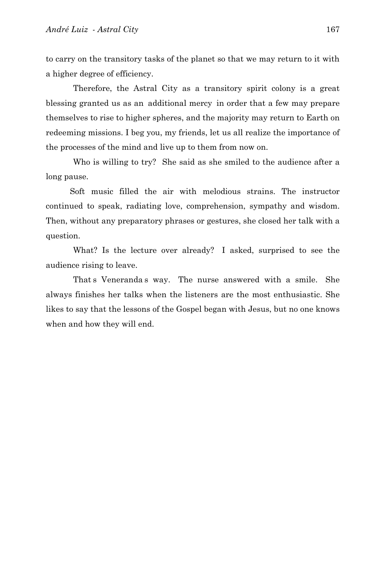to carry on the transitory tasks of the planet so that we may return to it with a higher degree of efficiency.

Therefore, the Astral City as a transitory spirit colony is a great blessing granted us as an additional mercy in order that a few may prepare themselves to rise to higher spheres, and the majority may return to Earth on redeeming missions. I beg you, my friends, let us all realize the importance of the processes of the mind and live up to them from now on.

Who is willing to try? She said as she smiled to the audience after a long pause.

Soft music filled the air with melodious strains. The instructor continued to speak, radiating love, comprehension, sympathy and wisdom. Then, without any preparatory phrases or gestures, she closed her talk with a question.

What? Is the lecture over already? I asked, surprised to see the audience rising to leave.

That's Veneranda's way. The nurse answered with a smile. She always finishes her talks when the listeners are the most enthusiastic. She likes to say that the lessons of the Gospel began with Jesus, but no one knows when and how they will end.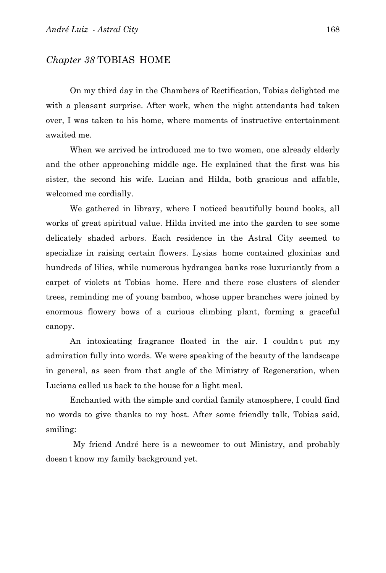# *Chapter 38* TOBIAS' HOME

On my third day in the Chambers of Rectification, Tobias delighted me with a pleasant surprise. After work, when the night attendants had taken over, I was taken to his home, where moments of instructive entertainment awaited me.

When we arrived he introduced me to two women, one already elderly and the other approaching middle age. He explained that the first was his sister, the second his wife. Lucian and Hilda, both gracious and affable, welcomed me cordially.

We gathered in library, where I noticed beautifully bound books, all works of great spiritual value. Hilda invited me into the garden to see some delicately shaded arbors. Each residence in the Astral City seemed to specialize in raising certain flowers. Lysias home contained gloxinias and hundreds of lilies, while numerous hydrangea banks rose luxuriantly from a carpet of violets at Tobias' home. Here and there rose clusters of slender trees, reminding me of young bamboo, whose upper branches were joined by enormous flowery bows of a curious climbing plant, forming a graceful canopy.

An intoxicating fragrance floated in the air. I couldn't put my admiration fully into words. We were speaking of the beauty of the landscape in general, as seen from that angle of the Ministry of Regeneration, when Luciana called us back to the house for a light meal.

Enchanted with the simple and cordial family atmosphere, I could find no words to give thanks to my host. After some friendly talk, Tobias said, smiling:

"My friend André here is a newcomer to out Ministry, and probably doesn't know my family background yet.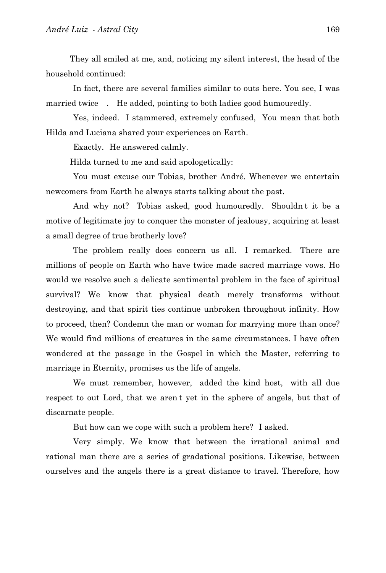They all smiled at me, and, noticing my silent interest, the head of the household continued:

In fact, there are several families similar to outs here. You see, I was married twice... He added, pointing to both ladies good humouredly.

Yes, indeed. I stammered, extremely confused. You mean that both Hilda and Luciana shared your experiences on Earth."

Exactly. He answered calmly.

Hilda turned to me and said apologetically:

"You must excuse our Tobias, brother André. Whenever we entertain new comers from Earth he always starts talking about the past.

And why not? Tobias asked, good humouredly. Shouldn't it be a motive of legitimate joy to conquer the monster of jealousy, acquiring at least a small degree of true brotherly love?

The problem really does concern us all. I remarked. There are millions of people on Earth who have twice made sacred marriage vows. Ho would we resolve such a delicate sentimental problem in the face of spiritual survival? We know that physical death merely transforms without destroying, and that spirit ties continue unbroken throughout infinity. How to proceed, then? Condemn the man or woman for marrying more than once? We would find millions of creatures in the same circumstances. I have often wondered at the passage in the Gospel in which the Master, referring to marriage in Eternity, promises us the life of angels.

We must remember, however, added the kind host, with all due respect to out Lord, that we aren't yet in the sphere of angels, but that of discarnate people.

But how can we cope with such a problem here? I asked.

"Very simply. We know that between the irrational animal and rational man there are a series of gradational positions. Likewise, between ourselves and the angels there is a great distance to travel. Therefore, how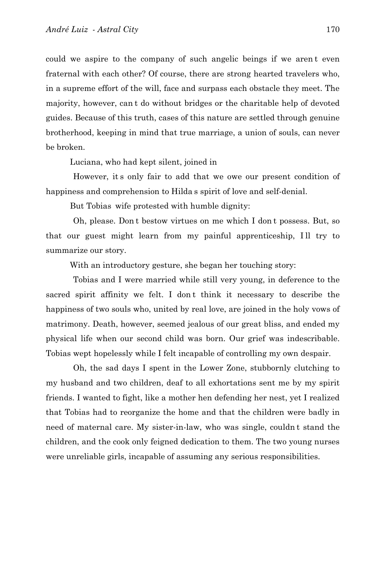could we aspire to the company of such angelic beings if we aren't even fraternal with each other? Of course, there are strong hearted travelers who, in a supreme effort of the will, face and surpass each obstacle they meet. The majority, however, can't do without bridges or the charitable help of devoted guides. Because of this truth, cases of this nature are settled through genuine brotherhood, keeping in mind that true marriage, a union of souls, can never be broken.

Luciana, who had kept silent, joined in"

However, it is only fair to add that we owe our present condition of happiness and comprehension to Hilda's spirit of love and self-denial.

But Tobias' wife protested with humble dignity:

"Oh, please. Don't bestow virtues on me which I don't possess. But, so that our guest might learn from my painful apprenticeship. Ill try to summarize our story.

With an introductory gesture, she began her touching story:

Tobias and I were married while still very young, in deference to the sacred spirit affinity we felt. I don't think it necessary to describe the happiness of two souls who, united by real love, are joined in the holy vows of matrimony. Death, however, seemed jealous of our great bliss, and ended my physical life when our second child was born. Our grief was indescribable. Tobias wept hopelessly while I felt incapable of controlling my own despair.

"Oh, the sad days I spent in the Lower Zone, stubbornly clutching to my husband and two children, deaf to all exhortations sent me by my spirit friends. I wanted to fight, like a mother hen defending her nest, yet I realized that Tobias had to reorganize the home and that the children were badly in need of maternal care. My sister-in-law, who was single, couldn't stand the children, and the cook only feigned dedication to them. The two young nurses were unreliable girls, incapable of assuming any serious responsibilities.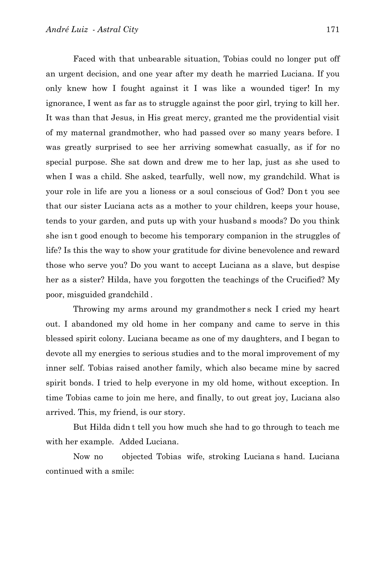Faced with that unbearable situation, Tobias could no longer put off an urgent decision, and one year after my death he married Luciana. If you only knew how I fought against it I was like a wounded tiger! In my ignorance, I went as far as to struggle against the poor girl, trying to kill her. It was than that Jesus, in His great mercy, granted me the providential visit of my maternal grandmother, who had passed over so many years before. I was greatly surprised to see her arriving somewhat casually, as if for no special purpose. She sat down and drew me to her lap, just as she used to when I was a child. She asked, tearfully, well now, my grandchild. What is your role in life are you a lioness or a soul conscious of God? Don't you see that our sister Luciana acts as a mother to your children, keeps your house, tends to your garden, and puts up with your husband's moods? Do you think she isn't good enough to become his temporary companion in the struggles of life? Is this the way to show your gratitude for divine benevolence and reward those who serve you? Do you want to accept Luciana as a slave, but despise her as a sister? Hilda, have you forgotten the teachings of the Crucified? My poor, misguided grandchild.

Throwing my arms around my grandmother's neck I cried my heart out. I abandoned my old home in her company and came to serve in this blessed spirit colony. Luciana became as one of my daughters, and I began to devote all my energies to serious studies and to the moral improvement of my inner self. Tobias raised another family, which also became mine by sacred spirit bonds. I tried to help everyone in my old home, without exception. In time Tobias came to join me here, and finally, to out great joy, Luciana also arrived. This, my friend, is our story.

But Hilda didn't tell you how much she had to go through to teach me with her example. Added Luciana.

Now no … objected Tobias wife, stroking Luciana's hand. Luciana continued with a smile: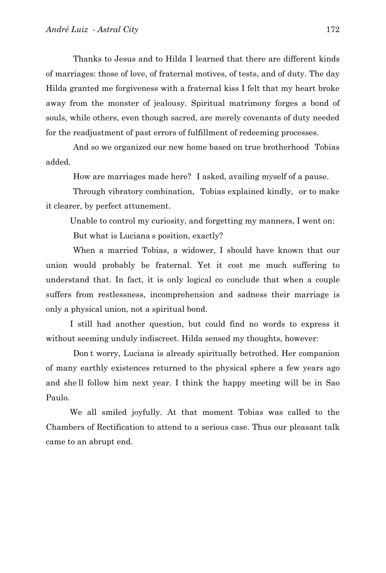Thanks to Jesus and to Hilda I learned that there are different kinds of marriages: those of love, of fraternal motives, of tests, and of duty. The day Hilda granted me forgiveness with a fraternal kiss I felt that my heart broke away from the monster of jealousy. Spiritual matrimony forges a bond of souls, while others, even though sacred, are merely covenants of duty needed for the readjustment of past errors of fulfillment of redeeming processes.

And so we organized our new home based on true brotherhood Tobias added.

How are marriages made here? I asked, availing myself of a pause.

Through vibratory combination, Tobias explained kindly, or to make it clearer, by perfect attunement.

Unable to control my curiosity, and forgetting my manners, I went on:

But what is Luciana's position, exactly?

When a married Tobias, a widower, I should have known that our union would probably be fraternal. Yet it cost me much suffering to understand that. In fact, it is only logical co conclude that when a couple suffers from restlessness, incomprehension and sadness their marriage is only a physical union, not a spiritual bond."

I still had another question, but could find no words to express it without seeming unduly indiscreet. Hilda sensed my thoughts, however:

Don't worry, Luciana is already spiritually betrothed. Her companion of many earthly existences returned to the physical sphere a few years ago and she'll follow him next year. I think the happy meeting will be in Sao Paulo.

We all smiled joyfully. At that moment Tobias was called to the Chambers of Rectification to attend to a serious case. Thus our pleasant talk came to an abrupt end.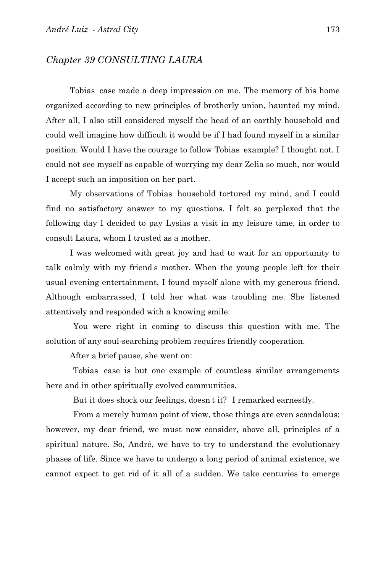# *Chapter 39 CONSULTING LAURA*

Tobias' case made a deep impression on me. The memory of his home organized according to new principles of brotherly union, haunted my mind. After all, I also still considered myself the head of an earthly household and could well imagine how difficult it would be if I had found myself in a similar position. Would I have the courage to follow Tobias' example? I thought not. I could not see myself as capable of worrying my dear Zelia so much, nor would I accept such an imposition on her part.

My observations of Tobias' household tortured my mind, and I could find no satisfactory answer to my questions. I felt so perplexed that the following day I decided to pay Lysias a visit in my leisure time, in order to consult Laura, whom I trusted as a mother.

I was welcomed with great joy and had to wait for an opportunity to talk calmly with my friend's mother. When the young people left for their usual evening entertainment, I found myself alone with my generous friend. Although embarrassed, I told her what was troubling me. She listened attentively and responded with a knowing smile:

You were right in coming to discuss this question with me. The solution of any soul-searching problem requires friendly cooperation.

After a brief pause, she went on:

Tobias case is but one example of countless similar arrangements here and in other spiritually evolved communities.

But it does shock our feelings, doesn't it? I remarked earnestly.

From a merely human point of view, those things are even scandalous; however, my dear friend, we must now consider, above all, principles of a spiritual nature. So, André, we have to try to understand the evolutionary phases of life. Since we have to undergo a long period of animal existence, we cannot expect to get rid of it all of a sudden. We take centuries to emerge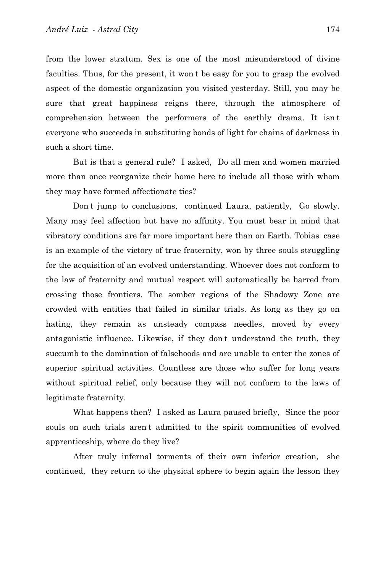from the lower stratum. Sex is one of the most misunderstood of divine faculties. Thus, for the present, it won't be easy for you to grasp the evolved aspect of the domestic organization you visited yesterday. Still, you may be sure that great happiness reigns there, through the atmosphere of comprehension between the performers of the earthly drama. It isn't everyone who succeeds in substituting bonds of light for chains of darkness in such a short time.

But is that a general rule? I asked, Do all men and women married more than once reorganize their home here to include all those with whom they may have formed affectionate ties?"

Dont jump to conclusions, continued Laura, patiently, Go slowly. Many may feel affection but have no affinity. You must bear in mind that vibratory conditions are far more important here than on Earth. Tobias' case is an example of the victory of true fraternity, won by three souls struggling for the acquisition of an evolved understanding. Whoever does not conform to the law of fraternity and mutual respect will automatically be barred from crossing those frontiers. The somber regions of the Shadowy Zone are crowded with entities that failed in similar trials. As long as they go on hating, they remain as unsteady compass needles, moved by every antagonistic influence. Likewise, if they don't understand the truth, they succumb to the domination of falsehoods and are unable to enter the zones of superior spiritual activities. Countless are those who suffer for long years without spiritual relief, only because they will not conform to the laws of legitimate fraternity.

What happens then? I asked as Laura paused briefly, Since the poor souls on such trials aren't admitted to the spirit communities of evolved apprenticeship, where do they live?

After truly infernal torments of their own inferior creation, she continued, they return to the physical sphere to begin again the lesson they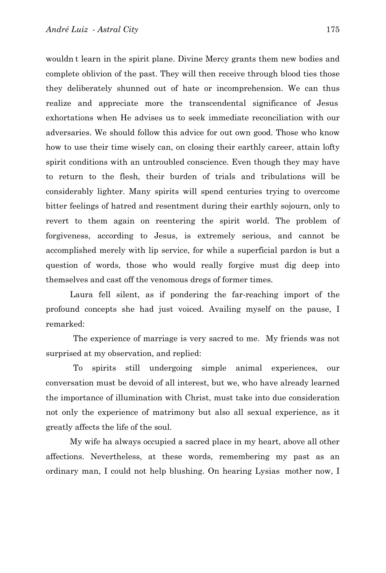wouldn't learn in the spirit plane. Divine Mercy grants them new bodies and complete oblivion of the past. They will then receive through blood ties those they deliberately shunned out of hate or incomprehension. We can thus realize and appreciate more the transcendental significance of Jesus' exhortations when He advises us to seek immediate reconciliation with our adversaries. We should follow this advice for out own good. Those who know how to use their time wisely can, on closing their earthly career, attain lofty spirit conditions with an untroubled conscience. Even though they may have to return to the flesh, their burden of trials and tribulations will be considerably lighter. Many spirits will spend centuries trying to overcome bitter feelings of hatred and resentment during their earthly sojourn, only to revert to them again on reentering the spirit world. The problem of forgiveness, according to Jesus, is extremely serious, and cannot be accomplished merely with lip service, for while a superficial pardon is but a question of words, those who would really forgive must dig deep into themselves and cast off the venomous dregs of former times."

Laura fell silent, as if pondering the far-reaching import of the profound concepts she had just voiced. Availing myself on the pause, I remarked:

The experience of marriage is very sacred to me. My friends was not surprised at my observation, and replied:

"To spirits still undergoing simple animal experiences, our conversation must be devoid of all interest, but we, who have already learned the importance of illumination with Christ, must take into due consideration not only the experience of matrimony but also all sexual experience, as it greatly affects the life of the soul."

My wife ha always occupied a sacred place in my heart, above all other affections. Nevertheless, at these words, remembering my past as an ordinary man, I could not help blushing. On hearing Lysias' mother now, I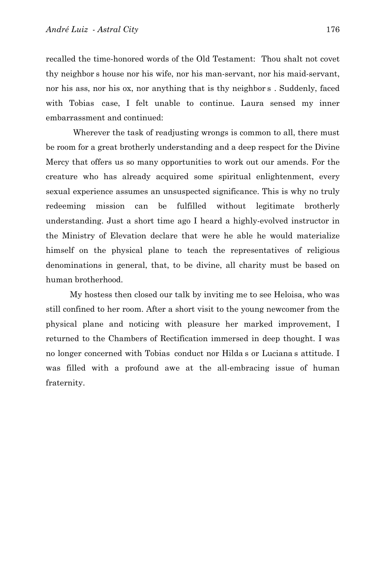recalled the time-honored words of the Old Testament: "Thou shalt not covet thy neighbor's house nor his wife, nor his man-servant, nor his maid-servant, nor his ass, nor his ox, nor anything that is thy neighbors. Suddenly, faced with Tobias case, I felt unable to continue. Laura sensed my inner embarrassment and continued:

Wherever the task of readjusting wrongs is common to all, there must be room for a great brotherly understanding and a deep respect for the Divine Mercy that offers us so many opportunities to work out our amends. For the creature who has already acquired some spiritual enlightenment, every sexual experience assumes an unsuspected significance. This is why no truly redeeming mission can be fulfilled without legitimate brotherly understanding. Just a short time ago I heard a highly-evolved instructor in the Ministry of Elevation declare that were he able he would materialize himself on the physical plane to teach the representatives of religious denominations in general, that, to be divine, all charity must be based on human brotherhood."

My hostess then closed our talk by inviting me to see Heloisa, who was still confined to her room. After a short visit to the young newcomer from the physical plane and noticing with pleasure her marked improvement, I returned to the Chambers of Rectification immersed in deep thought. I was no longer concerned with Tobias' conduct nor Hilda's or Luciana's attitude. I was filled with a profound awe at the all-embracing issue of human fraternity.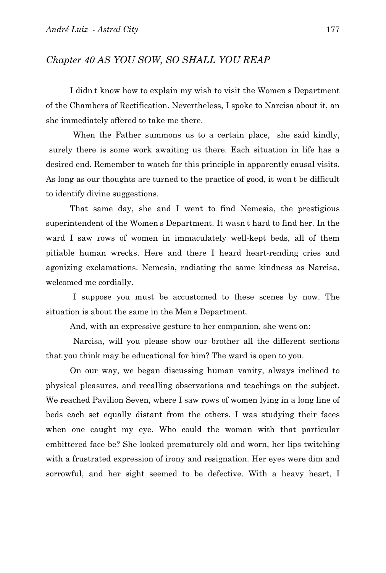# *Chapter 40 AS YOU SOW, SO SHALL YOU REAP*

I didn't know how to explain my wish to visit the Women's Department of the Chambers of Rectification. Nevertheless, I spoke to Narcisa about it, an she immediately offered to take me there.

When the Father summons us to a certain place, she said kindly, surely there is some work awaiting us there. Each situation in life has a desired end. Remember to watch for this principle in apparently causal visits. As long as our thoughts are turned to the practice of good, it won t be difficult to identify divine suggestions."

That same day, she and I went to find Nemesia, the prestigious superintendent of the Women's Department. It wasn't hard to find her. In the ward I saw rows of women in immaculately well-kept beds, all of them pitiable human wrecks. Here and there I heard heart-rending cries and agonizing exclamations. Nemesia, radiating the same kindness as Narcisa, welcomed me cordially.

I suppose you must be accustomed to these scenes by now. The situation is about the same in the Men's Department.

And, with an expressive gesture to her companion, she went on:

Narcisa, will you please show our brother all the different sections that you think may be educational for him? The ward is open to you.

On our way, we began discussing human vanity, always inclined to physical pleasures, and recalling observations and teachings on the subject. We reached Pavilion Seven, where I saw rows of women lying in a long line of beds each set equally distant from the others. I was studying their faces when one caught my eye. Who could the woman with that particular embittered face be? She looked prematurely old and worn, her lips twitching with a frustrated expression of irony and resignation. Her eyes were dim and sorrowful, and her sight seemed to be defective. With a heavy heart, I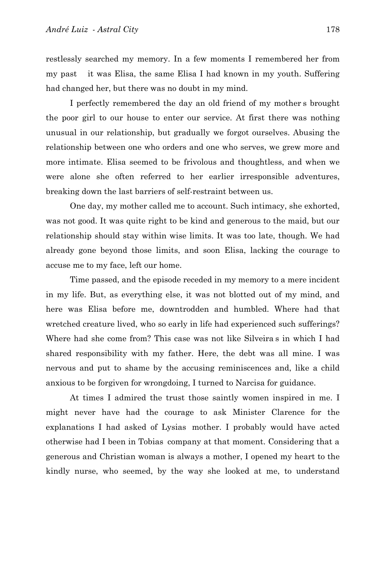restlessly searched my memory. In a few moments I remembered her from my past it was Elisa, the same Elisa I had known in my youth. Suffering had changed her, but there was no doubt in my mind.

I perfectly remembered the day an old friend of my mother's brought the poor girl to our house to enter our service. At first there was nothing unusual in our relationship, but gradually we forgot ourselves. Abusing the relationship between one who orders and one who serves, we grew more and more intimate. Elisa seemed to be frivolous and thoughtless, and when we were alone she often referred to her earlier irresponsible adventures, breaking down the last barriers of self-restraint between us.

One day, my mother called me to account. Such intimacy, she exhorted, was not good. It was quite right to be kind and generous to the maid, but our relationship should stay within wise limits. It was too late, though. We had already gone beyond those limits, and soon Elisa, lacking the courage to accuse me to my face, left our home.

Time passed, and the episode receded in my memory to a mere incident in my life. But, as everything else, it was not blotted out of my mind, and here was Elisa before me, downtrodden and humbled. Where had that wretched creature lived, who so early in life had experienced such sufferings? Where had she come from? This case was not like Silveira's in which I had shared responsibility with my father. Here, the debt was all mine. I was nervous and put to shame by the accusing reminiscences and, like a child anxious to be forgiven for wrongdoing, I turned to Narcisa for guidance.

At times I admired the trust those saintly women inspired in me. I might never have had the courage to ask Minister Clarence for the explanations I had asked of Lysias' mother. I probably would have acted otherwise had I been in Tobias' company at that moment. Considering that a generous and Christian woman is always a mother, I opened my heart to the kindly nurse, who seemed, by the way she looked at me, to understand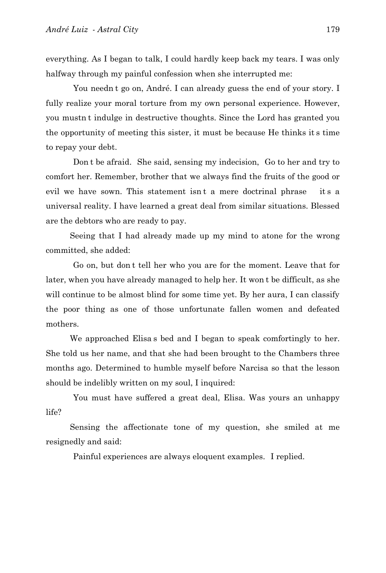everything. As I began to talk, I could hardly keep back my tears. I was only halfway through my painful confession when she interrupted me:

You needn't go on, André. I can already guess the end of your story. I fully realize your moral torture from my own personal experience. However, you mustn't indulge in destructive thoughts. Since the Lord has granted you the opportunity of meeting this sister, it must be because He thinks it a time to repay your debt.

Don't be afraid. She said, sensing my indecision, Go to her and try to comfort her. Remember, brother that we always find the fruits of the good or evil we have sown. This statement isn't a mere doctrinal phrase it's a universal reality. I have learned a great deal from similar situations. Blessed are the debtors who are ready to pay.

Seeing that I had already made up my mind to atone for the wrong committed, she added:

Go on, but don't tell her who you are for the moment. Leave that for later, when you have already managed to help her. It won't be difficult, as she will continue to be almost blind for some time yet. By her aura, I can classify the poor thing as one of those unfortunate fallen women and defeated mothers.

We approached Elisa's bed and I began to speak comfortingly to her. She told us her name, and that she had been brought to the Chambers three months ago. Determined to humble myself before Narcisa so that the lesson should be indelibly written on my soul, I inquired:

You must have suffered a great deal, Elisa. Was yours an unhappy life?

Sensing the affectionate tone of my question, she smiled at me resignedly and said:

Painful experiences are always eloquent examples. I replied.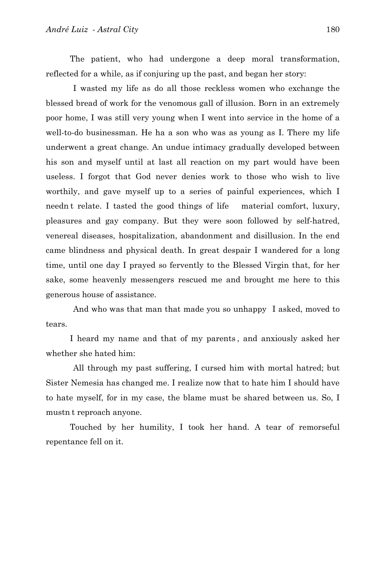The patient, who had undergone a deep moral transformation, reflected for a while, as if conjuring up the past, and began her story:

I wasted my life as do all those reckless women who exchange the blessed bread of work for the venomous gall of illusion. Born in an extremely poor home, I was still very young when I went into service in the home of a well-to-do businessman. He ha a son who was as young as I. There my life underwent a great change. An undue intimacy gradually developed between his son and myself until at last all reaction on my part would have been useless. I forgot that God never denies work to those who wish to live worthily, and gave myself up to a series of painful experiences, which I needn't relate. I tasted the good things of life material comfort, luxury, pleasures and gay company. But they were soon followed by self-hatred, venereal diseases, hospitalization, abandonment and disillusion. In the end came blindness and physical death. In great despair I wandered for a long time, until one day I prayed so fervently to the Blessed Virgin that, for her sake, some heavenly messengers rescued me and brought me here to this generous house of assistance."

And who was that man that made you so unhappy I asked, moved to tears.

I heard my name and that of my parents, and anxiously asked her whether she hated him:

All through my past suffering, I cursed him with mortal hatred; but Sister Nemesia has changed me. I realize now that to hate him I should have to hate myself, for in my case, the blame must be shared between us. So, I mustn't reproach anyone.

Touched by her humility, I took her hand. A tear of remorseful repentance fell on it.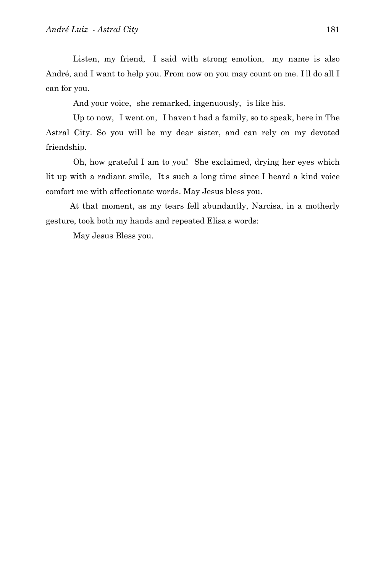Listen, my friend, I said with strong emotion, my name is also André, and I want to help you. From now on you may count on me. Ill do all I can for you.

And your voice, she remarked, ingenuously, is like his.

Up to now, I went on, I haven t had a family, so to speak, here in The Astral City. So you will be my dear sister, and can rely on my devoted friendship.

Oh, how grateful I am to you! She exclaimed, drying her eyes which lit up with a radiant smile, It's such a long time since I heard a kind voice comfort me with affectionate words. May Jesus bless you.

At that moment, as my tears fell abundantly, Narcisa, in a motherly gesture, took both my hands and repeated Elisa's words:

May Jesus Bless you.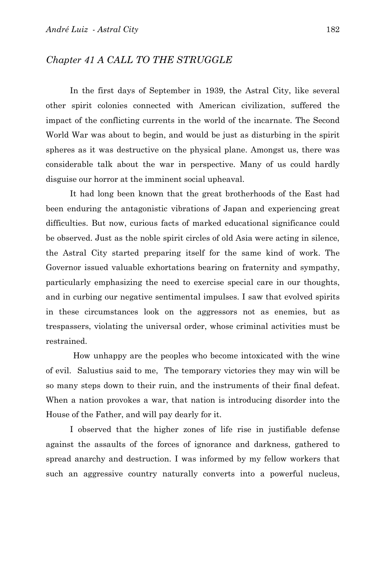## *Chapter 41 A CALL TO THE STRUGGLE*

In the first days of September in 1939, the Astral City, like several other spirit colonies connected with American civilization, suffered the impact of the conflicting currents in the world of the incarnate. The Second World War was about to begin, and would be just as disturbing in the spirit spheres as it was destructive on the physical plane. Amongst us, there was considerable talk about the war in perspective. Many of us could hardly disguise our horror at the imminent social upheaval.

It had long been known that the great brotherhoods of the East had been enduring the antagonistic vibrations of Japan and experiencing great difficulties. But now, curious facts of marked educational significance could be observed. Just as the noble spirit circles of old Asia were acting in silence, the Astral City started preparing itself for the same kind of work. The Governor issued valuable exhortations bearing on fraternity and sympathy, particularly emphasizing the need to exercise special care in our thoughts, and in curbing our negative sentimental impulses. I saw that evolved spirits in these circumstances look on the aggressors not as enemies, but as trespassers, violating the universal order, whose criminal activities must be restrained.

"How unhappy are the peoples who become intoxicated with the wine of evil." Salustius said to me, "The temporary victories they may win will be so many steps down to their ruin, and the instruments of their final defeat. When a nation provokes a war, that nation is introducing disorder into the House of the Father, and will pay dearly for it.

I observed that the higher zones of life rise in justifiable defense against the assaults of the forces of ignorance and darkness, gathered to spread anarchy and destruction. I was informed by my fellow workers that such an aggressive country naturally converts into a powerful nucleus,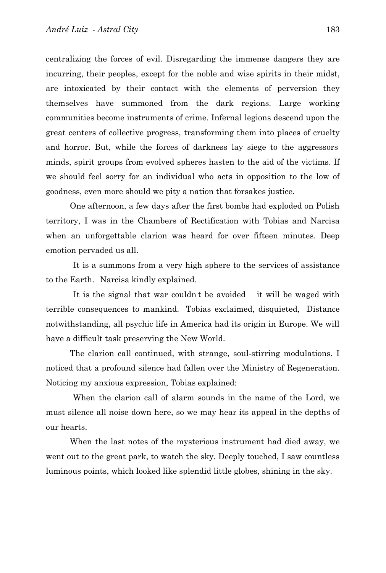centralizing the forces of evil. Disregarding the immense dangers they are incurring, their peoples, except for the noble and wise spirits in their midst, are intoxicated by their contact with the elements of perversion they themselves have summoned from the dark regions. Large working communities become instruments of crime. Infernal legions descend upon the great centers of collective progress, transforming them into places of cruelty and horror. But, while the forces of darkness lay siege to the aggressors' minds, spirit groups from evolved spheres hasten to the aid of the victims. If we should feel sorry for an individual who acts in opposition to the low of goodness, even more should we pity a nation that forsakes justice.

One afternoon, a few days after the first bombs had exploded on Polish territory, I was in the Chambers of Rectification with Tobias and Narcisa when an unforgettable clarion was heard for over fifteen minutes. Deep emotion pervaded us all.

It is a summons from a very high sphere to the services of assistance to the Earth. Narcisa kindly explained.

It is the signal that war couldn't be avoided it will be waged with terrible consequences to mankind. Tobias exclaimed, disquieted, Distance notwithstanding, all psychic life in America had its origin in Europe. We will have a difficult task preserving the New World.

The clarion call continued, with strange, soul-stirring modulations. I noticed that a profound silence had fallen over the Ministry of Regeneration. Noticing my anxious expression, Tobias explained:

When the clarion call of alarm sounds in the name of the Lord, we must silence all noise down here, so we may hear its appeal in the depths of our hearts.

When the last notes of the mysterious instrument had died away, we went out to the great park, to watch the sky. Deeply touched, I saw countless luminous points, which looked like splendid little globes, shining in the sky.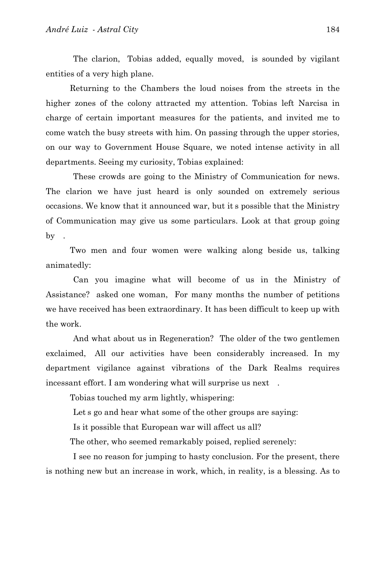The clarion, Tobias added, equally moved, is sounded by vigilant entities of a very high plane.

Returning to the Chambers the loud noises from the streets in the higher zones of the colony attracted my attention. Tobias left Narcisa in charge of certain important measures for the patients, and invited me to come watch the busy streets with him. On passing through the upper stories, on our way to Government House Square, we noted intense activity in all departments. Seeing my curiosity, Tobias explained:

These crowds are going to the Ministry of Communication for news. The clarion we have just heard is only sounded on extremely serious occasions. We know that it announced war, but it a possible that the Ministry of Communication may give us some particulars. Look at that group going  $bv$ .

Two men and four women were walking along beside us, talking animatedly:

"Can you imagine what will become of us in the Ministry of Assistance? asked one woman, For many months the number of petitions we have received has been extraordinary. It has been difficult to keep up with the work.

And what about us in Regeneration? The older of the two gentlemen exclaimed, All our activities have been considerably increased. In my department vigilance against vibrations of the Dark Realms requires incessant effort. I am wondering what will surprise us next.

Tobias touched my arm lightly, whispering:

Let s go and hear what some of the other groups are saying:

Is it possible that European war will affect us all?

The other, who seemed remarkably poised, replied serenely:

I see no reason for jumping to hasty conclusion. For the present, there is nothing new but an increase in work, which, in reality, is a blessing. As to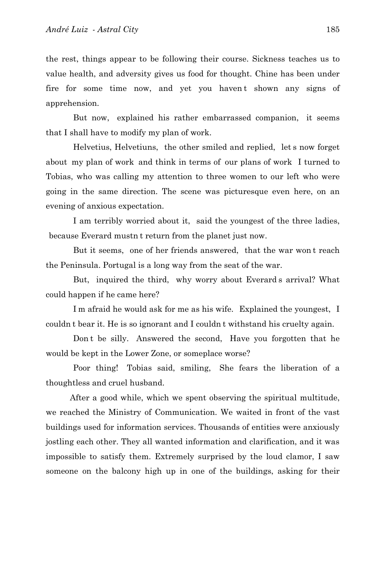the rest, things appear to be following their course. Sickness teaches us to value health, and adversity gives us food for thought. Chine has been under fire for some time now, and yet you haven't shown any signs of apprehension.

But now, explained his rather embarrassed companion, it seems that I shall have to modify my plan of work.

Helvetius, Helvetiuns, the other smiled and replied, let s now forget about my plan of work and think in terms of our plans of work I turned to Tobias, who was calling my attention to three women to our left who were going in the same direction. The scene was picturesque even here, on an evening of anxious expectation.

I am terribly worried about it, said the youngest of the three ladies, because Everard mustn't return from the planet just now.

But it seems, one of her friends answered, that the war won't reach the Peninsula. Portugal is a long way from the seat of the war.

But, inquired the third, why worry about Everard's arrival? What could happen if he came here?

I'm afraid he would ask for me as his wife. Explained the youngest. I couldn't bear it. He is so ignorant and I couldn't withstand his cruelty again.

Don't be silly. Answered the second, Have you forgotten that he would be kept in the Lower Zone, or someplace worse?

Poor thing! Tobias said, smiling, She fears the liberation of a thoughtless and cruel husband."

After a good while, which we spent observing the spiritual multitude, we reached the Ministry of Communication. We waited in front of the vast buildings used for information services. Thousands of entities were anxiously jostling each other. They all wanted information and clarification, and it was impossible to satisfy them. Extremely surprised by the loud clamor, I saw someone on the balcony high up in one of the buildings, asking for their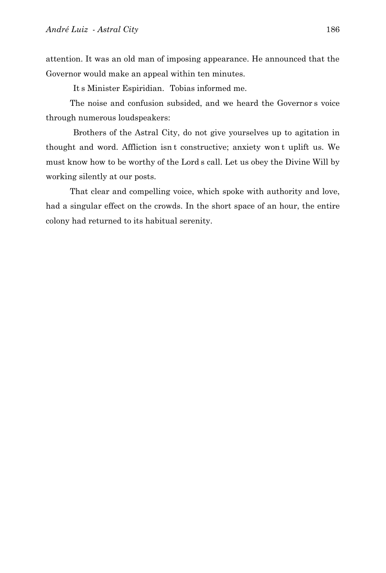attention. It was an old man of imposing appearance. He announced that the Governor would make an appeal within ten minutes.

It s Minister Espiridian. Tobias informed me.

The noise and confusion subsided, and we heard the Governor's voice through numerous loudspeakers:

Brothers of the Astral City, do not give yourselves up to agitation in thought and word. Affliction isn't constructive; anxiety won't uplift us. We must know how to be worthy of the Lord's call. Let us obey the Divine Will by working silently at our posts.

That clear and compelling voice, which spoke with authority and love, had a singular effect on the crowds. In the short space of an hour, the entire colony had returned to its habitual serenity.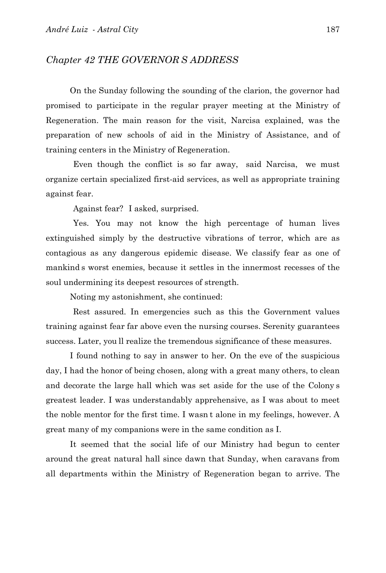# *Chapter 42 THE GOVERNOR'S ADDRESS*

On the Sunday following the sounding of the clarion, the governor had promised to participate in the regular prayer meeting at the Ministry of Regeneration. The main reason for the visit, Narcisa explained, was the preparation of new schools of aid in the Ministry of Assistance, and of training centers in the Ministry of Regeneration.

Even though the conflict is so far away, said Narcisa, we must organize certain specialized first-aid services, as well as appropriate training against fear.

Against fear? I asked, surprised.

Yes. You may not know the high percentage of human lives extinguished simply by the destructive vibrations of terror, which are as contagious as any dangerous epidemic disease. We classify fear as one of mankind's worst enemies, because it settles in the innermost recesses of the soul undermining its deepest resources of strength.

Noting my astonishment, she continued:

Rest assured. In emergencies such as this the Government values training against fear far above even the nursing courses. Serenity guarantees success. Later, you'll realize the tremendous significance of these measures.

I found nothing to say in answer to her. On the eve of the suspicious day, I had the honor of being chosen, along with a great many others, to clean and decorate the large hall which was set aside for the use of the Colony's greatest leader. I was understandably apprehensive, as I was about to meet the noble mentor for the first time. I wasn't alone in my feelings, however. A great many of my companions were in the same condition as I.

It seemed that the social life of our Ministry had begun to center around the great natural hall since dawn that Sunday, when caravans from all departments within the Ministry of Regeneration began to arrive. The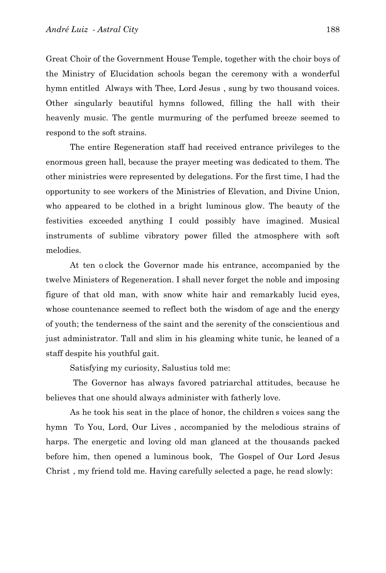Great Choir of the Government House Temple, together with the choir boys of the Ministry of Elucidation schools began the ceremony with a wonderful hymn entitled Always with Thee, Lord Jesus, sung by two thousand voices. Other singularly beautiful hymns followed, filling the hall with their heavenly music. The gentle murmuring of the perfumed breeze seemed to respond to the soft strains.

The entire Regeneration staff had received entrance privileges to the enormous green hall, because the prayer meeting was dedicated to them. The other ministries were represented by delegations. For the first time, I had the opportunity to see workers of the Ministries of Elevation, and Divine Union, who appeared to be clothed in a bright luminous glow. The beauty of the festivities exceeded anything I could possibly have imagined. Musical instruments of sublime vibratory power filled the atmosphere with soft melodies.

At ten oclock the Governor made his entrance, accompanied by the twelve Ministers of Regeneration. I shall never forget the noble and imposing figure of that old man, with snow white hair and remarkably lucid eyes, whose countenance seemed to reflect both the wisdom of age and the energy of youth; the tenderness of the saint and the serenity of the conscientious and just administrator. Tall and slim in his gleaming white tunic, he leaned of a staff despite his youthful gait.

Satisfying my curiosity, Salustius told me:

The Governor has always favored patriarchal attitudes, because he believes that one should always administer with fatherly love.

As he took his seat in the place of honor, the children's voices sang the hymn To You, Lord, Our Lives, accompanied by the melodious strains of harps. The energetic and loving old man glanced at the thousands packed before him, then opened a luminous book, "The Gospel of Our Lord Jesus Christ, my friend told me. Having carefully selected a page, he read slowly: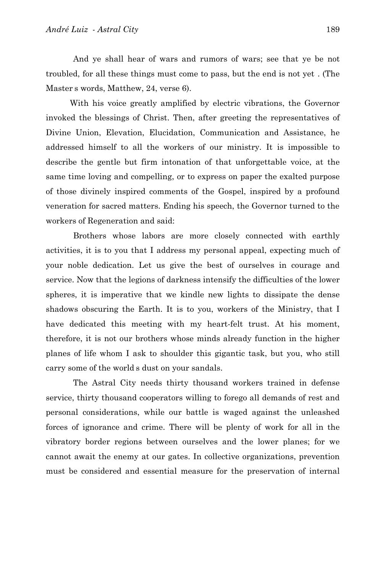And ye shall hear of wars and rumors of wars; see that ye be not troubled, for all these things must come to pass, but the end is not yet. (The Master's words, Matthew, 24, verse 6).

With his voice greatly amplified by electric vibrations, the Governor invoked the blessings of Christ. Then, after greeting the representatives of Divine Union, Elevation, Elucidation, Communication and Assistance, he addressed himself to all the workers of our ministry. It is impossible to describe the gentle but firm intonation of that unforgettable voice, at the same time loving and compelling, or to express on paper the exalted purpose of those divinely inspired comments of the Gospel, inspired by a profound veneration for sacred matters. Ending his speech, the Governor turned to the workers of Regeneration and said:

Brothers whose labors are more closely connected with earthly activities, it is to you that I address my personal appeal, expecting much of your noble dedication. Let us give the best of ourselves in courage and service. Now that the legions of darkness intensify the difficulties of the lower spheres, it is imperative that we kindle new lights to dissipate the dense shadows obscuring the Earth. It is to you, workers of the Ministry, that I have dedicated this meeting with my heart-felt trust. At his moment, therefore, it is not our brothers whose minds already function in the higher planes of life whom I ask to shoulder this gigantic task, but you, who still carry some of the world's dust on your sandals.

The Astral City needs thirty thousand workers trained in defense service, thirty thousand cooperators willing to forego all demands of rest and personal considerations, while our battle is waged against the unleashed forces of ignorance and crime. There will be plenty of work for all in the vibratory border regions between ourselves and the lower planes; for we cannot await the enemy at our gates. In collective organizations, prevention must be considered and essential measure for the preservation of internal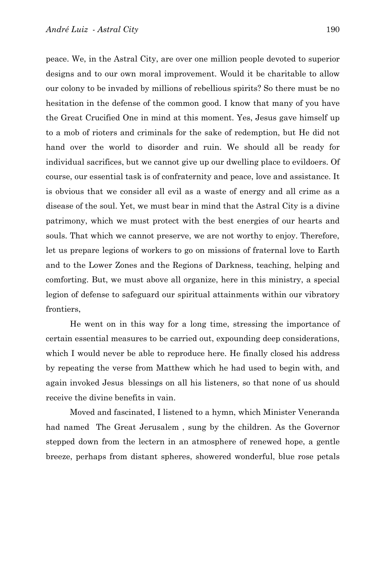peace. We, in the Astral City, are over one million people devoted to superior designs and to our own moral improvement. Would it be charitable to allow our colony to be invaded by millions of rebellious spirits? So there must be no hesitation in the defense of the common good. I know that many of you have the Great Crucified One in mind at this moment. Yes, Jesus gave himself up to a mob of rioters and criminals for the sake of redemption, but He did not hand over the world to disorder and ruin. We should all be ready for individual sacrifices, but we cannot give up our dwelling place to evildoers. Of course, our essential task is of confraternity and peace, love and assistance. It is obvious that we consider all evil as a waste of energy and all crime as a disease of the soul. Yet, we must bear in mind that the Astral City is a divine patrimony, which we must protect with the best energies of our hearts and souls. That which we cannot preserve, we are not worthy to enjoy. Therefore, let us prepare legions of workers to go on missions of fraternal love to Earth and to the Lower Zones and the Regions of Darkness, teaching, helping and comforting. But, we must above all organize, here in this ministry, a special legion of defense to safeguard our spiritual attainments within our vibratory frontiers.

He went on in this way for a long time, stressing the importance of certain essential measures to be carried out, expounding deep considerations, which I would never be able to reproduce here. He finally closed his address by repeating the verse from Matthew which he had used to begin with, and again invoked Jesus' blessings on all his listeners, so that none of us should receive the divine benefits in vain.

Moved and fascinated, I listened to a hymn, which Minister Veneranda had named The Great Jerusalem, sung by the children. As the Governor stepped down from the lectern in an atmosphere of renewed hope, a gentle breeze, perhaps from distant spheres, showered wonderful, blue rose petals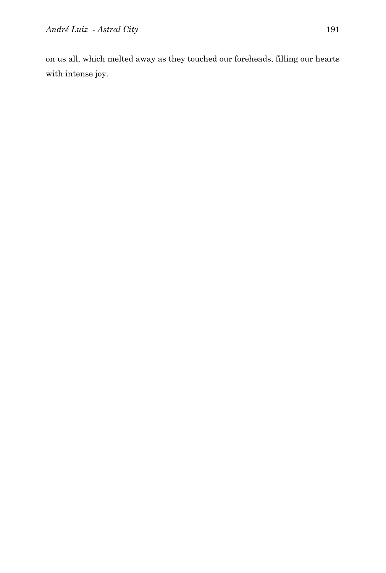on us all, which melted away as they touched our foreheads, filling our hearts with intense joy.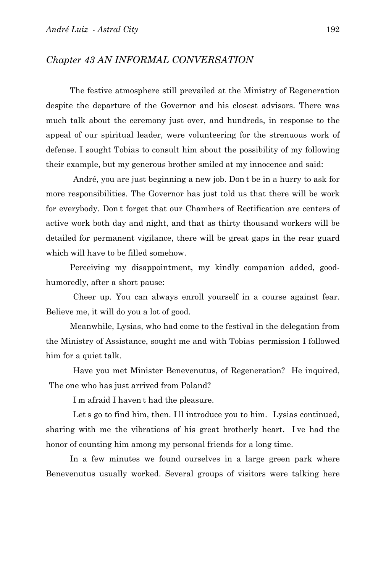#### *Chapter 43 AN INFORMAL CONVERSATION*

The festive atmosphere still prevailed at the Ministry of Regeneration despite the departure of the Governor and his closest advisors. There was much talk about the ceremony just over, and hundreds, in response to the appeal of our spiritual leader, were volunteering for the strenuous work of defense. I sought Tobias to consult him about the possibility of my following their example, but my generous brother smiled at my innocence and said:

André, you are just beginning a new job. Don't be in a hurry to ask for more responsibilities. The Governor has just told us that there will be work for everybody. Don't forget that our Chambers of Rectification are centers of active work both day and night, and that as thirty thousand workers will be detailed for permanent vigilance, there will be great gaps in the rear guard which will have to be filled somehow.

Perceiving my disappointment, my kindly companion added, goodhumoredly, after a short pause:

"Cheer up. You can always enroll yourself in a course against fear. Believe me, it will do you a lot of good.

Meanwhile, Lysias, who had come to the festival in the delegation from the Ministry of Assistance, sought me and with Tobias' permission I followed him for a quiet talk.

Have you met Minister Benevenutus, of Regeneration? He inquired, The one who has just arrived from Poland?

I'm afraid I haven't had the pleasure.

Let s go to find him, then. I'll introduce you to him. Lysias continued, sharing with me the vibrations of his great brotherly heart. I've had the honor of counting him among my personal friends for a long time.

In a few minutes we found ourselves in a large green park where Benevenutus usually worked. Several groups of visitors were talking here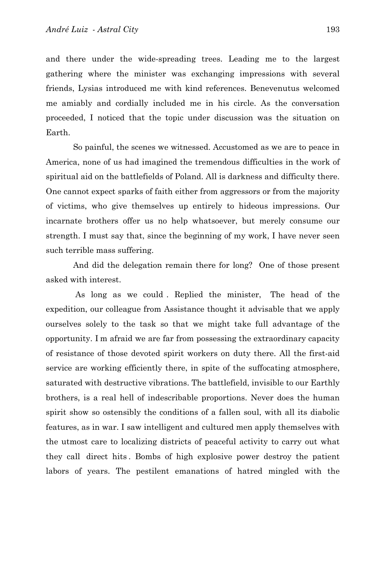and there under the wide-spreading trees. Leading me to the largest gathering where the minister was exchanging impressions with several friends, Lysias introduced me with kind references. Benevenutus welcomed me amiably and cordially included me in his circle. As the conversation proceeded, I noticed that the topic under discussion was the situation on Earth.

So painful, the scenes we witnessed. Accustomed as we are to peace in America, none of us had imagined the tremendous difficulties in the work of spiritual aid on the battlefields of Poland. All is darkness and difficulty there. One cannot expect sparks of faith either from aggressors or from the majority of victims, who give themselves up entirely to hideous impressions. Our incarnate brothers offer us no help whatsoever, but merely consume our strength. I must say that, since the beginning of my work, I have never seen such terrible mass suffering.

And did the delegation remain there for long? One of those present asked with interest.

As long as we could. Replied the minister, The head of the expedition, our colleague from Assistance thought it advisable that we apply ourselves solely to the task so that we might take full advantage of the opportunity. I'm afraid we are far from possessing the extraordinary capacity of resistance of those devoted spirit workers on duty there. All the first-aid service are working efficiently there, in spite of the suffocating atmosphere, saturated with destructive vibrations. The battlefield, invisible to our Earthly brothers, is a real hell of indescribable proportions. Never does the human spirit show so ostensibly the conditions of a fallen soul, with all its diabolic features, as in war. I saw intelligent and cultured men apply themselves with the utmost care to localizing districts of peaceful activity to carry out what they call 'direct hits'. Bombs of high explosive power destroy the patient labors of years. The pestilent emanations of hatred mingled with the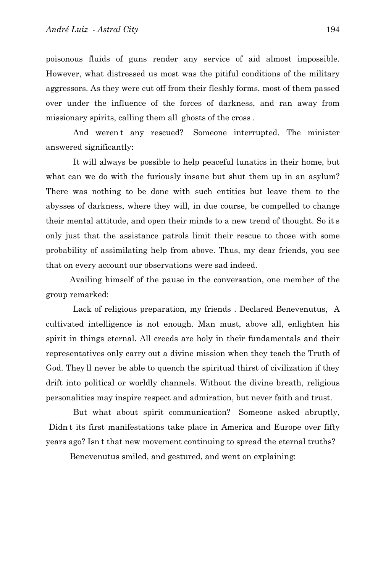poisonous fluids of guns render any service of aid almost impossible. However, what distressed us most was the pitiful conditions of the military aggressors. As they were cut off from their fleshly forms, most of them passed over under the influence of the forces of darkness, and ran away from missionary spirits, calling them all ghosts of the cross.

And werent any rescued? Someone interrupted. The minister answered significantly:

It will always be possible to help peaceful lunatics in their home, but what can we do with the furiously insane but shut them up in an asylum? There was nothing to be done with such entities but leave them to the abysses of darkness, where they will, in due course, be compelled to change their mental attitude, and open their minds to a new trend of thought. So it s only just that the assistance patrols limit their rescue to those with some probability of assimilating help from above. Thus, my dear friends, you see that on every account our observations were sad indeed.

Availing himself of the pause in the conversation, one member of the group remarked:

Lack of religious preparation, my friends. Declared Benevenutus, A cultivated intelligence is not enough. Man must, above all, enlighten his spirit in things eternal. All creeds are holy in their fundamentals and their representatives only carry out a divine mission when they teach the Truth of God. They'll never be able to quench the spiritual thirst of civilization if they drift into political or worldly channels. Without the divine breath, religious personalities may inspire respect and admiration, but never faith and trust."

But what about spirit communication? Someone asked abruptly, Didn't its first manifestations take place in America and Europe over fifty years ago? Isn't that new movement continuing to spread the eternal truths?

Benevenutus smiled, and gestured, and went on explaining: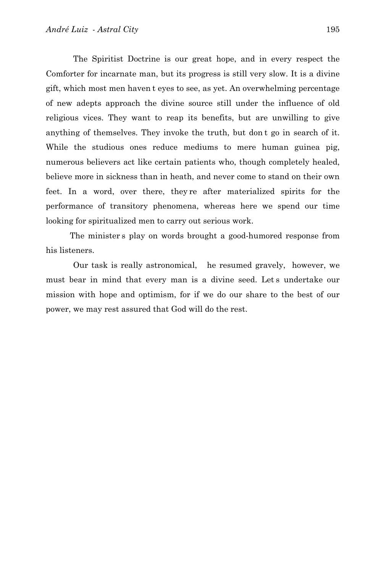The Spiritist Doctrine is our great hope, and in every respect the Comforter for incarnate man, but its progress is still very slow. It is a divine gift, which most men haven't eyes to see, as yet. An overwhelming percentage of new adepts approach the divine source still under the influence of old religious vices. They want to reap its benefits, but are unwilling to give anything of themselves. They invoke the truth, but don't go in search of it. While the studious ones reduce mediums to mere human guinea pig, numerous believers act like certain patients who, though completely healed, believe more in sickness than in heath, and never come to stand on their own feet. In a word, over there, they're after materialized spirits for the performance of transitory phenomena, whereas here we spend our time looking for spiritualized men to carry out serious work.

The minister's play on words brought a good-humored response from his listeners.

Our task is really astronomical, the resumed gravely, however, we must bear in mind that every man is a divine seed. Let s undertake our mission with hope and optimism, for if we do our share to the best of our power, we may rest assured that God will do the rest."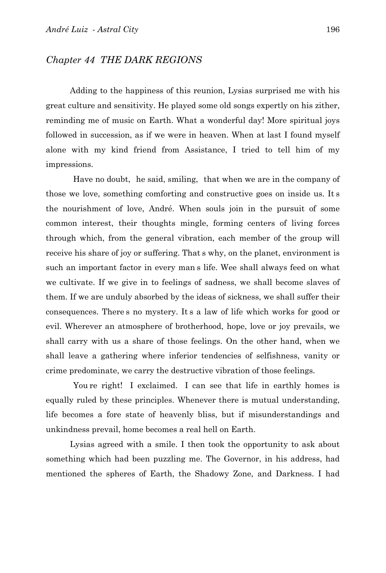## *Chapter 44 THE DARK REGIONS*

Adding to the happiness of this reunion, Lysias surprised me with his great culture and sensitivity. He played some old songs expertly on his zither, reminding me of music on Earth. What a wonderful day! More spiritual joys followed in succession, as if we were in heaven. When at last I found myself alone with my kind friend from Assistance, I tried to tell him of my impressions.

Have no doubt, he said, smiling, that when we are in the company of those we love, something comforting and constructive goes on inside us. It s the nourishment of love, André. When souls join in the pursuit of some common interest, their thoughts mingle, forming centers of living forces through which, from the general vibration, each member of the group will receive his share of joy or suffering. That s why, on the planet, environment is such an important factor in every man's life. Wee shall always feed on what we cultivate. If we give in to feelings of sadness, we shall become slaves of them. If we are unduly absorbed by the ideas of sickness, we shall suffer their consequences. There's no mystery. It's a law of life which works for good or evil. Wherever an atmosphere of brotherhood, hope, love or joy prevails, we shall carry with us a share of those feelings. On the other hand, when we shall leave a gathering where inferior tendencies of selfishness, vanity or crime predominate, we carry the destructive vibration of those feelings."

You re right! I exclaimed. I can see that life in earthly homes is equally ruled by these principles. Whenever there is mutual understanding, life becomes a fore state of heavenly bliss, but if misunderstandings and unkindness prevail, home becomes a real hell on Earth."

Lysias agreed with a smile. I then took the opportunity to ask about something which had been puzzling me. The Governor, in his address, had mentioned the spheres of Earth, the Shadowy Zone, and Darkness. I had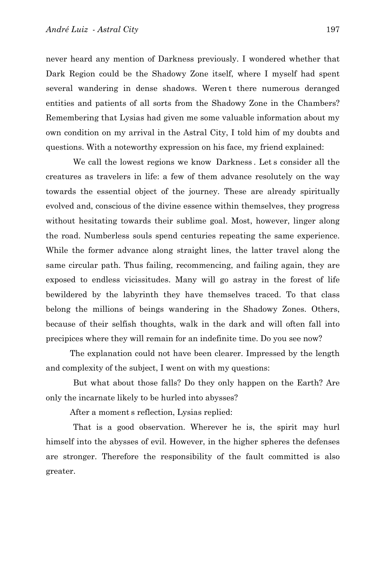never heard any mention of Darkness previously. I wondered whether that Dark Region could be the Shadowy Zone itself, where I myself had spent several wandering in dense shadows. Werent there numerous deranged entities and patients of all sorts from the Shadowy Zone in the Chambers? Remembering that Lysias had given me some valuable information about my own condition on my arrival in the Astral City, I told him of my doubts and questions. With a noteworthy expression on his face, my friend explained:

We call the lowest regions we know Darkness. Let s consider all the creatures as travelers in life: a few of them advance resolutely on the way towards the essential object of the journey. These are already spiritually evolved and, conscious of the divine essence within themselves, they progress without hesitating towards their sublime goal. Most, however, linger along the road. Numberless souls spend centuries repeating the same experience. While the former advance along straight lines, the latter travel along the same circular path. Thus failing, recommencing, and failing again, they are exposed to endless vicissitudes. Many will go astray in the forest of life bewildered by the labyrinth they have themselves traced. To that class belong the millions of beings wandering in the Shadowy Zones. Others, because of their selfish thoughts, walk in the dark and will often fall into precipices where they will remain for an indefinite time. Do you see now?

The explanation could not have been clearer. Impressed by the length and complexity of the subject, I went on with my questions:

But what about those falls? Do they only happen on the Earth? Are only the incarnate likely to be hurled into abysses?

After a moment s reflection, Lysias replied:

That is a good observation. Wherever he is, the spirit may hurl himself into the abysses of evil. However, in the higher spheres the defenses are stronger. Therefore the responsibility of the fault committed is also greater.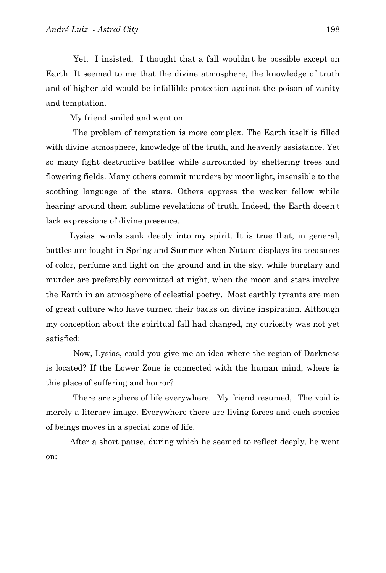Yet, I insisted, I thought that a fall wouldn't be possible except on Earth. It seemed to me that the divine atmosphere, the knowledge of truth and of higher aid would be infallible protection against the poison of vanity and temptation.

My friend smiled and went on:

The problem of temptation is more complex. The Earth itself is filled with divine atmosphere, knowledge of the truth, and heavenly assistance. Yet so many fight destructive battles while surrounded by sheltering trees and flowering fields. Many others commit murders by moonlight, insensible to the soothing language of the stars. Others oppress the weaker fellow while hearing around them sublime revelations of truth. Indeed, the Earth doesn't lack expressions of divine presence.

Lysias words sank deeply into my spirit. It is true that, in general, battles are fought in Spring and Summer when Nature displays its treasures of color, perfume and light on the ground and in the sky, while burglary and murder are preferably committed at night, when the moon and stars involve the Earth in an atmosphere of celestial poetry. Most earthly tyrants are men of great culture who have turned their backs on divine inspiration. Although my conception about the spiritual fall had changed, my curiosity was not yet satisfied:

Now, Lysias, could you give me an idea where the region of Darkness is located? If the Lower Zone is connected with the human mind, where is this place of suffering and horror?

There are sphere of life everywhere. My friend resumed, The void is merely a literary image. Everywhere there are living forces and each species of beings moves in a special zone of life."

After a short pause, during which he seemed to reflect deeply, he went on: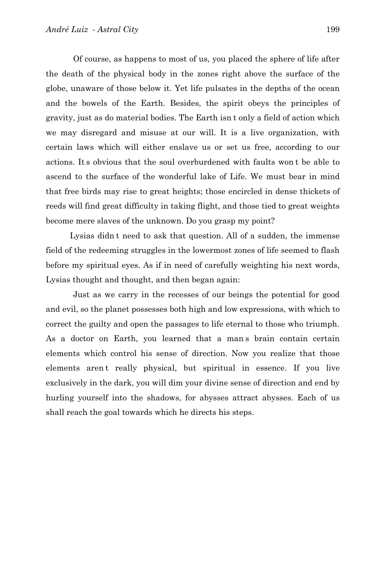"Of course, as happens to most of us, you placed the sphere of life after the death of the physical body in the zones right above the surface of the globe, unaware of those below it. Yet life pulsates in the depths of the ocean and the bowels of the Earth. Besides, the spirit obeys the principles of gravity, just as do material bodies. The Earth isn't only a field of action which we may disregard and misuse at our will. It is a live organization, with certain laws which will either enslave us or set us free, according to our actions. It is obvious that the soul overburdened with faults won t be able to ascend to the surface of the wonderful lake of Life. We must bear in mind that free birds may rise to great heights; those encircled in dense thickets of reeds will find great difficulty in taking flight, and those tied to great weights become mere slaves of the unknown. Do you grasp my point?

Lysias didn't need to ask that question. All of a sudden, the immense field of the redeeming struggles in the lowermost zones of life seemed to flash before my spiritual eyes. As if in need of carefully weighting his next words, Lysias thought and thought, and then began again:

"Just as we carry in the recesses of our beings the potential for good and evil, so the planet possesses both high and low expressions, with which to correct the guilty and open the passages to life eternal to those who triumph. As a doctor on Earth, you learned that a mans brain contain certain elements which control his sense of direction. Now you realize that those elements aren't really physical, but spiritual in essence. If you live exclusively in the dark, you will dim your divine sense of direction and end by hurling yourself into the shadows, for abysses attract abysses. Each of us shall reach the goal towards which he directs his steps.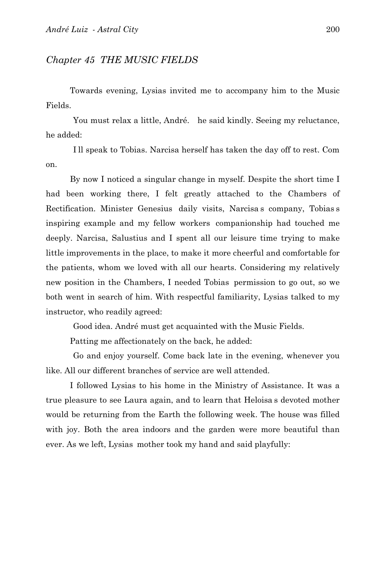## *Chapter 45 THE MUSIC FIELDS*

Towards evening, Lysias invited me to accompany him to the Music Fields.

You must relax a little, André. he said kindly. Seeing my reluctance, he added:

I'll speak to Tobias. Narcisa herself has taken the day off to rest. Com on.

By now I noticed a singular change in myself. Despite the short time I had been working there, I felt greatly attached to the Chambers of Rectification. Minister Genesius daily visits, Narcisa's company, Tobias's inspiring example and my fellow workers' companionship had touched me deeply. Narcisa, Salustius and I spent all our leisure time trying to make little improvements in the place, to make it more cheerful and comfortable for the patients, whom we loved with all our hearts. Considering my relatively new position in the Chambers, I needed Tobias' permission to go out, so we both went in search of him. With respectful familiarity, Lysias talked to my instructor, who readily agreed:

Good idea. André must get acquainted with the Music Fields.

Patting me affectionately on the back, he added:

Go and enjoy yourself. Come back late in the evening, whenever you like. All our different branches of service are well attended.

I followed Lysias to his home in the Ministry of Assistance. It was a true pleasure to see Laura again, and to learn that Heloisa's devoted mother would be returning from the Earth the following week. The house was filled with joy. Both the area indoors and the garden were more beautiful than ever. As we left, Lysias mother took my hand and said playfully: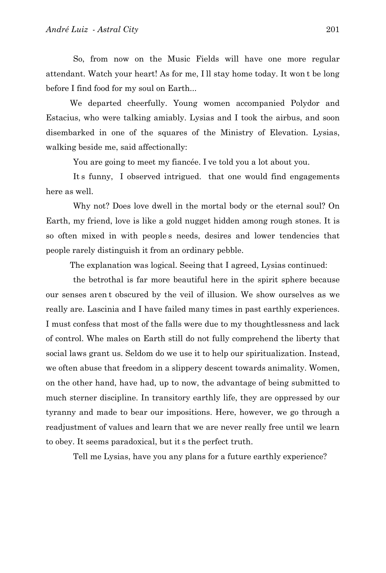So, from now on the Music Fields will have one more regular attendant. Watch your heart! As for me, I'll stay home today. It won't be long before I find food for my soul on Earth...

We departed cheerfully. Young women accompanied Polydor and Estacius, who were talking amiably. Lysias and I took the airbus, and soon disembarked in one of the squares of the Ministry of Elevation. Lysias, walking beside me, said affectionally:

You are going to meet my fiancée. I ve told you a lot about you.

It's funny, I observed intrigued. that one would find engagements here as well.

Why not? Does love dwell in the mortal body or the eternal soul? On Earth, my friend, love is like a gold nugget hidden among rough stones. It is so often mixed in with people's needs, desires and lower tendencies that people rarely distinguish it from an ordinary pebble.

The explanation was logical. Seeing that I agreed, Lysias continued:

the betrothal is far more beautiful here in the spirit sphere because our senses aren't obscured by the veil of illusion. We show ourselves as we really are. Lascinia and I have failed many times in past earthly experiences. I must confess that most of the falls were due to my thoughtlessness and lack of control. Whe males on Earth still do not fully comprehend the liberty that social laws grant us. Seldom do we use it to help our spiritualization. Instead, we often abuse that freedom in a slippery descent towards animality. Women, on the other hand, have had, up to now, the advantage of being submitted to much sterner discipline. In transitory earthly life, they are oppressed by our tyranny and made to bear our impositions. Here, however, we go through a readjustment of values and learn that we are never really free until we learn to obey. It seems paradoxical, but it s the perfect truth.

Tell me Lysias, have you any plans for a future earthly experience?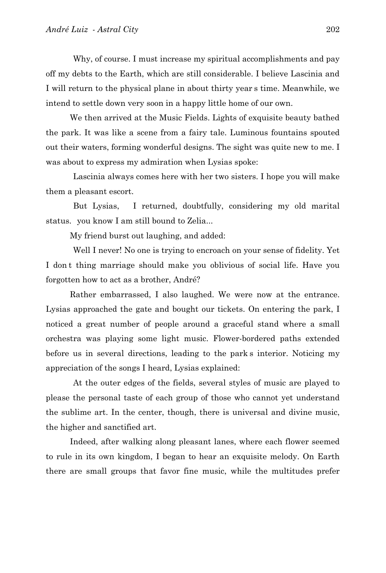Why, of course. I must increase my spiritual accomplishments and pay off my debts to the Earth, which are still considerable. I believe Lascinia and I will return to the physical plane in about thirty year's time. Meanwhile, we intend to settle down very soon in a happy little home of our own."

We then arrived at the Music Fields. Lights of exquisite beauty bathed the park. It was like a scene from a fairy tale. Luminous fountains spouted out their waters, forming wonderful designs. The sight was quite new to me. I was about to express my admiration when Lysias spoke:

Lascinia always comes here with her two sisters. I hope you will make them a pleasant escort.

But Lysias, I returned, doubtfully, considering my old marital status. you know I am still bound to Zelia...

My friend burst out laughing, and added:

Well I never! No one is trying to encroach on your sense of fidelity. Yet I don't thing marriage should make you oblivious of social life. Have you forgotten how to act as a brother, André?

Rather embarrassed, I also laughed. We were now at the entrance. Lysias approached the gate and bought our tickets. On entering the park, I noticed a great number of people around a graceful stand where a small orchestra was playing some light music. Flower-bordered paths extended before us in several directions, leading to the park's interior. Noticing my appreciation of the songs I heard, Lysias explained:

At the outer edges of the fields, several styles of music are played to please the personal taste of each group of those who cannot yet understand the sublime art. In the center, though, there is universal and divine music, the higher and sanctified art."

Indeed, after walking along pleasant lanes, where each flower seemed to rule in its own kingdom, I began to hear an exquisite melody. On Earth there are small groups that favor fine music, while the multitudes prefer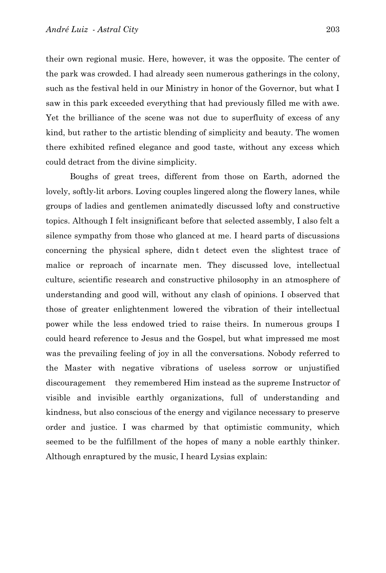their own regional music. Here, however, it was the opposite. The center of the park was crowded. I had already seen numerous gatherings in the colony, such as the festival held in our Ministry in honor of the Governor, but what I saw in this park exceeded everything that had previously filled me with awe. Yet the brilliance of the scene was not due to superfluity of excess of any kind, but rather to the artistic blending of simplicity and beauty. The women there exhibited refined elegance and good taste, without any excess which could detract from the divine simplicity.

Boughs of great trees, different from those on Earth, adorned the lovely, softly-lit arbors. Loving couples lingered along the flowery lanes, while groups of ladies and gentlemen animatedly discussed lofty and constructive topics. Although I felt insignificant before that selected assembly, I also felt a silence sympathy from those who glanced at me. I heard parts of discussions concerning the physical sphere, didn't detect even the slightest trace of malice or reproach of incarnate men. They discussed love, intellectual culture, scientific research and constructive philosophy in an atmosphere of understanding and good will, without any clash of opinions. I observed that those of greater enlightenment lowered the vibration of their intellectual power while the less endowed tried to raise theirs. In numerous groups I could heard reference to Jesus and the Gospel, but what impressed me most was the prevailing feeling of joy in all the conversations. Nobody referred to the Master with negative vibrations of useless sorrow or unjustified discouragement they remembered Him instead as the supreme Instructor of visible and invisible earthly organizations, full of understanding and kindness, but also conscious of the energy and vigilance necessary to preserve order and justice. I was charmed by that optimistic community, which seemed to be the fulfillment of the hopes of many a noble earthly thinker. Although enraptured by the music, I heard Lysias explain: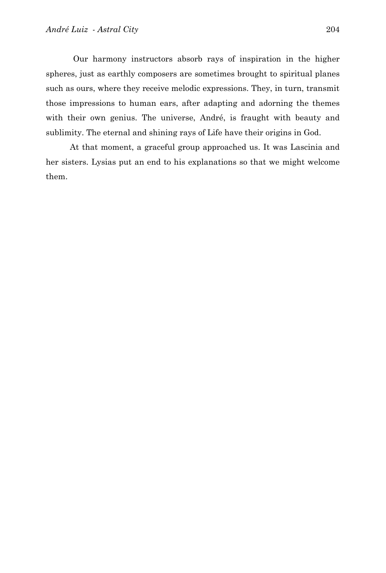Our harmony instructors absorb rays of inspiration in the higher spheres, just as earthly composers are sometimes brought to spiritual planes such as ours, where they receive melodic expressions. They, in turn, transmit those impressions to human ears, after adapting and adorning the themes with their own genius. The universe, André, is fraught with beauty and sublimity. The eternal and shining rays of Life have their origins in God.

At that moment, a graceful group approached us. It was Lascinia and her sisters. Lysias put an end to his explanations so that we might welcome them.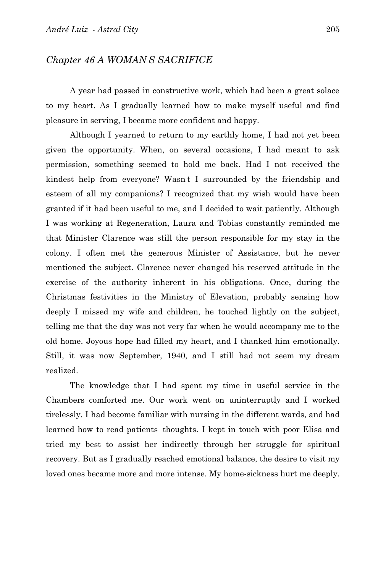## *Chapter 46 A WOMAN'S SACRIFICE*

A year had passed in constructive work, which had been a great solace to my heart. As I gradually learned how to make myself useful and find pleasure in serving, I became more confident and happy.

Although I yearned to return to my earthly home, I had not yet been given the opportunity. When, on several occasions, I had meant to ask permission, something seemed to hold me back. Had I not received the kindest help from everyone? Wasn't I surrounded by the friendship and esteem of all my companions? I recognized that my wish would have been granted if it had been useful to me, and I decided to wait patiently. Although I was working at Regeneration, Laura and Tobias constantly reminded me that Minister Clarence was still the person responsible for my stay in the colony. I often met the generous Minister of Assistance, but he never mentioned the subject. Clarence never changed his reserved attitude in the exercise of the authority inherent in his obligations. Once, during the Christmas festivities in the Ministry of Elevation, probably sensing how deeply I missed my wife and children, he touched lightly on the subject, telling me that the day was not very far when he would accompany me to the old home. Joyous hope had filled my heart, and I thanked him emotionally. Still, it was now September, 1940, and I still had not seem my dream realized.

The knowledge that I had spent my time in useful service in the Chambers comforted me. Our work went on uninterruptly and I worked tirelessly. I had become familiar with nursing in the different wards, and had learned how to read patients thoughts. I kept in touch with poor Elisa and tried my best to assist her indirectly through her struggle for spiritual recovery. But as I gradually reached emotional balance, the desire to visit my loved ones became more and more intense. My home-sickness hurt me deeply.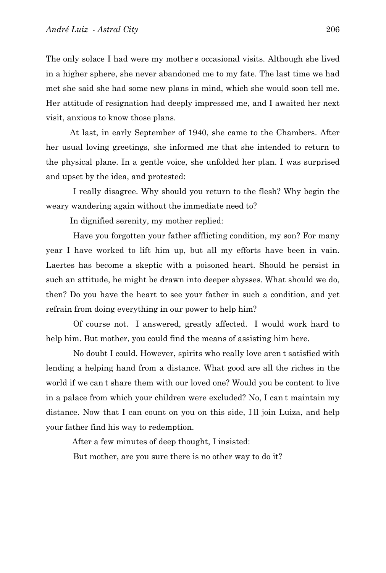The only solace I had were my mother's occasional visits. Although she lived in a higher sphere, she never abandoned me to my fate. The last time we had met she said she had some new plans in mind, which she would soon tell me. Her attitude of resignation had deeply impressed me, and I awaited her next visit, anxious to know those plans.

At last, in early September of 1940, she came to the Chambers. After her usual loving greetings, she informed me that she intended to return to the physical plane. In a gentle voice, she unfolded her plan. I was surprised and upset by the idea, and protested:

I really disagree. Why should you return to the flesh? Why begin the weary wandering again without the immediate need to?

In dignified serenity, my mother replied:

Have you forgotten your father afflicting condition, my son? For many year I have worked to lift him up, but all my efforts have been in vain. Laertes has become a skeptic with a poisoned heart. Should he persist in such an attitude, he might be drawn into deeper abysses. What should we do, then? Do you have the heart to see your father in such a condition, and yet refrain from doing everything in our power to help him?

Of course not. I answered, greatly affected. I would work hard to help him. But mother, you could find the means of assisting him here.

No doubt I could. However, spirits who really love aren't satisfied with lending a helping hand from a distance. What good are all the riches in the world if we can't share them with our loved one? Would you be content to live in a palace from which your children were excluded? No, I can't maintain my distance. Now that I can count on you on this side, Ill join Luiza, and help your father find his way to redemption."

After a few minutes of deep thought, I insisted:

But mother, are you sure there is no other way to do it?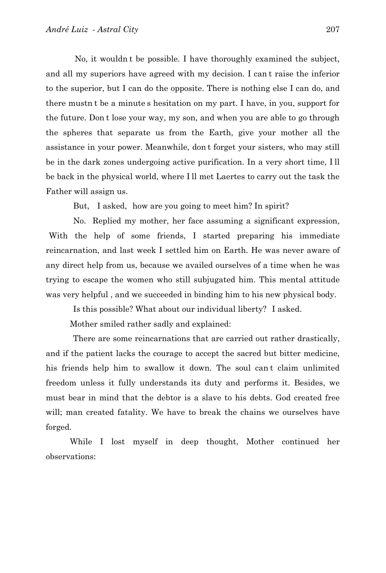No, it wouldn't be possible. I have thoroughly examined the subject, and all my superiors have agreed with my decision. I can't raise the inferior to the superior, but I can do the opposite. There is nothing else I can do, and there mustn't be a minute's hesitation on my part. I have, in you, support for the future. Don't lose your way, my son, and when you are able to go through the spheres that separate us from the Earth, give your mother all the assistance in your power. Meanwhile, don't forget your sisters, who may still be in the dark zones undergoing active purification. In a very short time, I'll be back in the physical world, where I'll met Laertes to carry out the task the Father will assign us."

But, I asked, how are you going to meet him? In spirit?

No. Replied my mother, her face assuming a significant expression, With the help of some friends, I started preparing his immediate reincarnation, and last week I settled him on Earth. He was never aware of any direct help from us, because we availed ourselves of a time when he was trying to escape the women who still subjugated him. This mental attitude was very helpful, and we succeeded in binding him to his new physical body.

Is this possible? What about our individual liberty? I asked.

Mother smiled rather sadly and explained:

There are some reincarnations that are carried out rather drastically, and if the patient lacks the courage to accept the sacred but bitter medicine, his friends help him to swallow it down. The soul can't claim unlimited freedom unless it fully understands its duty and performs it. Besides, we must bear in mind that the debtor is a slave to his debts. God created free will; man created fatality. We have to break the chains we ourselves have forged.

While I lost myself in deep thought, Mother continued her observations: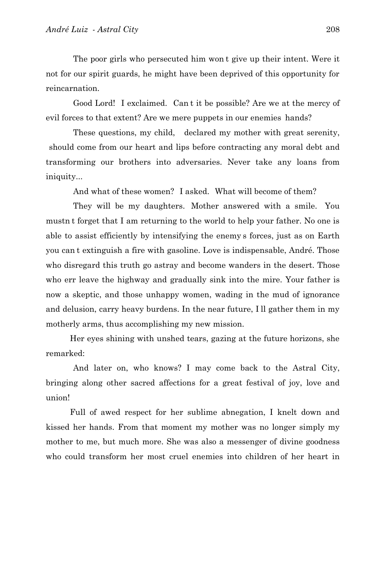The poor girls who persecuted him won't give up their intent. Were it not for our spirit guards, he might have been deprived of this opportunity for reincarnation.

Good Lord! I exclaimed. Can't it be possible? Are we at the mercy of evil forces to that extent? Are we mere puppets in our enemies hands?

These questions, my child, declared my mother with great serenity, should come from our heart and lips before contracting any moral debt and transforming our brothers into adversaries. Never take any loans from iniquity...

And what of these women? I asked. What will become of them?

They will be my daughters. Mother answered with a smile. You mustn't forget that I am returning to the world to help your father. No one is able to assist efficiently by intensifying the enemy's forces, just as on Earth you can't extinguish a fire with gasoline. Love is indispensable, André. Those who disregard this truth go astray and become wanders in the desert. Those who err leave the highway and gradually sink into the mire. Your father is now a skeptic, and those unhappy women, wading in the mud of ignorance and delusion, carry heavy burdens. In the near future, Ill gather them in my motherly arms, thus accomplishing my new mission.

Her eyes shining with unshed tears, gazing at the future horizons, she remarked:

And later on, who knows? I may come back to the Astral City, bringing along other sacred affections for a great festival of joy, love and union!

Full of awed respect for her sublime abnegation, I knelt down and kissed her hands. From that moment my mother was no longer simply my mother to me, but much more. She was also a messenger of divine goodness who could transform her most cruel enemies into children of her heart in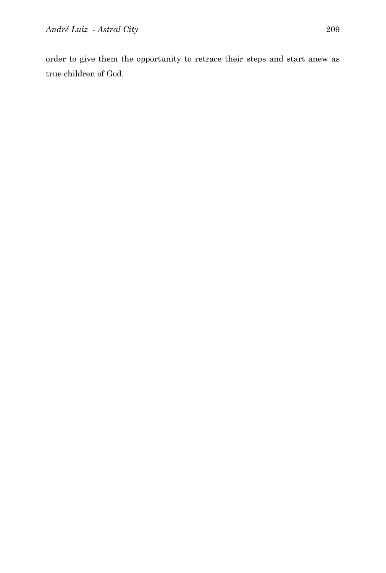order to give them the opportunity to retrace their steps and start anew as true children of God.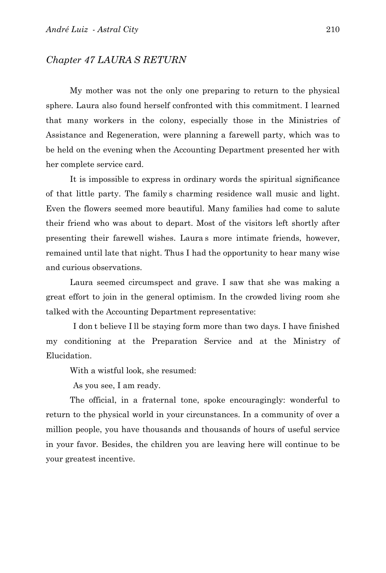#### *Chapter 47 LAURA'S RETURN*

My mother was not the only one preparing to return to the physical sphere. Laura also found herself confronted with this commitment. I learned that many workers in the colony, especially those in the Ministries of Assistance and Regeneration, were planning a farewell party, which was to be held on the evening when the Accounting Department presented her with her complete service card.

It is impossible to express in ordinary words the spiritual significance of that little party. The family's charming residence wall music and light. Even the flowers seemed more beautiful. Many families had come to salute their friend who was about to depart. Most of the visitors left shortly after presenting their farewell wishes. Laura's more intimate friends, however, remained until late that night. Thus I had the opportunity to hear many wise and curious observations.

Laura seemed circumspect and grave. I saw that she was making a great effort to join in the general optimism. In the crowded living room she talked with the Accounting Department representative:

I don't believe I'll be staying form more than two days. I have finished my conditioning at the Preparation Service and at the Ministry of Elucidation.

With a wistful look, she resumed:

As you see, I am ready.

The official, in a fraternal tone, spoke encouragingly: wonderful to return to the physical world in your circunstances. In a community of over a million people, you have thousands and thousands of hours of useful service in your favor. Besides, the children you are leaving here will continue to be your greatest incentive."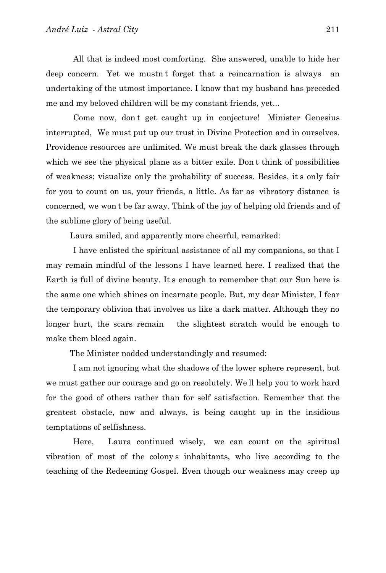All that is indeed most comforting. She answered, unable to hide her deep concern. Yet we mustn't forget that a reincarnation is always an undertaking of the utmost importance. I know that my husband has preceded me and my beloved children will be my constant friends, yet..."

Come now, don't get caught up in conjecture! Minister Genesius interrupted, We must put up our trust in Divine Protection and in ourselves. Providence resources are unlimited. We must break the dark glasses through which we see the physical plane as a bitter exile. Don't think of possibilities of weakness; visualize only the probability of success. Besides, it is only fair for you to count on us, your friends, a little. As far as vibratory distance is concerned, we won't be far away. Think of the joy of helping old friends and of the sublime glory of being useful."

Laura smiled, and apparently more cheerful, remarked:

I have enlisted the spiritual assistance of all my companions, so that I may remain mindful of the lessons I have learned here. I realized that the Earth is full of divine beauty. It s enough to remember that our Sun here is the same one which shines on incarnate people. But, my dear Minister, I fear the temporary oblivion that involves us like a dark matter. Although they no longer hurt, the scars remain the slightest scratch would be enough to make them bleed again.

The Minister nodded understandingly and resumed:

I am not ignoring what the shadows of the lower sphere represent, but we must gather our courage and go on resolutely. We'll help you to work hard for the good of others rather than for self satisfaction. Remember that the greatest obstacle, now and always, is being caught up in the insidious temptations of selfishness."

Here, Laura continued wisely, we can count on the spiritual vibration of most of the colony's inhabitants, who live according to the teaching of the Redeeming Gospel. Even though our weakness may creep up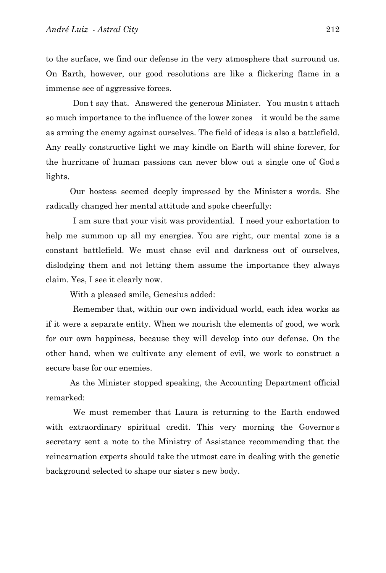to the surface, we find our defense in the very atmosphere that surround us. On Earth, however, our good resolutions are like a flickering flame in a immense see of aggressive forces.

Don't say that. Answered the generous Minister. You mustn't attach so much importance to the influence of the lower zones it would be the same as arming the enemy against ourselves. The field of ideas is also a battlefield. Any really constructive light we may kindle on Earth will shine forever, for the hurricane of human passions can never blow out a single one of God's lights.

Our hostess seemed deeply impressed by the Minister's words. She radically changed her mental attitude and spoke cheerfully:

I am sure that your visit was providential. I need your exhortation to help me summon up all my energies. You are right, our mental zone is a constant battlefield. We must chase evil and darkness out of ourselves, dislodging them and not letting them assume the importance they always claim. Yes, I see it clearly now.

With a pleased smile, Genesius added:

Remember that, within our own individual world, each idea works as if it were a separate entity. When we nourish the elements of good, we work for our own happiness, because they will develop into our defense. On the other hand, when we cultivate any element of evil, we work to construct a secure base for our enemies.

As the Minister stopped speaking, the Accounting Department official remarked:

We must remember that Laura is returning to the Earth endowed with extraordinary spiritual credit. This very morning the Governor's secretary sent a note to the Ministry of Assistance recommending that the reincarnation experts should take the utmost care in dealing with the genetic background selected to shape our sister's new body.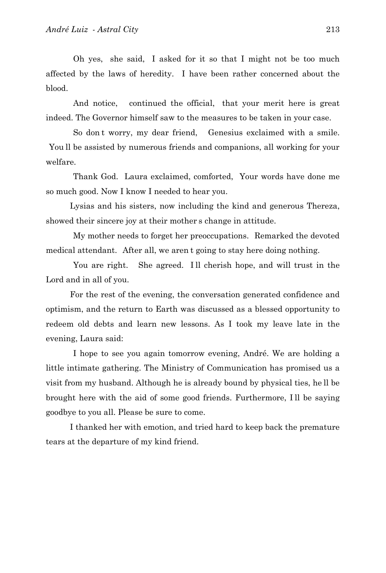Oh yes, she said, I asked for it so that I might not be too much affected by the laws of heredity. I have been rather concerned about the blood."

And notice, continued the official, that your merit here is great indeed. The Governor himself saw to the measures to be taken in your case.

So don't worry, my dear friend, Genesius exclaimed with a smile. You'll be assisted by numerous friends and companions, all working for your welfare.

Thank God. Laura exclaimed, comforted, Your words have done me so much good. Now I know I needed to hear you.

Lysias and his sisters, now including the kind and generous Thereza, showed their sincere joy at their mother's change in attitude.

My mother needs to forget her preoccupations. Remarked the devoted medical attendant. After all, we aren't going to stay here doing nothing.

You are right. She agreed. Ill cherish hope, and will trust in the Lord and in all of you.

For the rest of the evening, the conversation generated confidence and optimism, and the return to Earth was discussed as a blessed opportunity to redeem old debts and learn new lessons. As I took my leave late in the evening, Laura said:

I hope to see you again tomorrow evening, André. We are holding a little intimate gathering. The Ministry of Communication has promised us a visit from my husband. Although he is already bound by physical ties, he'll be brought here with the aid of some good friends. Furthermore, I'll be saying goodbye to you all. Please be sure to come."

I thanked her with emotion, and tried hard to keep back the premature tears at the departure of my kind friend.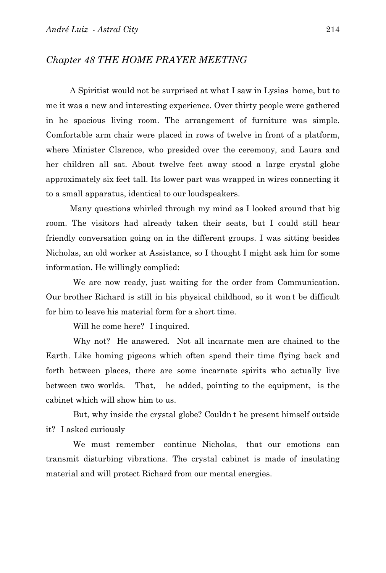### *Chapter 48 THE HOME PRAYER MEETING*

A Spiritist would not be surprised at what I saw in Lysias' home, but to me it was a new and interesting experience. Over thirty people were gathered in he spacious living room. The arrangement of furniture was simple. Comfortable arm chair were placed in rows of twelve in front of a platform, where Minister Clarence, who presided over the ceremony, and Laura and her children all sat. About twelve feet away stood a large crystal globe approximately six feet tall. Its lower part was wrapped in wires connecting it to a small apparatus, identical to our loudspeakers.

Many questions whirled through my mind as I looked around that big room. The visitors had already taken their seats, but I could still hear friendly conversation going on in the different groups. I was sitting besides Nicholas, an old worker at Assistance, so I thought I might ask him for some information. He willingly complied:

We are now ready, just waiting for the order from Communication. Our brother Richard is still in his physical childhood, so it won't be difficult for him to leave his material form for a short time.

Will he come here? I inquired.

Why not? He answered. Not all incarnate men are chained to the Earth. Like homing pigeons which often spend their time flying back and forth between places, there are some incarnate spirits who actually live between two worlds. That, he added, pointing to the equipment, is the cabinet which will show him to us."

But, why inside the crystal globe? Couldn't he present himself outside it? I asked curiously

We must remember continue Nicholas, that our emotions can transmit disturbing vibrations. The crystal cabinet is made of insulating material and will protect Richard from our mental energies.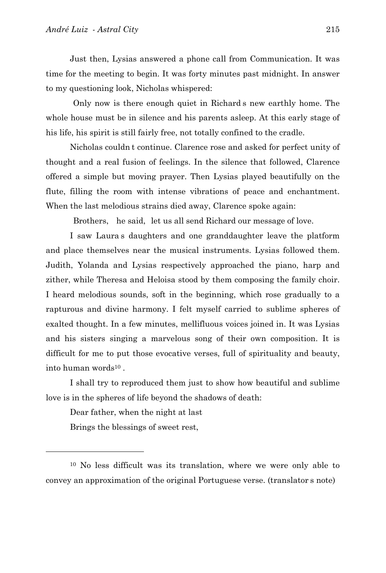Just then, Lysias answered a phone call from Communication. It was time for the meeting to begin. It was forty minutes past midnight. In answer to my questioning look, Nicholas whispered:

Only now is there enough quiet in Richard's new earthly home. The whole house must be in silence and his parents asleep. At this early stage of his life, his spirit is still fairly free, not totally confined to the cradle.

Nicholas couldn't continue. Clarence rose and asked for perfect unity of thought and a real fusion of feelings. In the silence that followed, Clarence offered a simple but moving prayer. Then Lysias played beautifully on the flute, filling the room with intense vibrations of peace and enchantment. When the last melodious strains died away, Clarence spoke again:

Brothers, he said, let us all send Richard our message of love.

I saw Laura's daughters and one granddaughter leave the platform and place themselves near the musical instruments. Lysias followed them. Judith, Yolanda and Lysias respectively approached the piano, harp and zither, while Theresa and Heloisa stood by them composing the family choir. I heard melodious sounds, soft in the beginning, which rose gradually to a rapturous and divine harmony. I felt myself carried to sublime spheres of exalted thought. In a few minutes, mellifluous voices joined in. It was Lysias and his sisters singing a marvelous song of their own composition. It is difficult for me to put those evocative verses, full of spirituality and beauty, into human words10 .

I shall try to reproduced them just to show how beautiful and sublime love is in the spheres of life beyond the shadows of death:

Dear father, when the night at last

Brings the blessings of sweet rest,

1

<sup>10</sup> No less difficult was its translation, where we were only able to convey an approximation of the original Portuguese verse. (translator's note)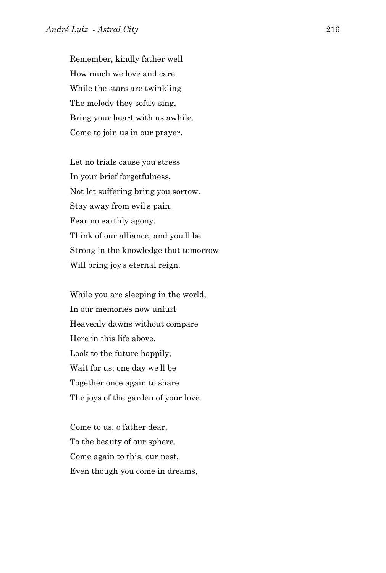Remember, kindly father well How much we love and care. While the stars are twinkling The melody they softly sing, Bring your heart with us awhile. Come to join us in our prayer.

Let no trials cause you stress In your brief forgetfulness, Not let suffering bring you sorrow. Stay away from evil s pain. Fear no earthly agony. Think of our alliance, and you ll be Strong in the knowledge that tomorrow Will bring joy's eternal reign.

While you are sleeping in the world, In our memories now unfurl Heavenly dawns without compare Here in this life above. Look to the future happily, Wait for us; one day we'll be Together once again to share The joys of the garden of your love.

Come to us, o father dear, To the beauty of our sphere. Come again to this, our nest, Even though you come in dreams,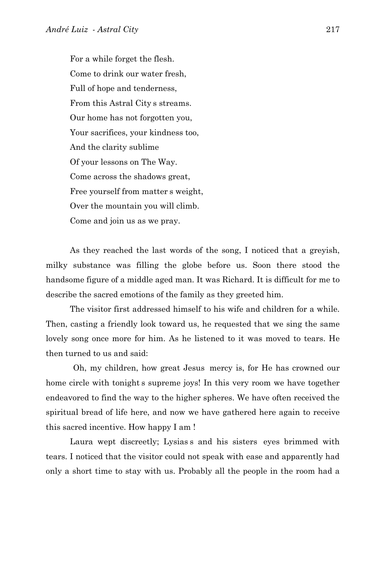For a while forget the flesh. Come to drink our water fresh, Full of hope and tenderness, From this Astral City's streams. Our home has not forgotten you, Your sacrifices, your kindness too, And the clarity sublime Of your lessons on The Way. Come across the shadows great, Free yourself from matter's weight, Over the mountain you will climb. Come and join us as we pray.

As they reached the last words of the song, I noticed that a greyish, milky substance was filling the globe before us. Soon there stood the handsome figure of a middle aged man. It was Richard. It is difficult for me to describe the sacred emotions of the family as they greeted him.

The visitor first addressed himself to his wife and children for a while. Then, casting a friendly look toward us, he requested that we sing the same lovely song once more for him. As he listened to it was moved to tears. He then turned to us and said:

"Oh, my children, how great Jesus' mercy is, for He has crowned our home circle with tonight's supreme joys! In this very room we have together endeavored to find the way to the higher spheres. We have often received the spiritual bread of life here, and now we have gathered here again to receive this sacred incentive. How happy I am !"

Laura wept discreetly; Lysias's and his sisters' eyes brimmed with tears. I noticed that the visitor could not speak with ease and apparently had only a short time to stay with us. Probably all the people in the room had a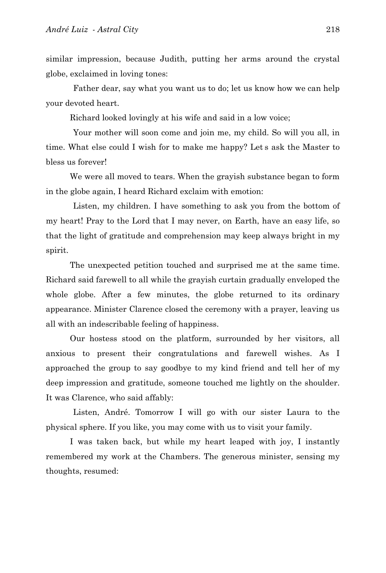similar impression, because Judith, putting her arms around the crystal globe, exclaimed in loving tones:

Father dear, say what you want us to do; let us know how we can help your devoted heart.

Richard looked lovingly at his wife and said in a low voice;

Your mother will soon come and join me, my child. So will you all, in time. What else could I wish for to make me happy? Let s ask the Master to bless us forever!

We were all moved to tears. When the grayish substance began to form in the globe again, I heard Richard exclaim with emotion:

Listen, my children. I have something to ask you from the bottom of my heart! Pray to the Lord that I may never, on Earth, have an easy life, so that the light of gratitude and comprehension may keep always bright in my spirit.

The unexpected petition touched and surprised me at the same time. Richard said farewell to all while the grayish curtain gradually enveloped the whole globe. After a few minutes, the globe returned to its ordinary appearance. Minister Clarence closed the ceremony with a prayer, leaving us all with an indescribable feeling of happiness.

Our hostess stood on the platform, surrounded by her visitors, all anxious to present their congratulations and farewell wishes. As I approached the group to say goodbye to my kind friend and tell her of my deep impression and gratitude, someone touched me lightly on the shoulder. It was Clarence, who said affably:

Listen, André. Tomorrow I will go with our sister Laura to the physical sphere. If you like, you may come with us to visit your family."

I was taken back, but while my heart leaped with joy, I instantly remembered my work at the Chambers. The generous minister, sensing my thoughts, resumed: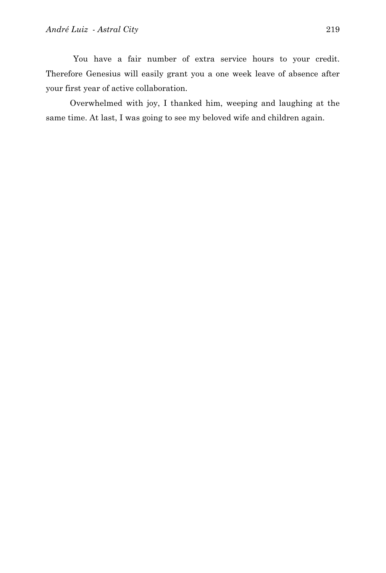Overwhelmed with joy, I thanked him, weeping and laughing at the same time. At last, I was going to see my beloved wife and children again.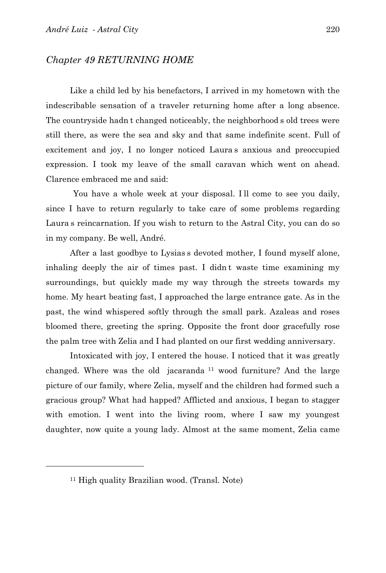## *Chapter 49 RETURNING HOME*

Like a child led by his benefactors, I arrived in my hometown with the indescribable sensation of a traveler returning home after a long absence. The countryside hadn't changed noticeably, the neighborhood's old trees were still there, as were the sea and sky and that same indefinite scent. Full of excitement and joy, I no longer noticed Laura's anxious and preoccupied expression. I took my leave of the small caravan which went on ahead. Clarence embraced me and said:

You have a whole week at your disposal. Ill come to see you daily, since I have to return regularly to take care of some problems regarding Laura's reincarnation. If you wish to return to the Astral City, you can do so in my company. Be well, André.

After a last goodbye to Lysias's devoted mother, I found myself alone, inhaling deeply the air of times past. I didn't waste time examining my surroundings, but quickly made my way through the streets towards my home. My heart beating fast, I approached the large entrance gate. As in the past, the wind whispered softly through the small park. Azaleas and roses bloomed there, greeting the spring. Opposite the front door gracefully rose the palm tree with Zelia and I had planted on our first wedding anniversary.

Intoxicated with joy, I entered the house. I noticed that it was greatly changed. Where was the old jacaranda<sup>11</sup> wood furniture? And the large picture of our family, where Zelia, myself and the children had formed such a gracious group? What had happed? Afflicted and anxious, I began to stagger with emotion. I went into the living room, where I saw my youngest daughter, now quite a young lady. Almost at the same moment, Zelia came

1

<sup>11</sup> High quality Brazilian wood. (Transl. Note)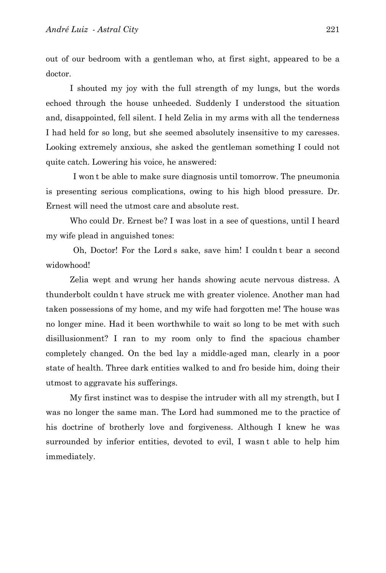out of our bedroom with a gentleman who, at first sight, appeared to be a doctor.

I shouted my joy with the full strength of my lungs, but the words echoed through the house unheeded. Suddenly I understood the situation and, disappointed, fell silent. I held Zelia in my arms with all the tenderness I had held for so long, but she seemed absolutely insensitive to my caresses. Looking extremely anxious, she asked the gentleman something I could not quite catch. Lowering his voice, he answered:

I won't be able to make sure diagnosis until tomorrow. The pneumonia is presenting serious complications, owing to his high blood pressure. Dr. Ernest will need the utmost care and absolute rest."

Who could Dr. Ernest be? I was lost in a see of questions, until I heard my wife plead in anguished tones:

Oh, Doctor! For the Lord's sake, save him! I couldn't bear a second widowhood!

Zelia wept and wrung her hands showing acute nervous distress. A thunderbolt couldn't have struck me with greater violence. Another man had taken possessions of my home, and my wife had forgotten me! The house was no longer mine. Had it been worthwhile to wait so long to be met with such disillusionment? I ran to my room only to find the spacious chamber completely changed. On the bed lay a middle-aged man, clearly in a poor state of health. Three dark entities walked to and fro beside him, doing their utmost to aggravate his sufferings.

My first instinct was to despise the intruder with all my strength, but I was no longer the same man. The Lord had summoned me to the practice of his doctrine of brotherly love and forgiveness. Although I knew he was surrounded by inferior entities, devoted to evil, I wasn't able to help him immediately.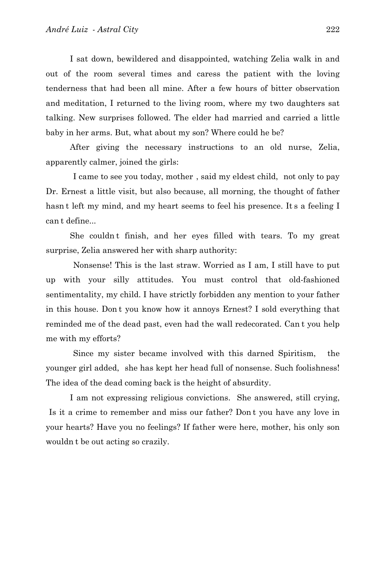I sat down, bewildered and disappointed, watching Zelia walk in and out of the room several times and caress the patient with the loving tenderness that had been all mine. After a few hours of bitter observation and meditation, I returned to the living room, where my two daughters sat talking. New surprises followed. The elder had married and carried a little baby in her arms. But, what about my son? Where could he be?

After giving the necessary instructions to an old nurse, Zelia, apparently calmer, joined the girls:

I came to see you today, mother, said my eldest child, not only to pay Dr. Ernest a little visit, but also because, all morning, the thought of father hasn't left my mind, and my heart seems to feel his presence. It's a feeling I can t define...

She couldn't finish, and her eyes filled with tears. To my great surprise, Zelia answered her with sharp authority:

Nonsense! This is the last straw. Worried as I am, I still have to put up with your silly attitudes. You must control that old-fashioned sentimentality, my child. I have strictly forbidden any mention to your father in this house. Don't you know how it annoys Ernest? I sold everything that reminded me of the dead past, even had the wall redecorated. Can't you help me with my efforts?

Since my sister became involved with this darned Spiritism, the younger girl added, she has kept her head full of nonsense. Such foolishness! The idea of the dead coming back is the height of absurdity.

I am not expressing religious convictions." She answered, still crying, Is it a crime to remember and miss our father? Don't you have any love in your hearts? Have you no feelings? If father were here, mother, his only son wouldn't be out acting so crazily.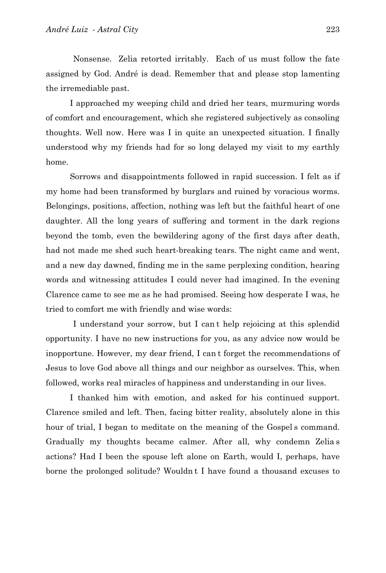Nonsense. Zelia retorted irritably. Each of us must follow the fate assigned by God. André is dead. Remember that and please stop lamenting the irremediable past."

I approached my weeping child and dried her tears, murmuring words of comfort and encouragement, which she registered subjectively as consoling thoughts. Well now. Here was I in quite an unexpected situation. I finally understood why my friends had for so long delayed my visit to my earthly home.

Sorrows and disappointments followed in rapid succession. I felt as if my home had been transformed by burglars and ruined by voracious worms. Belongings, positions, affection, nothing was left but the faithful heart of one daughter. All the long years of suffering and torment in the dark regions beyond the tomb, even the bewildering agony of the first days after death, had not made me shed such heart-breaking tears. The night came and went, and a new day dawned, finding me in the same perplexing condition, hearing words and witnessing attitudes I could never had imagined. In the evening Clarence came to see me as he had promised. Seeing how desperate I was, he tried to comfort me with friendly and wise words:

I understand your sorrow, but I can't help rejoicing at this splendid opportunity. I have no new instructions for you, as any advice now would be inopportune. However, my dear friend, I can't forget the recommendations of Jesus to love God above all things and our neighbor as ourselves. This, when followed, works real miracles of happiness and understanding in our lives.

I thanked him with emotion, and asked for his continued support. Clarence smiled and left. Then, facing bitter reality, absolutely alone in this hour of trial, I began to meditate on the meaning of the Gospel's command. Gradually my thoughts became calmer. After all, why condemn Zelia's actions? Had I been the spouse left alone on Earth, would I, perhaps, have borne the prolonged solitude? Wouldn't I have found a thousand excuses to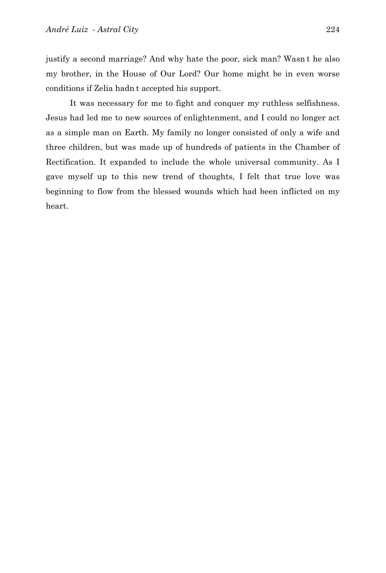justify a second marriage? And why hate the poor, sick man? Wasn't he also my brother, in the House of Our Lord? Our home might be in even worse conditions if Zelia hadn't accepted his support.

It was necessary for me to fight and conquer my ruthless selfishness. Jesus had led me to new sources of enlightenment, and I could no longer act as a simple man on Earth. My family no longer consisted of only a wife and three children, but was made up of hundreds of patients in the Chamber of Rectification. It expanded to include the whole universal community. As I gave myself up to this new trend of thoughts, I felt that true love was beginning to flow from the blessed wounds which had been inflicted on my heart.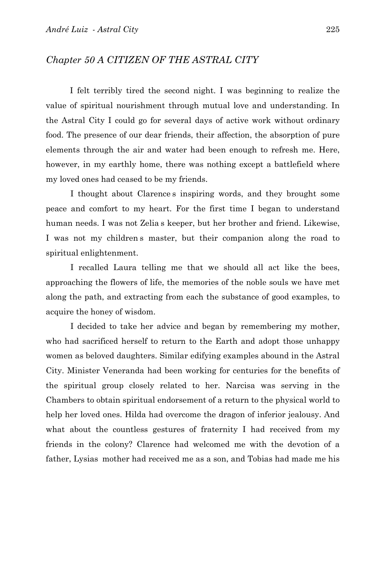## *Chapter 50 A CITIZEN OF THE ASTRAL CITY*

I felt terribly tired the second night. I was beginning to realize the value of spiritual nourishment through mutual love and understanding. In the Astral City I could go for several days of active work without ordinary food. The presence of our dear friends, their affection, the absorption of pure elements through the air and water had been enough to refresh me. Here, however, in my earthly home, there was nothing except a battlefield where my loved ones had ceased to be my friends.

I thought about Clarence's inspiring words, and they brought some peace and comfort to my heart. For the first time I began to understand human needs. I was not Zelia's keeper, but her brother and friend. Likewise, I was not my children's master, but their companion along the road to spiritual enlightenment.

I recalled Laura telling me that we should all act like the bees, approaching the flowers of life, the memories of the noble souls we have met along the path, and extracting from each the substance of good examples, to acquire the honey of wisdom.

I decided to take her advice and began by remembering my mother, who had sacrificed herself to return to the Earth and adopt those unhappy women as beloved daughters. Similar edifying examples abound in the Astral City. Minister Veneranda had been working for centuries for the benefits of the spiritual group closely related to her. Narcisa was serving in the Chambers to obtain spiritual endorsement of a return to the physical world to help her loved ones. Hilda had overcome the dragon of inferior jealousy. And what about the countless gestures of fraternity I had received from my friends in the colony? Clarence had welcomed me with the devotion of a father, Lysias mother had received me as a son, and Tobias had made me his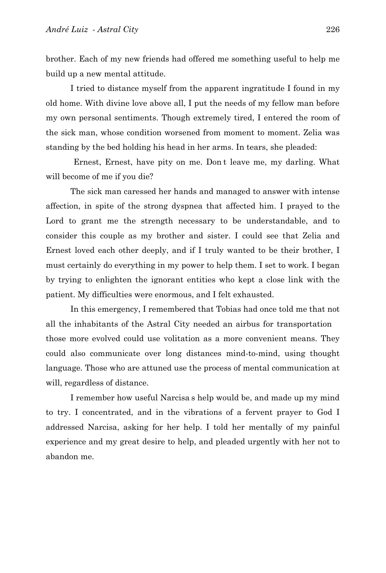brother. Each of my new friends had offered me something useful to help me build up a new mental attitude.

I tried to distance myself from the apparent ingratitude I found in my old home. With divine love above all, I put the needs of my fellow man before my own personal sentiments. Though extremely tired, I entered the room of the sick man, whose condition worsened from moment to moment. Zelia was standing by the bed holding his head in her arms. In tears, she pleaded:

Ernest, Ernest, have pity on me. Don't leave me, my darling. What will become of me if you die?

The sick man caressed her hands and managed to answer with intense affection, in spite of the strong dyspnea that affected him. I prayed to the Lord to grant me the strength necessary to be understandable, and to consider this couple as my brother and sister. I could see that Zelia and Ernest loved each other deeply, and if I truly wanted to be their brother, I must certainly do everything in my power to help them. I set to work. I began by trying to enlighten the ignorant entities who kept a close link with the patient. My difficulties were enormous, and I felt exhausted.

In this emergency, I remembered that Tobias had once told me that not all the inhabitants of the Astral City needed an airbus for transportation those more evolved could use volitation as a more convenient means. They could also communicate over long distances mind-to-mind, using thought language. Those who are attuned use the process of mental communication at will, regardless of distance.

I remember how useful Narcisa's help would be, and made up my mind to try. I concentrated, and in the vibrations of a fervent prayer to God I addressed Narcisa, asking for her help. I told her mentally of my painful experience and my great desire to help, and pleaded urgently with her not to abandon me.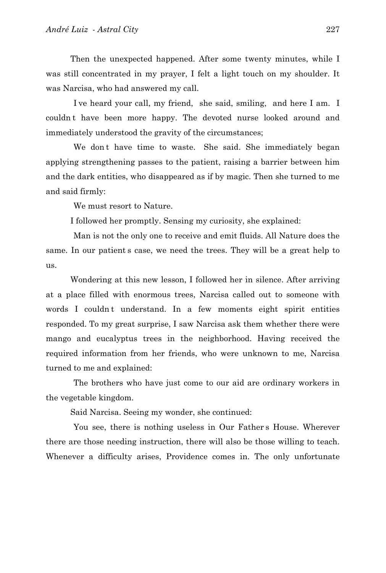Then the unexpected happened. After some twenty minutes, while I was still concentrated in my prayer, I felt a light touch on my shoulder. It was Narcisa, who had answered my call.

I've heard your call, my friend, she said, smiling, and here I am. I couldn't have been more happy. The devoted nurse looked around and immediately understood the gravity of the circumstances;

We don't have time to waste. She said. She immediately began applying strengthening passes to the patient, raising a barrier between him and the dark entities, who disappeared as if by magic. Then she turned to me and said firmly:

We must resort to Nature.

I followed her promptly. Sensing my curiosity, she explained:

"Man is not the only one to receive and emit fluids. All Nature does the same. In our patient s case, we need the trees. They will be a great help to us.

Wondering at this new lesson, I followed her in silence. After arriving at a place filled with enormous trees, Narcisa called out to someone with words I couldn't understand. In a few moments eight spirit entities responded. To my great surprise, I saw Narcisa ask them whether there were mango and eucalyptus trees in the neighborhood. Having received the required information from her friends, who were unknown to me, Narcisa turned to me and explained:

The brothers who have just come to our aid are ordinary workers in the vegetable kingdom."

Said Narcisa. Seeing my wonder, she continued:

You see, there is nothing useless in Our Father's House. Wherever there are those needing instruction, there will also be those willing to teach. Whenever a difficulty arises, Providence comes in. The only unfortunate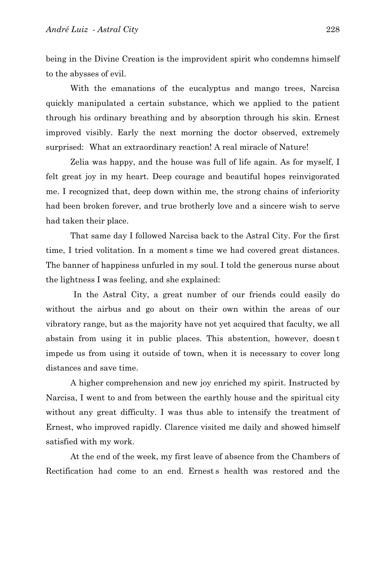being in the Divine Creation is the improvident spirit who condemns himself to the abysses of evil."

With the emanations of the eucalyptus and mango trees, Narcisa quickly manipulated a certain substance, which we applied to the patient through his ordinary breathing and by absorption through his skin. Ernest improved visibly. Early the next morning the doctor observed, extremely surprised: What an extraordinary reaction! A real miracle of Nature!

Zelia was happy, and the house was full of life again. As for myself, I felt great joy in my heart. Deep courage and beautiful hopes reinvigorated me. I recognized that, deep down within me, the strong chains of inferiority had been broken forever, and true brotherly love and a sincere wish to serve had taken their place.

That same day I followed Narcisa back to the Astral City. For the first time, I tried volitation. In a moment s time we had covered great distances. The banner of happiness unfurled in my soul. I told the generous nurse about the lightness I was feeling, and she explained:

In the Astral City, a great number of our friends could easily do without the airbus and go about on their own within the areas of our vibratory range, but as the majority have not yet acquired that faculty, we all abstain from using it in public places. This abstention, however, doesn't impede us from using it outside of town, when it is necessary to cover long distances and save time.

A higher comprehension and new joy enriched my spirit. Instructed by Narcisa, I went to and from between the earthly house and the spiritual city without any great difficulty. I was thus able to intensify the treatment of Ernest, who improved rapidly. Clarence visited me daily and showed himself satisfied with my work.

At the end of the week, my first leave of absence from the Chambers of Rectification had come to an end. Ernest's health was restored and the